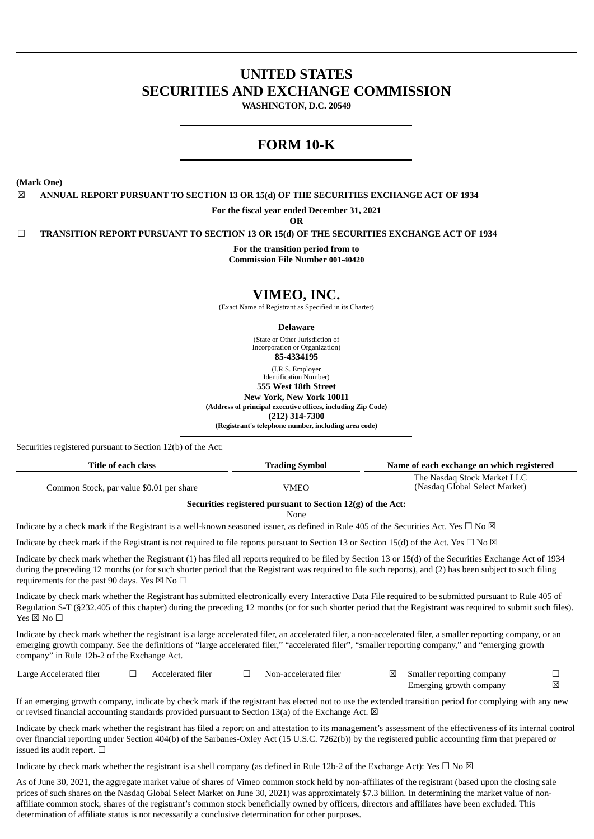# **UNITED STATES SECURITIES AND EXCHANGE COMMISSION**

**WASHINGTON, D.C. 20549**

# **FORM 10-K**

**(Mark One)**

☒ **ANNUAL REPORT PURSUANT TO SECTION 13 OR 15(d) OF THE SECURITIES EXCHANGE ACT OF 1934**

**For the fiscal year ended December 31, 2021**

**OR**

☐ **TRANSITION REPORT PURSUANT TO SECTION 13 OR 15(d) OF THE SECURITIES EXCHANGE ACT OF 1934**

**For the transition period from to**

**Commission File Number 001-40420**

# **VIMEO, INC.**

(Exact Name of Registrant as Specified in its Charter)

**Delaware**

(State or Other Jurisdiction of Incorporation or Organization) **85-4334195** (I.R.S. Employer Identification Number)

**555 West 18th Street**

**New York, New York 10011**

**(Address of principal executive offices, including Zip Code)**

**(212) 314-7300**

**(Registrant's telephone number, including area code)**

Securities registered pursuant to Section 12(b) of the Act:

| Title of each class                      | Name of each exchange on which registered<br><b>Trading Symbol</b> |                                                              |  |  |
|------------------------------------------|--------------------------------------------------------------------|--------------------------------------------------------------|--|--|
| Common Stock, par value \$0.01 per share | VMEO                                                               | The Nasdag Stock Market LLC<br>(Nasdaq Global Select Market) |  |  |
|                                          | Securities registered pursuant to Section 12(g) of the Act:        |                                                              |  |  |

None

Indicate by a check mark if the Registrant is a well-known seasoned issuer, as defined in Rule 405 of the Securities Act. Yes  $\Box$  No  $\boxtimes$ 

Indicate by check mark if the Registrant is not required to file reports pursuant to Section 13 or Section 15(d) of the Act. Yes  $\Box$  No  $\boxtimes$ 

Indicate by check mark whether the Registrant (1) has filed all reports required to be filed by Section 13 or 15(d) of the Securities Exchange Act of 1934 during the preceding 12 months (or for such shorter period that the Registrant was required to file such reports), and (2) has been subject to such filing requirements for the past 90 days. Yes  $\boxtimes$  No  $\Box$ 

Indicate by check mark whether the Registrant has submitted electronically every Interactive Data File required to be submitted pursuant to Rule 405 of Regulation S-T (§232.405 of this chapter) during the preceding 12 months (or for such shorter period that the Registrant was required to submit such files).  $Yes \boxtimes No \Box$ 

Indicate by check mark whether the registrant is a large accelerated filer, an accelerated filer, a non-accelerated filer, a smaller reporting company, or an emerging growth company. See the definitions of "large accelerated filer," "accelerated filer", "smaller reporting company," and "emerging growth company" in Rule 12b-2 of the Exchange Act.

| Large Accelerated filer | Accelerated filer | Non-accelerated filer | Smaller reporting company |  |
|-------------------------|-------------------|-----------------------|---------------------------|--|
|                         |                   |                       | Emerging growth company   |  |

If an emerging growth company, indicate by check mark if the registrant has elected not to use the extended transition period for complying with any new or revised financial accounting standards provided pursuant to Section 13(a) of the Exchange Act.  $\boxtimes$ 

Indicate by check mark whether the registrant has filed a report on and attestation to its management's assessment of the effectiveness of its internal control over financial reporting under Section 404(b) of the Sarbanes-Oxley Act (15 U.S.C. 7262(b)) by the registered public accounting firm that prepared or issued its audit report.  $\Box$ 

Indicate by check mark whether the registrant is a shell company (as defined in Rule 12b-2 of the Exchange Act): Yes  $\Box$  No  $\boxtimes$ 

As of June 30, 2021, the aggregate market value of shares of Vimeo common stock held by non-affiliates of the registrant (based upon the closing sale prices of such shares on the Nasdaq Global Select Market on June 30, 2021) was approximately \$7.3 billion. In determining the market value of nonaffiliate common stock, shares of the registrant's common stock beneficially owned by officers, directors and affiliates have been excluded. This determination of affiliate status is not necessarily a conclusive determination for other purposes.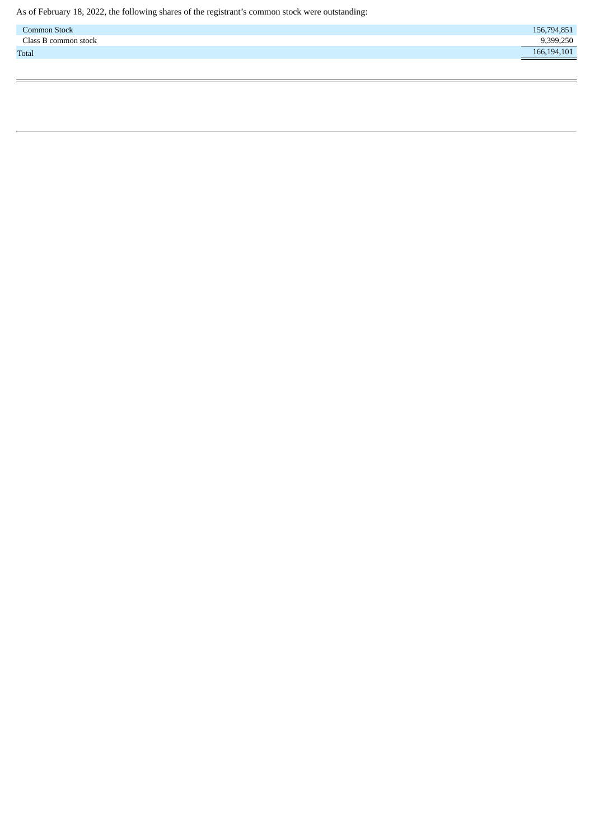<span id="page-1-0"></span>

| <b>Common Stock</b>  | 156,794,851                      |
|----------------------|----------------------------------|
| Class B common stock | 9,399,250                        |
| <b>Total</b>         | 166,194,101<br><u>experience</u> |
|                      |                                  |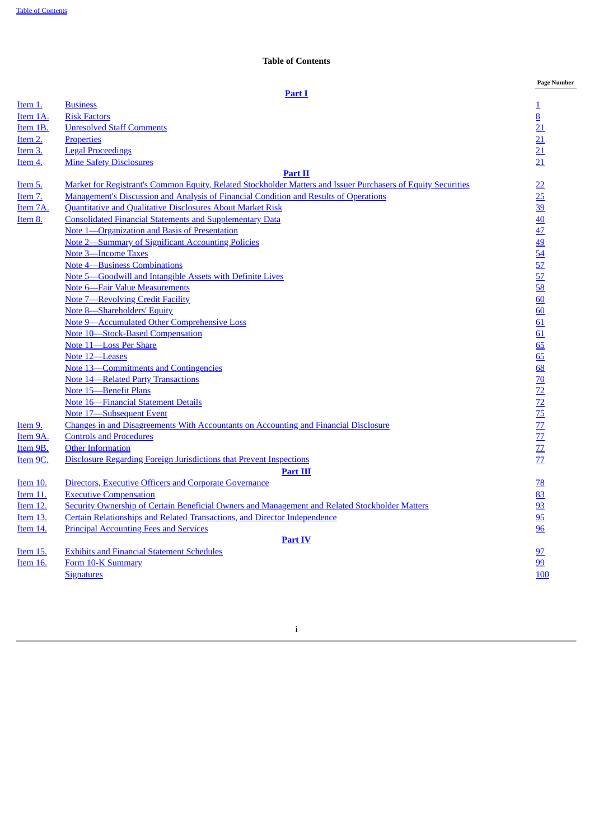## **Table of Contents**

|                 |                                                                                                               | <b>Page Number</b>                                              |
|-----------------|---------------------------------------------------------------------------------------------------------------|-----------------------------------------------------------------|
|                 | Part I                                                                                                        |                                                                 |
| Item 1.         | <b>Business</b>                                                                                               | $\overline{1}$                                                  |
| Item 1A.        | <b>Risk Factors</b>                                                                                           | $\overline{8}$                                                  |
| Item 1B.        | <b>Unresolved Staff Comments</b>                                                                              | 21                                                              |
| Item 2.         | <b>Properties</b>                                                                                             | $\overline{21}$                                                 |
| Item 3.         | <b>Legal Proceedings</b>                                                                                      | $\overline{21}$                                                 |
| Item 4.         | <b>Mine Safety Disclosures</b>                                                                                | $\overline{21}$                                                 |
|                 | Part II                                                                                                       |                                                                 |
| Item 5.         | Market for Registrant's Common Equity, Related Stockholder Matters and Issuer Purchasers of Equity Securities |                                                                 |
| <u>Item 7.</u>  | Management's Discussion and Analysis of Financial Condition and Results of Operations                         | $\frac{22}{25}$                                                 |
| Item 7A.        | Quantitative and Qualitative Disclosures About Market Risk                                                    |                                                                 |
| Item 8.         | <b>Consolidated Financial Statements and Supplementary Data</b>                                               |                                                                 |
|                 | Note 1-Organization and Basis of Presentation                                                                 |                                                                 |
|                 | <b>Note 2-Summary of Significant Accounting Policies</b>                                                      |                                                                 |
|                 | <b>Note 3-Income Taxes</b>                                                                                    |                                                                 |
|                 | <b>Note 4-Business Combinations</b>                                                                           |                                                                 |
|                 | Note 5-Goodwill and Intangible Assets with Definite Lives                                                     | $\frac{39}{40}$ $\frac{40}{42}$ $\frac{49}{54}$ $\frac{57}{57}$ |
|                 | Note 6—Fair Value Measurements                                                                                |                                                                 |
|                 | <b>Note 7-Revolving Credit Facility</b>                                                                       | $\frac{58}{60}$                                                 |
|                 | Note 8-Shareholders' Equity                                                                                   | 60                                                              |
|                 | <b>Note 9-Accumulated Other Comprehensive Loss</b>                                                            | 61                                                              |
|                 | Note 10-Stock-Based Compensation                                                                              | 61                                                              |
|                 | Note 11-Loss Per Share                                                                                        | 65                                                              |
|                 | Note 12-Leases                                                                                                | 65                                                              |
|                 | Note 13—Commitments and Contingencies                                                                         |                                                                 |
|                 | <b>Note 14-Related Party Transactions</b>                                                                     |                                                                 |
|                 | <b>Note 15-Benefit Plans</b>                                                                                  |                                                                 |
|                 | <b>Note 16-Financial Statement Details</b>                                                                    |                                                                 |
|                 | Note 17-Subsequent Event                                                                                      |                                                                 |
| Item 9.         | Changes in and Disagreements With Accountants on Accounting and Financial Disclosure                          | 68 70 72 72 75 77 77 77 77                                      |
| Item 9A.        | <b>Controls and Procedures</b>                                                                                |                                                                 |
| Item 9B.        | <b>Other Information</b>                                                                                      |                                                                 |
| Item 9C.        | Disclosure Regarding Foreign Jurisdictions that Prevent Inspections                                           |                                                                 |
|                 | <b>Part III</b>                                                                                               |                                                                 |
| <b>Item 10.</b> | <b>Directors, Executive Officers and Corporate Governance</b>                                                 | $\overline{28}$                                                 |
| <b>Item 11.</b> | <b>Executive Compensation</b>                                                                                 | 83                                                              |
| Item 12.        | Security Ownership of Certain Beneficial Owners and Management and Related Stockholder Matters                |                                                                 |
| Item 13.        | Certain Relationships and Related Transactions, and Director Independence                                     | $\frac{93}{95}$                                                 |
| Item 14.        | <b>Principal Accounting Fees and Services</b>                                                                 | 96                                                              |
|                 | <b>Part IV</b>                                                                                                |                                                                 |
| Item 15.        | <b>Exhibits and Financial Statement Schedules</b>                                                             | <u>97</u>                                                       |
| Item 16.        | Form 10-K Summary                                                                                             | 99                                                              |
|                 | <b>Signatures</b>                                                                                             | 100                                                             |
|                 |                                                                                                               |                                                                 |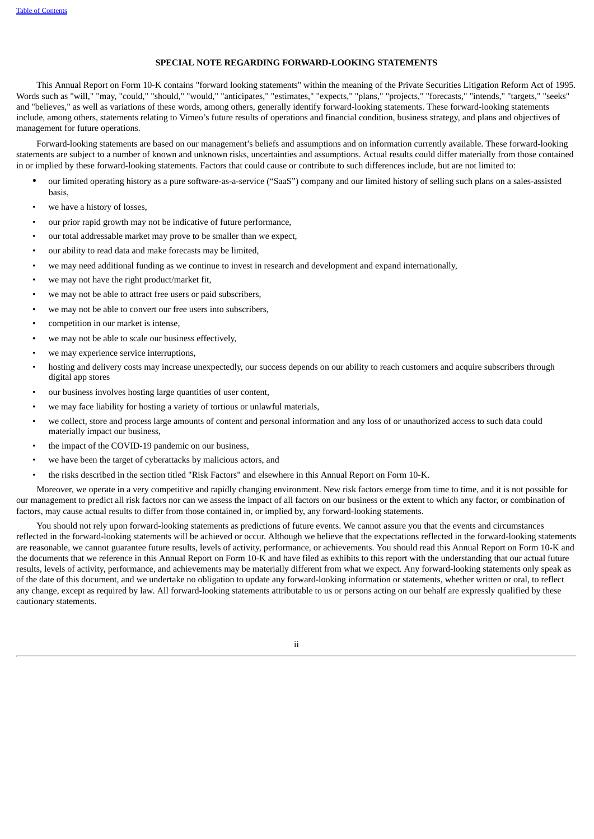## **SPECIAL NOTE REGARDING FORWARD-LOOKING STATEMENTS**

This Annual Report on Form 10-K contains "forward looking statements" within the meaning of the Private Securities Litigation Reform Act of 1995. Words such as "will," "may, "could," "should," "would," "anticipates," "estimates," "expects," "plans," "projects," "forecasts," "intends," "targets," "seeks" and "believes," as well as variations of these words, among others, generally identify forward-looking statements. These forward-looking statements include, among others, statements relating to Vimeo's future results of operations and financial condition, business strategy, and plans and objectives of management for future operations.

Forward-looking statements are based on our management's beliefs and assumptions and on information currently available. These forward-looking statements are subject to a number of known and unknown risks, uncertainties and assumptions. Actual results could differ materially from those contained in or implied by these forward-looking statements. Factors that could cause or contribute to such differences include, but are not limited to:

- our limited operating history as a pure software-as-a-service ("SaaS") company and our limited history of selling such plans on a sales-assisted basis,
- we have a history of losses,
- our prior rapid growth may not be indicative of future performance,
- our total addressable market may prove to be smaller than we expect,
- our ability to read data and make forecasts may be limited,
- we may need additional funding as we continue to invest in research and development and expand internationally,
- we may not have the right product/market fit.
- we may not be able to attract free users or paid subscribers,
- we may not be able to convert our free users into subscribers,
- competition in our market is intense,
- we may not be able to scale our business effectively,
- we may experience service interruptions,
- hosting and delivery costs may increase unexpectedly, our success depends on our ability to reach customers and acquire subscribers through digital app stores
- our business involves hosting large quantities of user content,
- we may face liability for hosting a variety of tortious or unlawful materials,
- we collect, store and process large amounts of content and personal information and any loss of or unauthorized access to such data could materially impact our business,
- the impact of the COVID-19 pandemic on our business,
- we have been the target of cyberattacks by malicious actors, and
- the risks described in the section titled "Risk Factors" and elsewhere in this Annual Report on Form 10-K.

Moreover, we operate in a very competitive and rapidly changing environment. New risk factors emerge from time to time, and it is not possible for our management to predict all risk factors nor can we assess the impact of all factors on our business or the extent to which any factor, or combination of factors, may cause actual results to differ from those contained in, or implied by, any forward-looking statements.

<span id="page-3-0"></span>You should not rely upon forward-looking statements as predictions of future events. We cannot assure you that the events and circumstances reflected in the forward-looking statements will be achieved or occur. Although we believe that the expectations reflected in the forward-looking statements are reasonable, we cannot guarantee future results, levels of activity, performance, or achievements. You should read this Annual Report on Form 10-K and the documents that we reference in this Annual Report on Form 10-K and have filed as exhibits to this report with the understanding that our actual future results, levels of activity, performance, and achievements may be materially different from what we expect. Any forward-looking statements only speak as of the date of this document, and we undertake no obligation to update any forward-looking information or statements, whether written or oral, to reflect any change, except as required by law. All forward-looking statements attributable to us or persons acting on our behalf are expressly qualified by these cautionary statements.

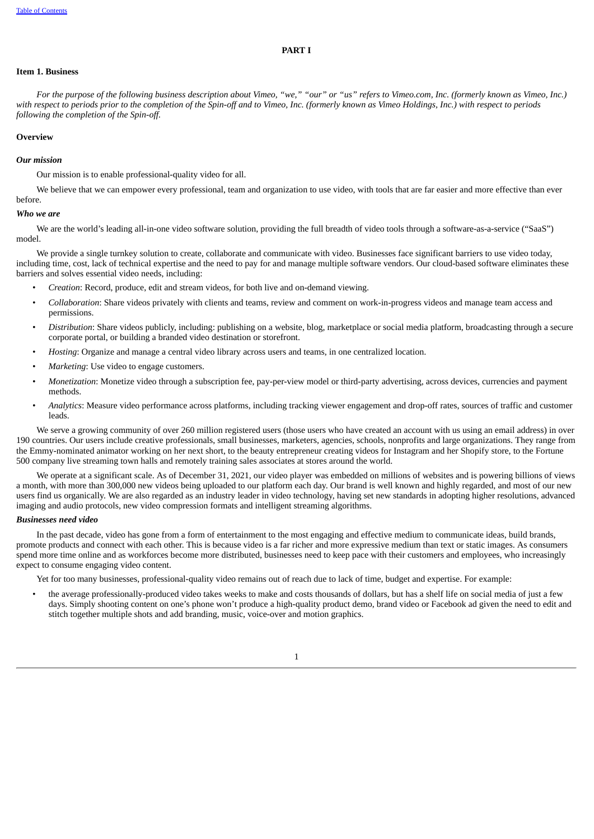#### **PART I**

## <span id="page-4-0"></span>**Item 1. Business**

For the purpose of the following business description about Vimeo, "we," "our" or "us" refers to Vimeo.com, Inc. (formerly known as Vimeo, Inc.) with respect to periods prior to the completion of the Spin-off and to Vimeo, Inc. (formerly known as Vimeo Holdings, Inc.) with respect to periods *following the completion of the Spin-off.*

## **Overview**

#### *Our mission*

Our mission is to enable professional-quality video for all.

We believe that we can empower every professional, team and organization to use video, with tools that are far easier and more effective than ever before.

#### *Who we are*

We are the world's leading all-in-one video software solution, providing the full breadth of video tools through a software-as-a-service ("SaaS") model.

We provide a single turnkey solution to create, collaborate and communicate with video. Businesses face significant barriers to use video today, including time, cost, lack of technical expertise and the need to pay for and manage multiple software vendors. Our cloud-based software eliminates these barriers and solves essential video needs, including:

- *Creation*: Record, produce, edit and stream videos, for both live and on-demand viewing.
- *Collaboration*: Share videos privately with clients and teams, review and comment on work-in-progress videos and manage team access and permissions.
- *Distribution*: Share videos publicly, including: publishing on a website, blog, marketplace or social media platform, broadcasting through a secure corporate portal, or building a branded video destination or storefront.
- *Hosting*: Organize and manage a central video library across users and teams, in one centralized location.
- *Marketing*: Use video to engage customers.
- *Monetization*: Monetize video through a subscription fee, pay-per-view model or third-party advertising, across devices, currencies and payment methods.
- *Analytics*: Measure video performance across platforms, including tracking viewer engagement and drop-off rates, sources of traffic and customer leads.

We serve a growing community of over 260 million registered users (those users who have created an account with us using an email address) in over 190 countries. Our users include creative professionals, small businesses, marketers, agencies, schools, nonprofits and large organizations. They range from the Emmy-nominated animator working on her next short, to the beauty entrepreneur creating videos for Instagram and her Shopify store, to the Fortune 500 company live streaming town halls and remotely training sales associates at stores around the world.

We operate at a significant scale. As of December 31, 2021, our video player was embedded on millions of websites and is powering billions of views a month, with more than 300,000 new videos being uploaded to our platform each day. Our brand is well known and highly regarded, and most of our new users find us organically. We are also regarded as an industry leader in video technology, having set new standards in adopting higher resolutions, advanced imaging and audio protocols, new video compression formats and intelligent streaming algorithms.

#### *Businesses need video*

In the past decade, video has gone from a form of entertainment to the most engaging and effective medium to communicate ideas, build brands, promote products and connect with each other. This is because video is a far richer and more expressive medium than text or static images. As consumers spend more time online and as workforces become more distributed, businesses need to keep pace with their customers and employees, who increasingly expect to consume engaging video content.

Yet for too many businesses, professional-quality video remains out of reach due to lack of time, budget and expertise. For example:

• the average professionally-produced video takes weeks to make and costs thousands of dollars, but has a shelf life on social media of just a few days. Simply shooting content on one's phone won't produce a high-quality product demo, brand video or Facebook ad given the need to edit and stitch together multiple shots and add branding, music, voice-over and motion graphics.

1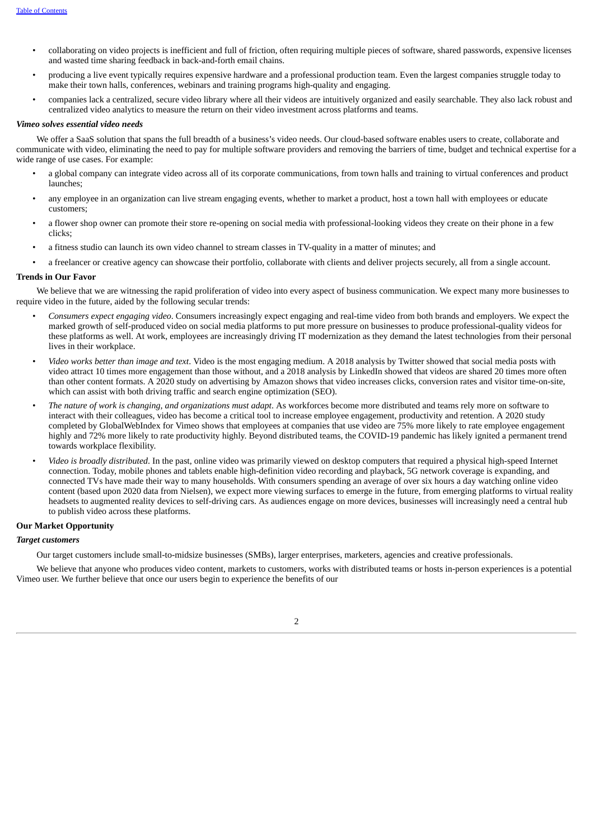- collaborating on video projects is inefficient and full of friction, often requiring multiple pieces of software, shared passwords, expensive licenses and wasted time sharing feedback in back-and-forth email chains.
- producing a live event typically requires expensive hardware and a professional production team. Even the largest companies struggle today to make their town halls, conferences, webinars and training programs high-quality and engaging.
- companies lack a centralized, secure video library where all their videos are intuitively organized and easily searchable. They also lack robust and centralized video analytics to measure the return on their video investment across platforms and teams.

#### *Vimeo solves essential video needs*

We offer a SaaS solution that spans the full breadth of a business's video needs. Our cloud-based software enables users to create, collaborate and communicate with video, eliminating the need to pay for multiple software providers and removing the barriers of time, budget and technical expertise for a wide range of use cases. For example:

- a global company can integrate video across all of its corporate communications, from town halls and training to virtual conferences and product launches;
- any employee in an organization can live stream engaging events, whether to market a product, host a town hall with employees or educate customers;
- a flower shop owner can promote their store re-opening on social media with professional-looking videos they create on their phone in a few clicks;
- a fitness studio can launch its own video channel to stream classes in TV-quality in a matter of minutes; and
- a freelancer or creative agency can showcase their portfolio, collaborate with clients and deliver projects securely, all from a single account.

## **Trends in Our Favor**

We believe that we are witnessing the rapid proliferation of video into every aspect of business communication. We expect many more businesses to require video in the future, aided by the following secular trends:

- *Consumers expect engaging video*. Consumers increasingly expect engaging and real-time video from both brands and employers. We expect the marked growth of self-produced video on social media platforms to put more pressure on businesses to produce professional-quality videos for these platforms as well. At work, employees are increasingly driving IT modernization as they demand the latest technologies from their personal lives in their workplace.
- *Video works better than image and text*. Video is the most engaging medium. A 2018 analysis by Twitter showed that social media posts with video attract 10 times more engagement than those without, and a 2018 analysis by LinkedIn showed that videos are shared 20 times more often than other content formats. A 2020 study on advertising by Amazon shows that video increases clicks, conversion rates and visitor time-on-site, which can assist with both driving traffic and search engine optimization (SEO).
- *The nature of work is changing, and organizations must adapt*. As workforces become more distributed and teams rely more on software to interact with their colleagues, video has become a critical tool to increase employee engagement, productivity and retention. A 2020 study completed by GlobalWebIndex for Vimeo shows that employees at companies that use video are 75% more likely to rate employee engagement highly and 72% more likely to rate productivity highly. Beyond distributed teams, the COVID-19 pandemic has likely ignited a permanent trend towards workplace flexibility.
- *Video is broadly distributed*. In the past, online video was primarily viewed on desktop computers that required a physical high-speed Internet connection. Today, mobile phones and tablets enable high-definition video recording and playback, 5G network coverage is expanding, and connected TVs have made their way to many households. With consumers spending an average of over six hours a day watching online video content (based upon 2020 data from Nielsen), we expect more viewing surfaces to emerge in the future, from emerging platforms to virtual reality headsets to augmented reality devices to self-driving cars. As audiences engage on more devices, businesses will increasingly need a central hub to publish video across these platforms.

#### **Our Market Opportunity**

#### *Target customers*

Our target customers include small-to-midsize businesses (SMBs), larger enterprises, marketers, agencies and creative professionals.

We believe that anyone who produces video content, markets to customers, works with distributed teams or hosts in-person experiences is a potential Vimeo user. We further believe that once our users begin to experience the benefits of our

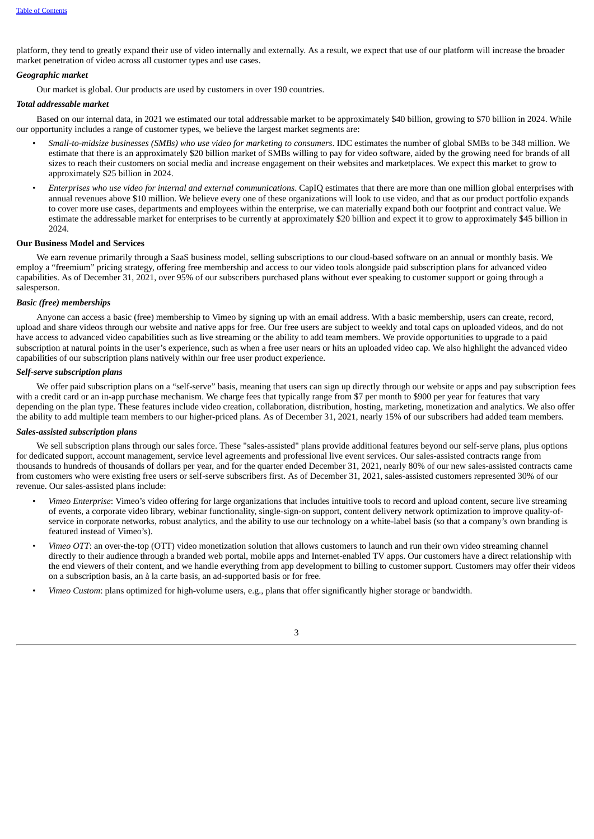platform, they tend to greatly expand their use of video internally and externally. As a result, we expect that use of our platform will increase the broader market penetration of video across all customer types and use cases.

#### *Geographic market*

Our market is global. Our products are used by customers in over 190 countries.

#### *Total addressable market*

Based on our internal data, in 2021 we estimated our total addressable market to be approximately \$40 billion, growing to \$70 billion in 2024. While our opportunity includes a range of customer types, we believe the largest market segments are:

- *Small-to-midsize businesses (SMBs) who use video for marketing to consumers*. IDC estimates the number of global SMBs to be 348 million. We estimate that there is an approximately \$20 billion market of SMBs willing to pay for video software, aided by the growing need for brands of all sizes to reach their customers on social media and increase engagement on their websites and marketplaces. We expect this market to grow to approximately \$25 billion in 2024.
- *Enterprises who use video for internal and external communications*. CapIQ estimates that there are more than one million global enterprises with annual revenues above \$10 million. We believe every one of these organizations will look to use video, and that as our product portfolio expands to cover more use cases, departments and employees within the enterprise, we can materially expand both our footprint and contract value. We estimate the addressable market for enterprises to be currently at approximately \$20 billion and expect it to grow to approximately \$45 billion in 2024.

#### **Our Business Model and Services**

We earn revenue primarily through a SaaS business model, selling subscriptions to our cloud-based software on an annual or monthly basis. We employ a "freemium" pricing strategy, offering free membership and access to our video tools alongside paid subscription plans for advanced video capabilities. As of December 31, 2021, over 95% of our subscribers purchased plans without ever speaking to customer support or going through a salesperson.

## *Basic (free) memberships*

Anyone can access a basic (free) membership to Vimeo by signing up with an email address. With a basic membership, users can create, record, upload and share videos through our website and native apps for free. Our free users are subject to weekly and total caps on uploaded videos, and do not have access to advanced video capabilities such as live streaming or the ability to add team members. We provide opportunities to upgrade to a paid subscription at natural points in the user's experience, such as when a free user nears or hits an uploaded video cap. We also highlight the advanced video capabilities of our subscription plans natively within our free user product experience.

#### *Self-serve subscription plans*

We offer paid subscription plans on a "self-serve" basis, meaning that users can sign up directly through our website or apps and pay subscription fees with a credit card or an in-app purchase mechanism. We charge fees that typically range from \$7 per month to \$900 per year for features that vary depending on the plan type. These features include video creation, collaboration, distribution, hosting, marketing, monetization and analytics. We also offer the ability to add multiple team members to our higher-priced plans. As of December 31, 2021, nearly 15% of our subscribers had added team members.

## *Sales-assisted subscription plans*

We sell subscription plans through our sales force. These "sales-assisted" plans provide additional features beyond our self-serve plans, plus options for dedicated support, account management, service level agreements and professional live event services. Our sales-assisted contracts range from thousands to hundreds of thousands of dollars per year, and for the quarter ended December 31, 2021, nearly 80% of our new sales-assisted contracts came from customers who were existing free users or self-serve subscribers first. As of December 31, 2021, sales-assisted customers represented 30% of our revenue. Our sales-assisted plans include:

- *Vimeo Enterprise*: Vimeo's video offering for large organizations that includes intuitive tools to record and upload content, secure live streaming of events, a corporate video library, webinar functionality, single-sign-on support, content delivery network optimization to improve quality-ofservice in corporate networks, robust analytics, and the ability to use our technology on a white-label basis (so that a company's own branding is featured instead of Vimeo's).
- *Vimeo OTT*: an over-the-top (OTT) video monetization solution that allows customers to launch and run their own video streaming channel directly to their audience through a branded web portal, mobile apps and Internet-enabled TV apps. Our customers have a direct relationship with the end viewers of their content, and we handle everything from app development to billing to customer support. Customers may offer their videos on a subscription basis, an à la carte basis, an ad-supported basis or for free.
- *Vimeo Custom*: plans optimized for high-volume users, e.g., plans that offer significantly higher storage or bandwidth.

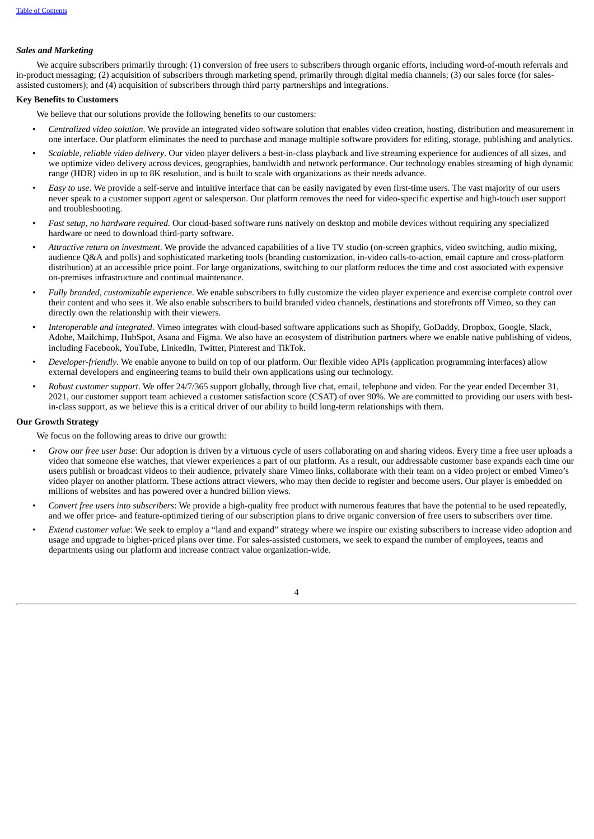## *Sales and Marketing*

We acquire subscribers primarily through: (1) conversion of free users to subscribers through organic efforts, including word-of-mouth referrals and in-product messaging; (2) acquisition of subscribers through marketing spend, primarily through digital media channels; (3) our sales force (for salesassisted customers); and (4) acquisition of subscribers through third party partnerships and integrations.

## **Key Benefits to Customers**

We believe that our solutions provide the following benefits to our customers:

- *Centralized video solution*. We provide an integrated video software solution that enables video creation, hosting, distribution and measurement in one interface. Our platform eliminates the need to purchase and manage multiple software providers for editing, storage, publishing and analytics.
- *Scalable, reliable video delivery*. Our video player delivers a best-in-class playback and live streaming experience for audiences of all sizes, and we optimize video delivery across devices, geographies, bandwidth and network performance. Our technology enables streaming of high dynamic range (HDR) video in up to 8K resolution, and is built to scale with organizations as their needs advance.
- *Easy to use*. We provide a self-serve and intuitive interface that can be easily navigated by even first-time users. The vast majority of our users never speak to a customer support agent or salesperson. Our platform removes the need for video-specific expertise and high-touch user support and troubleshooting.
- *Fast setup, no hardware required.* Our cloud-based software runs natively on desktop and mobile devices without requiring any specialized hardware or need to download third-party software.
- *Attractive return on investment*. We provide the advanced capabilities of a live TV studio (on-screen graphics, video switching, audio mixing, audience Q&A and polls) and sophisticated marketing tools (branding customization, in-video calls-to-action, email capture and cross-platform distribution) at an accessible price point. For large organizations, switching to our platform reduces the time and cost associated with expensive on-premises infrastructure and continual maintenance.
- *Fully branded, customizable experience*. We enable subscribers to fully customize the video player experience and exercise complete control over their content and who sees it. We also enable subscribers to build branded video channels, destinations and storefronts off Vimeo, so they can directly own the relationship with their viewers.
- *Interoperable and integrated*. Vimeo integrates with cloud-based software applications such as Shopify, GoDaddy, Dropbox, Google, Slack, Adobe, Mailchimp, HubSpot, Asana and Figma. We also have an ecosystem of distribution partners where we enable native publishing of videos, including Facebook, YouTube, LinkedIn, Twitter, Pinterest and TikTok.
- *Developer-friendly*. We enable anyone to build on top of our platform. Our flexible video APIs (application programming interfaces) allow external developers and engineering teams to build their own applications using our technology.
- *Robust customer support*. We offer 24/7/365 support globally, through live chat, email, telephone and video. For the year ended December 31, 2021, our customer support team achieved a customer satisfaction score (CSAT) of over 90%. We are committed to providing our users with bestin-class support, as we believe this is a critical driver of our ability to build long-term relationships with them.

## **Our Growth Strategy**

We focus on the following areas to drive our growth:

- *Grow our free user base*: Our adoption is driven by a virtuous cycle of users collaborating on and sharing videos. Every time a free user uploads a video that someone else watches, that viewer experiences a part of our platform. As a result, our addressable customer base expands each time our users publish or broadcast videos to their audience, privately share Vimeo links, collaborate with their team on a video project or embed Vimeo's video player on another platform. These actions attract viewers, who may then decide to register and become users. Our player is embedded on millions of websites and has powered over a hundred billion views.
- *Convert free users into subscribers*: We provide a high-quality free product with numerous features that have the potential to be used repeatedly, and we offer price- and feature-optimized tiering of our subscription plans to drive organic conversion of free users to subscribers over time.
- *Extend customer value*: We seek to employ a "land and expand" strategy where we inspire our existing subscribers to increase video adoption and usage and upgrade to higher-priced plans over time. For sales-assisted customers, we seek to expand the number of employees, teams and departments using our platform and increase contract value organization-wide.

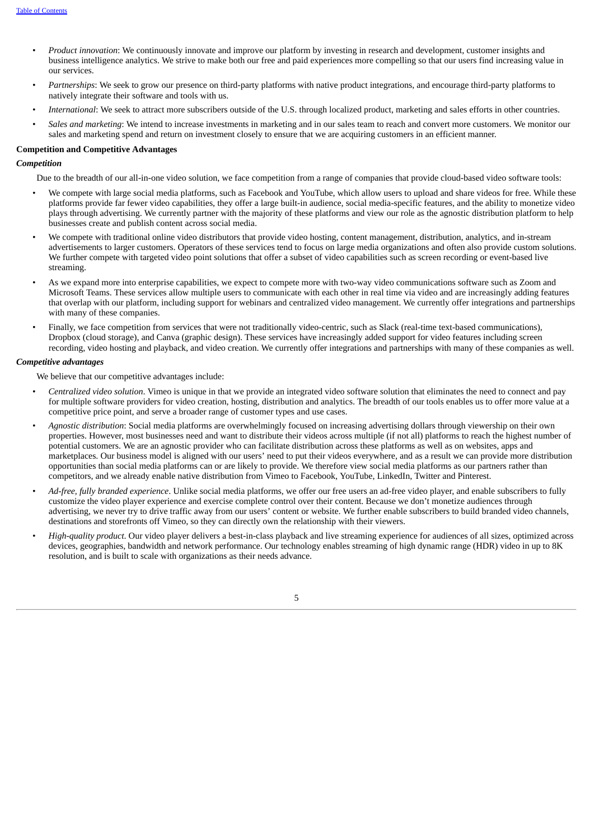- *Product innovation*: We continuously innovate and improve our platform by investing in research and development, customer insights and business intelligence analytics. We strive to make both our free and paid experiences more compelling so that our users find increasing value in our services.
- *Partnerships*: We seek to grow our presence on third-party platforms with native product integrations, and encourage third-party platforms to natively integrate their software and tools with us.
- *International*: We seek to attract more subscribers outside of the U.S. through localized product, marketing and sales efforts in other countries.
- *Sales and marketing*: We intend to increase investments in marketing and in our sales team to reach and convert more customers. We monitor our sales and marketing spend and return on investment closely to ensure that we are acquiring customers in an efficient manner.

## **Competition and Competitive Advantages**

## *Competition*

Due to the breadth of our all-in-one video solution, we face competition from a range of companies that provide cloud-based video software tools:

- We compete with large social media platforms, such as Facebook and YouTube, which allow users to upload and share videos for free. While these platforms provide far fewer video capabilities, they offer a large built-in audience, social media-specific features, and the ability to monetize video plays through advertising. We currently partner with the majority of these platforms and view our role as the agnostic distribution platform to help businesses create and publish content across social media.
- We compete with traditional online video distributors that provide video hosting, content management, distribution, analytics, and in-stream advertisements to larger customers. Operators of these services tend to focus on large media organizations and often also provide custom solutions. We further compete with targeted video point solutions that offer a subset of video capabilities such as screen recording or event-based live streaming.
- As we expand more into enterprise capabilities, we expect to compete more with two-way video communications software such as Zoom and Microsoft Teams. These services allow multiple users to communicate with each other in real time via video and are increasingly adding features that overlap with our platform, including support for webinars and centralized video management. We currently offer integrations and partnerships with many of these companies.
- Finally, we face competition from services that were not traditionally video-centric, such as Slack (real-time text-based communications), Dropbox (cloud storage), and Canva (graphic design). These services have increasingly added support for video features including screen recording, video hosting and playback, and video creation. We currently offer integrations and partnerships with many of these companies as well.

## *Competitive advantages*

We believe that our competitive advantages include:

- *Centralized video solution*. Vimeo is unique in that we provide an integrated video software solution that eliminates the need to connect and pay for multiple software providers for video creation, hosting, distribution and analytics. The breadth of our tools enables us to offer more value at a competitive price point, and serve a broader range of customer types and use cases.
- *Agnostic distribution*: Social media platforms are overwhelmingly focused on increasing advertising dollars through viewership on their own properties. However, most businesses need and want to distribute their videos across multiple (if not all) platforms to reach the highest number of potential customers. We are an agnostic provider who can facilitate distribution across these platforms as well as on websites, apps and marketplaces. Our business model is aligned with our users' need to put their videos everywhere, and as a result we can provide more distribution opportunities than social media platforms can or are likely to provide. We therefore view social media platforms as our partners rather than competitors, and we already enable native distribution from Vimeo to Facebook, YouTube, LinkedIn, Twitter and Pinterest.
- *Ad-free, fully branded experience*. Unlike social media platforms, we offer our free users an ad-free video player, and enable subscribers to fully customize the video player experience and exercise complete control over their content. Because we don't monetize audiences through advertising, we never try to drive traffic away from our users' content or website. We further enable subscribers to build branded video channels, destinations and storefronts off Vimeo, so they can directly own the relationship with their viewers.
- *High-quality product*. Our video player delivers a best-in-class playback and live streaming experience for audiences of all sizes, optimized across devices, geographies, bandwidth and network performance. Our technology enables streaming of high dynamic range (HDR) video in up to 8K resolution, and is built to scale with organizations as their needs advance.

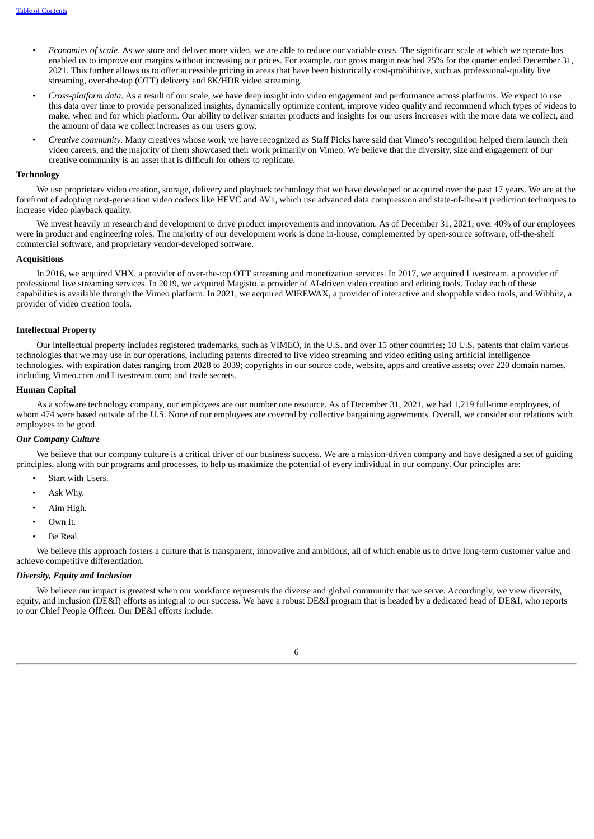- *Economies of scale*. As we store and deliver more video, we are able to reduce our variable costs. The significant scale at which we operate has enabled us to improve our margins without increasing our prices. For example, our gross margin reached 75% for the quarter ended December 31, 2021. This further allows us to offer accessible pricing in areas that have been historically cost-prohibitive, such as professional-quality live streaming, over-the-top (OTT) delivery and 8K/HDR video streaming.
- *Cross-platform data*. As a result of our scale, we have deep insight into video engagement and performance across platforms. We expect to use this data over time to provide personalized insights, dynamically optimize content, improve video quality and recommend which types of videos to make, when and for which platform. Our ability to deliver smarter products and insights for our users increases with the more data we collect, and the amount of data we collect increases as our users grow.
- *Creative community*. Many creatives whose work we have recognized as Staff Picks have said that Vimeo's recognition helped them launch their video careers, and the majority of them showcased their work primarily on Vimeo. We believe that the diversity, size and engagement of our creative community is an asset that is difficult for others to replicate.

#### **Technology**

We use proprietary video creation, storage, delivery and playback technology that we have developed or acquired over the past 17 years. We are at the forefront of adopting next-generation video codecs like HEVC and AV1, which use advanced data compression and state-of-the-art prediction techniques to increase video playback quality.

We invest heavily in research and development to drive product improvements and innovation. As of December 31, 2021, over 40% of our employees were in product and engineering roles. The majority of our development work is done in-house, complemented by open-source software, off-the-shelf commercial software, and proprietary vendor-developed software.

#### **Acquisitions**

In 2016, we acquired VHX, a provider of over-the-top OTT streaming and monetization services. In 2017, we acquired Livestream, a provider of professional live streaming services. In 2019, we acquired Magisto, a provider of AI-driven video creation and editing tools. Today each of these capabilities is available through the Vimeo platform. In 2021, we acquired WIREWAX, a provider of interactive and shoppable video tools, and Wibbitz, a provider of video creation tools.

#### **Intellectual Property**

Our intellectual property includes registered trademarks, such as VIMEO, in the U.S. and over 15 other countries; 18 U.S. patents that claim various technologies that we may use in our operations, including patents directed to live video streaming and video editing using artificial intelligence technologies, with expiration dates ranging from 2028 to 2039; copyrights in our source code, website, apps and creative assets; over 220 domain names, including Vimeo.com and Livestream.com; and trade secrets.

## **Human Capital**

As a software technology company, our employees are our number one resource. As of December 31, 2021, we had 1,219 full-time employees, of whom 474 were based outside of the U.S. None of our employees are covered by collective bargaining agreements. Overall, we consider our relations with employees to be good.

#### *Our Company Culture*

We believe that our company culture is a critical driver of our business success. We are a mission-driven company and have designed a set of guiding principles, along with our programs and processes, to help us maximize the potential of every individual in our company. Our principles are:

- Start with Users.
- Ask Why.
- Aim High.
- Own It.
- Be Real.

We believe this approach fosters a culture that is transparent, innovative and ambitious, all of which enable us to drive long-term customer value and achieve competitive differentiation.

## *Diversity, Equity and Inclusion*

We believe our impact is greatest when our workforce represents the diverse and global community that we serve. Accordingly, we view diversity, equity, and inclusion (DE&I) efforts as integral to our success. We have a robust DE&I program that is headed by a dedicated head of DE&I, who reports to our Chief People Officer. Our DE&I efforts include: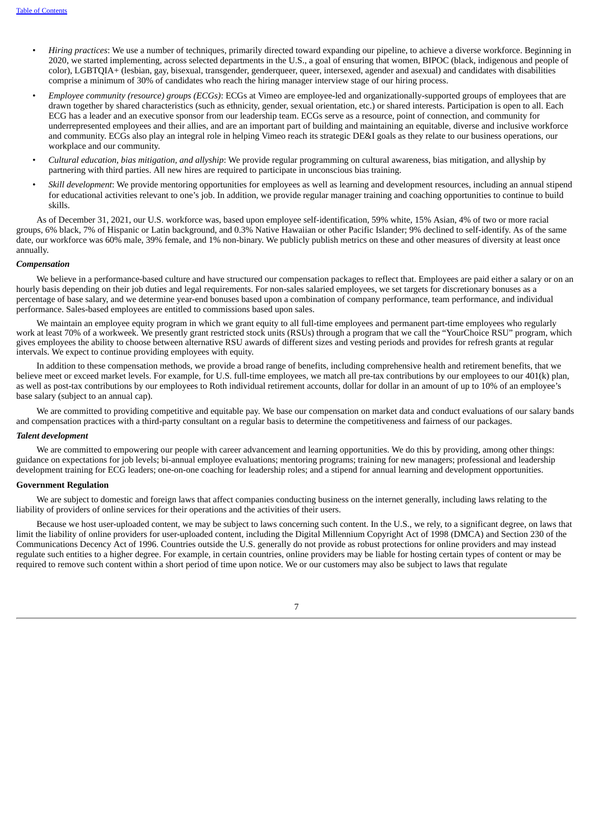- *Hiring practices*: We use a number of techniques, primarily directed toward expanding our pipeline, to achieve a diverse workforce. Beginning in 2020, we started implementing, across selected departments in the U.S., a goal of ensuring that women, BIPOC (black, indigenous and people of color), LGBTQIA+ (lesbian, gay, bisexual, transgender, genderqueer, queer, intersexed, agender and asexual) and candidates with disabilities comprise a minimum of 30% of candidates who reach the hiring manager interview stage of our hiring process.
- *Employee community (resource) groups (ECGs)*: ECGs at Vimeo are employee-led and organizationally-supported groups of employees that are drawn together by shared characteristics (such as ethnicity, gender, sexual orientation, etc.) or shared interests. Participation is open to all. Each ECG has a leader and an executive sponsor from our leadership team. ECGs serve as a resource, point of connection, and community for underrepresented employees and their allies, and are an important part of building and maintaining an equitable, diverse and inclusive workforce and community. ECGs also play an integral role in helping Vimeo reach its strategic DE&I goals as they relate to our business operations, our workplace and our community.
- *Cultural education, bias mitigation, and allyship*: We provide regular programming on cultural awareness, bias mitigation, and allyship by partnering with third parties. All new hires are required to participate in unconscious bias training.
- *Skill development*: We provide mentoring opportunities for employees as well as learning and development resources, including an annual stipend for educational activities relevant to one's job. In addition, we provide regular manager training and coaching opportunities to continue to build skills.

As of December 31, 2021, our U.S. workforce was, based upon employee self-identification, 59% white, 15% Asian, 4% of two or more racial groups, 6% black, 7% of Hispanic or Latin background, and 0.3% Native Hawaiian or other Pacific Islander; 9% declined to self-identify. As of the same date, our workforce was 60% male, 39% female, and 1% non-binary. We publicly publish metrics on these and other measures of diversity at least once annually.

#### *Compensation*

We believe in a performance-based culture and have structured our compensation packages to reflect that. Employees are paid either a salary or on an hourly basis depending on their job duties and legal requirements. For non-sales salaried employees, we set targets for discretionary bonuses as a percentage of base salary, and we determine year-end bonuses based upon a combination of company performance, team performance, and individual performance. Sales-based employees are entitled to commissions based upon sales.

We maintain an employee equity program in which we grant equity to all full-time employees and permanent part-time employees who regularly work at least 70% of a workweek. We presently grant restricted stock units (RSUs) through a program that we call the "YourChoice RSU" program, which gives employees the ability to choose between alternative RSU awards of different sizes and vesting periods and provides for refresh grants at regular intervals. We expect to continue providing employees with equity.

In addition to these compensation methods, we provide a broad range of benefits, including comprehensive health and retirement benefits, that we believe meet or exceed market levels. For example, for U.S. full-time employees, we match all pre-tax contributions by our employees to our 401(k) plan, as well as post-tax contributions by our employees to Roth individual retirement accounts, dollar for dollar in an amount of up to 10% of an employee's base salary (subject to an annual cap).

We are committed to providing competitive and equitable pay. We base our compensation on market data and conduct evaluations of our salary bands and compensation practices with a third-party consultant on a regular basis to determine the competitiveness and fairness of our packages.

#### *Talent development*

We are committed to empowering our people with career advancement and learning opportunities. We do this by providing, among other things: guidance on expectations for job levels; bi-annual employee evaluations; mentoring programs; training for new managers; professional and leadership development training for ECG leaders; one-on-one coaching for leadership roles; and a stipend for annual learning and development opportunities.

#### **Government Regulation**

We are subject to domestic and foreign laws that affect companies conducting business on the internet generally, including laws relating to the liability of providers of online services for their operations and the activities of their users.

Because we host user-uploaded content, we may be subject to laws concerning such content. In the U.S., we rely, to a significant degree, on laws that limit the liability of online providers for user-uploaded content, including the Digital Millennium Copyright Act of 1998 (DMCA) and Section 230 of the Communications Decency Act of 1996. Countries outside the U.S. generally do not provide as robust protections for online providers and may instead regulate such entities to a higher degree. For example, in certain countries, online providers may be liable for hosting certain types of content or may be required to remove such content within a short period of time upon notice. We or our customers may also be subject to laws that regulate

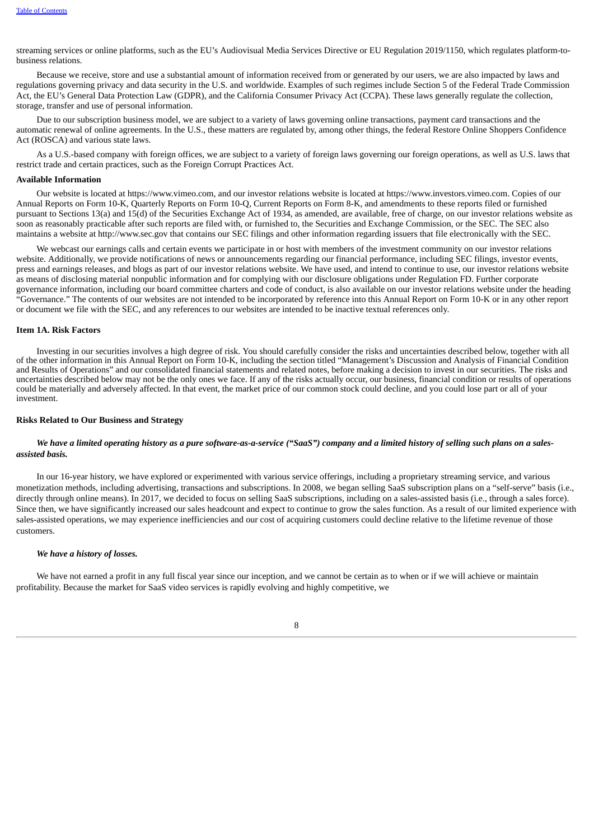streaming services or online platforms, such as the EU's Audiovisual Media Services Directive or EU Regulation 2019/1150, which regulates platform-tobusiness relations.

Because we receive, store and use a substantial amount of information received from or generated by our users, we are also impacted by laws and regulations governing privacy and data security in the U.S. and worldwide. Examples of such regimes include Section 5 of the Federal Trade Commission Act, the EU's General Data Protection Law (GDPR), and the California Consumer Privacy Act (CCPA). These laws generally regulate the collection, storage, transfer and use of personal information.

Due to our subscription business model, we are subject to a variety of laws governing online transactions, payment card transactions and the automatic renewal of online agreements. In the U.S., these matters are regulated by, among other things, the federal Restore Online Shoppers Confidence Act (ROSCA) and various state laws.

As a U.S.-based company with foreign offices, we are subject to a variety of foreign laws governing our foreign operations, as well as U.S. laws that restrict trade and certain practices, such as the Foreign Corrupt Practices Act.

#### **Available Information**

Our website is located at https://www.vimeo.com, and our investor relations website is located at https://www.investors.vimeo.com. Copies of our Annual Reports on Form 10-K, Quarterly Reports on Form 10-Q, Current Reports on Form 8-K, and amendments to these reports filed or furnished pursuant to Sections 13(a) and 15(d) of the Securities Exchange Act of 1934, as amended, are available, free of charge, on our investor relations website as soon as reasonably practicable after such reports are filed with, or furnished to, the Securities and Exchange Commission, or the SEC. The SEC also maintains a website at http://www.sec.gov that contains our SEC filings and other information regarding issuers that file electronically with the SEC.

We webcast our earnings calls and certain events we participate in or host with members of the investment community on our investor relations website. Additionally, we provide notifications of news or announcements regarding our financial performance, including SEC filings, investor events, press and earnings releases, and blogs as part of our investor relations website. We have used, and intend to continue to use, our investor relations website as means of disclosing material nonpublic information and for complying with our disclosure obligations under Regulation FD. Further corporate governance information, including our board committee charters and code of conduct, is also available on our investor relations website under the heading "Governance." The contents of our websites are not intended to be incorporated by reference into this Annual Report on Form 10-K or in any other report or document we file with the SEC, and any references to our websites are intended to be inactive textual references only.

#### <span id="page-11-0"></span>**Item 1A. Risk Factors**

Investing in our securities involves a high degree of risk. You should carefully consider the risks and uncertainties described below, together with all of the other information in this Annual Report on Form 10-K, including the section titled "Management's Discussion and Analysis of Financial Condition and Results of Operations" and our consolidated financial statements and related notes, before making a decision to invest in our securities. The risks and uncertainties described below may not be the only ones we face. If any of the risks actually occur, our business, financial condition or results of operations could be materially and adversely affected. In that event, the market price of our common stock could decline, and you could lose part or all of your investment.

## **Risks Related to Our Business and Strategy**

## We have a limited operating history as a pure software-as-a-service ("SaaS") company and a limited history of selling such plans on a sales*assisted basis.*

In our 16-year history, we have explored or experimented with various service offerings, including a proprietary streaming service, and various monetization methods, including advertising, transactions and subscriptions. In 2008, we began selling SaaS subscription plans on a "self-serve" basis (i.e., directly through online means). In 2017, we decided to focus on selling SaaS subscriptions, including on a sales-assisted basis (i.e., through a sales force). Since then, we have significantly increased our sales headcount and expect to continue to grow the sales function. As a result of our limited experience with sales-assisted operations, we may experience inefficiencies and our cost of acquiring customers could decline relative to the lifetime revenue of those customers.

## *We have a history of losses.*

We have not earned a profit in any full fiscal year since our inception, and we cannot be certain as to when or if we will achieve or maintain profitability. Because the market for SaaS video services is rapidly evolving and highly competitive, we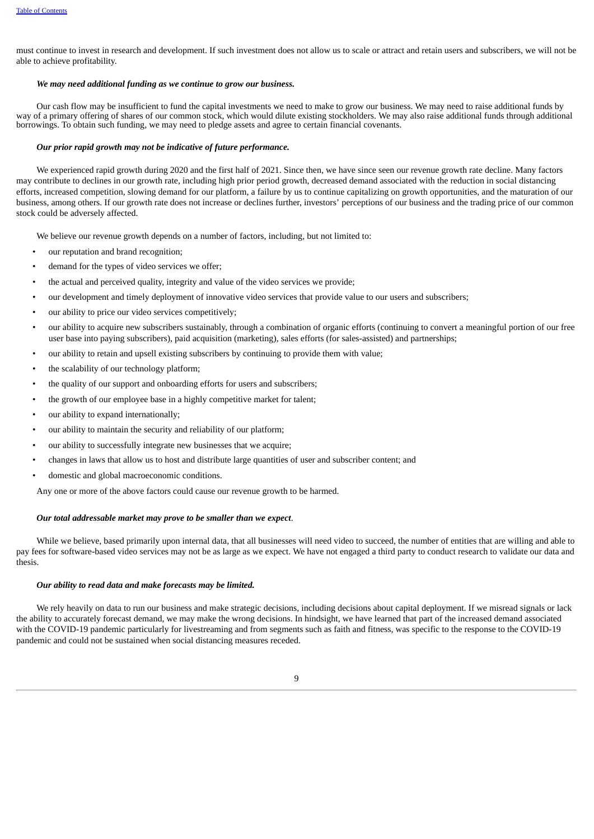must continue to invest in research and development. If such investment does not allow us to scale or attract and retain users and subscribers, we will not be able to achieve profitability.

#### *We may need additional funding as we continue to grow our business.*

Our cash flow may be insufficient to fund the capital investments we need to make to grow our business. We may need to raise additional funds by way of a primary offering of shares of our common stock, which would dilute existing stockholders. We may also raise additional funds through additional borrowings. To obtain such funding, we may need to pledge assets and agree to certain financial covenants.

#### *Our prior rapid growth may not be indicative of future performance.*

We experienced rapid growth during 2020 and the first half of 2021. Since then, we have since seen our revenue growth rate decline. Many factors may contribute to declines in our growth rate, including high prior period growth, decreased demand associated with the reduction in social distancing efforts, increased competition, slowing demand for our platform, a failure by us to continue capitalizing on growth opportunities, and the maturation of our business, among others. If our growth rate does not increase or declines further, investors' perceptions of our business and the trading price of our common stock could be adversely affected.

We believe our revenue growth depends on a number of factors, including, but not limited to:

- our reputation and brand recognition;
- demand for the types of video services we offer;
- the actual and perceived quality, integrity and value of the video services we provide;
- our development and timely deployment of innovative video services that provide value to our users and subscribers;
- our ability to price our video services competitively;
- our ability to acquire new subscribers sustainably, through a combination of organic efforts (continuing to convert a meaningful portion of our free user base into paying subscribers), paid acquisition (marketing), sales efforts (for sales-assisted) and partnerships;
- our ability to retain and upsell existing subscribers by continuing to provide them with value;
- the scalability of our technology platform;
- the quality of our support and onboarding efforts for users and subscribers;
- the growth of our employee base in a highly competitive market for talent;
- our ability to expand internationally;
- our ability to maintain the security and reliability of our platform;
- our ability to successfully integrate new businesses that we acquire;
- changes in laws that allow us to host and distribute large quantities of user and subscriber content; and
- domestic and global macroeconomic conditions.

Any one or more of the above factors could cause our revenue growth to be harmed.

## *Our total addressable market may prove to be smaller than we expect*.

While we believe, based primarily upon internal data, that all businesses will need video to succeed, the number of entities that are willing and able to pay fees for software-based video services may not be as large as we expect. We have not engaged a third party to conduct research to validate our data and thesis.

#### *Our ability to read data and make forecasts may be limited.*

We rely heavily on data to run our business and make strategic decisions, including decisions about capital deployment. If we misread signals or lack the ability to accurately forecast demand, we may make the wrong decisions. In hindsight, we have learned that part of the increased demand associated with the COVID-19 pandemic particularly for livestreaming and from segments such as faith and fitness, was specific to the response to the COVID-19 pandemic and could not be sustained when social distancing measures receded.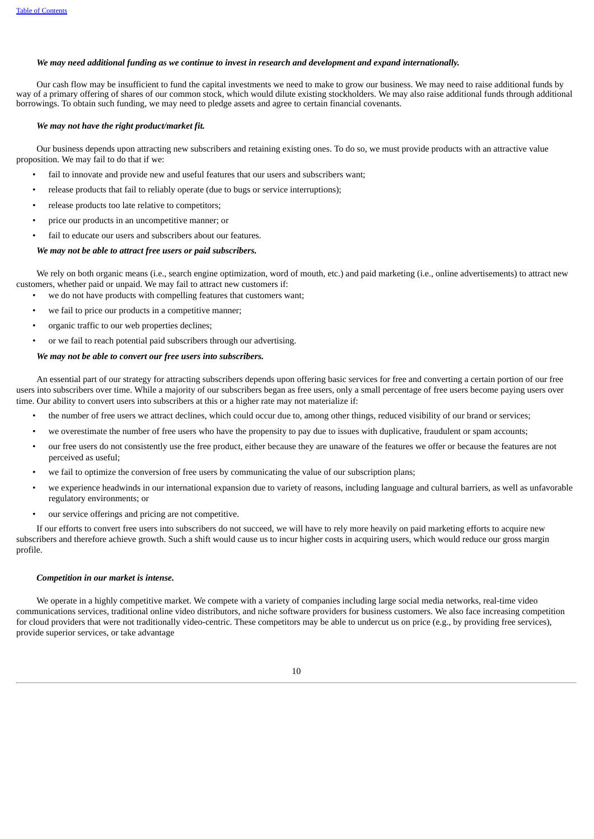## We may need additional funding as we continue to invest in research and development and expand internationally.

Our cash flow may be insufficient to fund the capital investments we need to make to grow our business. We may need to raise additional funds by way of a primary offering of shares of our common stock, which would dilute existing stockholders. We may also raise additional funds through additional borrowings. To obtain such funding, we may need to pledge assets and agree to certain financial covenants.

## *We may not have the right product/market fit.*

Our business depends upon attracting new subscribers and retaining existing ones. To do so, we must provide products with an attractive value proposition. We may fail to do that if we:

- fail to innovate and provide new and useful features that our users and subscribers want;
- release products that fail to reliably operate (due to bugs or service interruptions);
- release products too late relative to competitors;
- price our products in an uncompetitive manner; or
- fail to educate our users and subscribers about our features.

## *We may not be able to attract free users or paid subscribers.*

We rely on both organic means (i.e., search engine optimization, word of mouth, etc.) and paid marketing (i.e., online advertisements) to attract new customers, whether paid or unpaid. We may fail to attract new customers if:

- we do not have products with compelling features that customers want;
- we fail to price our products in a competitive manner;
- organic traffic to our web properties declines;
- or we fail to reach potential paid subscribers through our advertising.

## *We may not be able to convert our free users into subscribers.*

An essential part of our strategy for attracting subscribers depends upon offering basic services for free and converting a certain portion of our free users into subscribers over time. While a majority of our subscribers began as free users, only a small percentage of free users become paying users over time. Our ability to convert users into subscribers at this or a higher rate may not materialize if:

- the number of free users we attract declines, which could occur due to, among other things, reduced visibility of our brand or services;
- we overestimate the number of free users who have the propensity to pay due to issues with duplicative, fraudulent or spam accounts;
- our free users do not consistently use the free product, either because they are unaware of the features we offer or because the features are not perceived as useful;
- we fail to optimize the conversion of free users by communicating the value of our subscription plans;
- we experience headwinds in our international expansion due to variety of reasons, including language and cultural barriers, as well as unfavorable regulatory environments; or
- our service offerings and pricing are not competitive.

If our efforts to convert free users into subscribers do not succeed, we will have to rely more heavily on paid marketing efforts to acquire new subscribers and therefore achieve growth. Such a shift would cause us to incur higher costs in acquiring users, which would reduce our gross margin profile.

#### *Competition in our market is intense.*

We operate in a highly competitive market. We compete with a variety of companies including large social media networks, real-time video communications services, traditional online video distributors, and niche software providers for business customers. We also face increasing competition for cloud providers that were not traditionally video-centric. These competitors may be able to undercut us on price (e.g., by providing free services), provide superior services, or take advantage

10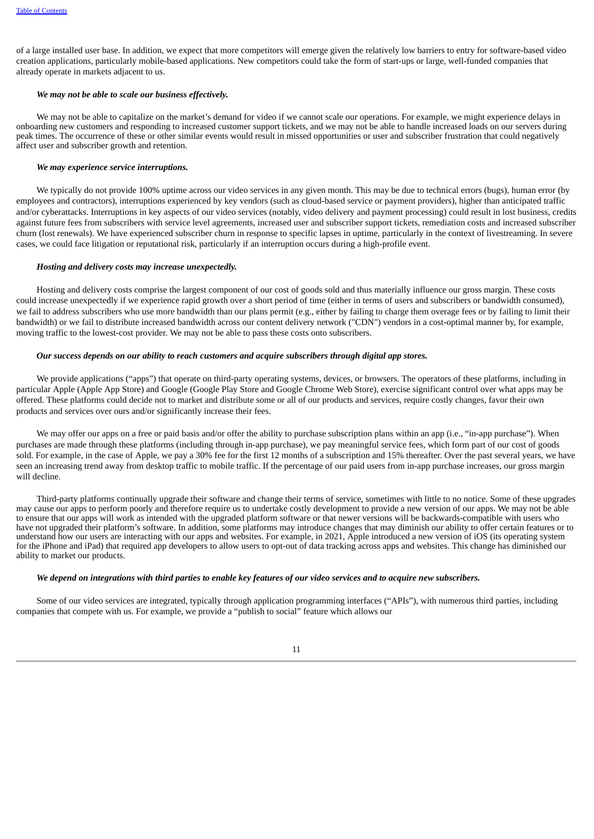of a large installed user base. In addition, we expect that more competitors will emerge given the relatively low barriers to entry for software-based video creation applications, particularly mobile-based applications. New competitors could take the form of start-ups or large, well-funded companies that already operate in markets adjacent to us.

## *We may not be able to scale our business effectively.*

We may not be able to capitalize on the market's demand for video if we cannot scale our operations. For example, we might experience delays in onboarding new customers and responding to increased customer support tickets, and we may not be able to handle increased loads on our servers during peak times. The occurrence of these or other similar events would result in missed opportunities or user and subscriber frustration that could negatively affect user and subscriber growth and retention.

## *We may experience service interruptions.*

We typically do not provide 100% uptime across our video services in any given month. This may be due to technical errors (bugs), human error (by employees and contractors), interruptions experienced by key vendors (such as cloud-based service or payment providers), higher than anticipated traffic and/or cyberattacks. Interruptions in key aspects of our video services (notably, video delivery and payment processing) could result in lost business, credits against future fees from subscribers with service level agreements, increased user and subscriber support tickets, remediation costs and increased subscriber churn (lost renewals). We have experienced subscriber churn in response to specific lapses in uptime, particularly in the context of livestreaming. In severe cases, we could face litigation or reputational risk, particularly if an interruption occurs during a high-profile event.

#### *Hosting and delivery costs may increase unexpectedly.*

Hosting and delivery costs comprise the largest component of our cost of goods sold and thus materially influence our gross margin. These costs could increase unexpectedly if we experience rapid growth over a short period of time (either in terms of users and subscribers or bandwidth consumed), we fail to address subscribers who use more bandwidth than our plans permit (e.g., either by failing to charge them overage fees or by failing to limit their bandwidth) or we fail to distribute increased bandwidth across our content delivery network ("CDN") vendors in a cost-optimal manner by, for example, moving traffic to the lowest-cost provider. We may not be able to pass these costs onto subscribers.

## *Our success depends on our ability to reach customers and acquire subscribers through digital app stores.*

We provide applications ("apps") that operate on third-party operating systems, devices, or browsers. The operators of these platforms, including in particular Apple (Apple App Store) and Google (Google Play Store and Google Chrome Web Store), exercise significant control over what apps may be offered. These platforms could decide not to market and distribute some or all of our products and services, require costly changes, favor their own products and services over ours and/or significantly increase their fees.

We may offer our apps on a free or paid basis and/or offer the ability to purchase subscription plans within an app (i.e., "in-app purchase"). When purchases are made through these platforms (including through in-app purchase), we pay meaningful service fees, which form part of our cost of goods sold. For example, in the case of Apple, we pay a 30% fee for the first 12 months of a subscription and 15% thereafter. Over the past several years, we have seen an increasing trend away from desktop traffic to mobile traffic. If the percentage of our paid users from in-app purchase increases, our gross margin will decline.

Third-party platforms continually upgrade their software and change their terms of service, sometimes with little to no notice. Some of these upgrades may cause our apps to perform poorly and therefore require us to undertake costly development to provide a new version of our apps. We may not be able to ensure that our apps will work as intended with the upgraded platform software or that newer versions will be backwards-compatible with users who have not upgraded their platform's software. In addition, some platforms may introduce changes that may diminish our ability to offer certain features or to understand how our users are interacting with our apps and websites. For example, in 2021, Apple introduced a new version of iOS (its operating system for the iPhone and iPad) that required app developers to allow users to opt-out of data tracking across apps and websites. This change has diminished our ability to market our products.

#### We depend on integrations with third parties to enable key features of our video services and to acquire new subscribers.

Some of our video services are integrated, typically through application programming interfaces ("APIs"), with numerous third parties, including companies that compete with us. For example, we provide a "publish to social" feature which allows our

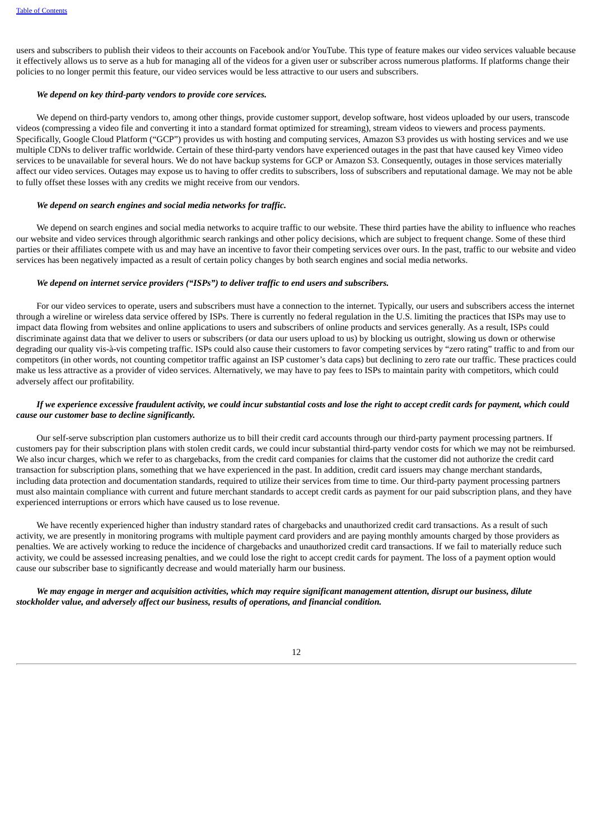users and subscribers to publish their videos to their accounts on Facebook and/or YouTube. This type of feature makes our video services valuable because it effectively allows us to serve as a hub for managing all of the videos for a given user or subscriber across numerous platforms. If platforms change their policies to no longer permit this feature, our video services would be less attractive to our users and subscribers.

## *We depend on key third-party vendors to provide core services.*

We depend on third-party vendors to, among other things, provide customer support, develop software, host videos uploaded by our users, transcode videos (compressing a video file and converting it into a standard format optimized for streaming), stream videos to viewers and process payments. Specifically, Google Cloud Platform ("GCP") provides us with hosting and computing services, Amazon S3 provides us with hosting services and we use multiple CDNs to deliver traffic worldwide. Certain of these third-party vendors have experienced outages in the past that have caused key Vimeo video services to be unavailable for several hours. We do not have backup systems for GCP or Amazon S3. Consequently, outages in those services materially affect our video services. Outages may expose us to having to offer credits to subscribers, loss of subscribers and reputational damage. We may not be able to fully offset these losses with any credits we might receive from our vendors.

## *We depend on search engines and social media networks for traffic.*

We depend on search engines and social media networks to acquire traffic to our website. These third parties have the ability to influence who reaches our website and video services through algorithmic search rankings and other policy decisions, which are subject to frequent change. Some of these third parties or their affiliates compete with us and may have an incentive to favor their competing services over ours. In the past, traffic to our website and video services has been negatively impacted as a result of certain policy changes by both search engines and social media networks.

## *We depend on internet service providers ("ISPs") to deliver traffic to end users and subscribers.*

For our video services to operate, users and subscribers must have a connection to the internet. Typically, our users and subscribers access the internet through a wireline or wireless data service offered by ISPs. There is currently no federal regulation in the U.S. limiting the practices that ISPs may use to impact data flowing from websites and online applications to users and subscribers of online products and services generally. As a result, ISPs could discriminate against data that we deliver to users or subscribers (or data our users upload to us) by blocking us outright, slowing us down or otherwise degrading our quality vis-à-vis competing traffic. ISPs could also cause their customers to favor competing services by "zero rating" traffic to and from our competitors (in other words, not counting competitor traffic against an ISP customer's data caps) but declining to zero rate our traffic. These practices could make us less attractive as a provider of video services. Alternatively, we may have to pay fees to ISPs to maintain parity with competitors, which could adversely affect our profitability.

## If we experience excessive fraudulent activity, we could incur substantial costs and lose the right to accept credit cards for payment, which could *cause our customer base to decline significantly.*

Our self-serve subscription plan customers authorize us to bill their credit card accounts through our third-party payment processing partners. If customers pay for their subscription plans with stolen credit cards, we could incur substantial third-party vendor costs for which we may not be reimbursed. We also incur charges, which we refer to as chargebacks, from the credit card companies for claims that the customer did not authorize the credit card transaction for subscription plans, something that we have experienced in the past. In addition, credit card issuers may change merchant standards, including data protection and documentation standards, required to utilize their services from time to time. Our third-party payment processing partners must also maintain compliance with current and future merchant standards to accept credit cards as payment for our paid subscription plans, and they have experienced interruptions or errors which have caused us to lose revenue.

We have recently experienced higher than industry standard rates of chargebacks and unauthorized credit card transactions. As a result of such activity, we are presently in monitoring programs with multiple payment card providers and are paying monthly amounts charged by those providers as penalties. We are actively working to reduce the incidence of chargebacks and unauthorized credit card transactions. If we fail to materially reduce such activity, we could be assessed increasing penalties, and we could lose the right to accept credit cards for payment. The loss of a payment option would cause our subscriber base to significantly decrease and would materially harm our business.

## We may engage in merger and acquisition activities, which may require significant management attention, disrupt our business, dilute *stockholder value, and adversely affect our business, results of operations, and financial condition.*

## 12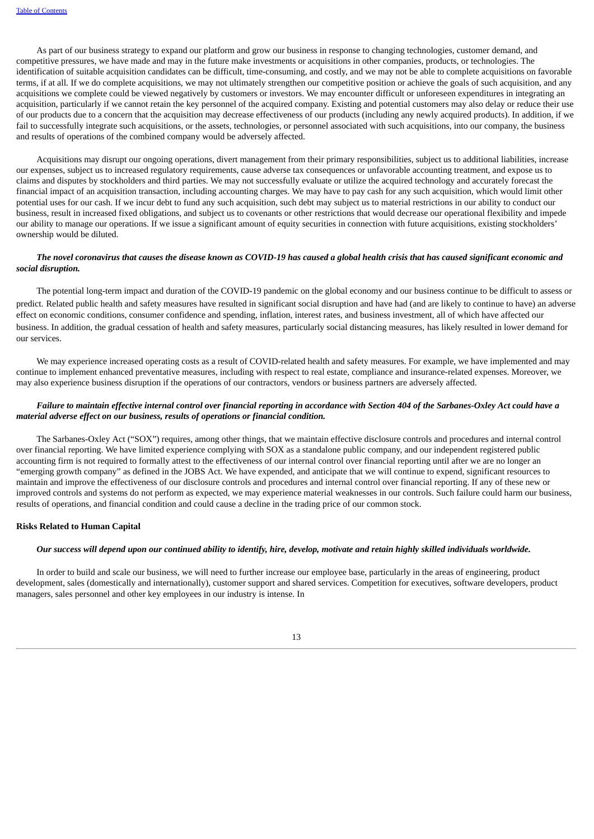As part of our business strategy to expand our platform and grow our business in response to changing technologies, customer demand, and competitive pressures, we have made and may in the future make investments or acquisitions in other companies, products, or technologies. The identification of suitable acquisition candidates can be difficult, time-consuming, and costly, and we may not be able to complete acquisitions on favorable terms, if at all. If we do complete acquisitions, we may not ultimately strengthen our competitive position or achieve the goals of such acquisition, and any acquisitions we complete could be viewed negatively by customers or investors. We may encounter difficult or unforeseen expenditures in integrating an acquisition, particularly if we cannot retain the key personnel of the acquired company. Existing and potential customers may also delay or reduce their use of our products due to a concern that the acquisition may decrease effectiveness of our products (including any newly acquired products). In addition, if we fail to successfully integrate such acquisitions, or the assets, technologies, or personnel associated with such acquisitions, into our company, the business and results of operations of the combined company would be adversely affected.

Acquisitions may disrupt our ongoing operations, divert management from their primary responsibilities, subject us to additional liabilities, increase our expenses, subject us to increased regulatory requirements, cause adverse tax consequences or unfavorable accounting treatment, and expose us to claims and disputes by stockholders and third parties. We may not successfully evaluate or utilize the acquired technology and accurately forecast the financial impact of an acquisition transaction, including accounting charges. We may have to pay cash for any such acquisition, which would limit other potential uses for our cash. If we incur debt to fund any such acquisition, such debt may subject us to material restrictions in our ability to conduct our business, result in increased fixed obligations, and subject us to covenants or other restrictions that would decrease our operational flexibility and impede our ability to manage our operations. If we issue a significant amount of equity securities in connection with future acquisitions, existing stockholders' ownership would be diluted.

## The novel coronavirus that causes the disease known as COVID-19 has caused a global health crisis that has caused significant economic and *social disruption.*

The potential long-term impact and duration of the COVID-19 pandemic on the global economy and our business continue to be difficult to assess or predict. Related public health and safety measures have resulted in significant social disruption and have had (and are likely to continue to have) an adverse effect on economic conditions, consumer confidence and spending, inflation, interest rates, and business investment, all of which have affected our business. In addition, the gradual cessation of health and safety measures, particularly social distancing measures, has likely resulted in lower demand for our services.

We may experience increased operating costs as a result of COVID-related health and safety measures. For example, we have implemented and may continue to implement enhanced preventative measures, including with respect to real estate, compliance and insurance-related expenses. Moreover, we may also experience business disruption if the operations of our contractors, vendors or business partners are adversely affected.

## Failure to maintain effective internal control over financial reporting in accordance with Section 404 of the Sarbanes-Oxley Act could have a *material adverse effect on our business, results of operations or financial condition.*

The Sarbanes-Oxley Act ("SOX") requires, among other things, that we maintain effective disclosure controls and procedures and internal control over financial reporting. We have limited experience complying with SOX as a standalone public company, and our independent registered public accounting firm is not required to formally attest to the effectiveness of our internal control over financial reporting until after we are no longer an "emerging growth company" as defined in the JOBS Act. We have expended, and anticipate that we will continue to expend, significant resources to maintain and improve the effectiveness of our disclosure controls and procedures and internal control over financial reporting. If any of these new or improved controls and systems do not perform as expected, we may experience material weaknesses in our controls. Such failure could harm our business, results of operations, and financial condition and could cause a decline in the trading price of our common stock.

## **Risks Related to Human Capital**

## Our success will depend upon our continued ability to identify, hire, develop, motivate and retain highly skilled individuals worldwide.

In order to build and scale our business, we will need to further increase our employee base, particularly in the areas of engineering, product development, sales (domestically and internationally), customer support and shared services. Competition for executives, software developers, product managers, sales personnel and other key employees in our industry is intense. In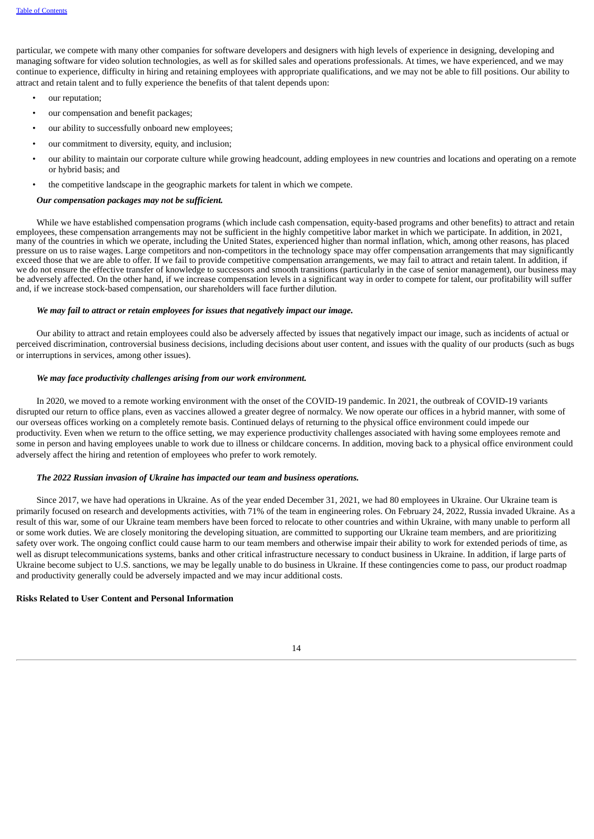particular, we compete with many other companies for software developers and designers with high levels of experience in designing, developing and managing software for video solution technologies, as well as for skilled sales and operations professionals. At times, we have experienced, and we may continue to experience, difficulty in hiring and retaining employees with appropriate qualifications, and we may not be able to fill positions. Our ability to attract and retain talent and to fully experience the benefits of that talent depends upon:

- our reputation:
- our compensation and benefit packages;
- our ability to successfully onboard new employees;
- our commitment to diversity, equity, and inclusion;
- our ability to maintain our corporate culture while growing headcount, adding employees in new countries and locations and operating on a remote or hybrid basis; and
- the competitive landscape in the geographic markets for talent in which we compete.

## *Our compensation packages may not be sufficient.*

While we have established compensation programs (which include cash compensation, equity-based programs and other benefits) to attract and retain employees, these compensation arrangements may not be sufficient in the highly competitive labor market in which we participate. In addition, in 2021, many of the countries in which we operate, including the United States, experienced higher than normal inflation, which, among other reasons, has placed pressure on us to raise wages. Large competitors and non-competitors in the technology space may offer compensation arrangements that may significantly exceed those that we are able to offer. If we fail to provide competitive compensation arrangements, we may fail to attract and retain talent. In addition, if we do not ensure the effective transfer of knowledge to successors and smooth transitions (particularly in the case of senior management), our business may be adversely affected. On the other hand, if we increase compensation levels in a significant way in order to compete for talent, our profitability will suffer and, if we increase stock-based compensation, our shareholders will face further dilution.

#### *We may fail to attract or retain employees for issues that negatively impact our image.*

Our ability to attract and retain employees could also be adversely affected by issues that negatively impact our image, such as incidents of actual or perceived discrimination, controversial business decisions, including decisions about user content, and issues with the quality of our products (such as bugs or interruptions in services, among other issues).

## *We may face productivity challenges arising from our work environment.*

In 2020, we moved to a remote working environment with the onset of the COVID-19 pandemic. In 2021, the outbreak of COVID-19 variants disrupted our return to office plans, even as vaccines allowed a greater degree of normalcy. We now operate our offices in a hybrid manner, with some of our overseas offices working on a completely remote basis. Continued delays of returning to the physical office environment could impede our productivity. Even when we return to the office setting, we may experience productivity challenges associated with having some employees remote and some in person and having employees unable to work due to illness or childcare concerns. In addition, moving back to a physical office environment could adversely affect the hiring and retention of employees who prefer to work remotely.

#### *The 2022 Russian invasion of Ukraine has impacted our team and business operations.*

Since 2017, we have had operations in Ukraine. As of the year ended December 31, 2021, we had 80 employees in Ukraine. Our Ukraine team is primarily focused on research and developments activities, with 71% of the team in engineering roles. On February 24, 2022, Russia invaded Ukraine. As a result of this war, some of our Ukraine team members have been forced to relocate to other countries and within Ukraine, with many unable to perform all or some work duties. We are closely monitoring the developing situation, are committed to supporting our Ukraine team members, and are prioritizing safety over work. The ongoing conflict could cause harm to our team members and otherwise impair their ability to work for extended periods of time, as well as disrupt telecommunications systems, banks and other critical infrastructure necessary to conduct business in Ukraine. In addition, if large parts of Ukraine become subject to U.S. sanctions, we may be legally unable to do business in Ukraine. If these contingencies come to pass, our product roadmap and productivity generally could be adversely impacted and we may incur additional costs.

## **Risks Related to User Content and Personal Information**

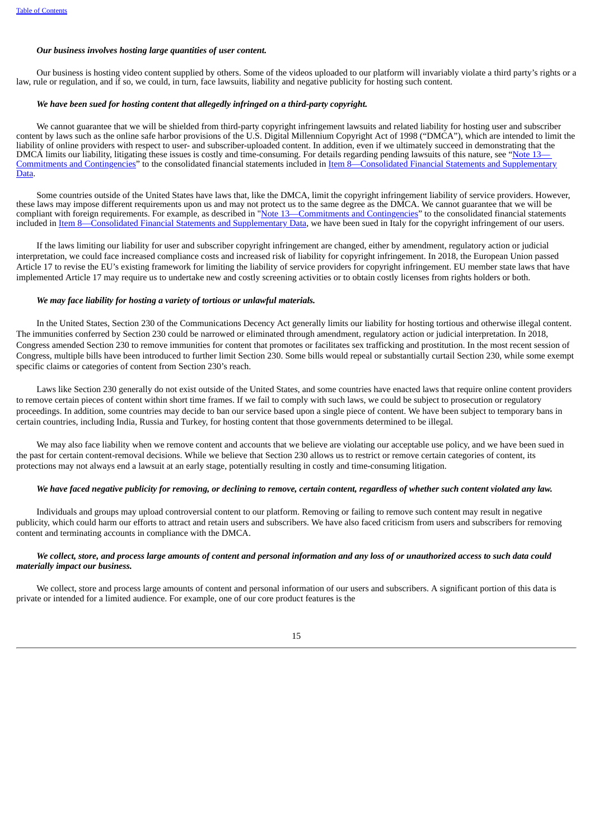## *Our business involves hosting large quantities of user content.*

Our business is hosting video content supplied by others. Some of the videos uploaded to our platform will invariably violate a third party's rights or a law, rule or regulation, and if so, we could, in turn, face lawsuits, liability and negative publicity for hosting such content.

## *We have been sued for hosting content that allegedly infringed on a third-party copyright.*

We cannot guarantee that we will be shielded from third-party copyright infringement lawsuits and related liability for hosting user and subscriber content by laws such as the online safe harbor provisions of the U.S. Digital Millennium Copyright Act of 1998 ("DMCA"), which are intended to limit the liability of online providers with respect to user- and subscriber-uploaded content. In addition, even if we ultimately succeed in demonstrating that the DMCA limits our liability, litigating these issues is costly and time-consuming. For details regarding pending lawsuits of this nature, see "[Note](#page-70-0) [13](#page-70-0)-Commitments and Contingencies" to the consolidated financial statements included in Item [8—Consolidated](#page-70-0) Financial Statements and Supplementary Data.

Some countries outside of the United States have laws that, like the DMCA, limit the copyright infringement liability of service providers. However, these laws may impose different requirements upon us and may not protect us to the same degree as the DMCA. We cannot guarantee that we will be compliant with foreign requirements. For example, as described in ["Note](#page-70-0) [13—Commitments](#page-70-0) and Contingencies" to the consolidated financial statements included in Item [8—Consolidated](#page-42-0) Financial Statements and Supplementary Data, we have been sued in Italy for the copyright infringement of our users.

If the laws limiting our liability for user and subscriber copyright infringement are changed, either by amendment, regulatory action or judicial interpretation, we could face increased compliance costs and increased risk of liability for copyright infringement. In 2018, the European Union passed Article 17 to revise the EU's existing framework for limiting the liability of service providers for copyright infringement. EU member state laws that have implemented Article 17 may require us to undertake new and costly screening activities or to obtain costly licenses from rights holders or both.

#### *We may face liability for hosting a variety of tortious or unlawful materials.*

In the United States, Section 230 of the Communications Decency Act generally limits our liability for hosting tortious and otherwise illegal content. The immunities conferred by Section 230 could be narrowed or eliminated through amendment, regulatory action or judicial interpretation. In 2018, Congress amended Section 230 to remove immunities for content that promotes or facilitates sex trafficking and prostitution. In the most recent session of Congress, multiple bills have been introduced to further limit Section 230. Some bills would repeal or substantially curtail Section 230, while some exempt specific claims or categories of content from Section 230's reach.

Laws like Section 230 generally do not exist outside of the United States, and some countries have enacted laws that require online content providers to remove certain pieces of content within short time frames. If we fail to comply with such laws, we could be subject to prosecution or regulatory proceedings. In addition, some countries may decide to ban our service based upon a single piece of content. We have been subject to temporary bans in certain countries, including India, Russia and Turkey, for hosting content that those governments determined to be illegal.

We may also face liability when we remove content and accounts that we believe are violating our acceptable use policy, and we have been sued in the past for certain content-removal decisions. While we believe that Section 230 allows us to restrict or remove certain categories of content, its protections may not always end a lawsuit at an early stage, potentially resulting in costly and time-consuming litigation.

#### We have faced negative publicity for removing, or declining to remove, certain content, regardless of whether such content violated any law.

Individuals and groups may upload controversial content to our platform. Removing or failing to remove such content may result in negative publicity, which could harm our efforts to attract and retain users and subscribers. We have also faced criticism from users and subscribers for removing content and terminating accounts in compliance with the DMCA.

## We collect, store, and process large amounts of content and personal information and any loss of or unauthorized access to such data could *materially impact our business.*

We collect, store and process large amounts of content and personal information of our users and subscribers. A significant portion of this data is private or intended for a limited audience. For example, one of our core product features is the

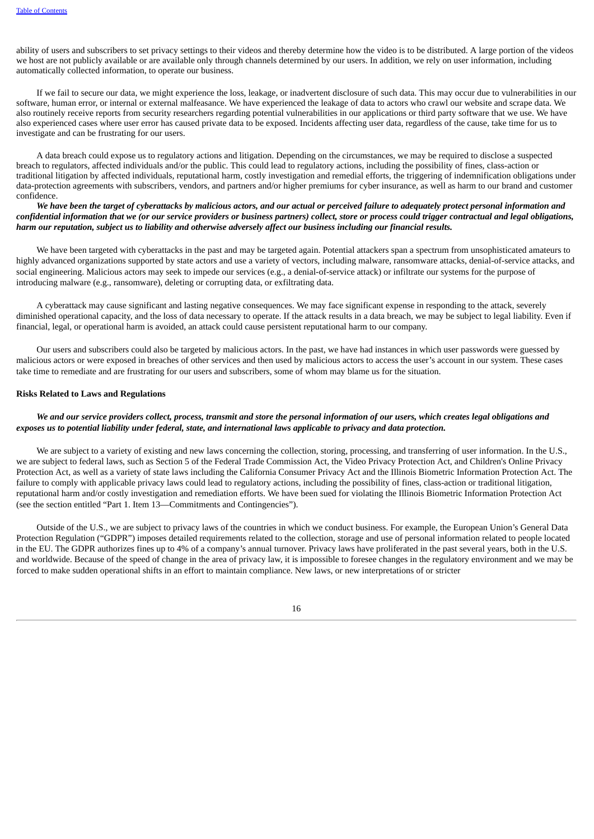ability of users and subscribers to set privacy settings to their videos and thereby determine how the video is to be distributed. A large portion of the videos we host are not publicly available or are available only through channels determined by our users. In addition, we rely on user information, including automatically collected information, to operate our business.

If we fail to secure our data, we might experience the loss, leakage, or inadvertent disclosure of such data. This may occur due to vulnerabilities in our software, human error, or internal or external malfeasance. We have experienced the leakage of data to actors who crawl our website and scrape data. We also routinely receive reports from security researchers regarding potential vulnerabilities in our applications or third party software that we use. We have also experienced cases where user error has caused private data to be exposed. Incidents affecting user data, regardless of the cause, take time for us to investigate and can be frustrating for our users.

A data breach could expose us to regulatory actions and litigation. Depending on the circumstances, we may be required to disclose a suspected breach to regulators, affected individuals and/or the public. This could lead to regulatory actions, including the possibility of fines, class-action or traditional litigation by affected individuals, reputational harm, costly investigation and remedial efforts, the triggering of indemnification obligations under data-protection agreements with subscribers, vendors, and partners and/or higher premiums for cyber insurance, as well as harm to our brand and customer confidence.

We have been the target of cyberattacks by malicious actors, and our actual or perceived failure to adequately protect personal information and confidential information that we (or our service providers or business partners) collect, store or process could trigger contractual and legal obligations, harm our reputation, subject us to liability and otherwise adversely affect our business including our financial results.

We have been targeted with cyberattacks in the past and may be targeted again. Potential attackers span a spectrum from unsophisticated amateurs to highly advanced organizations supported by state actors and use a variety of vectors, including malware, ransomware attacks, denial-of-service attacks, and social engineering. Malicious actors may seek to impede our services (e.g., a denial-of-service attack) or infiltrate our systems for the purpose of introducing malware (e.g., ransomware), deleting or corrupting data, or exfiltrating data.

A cyberattack may cause significant and lasting negative consequences. We may face significant expense in responding to the attack, severely diminished operational capacity, and the loss of data necessary to operate. If the attack results in a data breach, we may be subject to legal liability. Even if financial, legal, or operational harm is avoided, an attack could cause persistent reputational harm to our company.

Our users and subscribers could also be targeted by malicious actors. In the past, we have had instances in which user passwords were guessed by malicious actors or were exposed in breaches of other services and then used by malicious actors to access the user's account in our system. These cases take time to remediate and are frustrating for our users and subscribers, some of whom may blame us for the situation.

#### **Risks Related to Laws and Regulations**

## We and our service providers collect, process, transmit and store the personal information of our users, which creates legal obligations and exposes us to potential liability under federal, state, and international laws applicable to privacy and data protection.

We are subject to a variety of existing and new laws concerning the collection, storing, processing, and transferring of user information. In the U.S., we are subject to federal laws, such as Section 5 of the Federal Trade Commission Act, the Video Privacy Protection Act, and Children's Online Privacy Protection Act, as well as a variety of state laws including the California Consumer Privacy Act and the Illinois Biometric Information Protection Act. The failure to comply with applicable privacy laws could lead to regulatory actions, including the possibility of fines, class-action or traditional litigation, reputational harm and/or costly investigation and remediation efforts. We have been sued for violating the Illinois Biometric Information Protection Act (see the section entitled "Part 1. Item 13—Commitments and Contingencies").

Outside of the U.S., we are subject to privacy laws of the countries in which we conduct business. For example, the European Union's General Data Protection Regulation ("GDPR") imposes detailed requirements related to the collection, storage and use of personal information related to people located in the EU. The GDPR authorizes fines up to 4% of a company's annual turnover. Privacy laws have proliferated in the past several years, both in the U.S. and worldwide. Because of the speed of change in the area of privacy law, it is impossible to foresee changes in the regulatory environment and we may be forced to make sudden operational shifts in an effort to maintain compliance. New laws, or new interpretations of or stricter

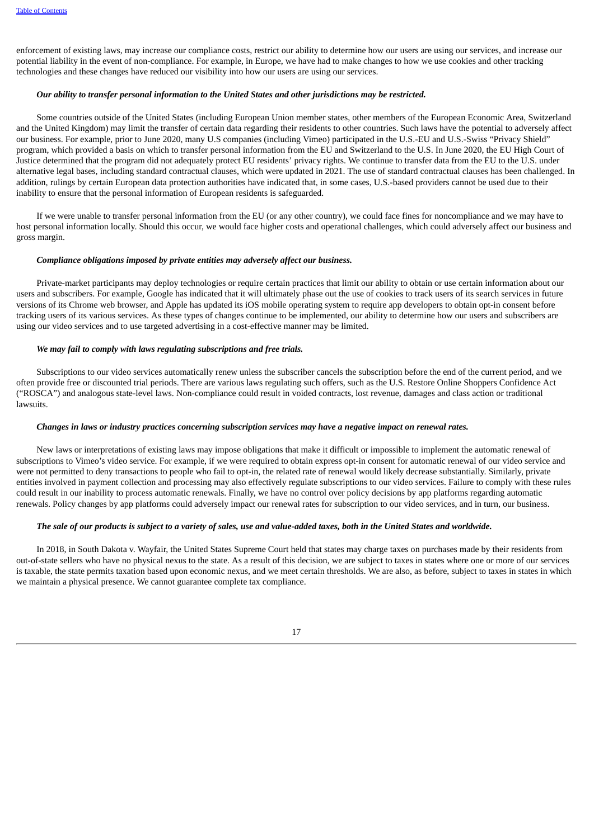enforcement of existing laws, may increase our compliance costs, restrict our ability to determine how our users are using our services, and increase our potential liability in the event of non-compliance. For example, in Europe, we have had to make changes to how we use cookies and other tracking technologies and these changes have reduced our visibility into how our users are using our services.

## *Our ability to transfer personal information to the United States and other jurisdictions may be restricted.*

Some countries outside of the United States (including European Union member states, other members of the European Economic Area, Switzerland and the United Kingdom) may limit the transfer of certain data regarding their residents to other countries. Such laws have the potential to adversely affect our business. For example, prior to June 2020, many U.S companies (including Vimeo) participated in the U.S.-EU and U.S.-Swiss "Privacy Shield" program, which provided a basis on which to transfer personal information from the EU and Switzerland to the U.S. In June 2020, the EU High Court of Justice determined that the program did not adequately protect EU residents' privacy rights. We continue to transfer data from the EU to the U.S. under alternative legal bases, including standard contractual clauses, which were updated in 2021. The use of standard contractual clauses has been challenged. In addition, rulings by certain European data protection authorities have indicated that, in some cases, U.S.-based providers cannot be used due to their inability to ensure that the personal information of European residents is safeguarded.

If we were unable to transfer personal information from the EU (or any other country), we could face fines for noncompliance and we may have to host personal information locally. Should this occur, we would face higher costs and operational challenges, which could adversely affect our business and gross margin.

#### *Compliance obligations imposed by private entities may adversely affect our business.*

Private-market participants may deploy technologies or require certain practices that limit our ability to obtain or use certain information about our users and subscribers. For example, Google has indicated that it will ultimately phase out the use of cookies to track users of its search services in future versions of its Chrome web browser, and Apple has updated its iOS mobile operating system to require app developers to obtain opt-in consent before tracking users of its various services. As these types of changes continue to be implemented, our ability to determine how our users and subscribers are using our video services and to use targeted advertising in a cost-effective manner may be limited.

#### *We may fail to comply with laws regulating subscriptions and free trials.*

Subscriptions to our video services automatically renew unless the subscriber cancels the subscription before the end of the current period, and we often provide free or discounted trial periods. There are various laws regulating such offers, such as the U.S. Restore Online Shoppers Confidence Act ("ROSCA") and analogous state-level laws. Non-compliance could result in voided contracts, lost revenue, damages and class action or traditional lawsuits.

#### Changes in laws or industry practices concerning subscription services may have a negative impact on renewal rates.

New laws or interpretations of existing laws may impose obligations that make it difficult or impossible to implement the automatic renewal of subscriptions to Vimeo's video service. For example, if we were required to obtain express opt-in consent for automatic renewal of our video service and were not permitted to deny transactions to people who fail to opt-in, the related rate of renewal would likely decrease substantially. Similarly, private entities involved in payment collection and processing may also effectively regulate subscriptions to our video services. Failure to comply with these rules could result in our inability to process automatic renewals. Finally, we have no control over policy decisions by app platforms regarding automatic renewals. Policy changes by app platforms could adversely impact our renewal rates for subscription to our video services, and in turn, our business.

#### The sale of our products is subject to a variety of sales, use and value-added taxes, both in the United States and worldwide.

In 2018, in South Dakota v. Wayfair, the United States Supreme Court held that states may charge taxes on purchases made by their residents from out-of-state sellers who have no physical nexus to the state. As a result of this decision, we are subject to taxes in states where one or more of our services is taxable, the state permits taxation based upon economic nexus, and we meet certain thresholds. We are also, as before, subject to taxes in states in which we maintain a physical presence. We cannot guarantee complete tax compliance.

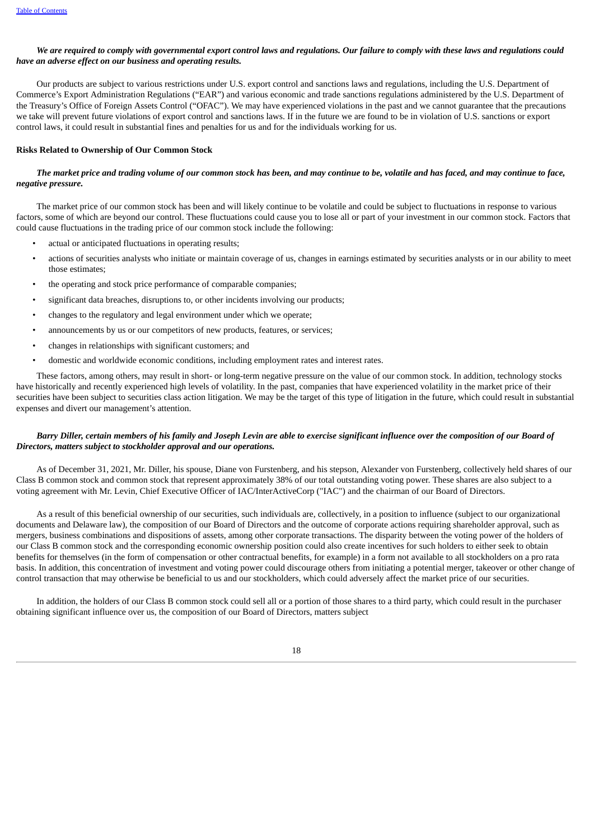## We are required to comply with governmental export control laws and requlations. Our failure to comply with these laws and requlations could *have an adverse effect on our business and operating results.*

Our products are subject to various restrictions under U.S. export control and sanctions laws and regulations, including the U.S. Department of Commerce's Export Administration Regulations ("EAR") and various economic and trade sanctions regulations administered by the U.S. Department of the Treasury's Office of Foreign Assets Control ("OFAC"). We may have experienced violations in the past and we cannot guarantee that the precautions we take will prevent future violations of export control and sanctions laws. If in the future we are found to be in violation of U.S. sanctions or export control laws, it could result in substantial fines and penalties for us and for the individuals working for us.

#### **Risks Related to Ownership of Our Common Stock**

## The market price and tradina volume of our common stock has been, and may continue to be, volatile and has faced, and may continue to face, *negative pressure.*

The market price of our common stock has been and will likely continue to be volatile and could be subject to fluctuations in response to various factors, some of which are beyond our control. These fluctuations could cause you to lose all or part of your investment in our common stock. Factors that could cause fluctuations in the trading price of our common stock include the following:

- actual or anticipated fluctuations in operating results;
- actions of securities analysts who initiate or maintain coverage of us, changes in earnings estimated by securities analysts or in our ability to meet those estimates;
- the operating and stock price performance of comparable companies;
- significant data breaches, disruptions to, or other incidents involving our products;
- changes to the regulatory and legal environment under which we operate;
- announcements by us or our competitors of new products, features, or services;
- changes in relationships with significant customers; and
- domestic and worldwide economic conditions, including employment rates and interest rates.

These factors, among others, may result in short- or long-term negative pressure on the value of our common stock. In addition, technology stocks have historically and recently experienced high levels of volatility. In the past, companies that have experienced volatility in the market price of their securities have been subject to securities class action litigation. We may be the target of this type of litigation in the future, which could result in substantial expenses and divert our management's attention.

## Barry Diller, certain members of his family and Joseph Levin are able to exercise significant influence over the composition of our Board of *Directors, matters subject to stockholder approval and our operations.*

As of December 31, 2021, Mr. Diller, his spouse, Diane von Furstenberg, and his stepson, Alexander von Furstenberg, collectively held shares of our Class B common stock and common stock that represent approximately 38% of our total outstanding voting power. These shares are also subject to a voting agreement with Mr. Levin, Chief Executive Officer of IAC/InterActiveCorp ("IAC") and the chairman of our Board of Directors.

As a result of this beneficial ownership of our securities, such individuals are, collectively, in a position to influence (subject to our organizational documents and Delaware law), the composition of our Board of Directors and the outcome of corporate actions requiring shareholder approval, such as mergers, business combinations and dispositions of assets, among other corporate transactions. The disparity between the voting power of the holders of our Class B common stock and the corresponding economic ownership position could also create incentives for such holders to either seek to obtain benefits for themselves (in the form of compensation or other contractual benefits, for example) in a form not available to all stockholders on a pro rata basis. In addition, this concentration of investment and voting power could discourage others from initiating a potential merger, takeover or other change of control transaction that may otherwise be beneficial to us and our stockholders, which could adversely affect the market price of our securities.

In addition, the holders of our Class B common stock could sell all or a portion of those shares to a third party, which could result in the purchaser obtaining significant influence over us, the composition of our Board of Directors, matters subject

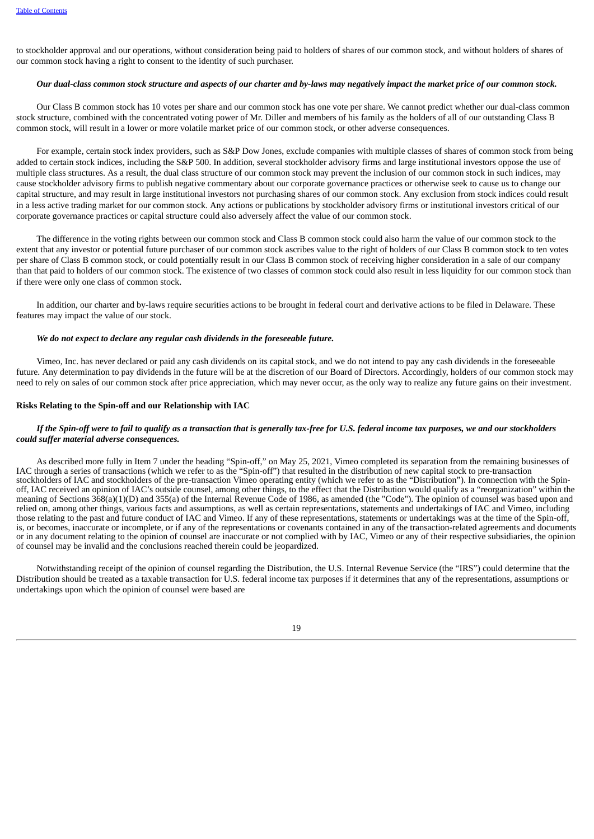to stockholder approval and our operations, without consideration being paid to holders of shares of our common stock, and without holders of shares of our common stock having a right to consent to the identity of such purchaser.

#### Our dual-class common stock structure and aspects of our charter and by-laws may negatively impact the market price of our common stock.

Our Class B common stock has 10 votes per share and our common stock has one vote per share. We cannot predict whether our dual-class common stock structure, combined with the concentrated voting power of Mr. Diller and members of his family as the holders of all of our outstanding Class B common stock, will result in a lower or more volatile market price of our common stock, or other adverse consequences.

For example, certain stock index providers, such as S&P Dow Jones, exclude companies with multiple classes of shares of common stock from being added to certain stock indices, including the S&P 500. In addition, several stockholder advisory firms and large institutional investors oppose the use of multiple class structures. As a result, the dual class structure of our common stock may prevent the inclusion of our common stock in such indices, may cause stockholder advisory firms to publish negative commentary about our corporate governance practices or otherwise seek to cause us to change our capital structure, and may result in large institutional investors not purchasing shares of our common stock. Any exclusion from stock indices could result in a less active trading market for our common stock. Any actions or publications by stockholder advisory firms or institutional investors critical of our corporate governance practices or capital structure could also adversely affect the value of our common stock.

The difference in the voting rights between our common stock and Class B common stock could also harm the value of our common stock to the extent that any investor or potential future purchaser of our common stock ascribes value to the right of holders of our Class B common stock to ten votes per share of Class B common stock, or could potentially result in our Class B common stock of receiving higher consideration in a sale of our company than that paid to holders of our common stock. The existence of two classes of common stock could also result in less liquidity for our common stock than if there were only one class of common stock.

In addition, our charter and by-laws require securities actions to be brought in federal court and derivative actions to be filed in Delaware. These features may impact the value of our stock.

#### *We do not expect to declare any regular cash dividends in the foreseeable future.*

Vimeo, Inc. has never declared or paid any cash dividends on its capital stock, and we do not intend to pay any cash dividends in the foreseeable future. Any determination to pay dividends in the future will be at the discretion of our Board of Directors. Accordingly, holders of our common stock may need to rely on sales of our common stock after price appreciation, which may never occur, as the only way to realize any future gains on their investment.

#### **Risks Relating to the Spin-off and our Relationship with IAC**

## If the Spin-off were to fail to qualify as a transaction that is generally tax-free for U.S. federal income tax purposes, we and our stockholders *could suffer material adverse consequences.*

As described more fully in Item 7 under the heading "Spin-off," on May 25, 2021, Vimeo completed its separation from the remaining businesses of IAC through a series of transactions (which we refer to as the "Spin-off") that resulted in the distribution of new capital stock to pre-transaction stockholders of IAC and stockholders of the pre-transaction Vimeo operating entity (which we refer to as the "Distribution"). In connection with the Spinoff, IAC received an opinion of IAC's outside counsel, among other things, to the effect that the Distribution would qualify as a "reorganization" within the meaning of Sections  $368(a)(1)(D)$  and  $355(a)$  of the Internal Revenue Code of 1986, as amended (the "Code"). The opinion of counsel was based upon and relied on, among other things, various facts and assumptions, as well as certain representations, statements and undertakings of IAC and Vimeo, including those relating to the past and future conduct of IAC and Vimeo. If any of these representations, statements or undertakings was at the time of the Spin-off, is, or becomes, inaccurate or incomplete, or if any of the representations or covenants contained in any of the transaction-related agreements and documents or in any document relating to the opinion of counsel are inaccurate or not complied with by IAC, Vimeo or any of their respective subsidiaries, the opinion of counsel may be invalid and the conclusions reached therein could be jeopardized.

Notwithstanding receipt of the opinion of counsel regarding the Distribution, the U.S. Internal Revenue Service (the "IRS") could determine that the Distribution should be treated as a taxable transaction for U.S. federal income tax purposes if it determines that any of the representations, assumptions or undertakings upon which the opinion of counsel were based are

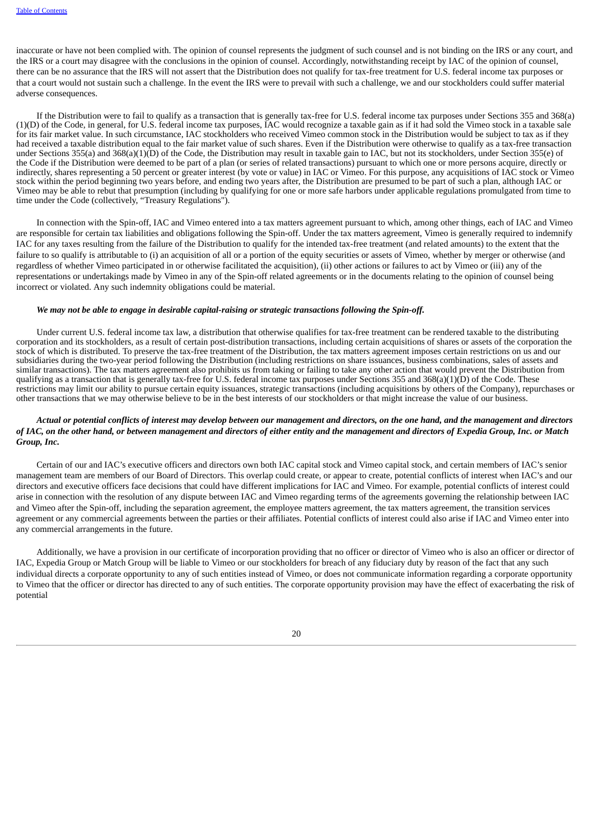inaccurate or have not been complied with. The opinion of counsel represents the judgment of such counsel and is not binding on the IRS or any court, and the IRS or a court may disagree with the conclusions in the opinion of counsel. Accordingly, notwithstanding receipt by IAC of the opinion of counsel, there can be no assurance that the IRS will not assert that the Distribution does not qualify for tax-free treatment for U.S. federal income tax purposes or that a court would not sustain such a challenge. In the event the IRS were to prevail with such a challenge, we and our stockholders could suffer material adverse consequences.

If the Distribution were to fail to qualify as a transaction that is generally tax-free for U.S. federal income tax purposes under Sections 355 and 368(a) (1)(D) of the Code, in general, for U.S. federal income tax purposes, IAC would recognize a taxable gain as if it had sold the Vimeo stock in a taxable sale for its fair market value. In such circumstance, IAC stockholders who received Vimeo common stock in the Distribution would be subject to tax as if they had received a taxable distribution equal to the fair market value of such shares. Even if the Distribution were otherwise to qualify as a tax-free transaction under Sections 355(a) and 368(a)(1)(D) of the Code, the Distribution may result in taxable gain to IAC, but not its stockholders, under Section 355(e) of the Code if the Distribution were deemed to be part of a plan (or series of related transactions) pursuant to which one or more persons acquire, directly or indirectly, shares representing a 50 percent or greater interest (by vote or value) in IAC or Vimeo. For this purpose, any acquisitions of IAC stock or Vimeo stock within the period beginning two years before, and ending two years after, the Distribution are presumed to be part of such a plan, although IAC or Vimeo may be able to rebut that presumption (including by qualifying for one or more safe harbors under applicable regulations promulgated from time to time under the Code (collectively, "Treasury Regulations").

In connection with the Spin-off, IAC and Vimeo entered into a tax matters agreement pursuant to which, among other things, each of IAC and Vimeo are responsible for certain tax liabilities and obligations following the Spin-off. Under the tax matters agreement, Vimeo is generally required to indemnify IAC for any taxes resulting from the failure of the Distribution to qualify for the intended tax-free treatment (and related amounts) to the extent that the failure to so qualify is attributable to (i) an acquisition of all or a portion of the equity securities or assets of Vimeo, whether by merger or otherwise (and regardless of whether Vimeo participated in or otherwise facilitated the acquisition), (ii) other actions or failures to act by Vimeo or (iii) any of the representations or undertakings made by Vimeo in any of the Spin-off related agreements or in the documents relating to the opinion of counsel being incorrect or violated. Any such indemnity obligations could be material.

### *We may not be able to engage in desirable capital-raising or strategic transactions following the Spin-off.*

Under current U.S. federal income tax law, a distribution that otherwise qualifies for tax-free treatment can be rendered taxable to the distributing corporation and its stockholders, as a result of certain post-distribution transactions, including certain acquisitions of shares or assets of the corporation the stock of which is distributed. To preserve the tax-free treatment of the Distribution, the tax matters agreement imposes certain restrictions on us and our subsidiaries during the two-year period following the Distribution (including restrictions on share issuances, business combinations, sales of assets and similar transactions). The tax matters agreement also prohibits us from taking or failing to take any other action that would prevent the Distribution from qualifying as a transaction that is generally tax-free for U.S. federal income tax purposes under Sections 355 and 368(a)(1)(D) of the Code. These restrictions may limit our ability to pursue certain equity issuances, strategic transactions (including acquisitions by others of the Company), repurchases or other transactions that we may otherwise believe to be in the best interests of our stockholders or that might increase the value of our business.

#### Actual or potential conflicts of interest may develop between our management and directors, on the one hand, and the management and directors of IAC, on the other hand, or between management and directors of either entity and the management and directors of Expedia Group, Inc. or Match *Group, Inc.*

Certain of our and IAC's executive officers and directors own both IAC capital stock and Vimeo capital stock, and certain members of IAC's senior management team are members of our Board of Directors. This overlap could create, or appear to create, potential conflicts of interest when IAC's and our directors and executive officers face decisions that could have different implications for IAC and Vimeo. For example, potential conflicts of interest could arise in connection with the resolution of any dispute between IAC and Vimeo regarding terms of the agreements governing the relationship between IAC and Vimeo after the Spin-off, including the separation agreement, the employee matters agreement, the tax matters agreement, the transition services agreement or any commercial agreements between the parties or their affiliates. Potential conflicts of interest could also arise if IAC and Vimeo enter into any commercial arrangements in the future.

Additionally, we have a provision in our certificate of incorporation providing that no officer or director of Vimeo who is also an officer or director of IAC, Expedia Group or Match Group will be liable to Vimeo or our stockholders for breach of any fiduciary duty by reason of the fact that any such individual directs a corporate opportunity to any of such entities instead of Vimeo, or does not communicate information regarding a corporate opportunity to Vimeo that the officer or director has directed to any of such entities. The corporate opportunity provision may have the effect of exacerbating the risk of potential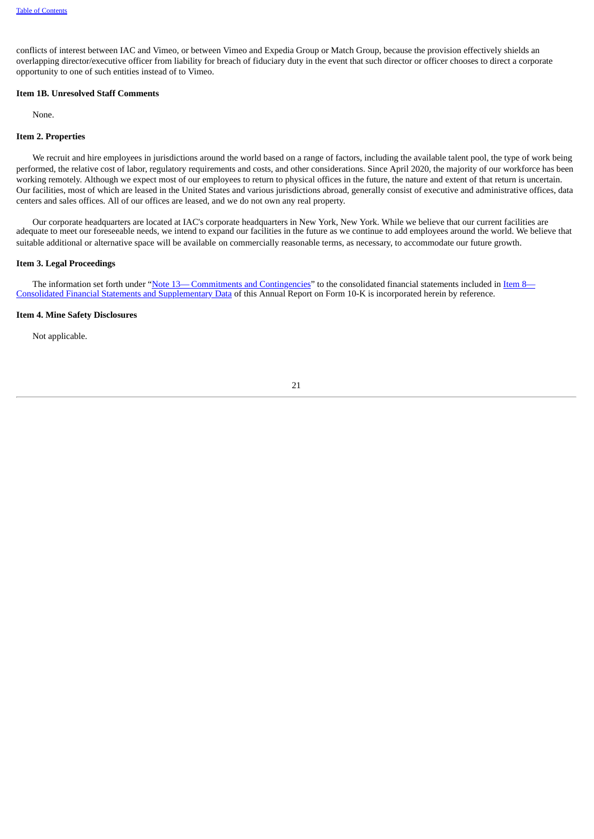conflicts of interest between IAC and Vimeo, or between Vimeo and Expedia Group or Match Group, because the provision effectively shields an overlapping director/executive officer from liability for breach of fiduciary duty in the event that such director or officer chooses to direct a corporate opportunity to one of such entities instead of to Vimeo.

## <span id="page-24-0"></span>**Item 1B. Unresolved Staff Comments**

None.

## <span id="page-24-1"></span>**Item 2. Properties**

We recruit and hire employees in jurisdictions around the world based on a range of factors, including the available talent pool, the type of work being performed, the relative cost of labor, regulatory requirements and costs, and other considerations. Since April 2020, the majority of our workforce has been working remotely. Although we expect most of our employees to return to physical offices in the future, the nature and extent of that return is uncertain. Our facilities, most of which are leased in the United States and various jurisdictions abroad, generally consist of executive and administrative offices, data centers and sales offices. All of our offices are leased, and we do not own any real property.

Our corporate headquarters are located at IAC's corporate headquarters in New York, New York. While we believe that our current facilities are adequate to meet our foreseeable needs, we intend to expand our facilities in the future as we continue to add employees around the world. We believe that suitable additional or alternative space will be available on commercially reasonable terms, as necessary, to accommodate our future growth.

#### <span id="page-24-2"></span>**Item 3. Legal Proceedings**

The information set forth under ["Note](#page-70-0) [13—](#page-70-0) Commitments and [Contingencies](#page-70-0)["](#page-42-0) to the consolidated financial statements included in Item 8— Consolidated Financial Statements and Supplementary Data of this Annual Report on Form 10-K is incorporated herein by reference.

#### <span id="page-24-3"></span>**Item 4. Mine Safety Disclosures**

<span id="page-24-4"></span>Not applicable.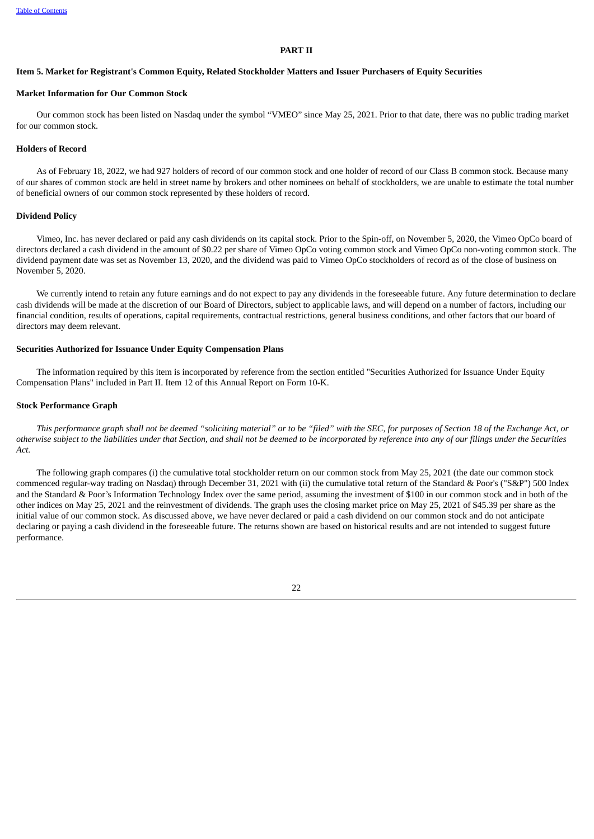#### **PART II**

#### <span id="page-25-0"></span>Item 5. Market for Registrant's Common Equity, Related Stockholder Matters and Issuer Purchasers of Equity Securities

## **Market Information for Our Common Stock**

Our common stock has been listed on Nasdaq under the symbol "VMEO" since May 25, 2021. Prior to that date, there was no public trading market for our common stock.

#### **Holders of Record**

As of February 18, 2022, we had 927 holders of record of our common stock and one holder of record of our Class B common stock. Because many of our shares of common stock are held in street name by brokers and other nominees on behalf of stockholders, we are unable to estimate the total number of beneficial owners of our common stock represented by these holders of record.

#### **Dividend Policy**

Vimeo, Inc. has never declared or paid any cash dividends on its capital stock. Prior to the Spin-off, on November 5, 2020, the Vimeo OpCo board of directors declared a cash dividend in the amount of \$0.22 per share of Vimeo OpCo voting common stock and Vimeo OpCo non-voting common stock. The dividend payment date was set as November 13, 2020, and the dividend was paid to Vimeo OpCo stockholders of record as of the close of business on November 5, 2020.

We currently intend to retain any future earnings and do not expect to pay any dividends in the foreseeable future. Any future determination to declare cash dividends will be made at the discretion of our Board of Directors, subject to applicable laws, and will depend on a number of factors, including our financial condition, results of operations, capital requirements, contractual restrictions, general business conditions, and other factors that our board of directors may deem relevant.

#### **Securities Authorized for Issuance Under Equity Compensation Plans**

The information required by this item is incorporated by reference from the section entitled "Securities Authorized for Issuance Under Equity Compensation Plans" included in Part II. Item 12 of this Annual Report on Form 10-K.

#### **Stock Performance Graph**

This performance graph shall not be deemed "soliciting material" or to be "filed" with the SEC, for purposes of Section 18 of the Exchange Act, or otherwise subject to the liabilities under that Section, and shall not be deemed to be incorporated by reference into any of our filings under the Securities *Act.*

The following graph compares (i) the cumulative total stockholder return on our common stock from May 25, 2021 (the date our common stock commenced regular-way trading on Nasdaq) through December 31, 2021 with (ii) the cumulative total return of the Standard & Poor's ("S&P") 500 Index and the Standard & Poor's Information Technology Index over the same period, assuming the investment of \$100 in our common stock and in both of the other indices on May 25, 2021 and the reinvestment of dividends. The graph uses the closing market price on May 25, 2021 of \$45.39 per share as the initial value of our common stock. As discussed above, we have never declared or paid a cash dividend on our common stock and do not anticipate declaring or paying a cash dividend in the foreseeable future. The returns shown are based on historical results and are not intended to suggest future performance.

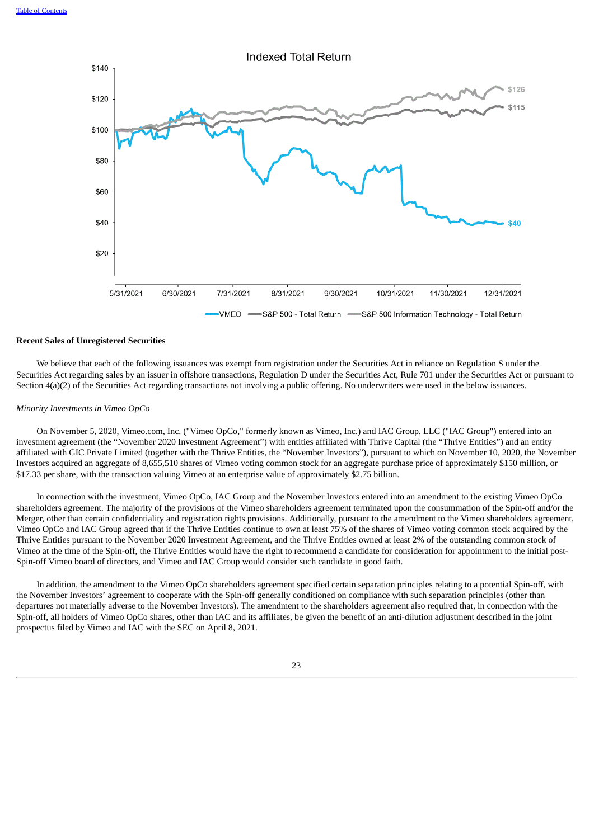

#### **Recent Sales of Unregistered Securities**

We believe that each of the following issuances was exempt from registration under the Securities Act in reliance on Regulation S under the Securities Act regarding sales by an issuer in offshore transactions, Regulation D under the Securities Act, Rule 701 under the Securities Act or pursuant to Section 4(a)(2) of the Securities Act regarding transactions not involving a public offering. No underwriters were used in the below issuances.

#### *Minority Investments in Vimeo OpCo*

On November 5, 2020, Vimeo.com, Inc. ("Vimeo OpCo," formerly known as Vimeo, Inc.) and IAC Group, LLC ("IAC Group") entered into an investment agreement (the "November 2020 Investment Agreement") with entities affiliated with Thrive Capital (the "Thrive Entities") and an entity affiliated with GIC Private Limited (together with the Thrive Entities, the "November Investors"), pursuant to which on November 10, 2020, the November Investors acquired an aggregate of 8,655,510 shares of Vimeo voting common stock for an aggregate purchase price of approximately \$150 million, or \$17.33 per share, with the transaction valuing Vimeo at an enterprise value of approximately \$2.75 billion.

In connection with the investment, Vimeo OpCo, IAC Group and the November Investors entered into an amendment to the existing Vimeo OpCo shareholders agreement. The majority of the provisions of the Vimeo shareholders agreement terminated upon the consummation of the Spin-off and/or the Merger, other than certain confidentiality and registration rights provisions. Additionally, pursuant to the amendment to the Vimeo shareholders agreement, Vimeo OpCo and IAC Group agreed that if the Thrive Entities continue to own at least 75% of the shares of Vimeo voting common stock acquired by the Thrive Entities pursuant to the November 2020 Investment Agreement, and the Thrive Entities owned at least 2% of the outstanding common stock of Vimeo at the time of the Spin-off, the Thrive Entities would have the right to recommend a candidate for consideration for appointment to the initial post-Spin-off Vimeo board of directors, and Vimeo and IAC Group would consider such candidate in good faith.

In addition, the amendment to the Vimeo OpCo shareholders agreement specified certain separation principles relating to a potential Spin-off, with the November Investors' agreement to cooperate with the Spin-off generally conditioned on compliance with such separation principles (other than departures not materially adverse to the November Investors). The amendment to the shareholders agreement also required that, in connection with the Spin-off, all holders of Vimeo OpCo shares, other than IAC and its affiliates, be given the benefit of an anti-dilution adjustment described in the joint prospectus filed by Vimeo and IAC with the SEC on April 8, 2021.

23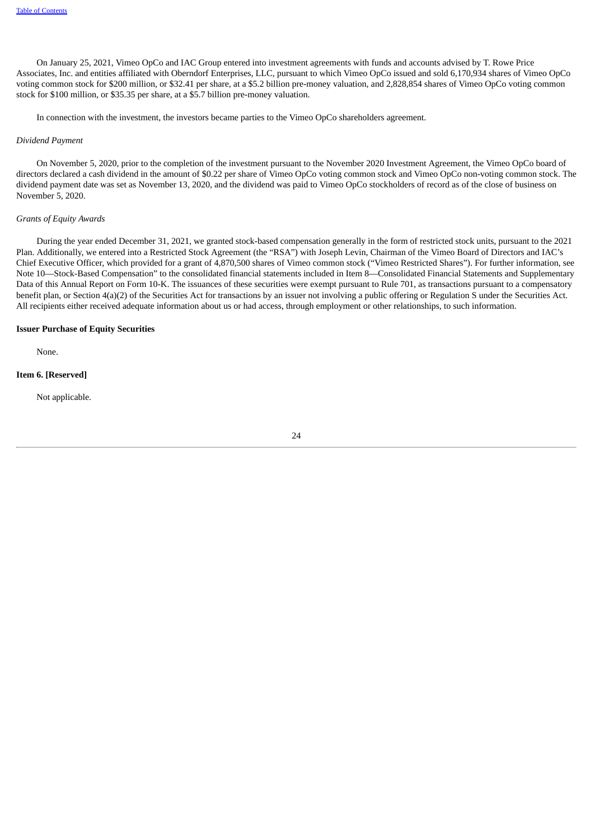On January 25, 2021, Vimeo OpCo and IAC Group entered into investment agreements with funds and accounts advised by T. Rowe Price Associates, Inc. and entities affiliated with Oberndorf Enterprises, LLC, pursuant to which Vimeo OpCo issued and sold 6,170,934 shares of Vimeo OpCo voting common stock for \$200 million, or \$32.41 per share, at a \$5.2 billion pre-money valuation, and 2,828,854 shares of Vimeo OpCo voting common stock for \$100 million, or \$35.35 per share, at a \$5.7 billion pre-money valuation.

In connection with the investment, the investors became parties to the Vimeo OpCo shareholders agreement.

#### *Dividend Payment*

On November 5, 2020, prior to the completion of the investment pursuant to the November 2020 Investment Agreement, the Vimeo OpCo board of directors declared a cash dividend in the amount of \$0.22 per share of Vimeo OpCo voting common stock and Vimeo OpCo non-voting common stock. The dividend payment date was set as November 13, 2020, and the dividend was paid to Vimeo OpCo stockholders of record as of the close of business on November 5, 2020.

#### *Grants of Equity Awards*

During the year ended December 31, 2021, we granted stock-based compensation generally in the form of restricted stock units, pursuant to the 2021 Plan. Additionally, we entered into a Restricted Stock Agreement (the "RSA") with Joseph Levin, Chairman of the Vimeo Board of Directors and IAC's Chief Executive Officer, which provided for a grant of 4,870,500 shares of Vimeo common stock ("Vimeo Restricted Shares"). For further information, see Note 10—Stock-Based Compensation" to the consolidated financial statements included in Item 8—Consolidated Financial Statements and Supplementary Data of this Annual Report on Form 10-K. The issuances of these securities were exempt pursuant to Rule 701, as transactions pursuant to a compensatory benefit plan, or Section 4(a)(2) of the Securities Act for transactions by an issuer not involving a public offering or Regulation S under the Securities Act. All recipients either received adequate information about us or had access, through employment or other relationships, to such information.

#### **Issuer Purchase of Equity Securities**

None.

## **Item 6. [Reserved]**

<span id="page-27-0"></span>Not applicable.

24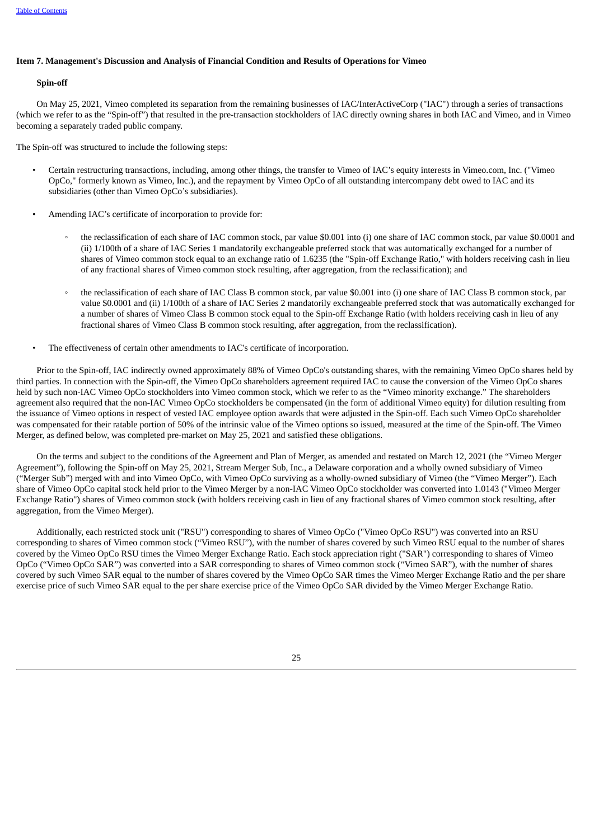## **Item 7. Management's Discussion and Analysis of Financial Condition and Results of Operations for Vimeo**

## **Spin-off**

On May 25, 2021, Vimeo completed its separation from the remaining businesses of IAC/InterActiveCorp ("IAC") through a series of transactions (which we refer to as the "Spin-off") that resulted in the pre-transaction stockholders of IAC directly owning shares in both IAC and Vimeo, and in Vimeo becoming a separately traded public company.

The Spin-off was structured to include the following steps:

- Certain restructuring transactions, including, among other things, the transfer to Vimeo of IAC's equity interests in Vimeo.com, Inc. ("Vimeo OpCo," formerly known as Vimeo, Inc.), and the repayment by Vimeo OpCo of all outstanding intercompany debt owed to IAC and its subsidiaries (other than Vimeo OpCo's subsidiaries).
- Amending IAC's certificate of incorporation to provide for:
	- the reclassification of each share of IAC common stock, par value \$0.001 into (i) one share of IAC common stock, par value \$0.0001 and (ii) 1/100th of a share of IAC Series 1 mandatorily exchangeable preferred stock that was automatically exchanged for a number of shares of Vimeo common stock equal to an exchange ratio of 1.6235 (the "Spin-off Exchange Ratio," with holders receiving cash in lieu of any fractional shares of Vimeo common stock resulting, after aggregation, from the reclassification); and
	- the reclassification of each share of IAC Class B common stock, par value \$0.001 into (i) one share of IAC Class B common stock, par value \$0.0001 and (ii) 1/100th of a share of IAC Series 2 mandatorily exchangeable preferred stock that was automatically exchanged for a number of shares of Vimeo Class B common stock equal to the Spin-off Exchange Ratio (with holders receiving cash in lieu of any fractional shares of Vimeo Class B common stock resulting, after aggregation, from the reclassification).
- The effectiveness of certain other amendments to IAC's certificate of incorporation.

Prior to the Spin-off, IAC indirectly owned approximately 88% of Vimeo OpCo's outstanding shares, with the remaining Vimeo OpCo shares held by third parties. In connection with the Spin-off, the Vimeo OpCo shareholders agreement required IAC to cause the conversion of the Vimeo OpCo shares held by such non-IAC Vimeo OpCo stockholders into Vimeo common stock, which we refer to as the "Vimeo minority exchange." The shareholders agreement also required that the non-IAC Vimeo OpCo stockholders be compensated (in the form of additional Vimeo equity) for dilution resulting from the issuance of Vimeo options in respect of vested IAC employee option awards that were adjusted in the Spin-off. Each such Vimeo OpCo shareholder was compensated for their ratable portion of 50% of the intrinsic value of the Vimeo options so issued, measured at the time of the Spin-off. The Vimeo Merger, as defined below, was completed pre-market on May 25, 2021 and satisfied these obligations.

On the terms and subject to the conditions of the Agreement and Plan of Merger, as amended and restated on March 12, 2021 (the "Vimeo Merger Agreement"), following the Spin-off on May 25, 2021, Stream Merger Sub, Inc., a Delaware corporation and a wholly owned subsidiary of Vimeo ("Merger Sub") merged with and into Vimeo OpCo, with Vimeo OpCo surviving as a wholly-owned subsidiary of Vimeo (the "Vimeo Merger"). Each share of Vimeo OpCo capital stock held prior to the Vimeo Merger by a non-IAC Vimeo OpCo stockholder was converted into 1.0143 ("Vimeo Merger Exchange Ratio") shares of Vimeo common stock (with holders receiving cash in lieu of any fractional shares of Vimeo common stock resulting, after aggregation, from the Vimeo Merger).

Additionally, each restricted stock unit ("RSU") corresponding to shares of Vimeo OpCo ("Vimeo OpCo RSU") was converted into an RSU corresponding to shares of Vimeo common stock ("Vimeo RSU"), with the number of shares covered by such Vimeo RSU equal to the number of shares covered by the Vimeo OpCo RSU times the Vimeo Merger Exchange Ratio. Each stock appreciation right ("SAR") corresponding to shares of Vimeo OpCo ("Vimeo OpCo SAR") was converted into a SAR corresponding to shares of Vimeo common stock ("Vimeo SAR"), with the number of shares covered by such Vimeo SAR equal to the number of shares covered by the Vimeo OpCo SAR times the Vimeo Merger Exchange Ratio and the per share exercise price of such Vimeo SAR equal to the per share exercise price of the Vimeo OpCo SAR divided by the Vimeo Merger Exchange Ratio.

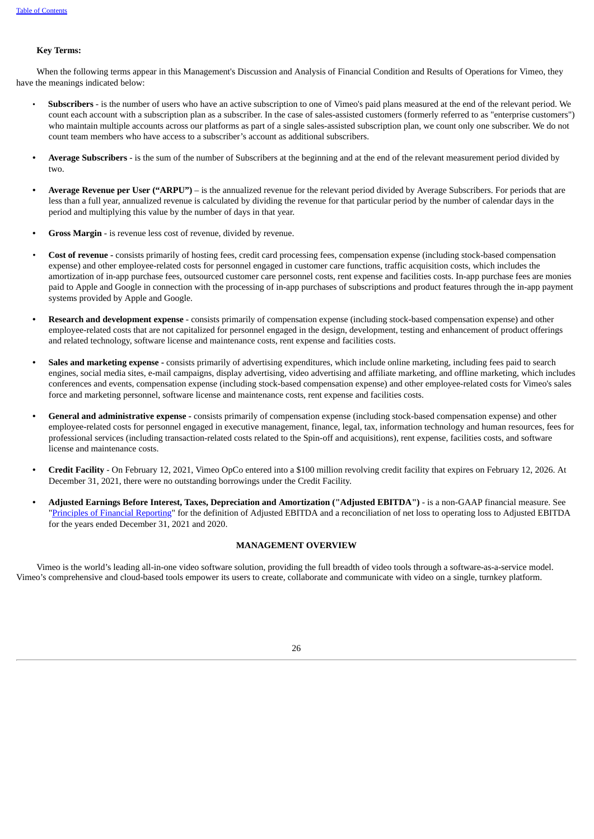## **Key Terms:**

When the following terms appear in this Management's Discussion and Analysis of Financial Condition and Results of Operations for Vimeo, they have the meanings indicated below:

- **Subscribers** is the number of users who have an active subscription to one of Vimeo's paid plans measured at the end of the relevant period. We count each account with a subscription plan as a subscriber. In the case of sales-assisted customers (formerly referred to as "enterprise customers") who maintain multiple accounts across our platforms as part of a single sales-assisted subscription plan, we count only one subscriber. We do not count team members who have access to a subscriber's account as additional subscribers.
- **• Average Subscribers** is the sum of the number of Subscribers at the beginning and at the end of the relevant measurement period divided by two.
- **• Average Revenue per User ("ARPU")** is the annualized revenue for the relevant period divided by Average Subscribers. For periods that are less than a full year, annualized revenue is calculated by dividing the revenue for that particular period by the number of calendar days in the period and multiplying this value by the number of days in that year.
- **• Gross Margin** is revenue less cost of revenue, divided by revenue.
- *•* **Cost of revenue -** consists primarily of hosting fees, credit card processing fees, compensation expense (including stock-based compensation expense) and other employee-related costs for personnel engaged in customer care functions, traffic acquisition costs, which includes the amortization of in-app purchase fees, outsourced customer care personnel costs, rent expense and facilities costs. In-app purchase fees are monies paid to Apple and Google in connection with the processing of in-app purchases of subscriptions and product features through the in-app payment systems provided by Apple and Google.
- **• Research and development expense** consists primarily of compensation expense (including stock-based compensation expense) and other employee-related costs that are not capitalized for personnel engaged in the design, development, testing and enhancement of product offerings and related technology, software license and maintenance costs, rent expense and facilities costs.
- **• Sales and marketing expense -** consists primarily of advertising expenditures, which include online marketing, including fees paid to search engines, social media sites, e-mail campaigns, display advertising, video advertising and affiliate marketing, and offline marketing, which includes conferences and events, compensation expense (including stock-based compensation expense) and other employee-related costs for Vimeo's sales force and marketing personnel, software license and maintenance costs, rent expense and facilities costs.
- **• General and administrative expense -** consists primarily of compensation expense (including stock-based compensation expense) and other employee-related costs for personnel engaged in executive management, finance, legal, tax, information technology and human resources, fees for professional services (including transaction-related costs related to the Spin-off and acquisitions), rent expense, facilities costs, and software license and maintenance costs.
- **• Credit Facility** On February 12, 2021, Vimeo OpCo entered into a \$100 million revolving credit facility that expires on February 12, 2026. At December 31, 2021, there were no outstanding borrowings under the Credit Facility.
- **• Adjusted Earnings Before Interest, Taxes, Depreciation and Amortization ("Adjusted EBITDA")** is a non-GAAP financial measure. See ["Principles](#page-33-0) of Financial Reporting" for the definition of Adjusted EBITDA and a reconciliation of net loss to operating loss to Adjusted EBITDA for the years ended December 31, 2021 and 2020.

## **MANAGEMENT OVERVIEW**

Vimeo is the world's leading all-in-one video software solution, providing the full breadth of video tools through a software-as-a-service model. Vimeo's comprehensive and cloud-based tools empower its users to create, collaborate and communicate with video on a single, turnkey platform.

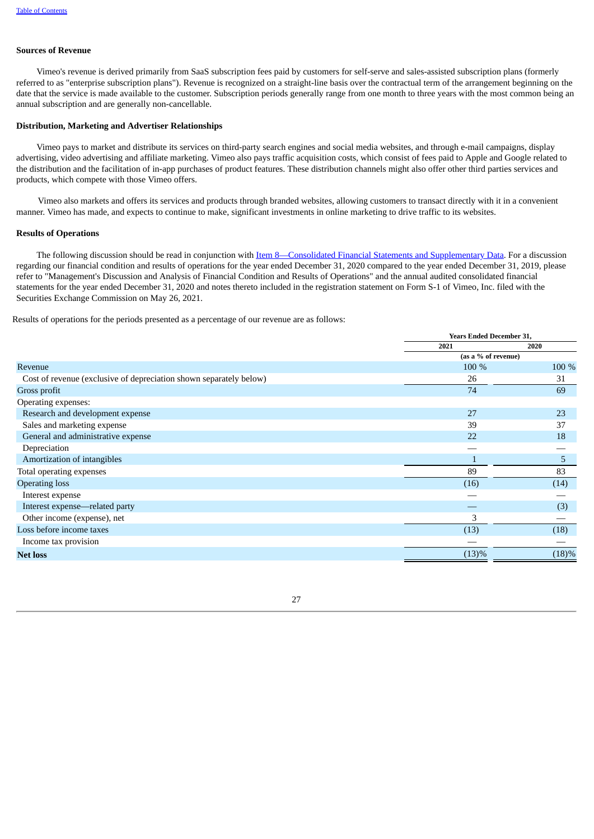## **Sources of Revenue**

Vimeo's revenue is derived primarily from SaaS subscription fees paid by customers for self-serve and sales-assisted subscription plans (formerly referred to as "enterprise subscription plans"). Revenue is recognized on a straight-line basis over the contractual term of the arrangement beginning on the date that the service is made available to the customer. Subscription periods generally range from one month to three years with the most common being an annual subscription and are generally non-cancellable.

## **Distribution, Marketing and Advertiser Relationships**

Vimeo pays to market and distribute its services on third-party search engines and social media websites, and through e-mail campaigns, display advertising, video advertising and affiliate marketing. Vimeo also pays traffic acquisition costs, which consist of fees paid to Apple and Google related to the distribution and the facilitation of in-app purchases of product features. These distribution channels might also offer other third parties services and products, which compete with those Vimeo offers.

Vimeo also markets and offers its services and products through branded websites, allowing customers to transact directly with it in a convenient manner. Vimeo has made, and expects to continue to make, significant investments in online marketing to drive traffic to its websites.

#### **Results of Operations**

The following discussion should be read in conjunction with Item [8—Consolidated](#page-42-0) Financial Statements and Supplementary Data. For a discussion regarding our financial condition and results of operations for the year ended December 31, 2020 compared to the year ended December 31, 2019, please refer to "Management's Discussion and Analysis of Financial Condition and Results of Operations" and the annual audited consolidated financial statements for the year ended December 31, 2020 and notes thereto included in the registration statement on Form S-1 of Vimeo, Inc. filed with the Securities Exchange Commission on May 26, 2021.

Results of operations for the periods presented as a percentage of our revenue are as follows:

|                                                                    | <b>Years Ended December 31,</b> |       |  |
|--------------------------------------------------------------------|---------------------------------|-------|--|
|                                                                    | 2021                            | 2020  |  |
|                                                                    | (as a % of revenue)             |       |  |
| Revenue                                                            | 100 %                           | 100 % |  |
| Cost of revenue (exclusive of depreciation shown separately below) | 26                              | 31    |  |
| Gross profit                                                       | 74                              | 69    |  |
| Operating expenses:                                                |                                 |       |  |
| Research and development expense                                   | 27                              | 23    |  |
| Sales and marketing expense                                        | 39                              | 37    |  |
| General and administrative expense                                 | 22                              | 18    |  |
| Depreciation                                                       |                                 |       |  |
| Amortization of intangibles                                        |                                 | 5     |  |
| Total operating expenses                                           | 89                              | 83    |  |
| <b>Operating loss</b>                                              | (16)                            | (14)  |  |
| Interest expense                                                   |                                 |       |  |
| Interest expense—related party                                     |                                 | (3)   |  |
| Other income (expense), net                                        | 3                               |       |  |
| Loss before income taxes                                           | (13)                            | (18)  |  |
| Income tax provision                                               |                                 |       |  |
| <b>Net loss</b>                                                    | (13)%                           | (18)% |  |

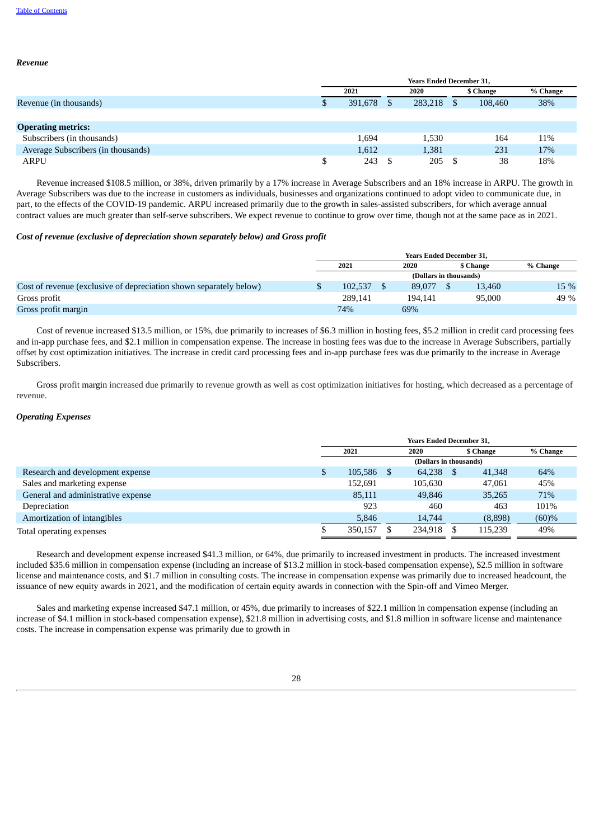*Revenue*

# **Years Ended December 31, 2021 2020 \$ Change % Change** Revenue (in thousands) 8 108,460 38% and the state of the state of the state of the state of the state of the state of the state of the state of the state of the state of the state of the state of the state of the state of **Operating metrics:** Subscribers (in thousands) 1,694 1,530 164 11% Average Subscribers (in thousands) 1,612 1,381 231 17% ARPU \$ 243 \$ 205 \$ 38 18%

Revenue increased \$108.5 million, or 38%, driven primarily by a 17% increase in Average Subscribers and an 18% increase in ARPU. The growth in Average Subscribers was due to the increase in customers as individuals, businesses and organizations continued to adopt video to communicate due, in part, to the effects of the COVID-19 pandemic. ARPU increased primarily due to the growth in sales-assisted subscribers, for which average annual contract values are much greater than self-serve subscribers. We expect revenue to continue to grow over time, though not at the same pace as in 2021.

## *Cost of revenue (exclusive of depreciation shown separately below) and Gross profit*

|                                                                    | <b>Years Ended December 31,</b> |  |         |           |        |          |  |  |
|--------------------------------------------------------------------|---------------------------------|--|---------|-----------|--------|----------|--|--|
|                                                                    | 2021                            |  | 2020    | \$ Change |        | % Change |  |  |
|                                                                    | (Dollars in thousands)          |  |         |           |        |          |  |  |
| Cost of revenue (exclusive of depreciation shown separately below) | 102.537                         |  | 89,077  |           | 13.460 | 15 %     |  |  |
| Gross profit                                                       | 289.141                         |  | 194.141 |           | 95,000 | 49 %     |  |  |
| Gross profit margin                                                | 74%                             |  | 69%     |           |        |          |  |  |

Cost of revenue increased \$13.5 million, or 15%, due primarily to increases of \$6.3 million in hosting fees, \$5.2 million in credit card processing fees and in-app purchase fees, and \$2.1 million in compensation expense. The increase in hosting fees was due to the increase in Average Subscribers, partially offset by cost optimization initiatives. The increase in credit card processing fees and in-app purchase fees was due primarily to the increase in Average Subscribers.

Gross profit margin increased due primarily to revenue growth as well as cost optimization initiatives for hosting, which decreased as a percentage of revenue.

## *Operating Expenses*

|                                    | <b>Years Ended December 31.</b> |            |  |                        |           |         |          |
|------------------------------------|---------------------------------|------------|--|------------------------|-----------|---------|----------|
|                                    |                                 | 2021       |  | 2020                   | \$ Change |         | % Change |
|                                    |                                 |            |  | (Dollars in thousands) |           |         |          |
| Research and development expense   |                                 | 105.586 \$ |  | 64,238                 | - \$      | 41,348  | 64%      |
| Sales and marketing expense        |                                 | 152,691    |  | 105.630                |           | 47,061  | 45%      |
| General and administrative expense |                                 | 85,111     |  | 49,846                 |           | 35,265  | 71%      |
| Depreciation                       |                                 | 923        |  | 460                    |           | 463     | 101%     |
| Amortization of intangibles        |                                 | 5.846      |  | 14,744                 |           | (8,898) | (60)%    |
| Total operating expenses           |                                 | 350.157    |  | 234.918                |           | 115,239 | 49%      |

Research and development expense increased \$41.3 million, or 64%, due primarily to increased investment in products. The increased investment included \$35.6 million in compensation expense (including an increase of \$13.2 million in stock-based compensation expense), \$2.5 million in software license and maintenance costs, and \$1.7 million in consulting costs. The increase in compensation expense was primarily due to increased headcount, the issuance of new equity awards in 2021, and the modification of certain equity awards in connection with the Spin-off and Vimeo Merger.

Sales and marketing expense increased \$47.1 million, or 45%, due primarily to increases of \$22.1 million in compensation expense (including an increase of \$4.1 million in stock-based compensation expense), \$21.8 million in advertising costs, and \$1.8 million in software license and maintenance costs. The increase in compensation expense was primarily due to growth in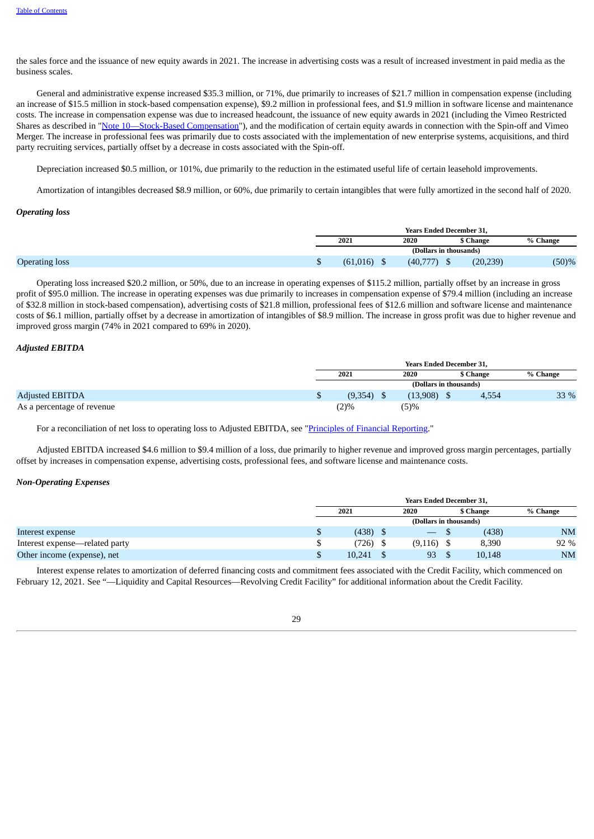the sales force and the issuance of new equity awards in 2021. The increase in advertising costs was a result of increased investment in paid media as the business scales.

General and administrative expense increased \$35.3 million, or 71%, due primarily to increases of \$21.7 million in compensation expense (including an increase of \$15.5 million in stock-based compensation expense), \$9.2 million in professional fees, and \$1.9 million in software license and maintenance costs. The increase in compensation expense was due to increased headcount, the issuance of new equity awards in 2021 (including the Vimeo Restricted Shares as described in ["Note](#page-64-1) [10—Stock-Based](#page-64-1) Compensation"), and the modification of certain equity awards in connection with the Spin-off and Vimeo Merger. The increase in professional fees was primarily due to costs associated with the implementation of new enterprise systems, acquisitions, and third party recruiting services, partially offset by a decrease in costs associated with the Spin-off.

Depreciation increased \$0.5 million, or 101%, due primarily to the reduction in the estimated useful life of certain leasehold improvements.

Amortization of intangibles decreased \$8.9 million, or 60%, due primarily to certain intangibles that were fully amortized in the second half of 2020.

## *Operating loss*

|                       | <b>Years Ended December 31.</b> |          |           |          |  |  |
|-----------------------|---------------------------------|----------|-----------|----------|--|--|
|                       | 2021                            | 2020     | \$ Change | % Change |  |  |
|                       | (Dollars in thousands)          |          |           |          |  |  |
| <b>Operating loss</b> | (61,016)                        | (40,777) | (20, 239) | $(50)\%$ |  |  |

Operating loss increased \$20.2 million, or 50%, due to an increase in operating expenses of \$115.2 million, partially offset by an increase in gross profit of \$95.0 million. The increase in operating expenses was due primarily to increases in compensation expense of \$79.4 million (including an increase of \$32.8 million in stock-based compensation), advertising costs of \$21.8 million, professional fees of \$12.6 million and software license and maintenance costs of \$6.1 million, partially offset by a decrease in amortization of intangibles of \$8.9 million. The increase in gross profit was due to higher revenue and improved gross margin (74% in 2021 compared to 69% in 2020).

## *Adjusted EBITDA*

|                            | <b>Years Ended December 31.</b> |  |          |           |          |  |  |
|----------------------------|---------------------------------|--|----------|-----------|----------|--|--|
|                            | 2021                            |  | 2020     | \$ Change | % Change |  |  |
|                            | (Dollars in thousands)          |  |          |           |          |  |  |
| <b>Adjusted EBITDA</b>     | (9,354)                         |  | (13,908) | 4,554     | 33 %     |  |  |
| As a percentage of revenue | 2)%                             |  | (5)%     |           |          |  |  |

For a reconciliation of net loss to operating loss to Adjusted EBITDA, see ["Principles](#page-33-0) of Financial Reporting."

Adjusted EBITDA increased \$4.6 million to \$9.4 million of a loss, due primarily to higher revenue and improved gross margin percentages, partially offset by increases in compensation expense, advertising costs, professional fees, and software license and maintenance costs.

#### *Non-Operating Expenses*

|                                |   | <b>Years Ended December 31.</b> |  |                  |  |           |           |  |
|--------------------------------|---|---------------------------------|--|------------------|--|-----------|-----------|--|
|                                |   | 2021                            |  | 2020             |  | \$ Change | % Change  |  |
|                                |   | (Dollars in thousands)          |  |                  |  |           |           |  |
| Interest expense               |   | (438)                           |  | $\hspace{0.1cm}$ |  | (438)     | <b>NM</b> |  |
| Interest expense—related party |   | (726)                           |  | (9, 116)         |  | 8,390     | 92 %      |  |
| Other income (expense), net    | Φ | 10,241                          |  | 93               |  | 10,148    | <b>NM</b> |  |

Interest expense relates to amortization of deferred financing costs and commitment fees associated with the Credit Facility, which commenced on February 12, 2021. See "—Liquidity and Capital Resources—Revolving Credit Facility" for additional information about the Credit Facility.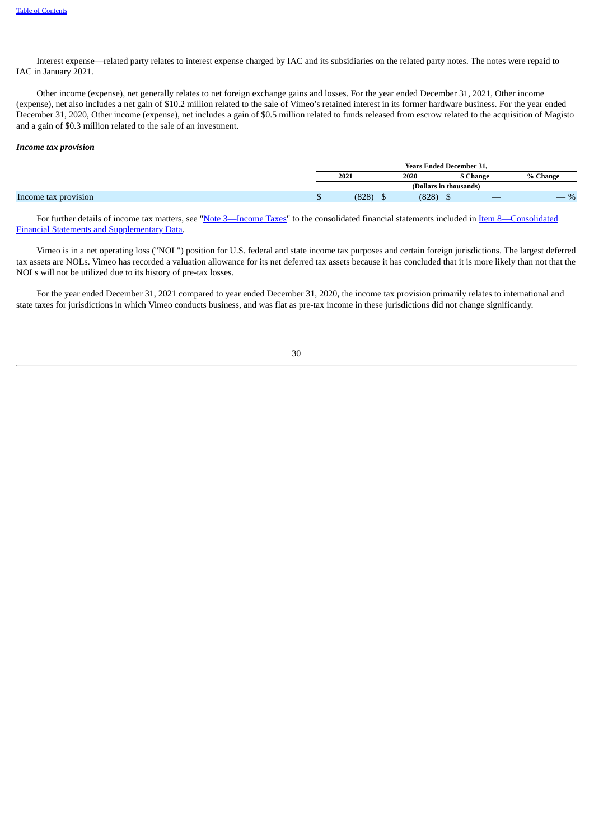Interest expense—related party relates to interest expense charged by IAC and its subsidiaries on the related party notes. The notes were repaid to IAC in January 2021.

Other income (expense), net generally relates to net foreign exchange gains and losses. For the year ended December 31, 2021, Other income (expense), net also includes a net gain of \$10.2 million related to the sale of Vimeo's retained interest in its former hardware business. For the year ended December 31, 2020, Other income (expense), net includes a gain of \$0.5 million related to funds released from escrow related to the acquisition of Magisto and a gain of \$0.3 million related to the sale of an investment.

#### *Income tax provision*

|  | <b>Years Ended December 31,</b> |                        |           |           |
|--|---------------------------------|------------------------|-----------|-----------|
|  | 2021                            | 2020                   | \$ Change | % Change  |
|  |                                 | (Dollars in thousands) |           |           |
|  | (828)                           | (828)<br>Φ             |           | $\%$<br>_ |

For further details of income tax matters, see "Note [3—Income](#page-57-0) Taxes" to the consolidated financial statements included in Item [8—Consolidated](#page-42-0) Financial Statements and Supplementary Data.

Vimeo is in a net operating loss ("NOL") position for U.S. federal and state income tax purposes and certain foreign jurisdictions. The largest deferred tax assets are NOLs. Vimeo has recorded a valuation allowance for its net deferred tax assets because it has concluded that it is more likely than not that the NOLs will not be utilized due to its history of pre-tax losses.

<span id="page-33-0"></span>For the year ended December 31, 2021 compared to year ended December 31, 2020, the income tax provision primarily relates to international and state taxes for jurisdictions in which Vimeo conducts business, and was flat as pre-tax income in these jurisdictions did not change significantly.

30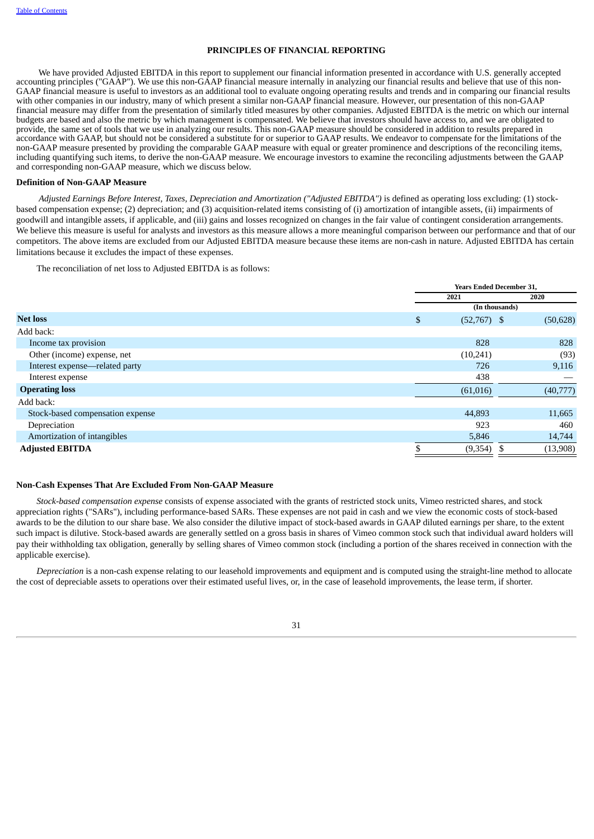## **PRINCIPLES OF FINANCIAL REPORTING**

We have provided Adjusted EBITDA in this report to supplement our financial information presented in accordance with U.S. generally accepted accounting principles ("GAAP"). We use this non-GAAP financial measure internally in analyzing our financial results and believe that use of this non-GAAP financial measure is useful to investors as an additional tool to evaluate ongoing operating results and trends and in comparing our financial results with other companies in our industry, many of which present a similar non-GAAP financial measure. However, our presentation of this non-GAAP financial measure may differ from the presentation of similarly titled measures by other companies. Adjusted EBITDA is the metric on which our internal budgets are based and also the metric by which management is compensated. We believe that investors should have access to, and we are obligated to provide, the same set of tools that we use in analyzing our results. This non-GAAP measure should be considered in addition to results prepared in accordance with GAAP, but should not be considered a substitute for or superior to GAAP results. We endeavor to compensate for the limitations of the non-GAAP measure presented by providing the comparable GAAP measure with equal or greater prominence and descriptions of the reconciling items, including quantifying such items, to derive the non-GAAP measure. We encourage investors to examine the reconciling adjustments between the GAAP and corresponding non-GAAP measure, which we discuss below.

## **Definition of Non-GAAP Measure**

*Adjusted Earnings Before Interest, Taxes, Depreciation and Amortization ("Adjusted EBITDA")* is defined as operating loss excluding: (1) stockbased compensation expense; (2) depreciation; and (3) acquisition-related items consisting of (i) amortization of intangible assets, (ii) impairments of goodwill and intangible assets, if applicable, and (iii) gains and losses recognized on changes in the fair value of contingent consideration arrangements. We believe this measure is useful for analysts and investors as this measure allows a more meaningful comparison between our performance and that of our competitors. The above items are excluded from our Adjusted EBITDA measure because these items are non-cash in nature. Adjusted EBITDA has certain limitations because it excludes the impact of these expenses.

The reconciliation of net loss to Adjusted EBITDA is as follows:

|                                  | <b>Years Ended December 31,</b> |                |      |           |
|----------------------------------|---------------------------------|----------------|------|-----------|
|                                  |                                 | 2021           | 2020 |           |
|                                  |                                 | (In thousands) |      |           |
| <b>Net loss</b>                  | \$                              | $(52,767)$ \$  |      | (50, 628) |
| Add back:                        |                                 |                |      |           |
| Income tax provision             |                                 | 828            |      | 828       |
| Other (income) expense, net      |                                 | (10,241)       |      | (93)      |
| Interest expense-related party   |                                 | 726            |      | 9,116     |
| Interest expense                 |                                 | 438            |      |           |
| <b>Operating loss</b>            |                                 | (61,016)       |      | (40,777)  |
| Add back:                        |                                 |                |      |           |
| Stock-based compensation expense |                                 | 44,893         |      | 11,665    |
| Depreciation                     |                                 | 923            |      | 460       |
| Amortization of intangibles      |                                 | 5,846          |      | 14,744    |
| <b>Adjusted EBITDA</b>           |                                 | (9,354)        |      | (13,908)  |

#### **Non-Cash Expenses That Are Excluded From Non-GAAP Measure**

*Stock-based compensation expense* consists of expense associated with the grants of restricted stock units, Vimeo restricted shares, and stock appreciation rights ("SARs"), including performance-based SARs. These expenses are not paid in cash and we view the economic costs of stock-based awards to be the dilution to our share base. We also consider the dilutive impact of stock-based awards in GAAP diluted earnings per share, to the extent such impact is dilutive. Stock-based awards are generally settled on a gross basis in shares of Vimeo common stock such that individual award holders will pay their withholding tax obligation, generally by selling shares of Vimeo common stock (including a portion of the shares received in connection with the applicable exercise).

*Depreciation* is a non-cash expense relating to our leasehold improvements and equipment and is computed using the straight-line method to allocate the cost of depreciable assets to operations over their estimated useful lives, or, in the case of leasehold improvements, the lease term, if shorter.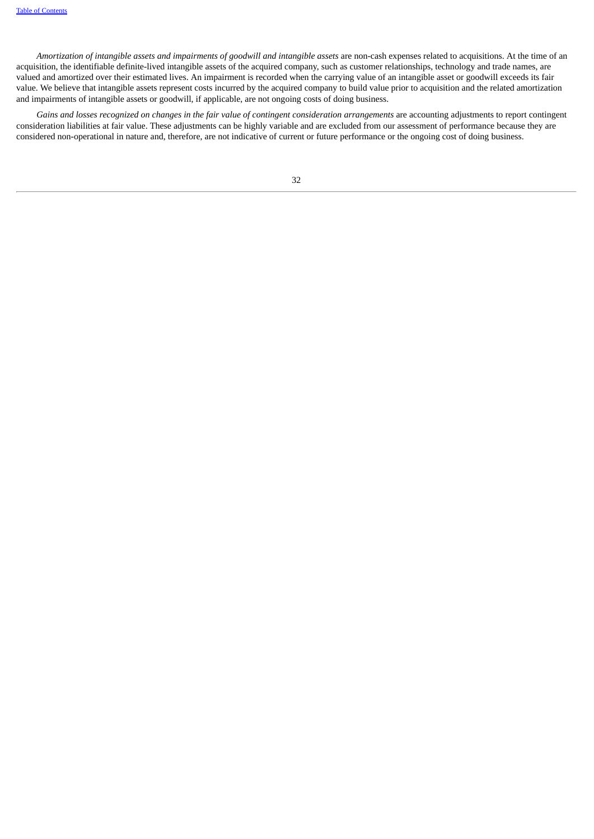Amortization of intangible assets and impairments of goodwill and intangible assets are non-cash expenses related to acquisitions. At the time of an acquisition, the identifiable definite-lived intangible assets of the acquired company, such as customer relationships, technology and trade names, are valued and amortized over their estimated lives. An impairment is recorded when the carrying value of an intangible asset or goodwill exceeds its fair value. We believe that intangible assets represent costs incurred by the acquired company to build value prior to acquisition and the related amortization and impairments of intangible assets or goodwill, if applicable, are not ongoing costs of doing business.

Gains and losses recognized on changes in the fair value of contingent consideration arrangements are accounting adjustments to report contingent consideration liabilities at fair value. These adjustments can be highly variable and are excluded from our assessment of performance because they are considered non-operational in nature and, therefore, are not indicative of current or future performance or the ongoing cost of doing business.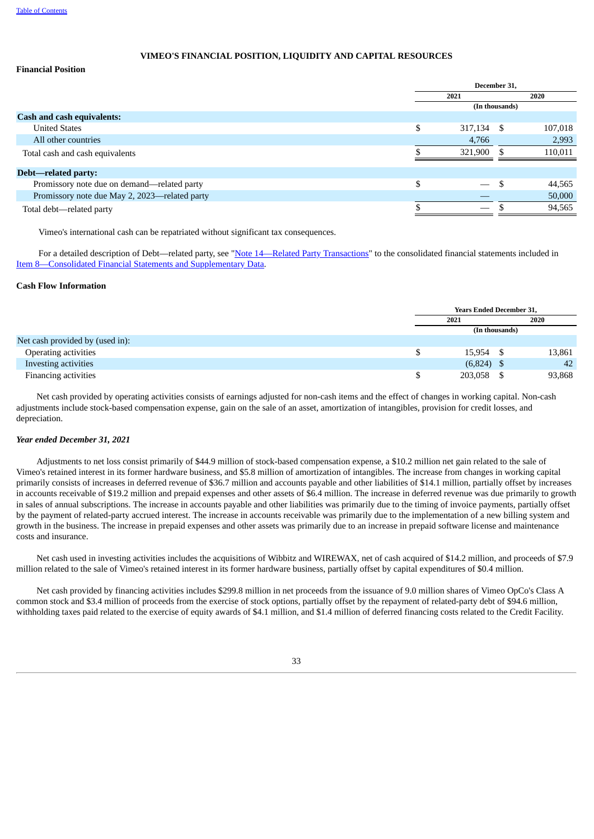### **VIMEO'S FINANCIAL POSITION, LIQUIDITY AND CAPITAL RESOURCES**

### **Financial Position**

|                                               | December 31,     |                |         |  |  |  |
|-----------------------------------------------|------------------|----------------|---------|--|--|--|
|                                               | 2021             |                | 2020    |  |  |  |
|                                               |                  | (In thousands) |         |  |  |  |
| <b>Cash and cash equivalents:</b>             |                  |                |         |  |  |  |
| <b>United States</b>                          | \$<br>317,134 \$ |                | 107,018 |  |  |  |
| All other countries                           | 4,766            |                | 2,993   |  |  |  |
| Total cash and cash equivalents               | 321,900          |                | 110,011 |  |  |  |
|                                               |                  |                |         |  |  |  |
| Debt—related party:                           |                  |                |         |  |  |  |
| Promissory note due on demand—related party   |                  |                | 44,565  |  |  |  |
| Promissory note due May 2, 2023—related party |                  |                | 50,000  |  |  |  |
| Total debt—related party                      |                  |                | 94,565  |  |  |  |
|                                               |                  |                |         |  |  |  |

Vimeo's international cash can be repatriated without significant tax consequences.

For a detailed description of Debt—related party, see "Note [14—Related](#page-73-0) Party Transactions" to the consolidated financial statements included in Item [8—Consolidated](#page-42-0) Financial Statements and Supplementary Data.

### **Cash Flow Information**

|                                 | <b>Years Ended December 31,</b> |     |        |
|---------------------------------|---------------------------------|-----|--------|
|                                 | 2021                            |     | 2020   |
|                                 | (In thousands)                  |     |        |
| Net cash provided by (used in): |                                 |     |        |
| Operating activities            | 15,954                          | - S | 13,861 |
| Investing activities            | $(6,824)$ \$                    |     | 42     |
| Financing activities            | 203,058 \$                      |     | 93,868 |

Net cash provided by operating activities consists of earnings adjusted for non-cash items and the effect of changes in working capital. Non-cash adjustments include stock-based compensation expense, gain on the sale of an asset, amortization of intangibles, provision for credit losses, and depreciation.

### *Year ended December 31, 2021*

Adjustments to net loss consist primarily of \$44.9 million of stock-based compensation expense, a \$10.2 million net gain related to the sale of Vimeo's retained interest in its former hardware business, and \$5.8 million of amortization of intangibles. The increase from changes in working capital primarily consists of increases in deferred revenue of \$36.7 million and accounts payable and other liabilities of \$14.1 million, partially offset by increases in accounts receivable of \$19.2 million and prepaid expenses and other assets of \$6.4 million. The increase in deferred revenue was due primarily to growth in sales of annual subscriptions. The increase in accounts payable and other liabilities was primarily due to the timing of invoice payments, partially offset by the payment of related-party accrued interest. The increase in accounts receivable was primarily due to the implementation of a new billing system and growth in the business. The increase in prepaid expenses and other assets was primarily due to an increase in prepaid software license and maintenance costs and insurance.

Net cash used in investing activities includes the acquisitions of Wibbitz and WIREWAX, net of cash acquired of \$14.2 million, and proceeds of \$7.9 million related to the sale of Vimeo's retained interest in its former hardware business, partially offset by capital expenditures of \$0.4 million.

Net cash provided by financing activities includes \$299.8 million in net proceeds from the issuance of 9.0 million shares of Vimeo OpCo's Class A common stock and \$3.4 million of proceeds from the exercise of stock options, partially offset by the repayment of related-party debt of \$94.6 million, withholding taxes paid related to the exercise of equity awards of \$4.1 million, and \$1.4 million of deferred financing costs related to the Credit Facility.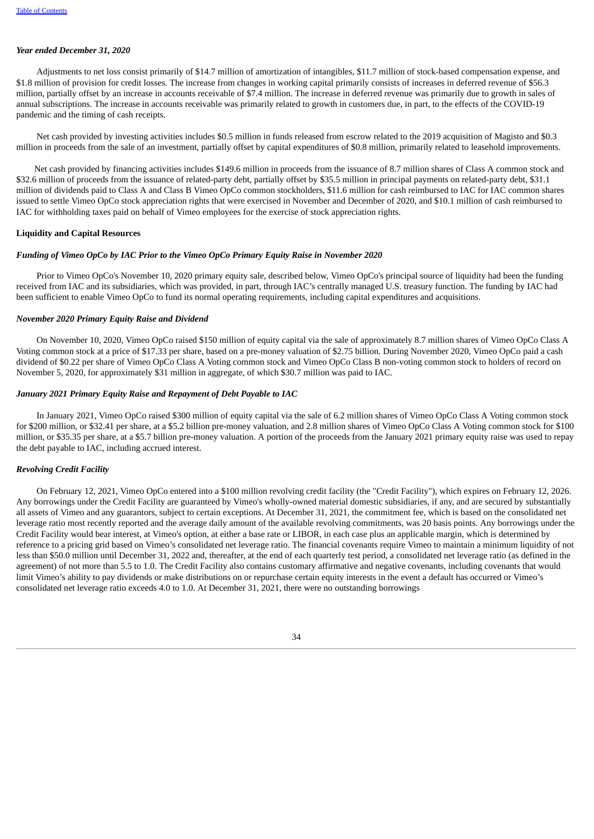### *Year ended December 31, 2020*

Adjustments to net loss consist primarily of \$14.7 million of amortization of intangibles, \$11.7 million of stock-based compensation expense, and \$1.8 million of provision for credit losses. The increase from changes in working capital primarily consists of increases in deferred revenue of \$56.3 million, partially offset by an increase in accounts receivable of \$7.4 million. The increase in deferred revenue was primarily due to growth in sales of annual subscriptions. The increase in accounts receivable was primarily related to growth in customers due, in part, to the effects of the COVID-19 pandemic and the timing of cash receipts.

Net cash provided by investing activities includes \$0.5 million in funds released from escrow related to the 2019 acquisition of Magisto and \$0.3 million in proceeds from the sale of an investment, partially offset by capital expenditures of \$0.8 million, primarily related to leasehold improvements.

Net cash provided by financing activities includes \$149.6 million in proceeds from the issuance of 8.7 million shares of Class A common stock and \$32.6 million of proceeds from the issuance of related-party debt, partially offset by \$35.5 million in principal payments on related-party debt, \$31.1 million of dividends paid to Class A and Class B Vimeo OpCo common stockholders, \$11.6 million for cash reimbursed to IAC for IAC common shares issued to settle Vimeo OpCo stock appreciation rights that were exercised in November and December of 2020, and \$10.1 million of cash reimbursed to IAC for withholding taxes paid on behalf of Vimeo employees for the exercise of stock appreciation rights.

### **Liquidity and Capital Resources**

### *Funding of Vimeo OpCo by IAC Prior to the Vimeo OpCo Primary Equity Raise in November 2020*

Prior to Vimeo OpCo's November 10, 2020 primary equity sale, described below, Vimeo OpCo's principal source of liquidity had been the funding received from IAC and its subsidiaries, which was provided, in part, through IAC's centrally managed U.S. treasury function. The funding by IAC had been sufficient to enable Vimeo OpCo to fund its normal operating requirements, including capital expenditures and acquisitions.

#### *November 2020 Primary Equity Raise and Dividend*

On November 10, 2020, Vimeo OpCo raised \$150 million of equity capital via the sale of approximately 8.7 million shares of Vimeo OpCo Class A Voting common stock at a price of \$17.33 per share, based on a pre-money valuation of \$2.75 billion. During November 2020, Vimeo OpCo paid a cash dividend of \$0.22 per share of Vimeo OpCo Class A Voting common stock and Vimeo OpCo Class B non-voting common stock to holders of record on November 5, 2020, for approximately \$31 million in aggregate, of which \$30.7 million was paid to IAC.

#### *January 2021 Primary Equity Raise and Repayment of Debt Payable to IAC*

In January 2021, Vimeo OpCo raised \$300 million of equity capital via the sale of 6.2 million shares of Vimeo OpCo Class A Voting common stock for \$200 million, or \$32.41 per share, at a \$5.2 billion pre-money valuation, and 2.8 million shares of Vimeo OpCo Class A Voting common stock for \$100 million, or \$35.35 per share, at a \$5.7 billion pre-money valuation. A portion of the proceeds from the January 2021 primary equity raise was used to repay the debt payable to IAC, including accrued interest.

### *Revolving Credit Facility*

On February 12, 2021, Vimeo OpCo entered into a \$100 million revolving credit facility (the "Credit Facility"), which expires on February 12, 2026. Any borrowings under the Credit Facility are guaranteed by Vimeo's wholly-owned material domestic subsidiaries, if any, and are secured by substantially all assets of Vimeo and any guarantors, subject to certain exceptions. At December 31, 2021, the commitment fee, which is based on the consolidated net leverage ratio most recently reported and the average daily amount of the available revolving commitments, was 20 basis points. Any borrowings under the Credit Facility would bear interest, at Vimeo's option, at either a base rate or LIBOR, in each case plus an applicable margin, which is determined by reference to a pricing grid based on Vimeo's consolidated net leverage ratio. The financial covenants require Vimeo to maintain a minimum liquidity of not less than \$50.0 million until December 31, 2022 and, thereafter, at the end of each quarterly test period, a consolidated net leverage ratio (as defined in the agreement) of not more than 5.5 to 1.0. The Credit Facility also contains customary affirmative and negative covenants, including covenants that would limit Vimeo's ability to pay dividends or make distributions on or repurchase certain equity interests in the event a default has occurred or Vimeo's consolidated net leverage ratio exceeds 4.0 to 1.0. At December 31, 2021, there were no outstanding borrowings

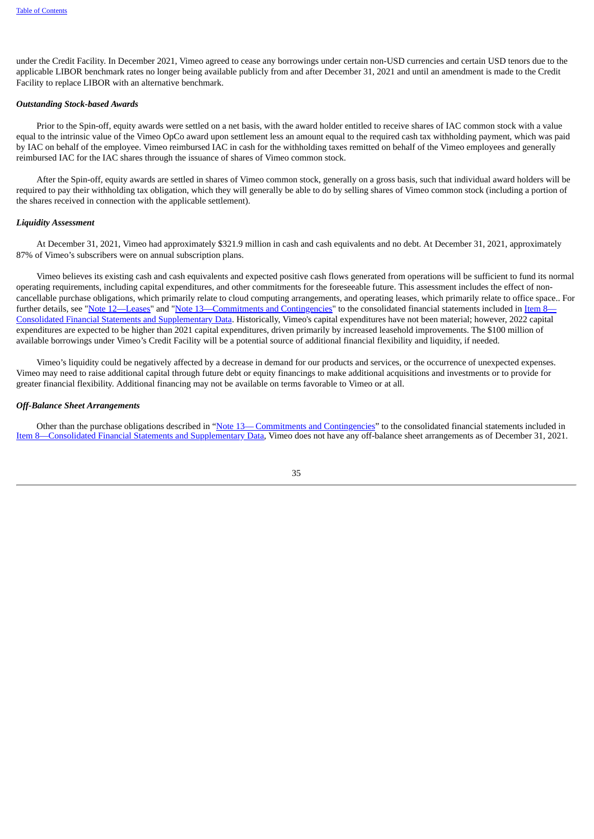under the Credit Facility. In December 2021, Vimeo agreed to cease any borrowings under certain non-USD currencies and certain USD tenors due to the applicable LIBOR benchmark rates no longer being available publicly from and after December 31, 2021 and until an amendment is made to the Credit Facility to replace LIBOR with an alternative benchmark.

### *Outstanding Stock-based Awards*

Prior to the Spin-off, equity awards were settled on a net basis, with the award holder entitled to receive shares of IAC common stock with a value equal to the intrinsic value of the Vimeo OpCo award upon settlement less an amount equal to the required cash tax withholding payment, which was paid by IAC on behalf of the employee. Vimeo reimbursed IAC in cash for the withholding taxes remitted on behalf of the Vimeo employees and generally reimbursed IAC for the IAC shares through the issuance of shares of Vimeo common stock.

After the Spin-off, equity awards are settled in shares of Vimeo common stock, generally on a gross basis, such that individual award holders will be required to pay their withholding tax obligation, which they will generally be able to do by selling shares of Vimeo common stock (including a portion of the shares received in connection with the applicable settlement).

#### *Liquidity Assessment*

At December 31, 2021, Vimeo had approximately \$321.9 million in cash and cash equivalents and no debt. At December 31, 2021, approximately 87% of Vimeo's subscribers were on annual subscription plans.

Vimeo believes its existing cash and cash equivalents and expected positive cash flows generated from operations will be sufficient to fund its normal operating requirements, including capital expenditures, and other commitments for the foreseeable future. This assessment includes the effect of noncancellable purchase obligations, which primarily relate to cloud computing arrangements, and operating leases, which primarily relate to office space.. For further details, see "[Note](#page-70-0) 1[2—Leases"](#page-68-0) and "Note [13—Commitments](#page-42-0) and [Contingencies](#page-70-0)" to the consolidated financial statements included in Item 8— Consolidated Financial Statements and Supplementary Data. Historically, Vimeo's capital expenditures have not been material; however, 2022 capital expenditures are expected to be higher than 2021 capital expenditures, driven primarily by increased leasehold improvements. The \$100 million of available borrowings under Vimeo's Credit Facility will be a potential source of additional financial flexibility and liquidity, if needed.

Vimeo's liquidity could be negatively affected by a decrease in demand for our products and services, or the occurrence of unexpected expenses. Vimeo may need to raise additional capital through future debt or equity financings to make additional acquisitions and investments or to provide for greater financial flexibility. Additional financing may not be available on terms favorable to Vimeo or at all.

#### *Off-Balance Sheet Arrangements*

Other than the purchase obligations described in "[Note](#page-70-0) [13](#page-70-0)— Commitments and [Contingencies](#page-70-0)" to the consolidated financial statements included in Item [8—Consolidated](#page-42-0) Financial Statements and Supplementary Data, Vimeo does not have any off-balance sheet arrangements as of December 31, 2021.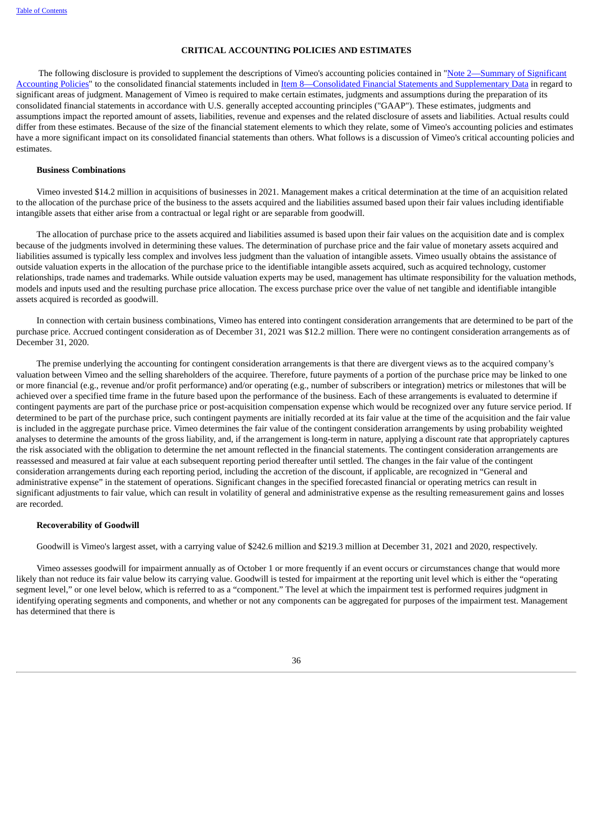### **CRITICAL ACCOUNTING POLICIES AND ESTIMATES**

The following disclosure is provided to supplement the descriptions of Vimeo's accounting policies contained in "Note 2—Summary of Significant Accounting Policies" to the consolidated financial statements included in Item [8—Consolidated](#page-51-0) Financial Statements and Supplementary Data in regard to significant areas of judgment. Management of Vimeo is required to make certain estimates, judgments and assumptions during the preparation of its consolidated financial statements in accordance with U.S. generally accepted accounting principles ("GAAP"). These estimates, judgments and assumptions impact the reported amount of assets, liabilities, revenue and expenses and the related disclosure of assets and liabilities. Actual results could differ from these estimates. Because of the size of the financial statement elements to which they relate, some of Vimeo's accounting policies and estimates have a more significant impact on its consolidated financial statements than others. What follows is a discussion of Vimeo's critical accounting policies and estimates.

### **Business Combinations**

Vimeo invested \$14.2 million in acquisitions of businesses in 2021. Management makes a critical determination at the time of an acquisition related to the allocation of the purchase price of the business to the assets acquired and the liabilities assumed based upon their fair values including identifiable intangible assets that either arise from a contractual or legal right or are separable from goodwill.

The allocation of purchase price to the assets acquired and liabilities assumed is based upon their fair values on the acquisition date and is complex because of the judgments involved in determining these values. The determination of purchase price and the fair value of monetary assets acquired and liabilities assumed is typically less complex and involves less judgment than the valuation of intangible assets. Vimeo usually obtains the assistance of outside valuation experts in the allocation of the purchase price to the identifiable intangible assets acquired, such as acquired technology, customer relationships, trade names and trademarks. While outside valuation experts may be used, management has ultimate responsibility for the valuation methods, models and inputs used and the resulting purchase price allocation. The excess purchase price over the value of net tangible and identifiable intangible assets acquired is recorded as goodwill.

In connection with certain business combinations, Vimeo has entered into contingent consideration arrangements that are determined to be part of the purchase price. Accrued contingent consideration as of December 31, 2021 was \$12.2 million. There were no contingent consideration arrangements as of December 31, 2020.

The premise underlying the accounting for contingent consideration arrangements is that there are divergent views as to the acquired company's valuation between Vimeo and the selling shareholders of the acquiree. Therefore, future payments of a portion of the purchase price may be linked to one or more financial (e.g., revenue and/or profit performance) and/or operating (e.g., number of subscribers or integration) metrics or milestones that will be achieved over a specified time frame in the future based upon the performance of the business. Each of these arrangements is evaluated to determine if contingent payments are part of the purchase price or post-acquisition compensation expense which would be recognized over any future service period. If determined to be part of the purchase price, such contingent payments are initially recorded at its fair value at the time of the acquisition and the fair value is included in the aggregate purchase price. Vimeo determines the fair value of the contingent consideration arrangements by using probability weighted analyses to determine the amounts of the gross liability, and, if the arrangement is long-term in nature, applying a discount rate that appropriately captures the risk associated with the obligation to determine the net amount reflected in the financial statements. The contingent consideration arrangements are reassessed and measured at fair value at each subsequent reporting period thereafter until settled. The changes in the fair value of the contingent consideration arrangements during each reporting period, including the accretion of the discount, if applicable, are recognized in "General and administrative expense" in the statement of operations. Significant changes in the specified forecasted financial or operating metrics can result in significant adjustments to fair value, which can result in volatility of general and administrative expense as the resulting remeasurement gains and losses are recorded.

#### **Recoverability of Goodwill**

Goodwill is Vimeo's largest asset, with a carrying value of \$242.6 million and \$219.3 million at December 31, 2021 and 2020, respectively.

Vimeo assesses goodwill for impairment annually as of October 1 or more frequently if an event occurs or circumstances change that would more likely than not reduce its fair value below its carrying value. Goodwill is tested for impairment at the reporting unit level which is either the "operating segment level," or one level below, which is referred to as a "component." The level at which the impairment test is performed requires judgment in identifying operating segments and components, and whether or not any components can be aggregated for purposes of the impairment test. Management has determined that there is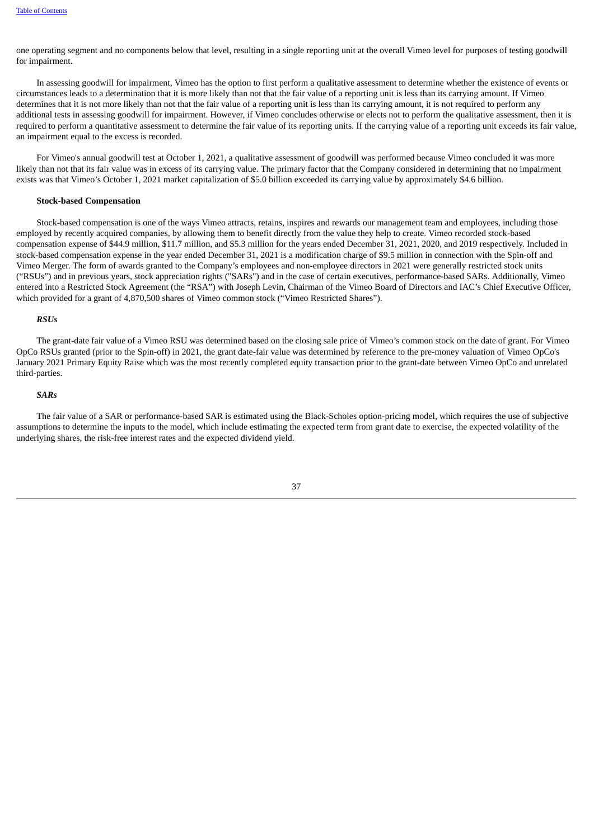one operating segment and no components below that level, resulting in a single reporting unit at the overall Vimeo level for purposes of testing goodwill for impairment.

In assessing goodwill for impairment, Vimeo has the option to first perform a qualitative assessment to determine whether the existence of events or circumstances leads to a determination that it is more likely than not that the fair value of a reporting unit is less than its carrying amount. If Vimeo determines that it is not more likely than not that the fair value of a reporting unit is less than its carrying amount, it is not required to perform any additional tests in assessing goodwill for impairment. However, if Vimeo concludes otherwise or elects not to perform the qualitative assessment, then it is required to perform a quantitative assessment to determine the fair value of its reporting units. If the carrying value of a reporting unit exceeds its fair value, an impairment equal to the excess is recorded.

For Vimeo's annual goodwill test at October 1, 2021, a qualitative assessment of goodwill was performed because Vimeo concluded it was more likely than not that its fair value was in excess of its carrying value. The primary factor that the Company considered in determining that no impairment exists was that Vimeo's October 1, 2021 market capitalization of \$5.0 billion exceeded its carrying value by approximately \$4.6 billion.

### **Stock-based Compensation**

Stock-based compensation is one of the ways Vimeo attracts, retains, inspires and rewards our management team and employees, including those employed by recently acquired companies, by allowing them to benefit directly from the value they help to create. Vimeo recorded stock-based compensation expense of \$44.9 million, \$11.7 million, and \$5.3 million for the years ended December 31, 2021, 2020, and 2019 respectively. Included in stock-based compensation expense in the year ended December 31, 2021 is a modification charge of \$9.5 million in connection with the Spin-off and Vimeo Merger. The form of awards granted to the Company's employees and non-employee directors in 2021 were generally restricted stock units ("RSUs") and in previous years, stock appreciation rights ("SARs") and in the case of certain executives, performance-based SARs. Additionally, Vimeo entered into a Restricted Stock Agreement (the "RSA") with Joseph Levin, Chairman of the Vimeo Board of Directors and IAC's Chief Executive Officer, which provided for a grant of 4,870,500 shares of Vimeo common stock ("Vimeo Restricted Shares").

#### *RSUs*

The grant-date fair value of a Vimeo RSU was determined based on the closing sale price of Vimeo's common stock on the date of grant. For Vimeo OpCo RSUs granted (prior to the Spin-off) in 2021, the grant date-fair value was determined by reference to the pre-money valuation of Vimeo OpCo's January 2021 Primary Equity Raise which was the most recently completed equity transaction prior to the grant-date between Vimeo OpCo and unrelated third-parties.

### *SARs*

The fair value of a SAR or performance-based SAR is estimated using the Black‑Scholes option‑pricing model, which requires the use of subjective assumptions to determine the inputs to the model, which include estimating the expected term from grant date to exercise, the expected volatility of the underlying shares, the risk‑free interest rates and the expected dividend yield.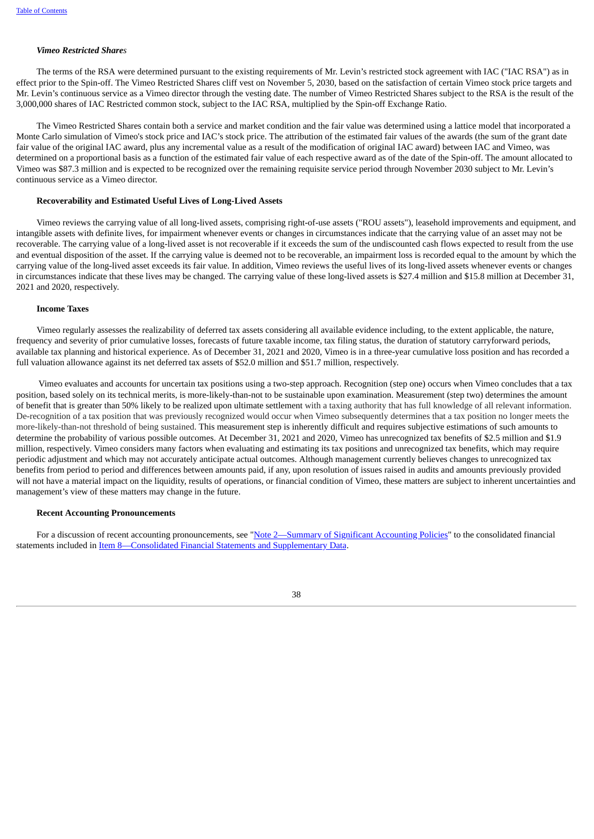### *Vimeo Restricted Shares*

The terms of the RSA were determined pursuant to the existing requirements of Mr. Levin's restricted stock agreement with IAC ("IAC RSA") as in effect prior to the Spin-off. The Vimeo Restricted Shares cliff vest on November 5, 2030, based on the satisfaction of certain Vimeo stock price targets and Mr. Levin's continuous service as a Vimeo director through the vesting date. The number of Vimeo Restricted Shares subject to the RSA is the result of the 3,000,000 shares of IAC Restricted common stock, subject to the IAC RSA, multiplied by the Spin-off Exchange Ratio.

The Vimeo Restricted Shares contain both a service and market condition and the fair value was determined using a lattice model that incorporated a Monte Carlo simulation of Vimeo's stock price and IAC's stock price. The attribution of the estimated fair values of the awards (the sum of the grant date fair value of the original IAC award, plus any incremental value as a result of the modification of original IAC award) between IAC and Vimeo, was determined on a proportional basis as a function of the estimated fair value of each respective award as of the date of the Spin-off. The amount allocated to Vimeo was \$87.3 million and is expected to be recognized over the remaining requisite service period through November 2030 subject to Mr. Levin's continuous service as a Vimeo director.

### **Recoverability and Estimated Useful Lives of Long-Lived Assets**

Vimeo reviews the carrying value of all long-lived assets, comprising right-of-use assets ("ROU assets"), leasehold improvements and equipment, and intangible assets with definite lives, for impairment whenever events or changes in circumstances indicate that the carrying value of an asset may not be recoverable. The carrying value of a long-lived asset is not recoverable if it exceeds the sum of the undiscounted cash flows expected to result from the use and eventual disposition of the asset. If the carrying value is deemed not to be recoverable, an impairment loss is recorded equal to the amount by which the carrying value of the long-lived asset exceeds its fair value. In addition, Vimeo reviews the useful lives of its long-lived assets whenever events or changes in circumstances indicate that these lives may be changed. The carrying value of these long-lived assets is \$27.4 million and \$15.8 million at December 31, 2021 and 2020, respectively.

#### **Income Taxes**

Vimeo regularly assesses the realizability of deferred tax assets considering all available evidence including, to the extent applicable, the nature, frequency and severity of prior cumulative losses, forecasts of future taxable income, tax filing status, the duration of statutory carryforward periods, available tax planning and historical experience. As of December 31, 2021 and 2020, Vimeo is in a three-year cumulative loss position and has recorded a full valuation allowance against its net deferred tax assets of \$52.0 million and \$51.7 million, respectively.

Vimeo evaluates and accounts for uncertain tax positions using a two-step approach. Recognition (step one) occurs when Vimeo concludes that a tax position, based solely on its technical merits, is more-likely-than-not to be sustainable upon examination. Measurement (step two) determines the amount of benefit that is greater than 50% likely to be realized upon ultimate settlement with a taxing authority that has full knowledge of all relevant information. De-recognition of a tax position that was previously recognized would occur when Vimeo subsequently determines that a tax position no longer meets the more-likely-than-not threshold of being sustained. This measurement step is inherently difficult and requires subjective estimations of such amounts to determine the probability of various possible outcomes. At December 31, 2021 and 2020, Vimeo has unrecognized tax benefits of \$2.5 million and \$1.9 million, respectively. Vimeo considers many factors when evaluating and estimating its tax positions and unrecognized tax benefits, which may require periodic adjustment and which may not accurately anticipate actual outcomes. Although management currently believes changes to unrecognized tax benefits from period to period and differences between amounts paid, if any, upon resolution of issues raised in audits and amounts previously provided will not have a material impact on the liquidity, results of operations, or financial condition of Vimeo, these matters are subject to inherent uncertainties and management's view of these matters may change in the future.

### **Recent Accounting Pronouncements**

For a discussion of recent accounting pronouncements, see "Note [2—Summary](#page-51-0) of Significant Accounting Policies" to the consolidated financial statements included in Item [8—Consolidated](#page-42-0) Financial Statements and Supplementary Data.

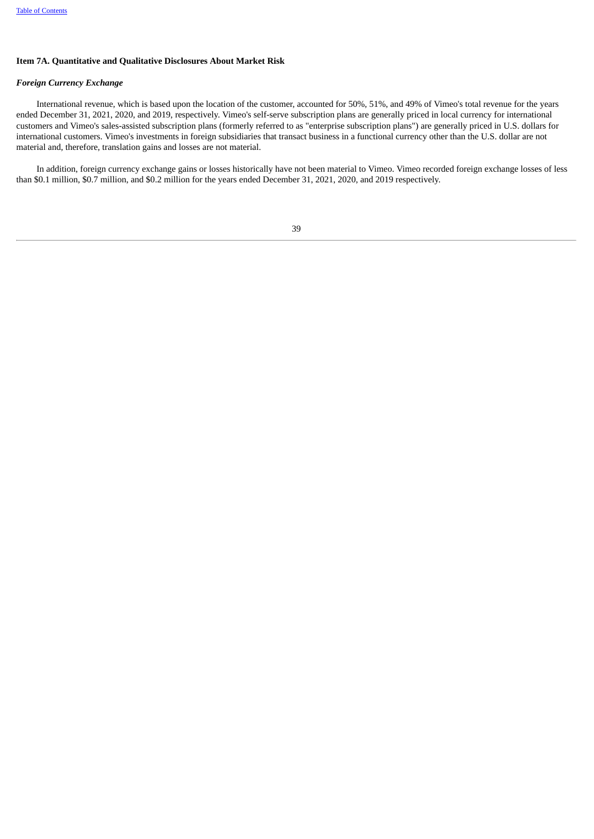### **Item 7A. Quantitative and Qualitative Disclosures About Market Risk**

### *Foreign Currency Exchange*

International revenue, which is based upon the location of the customer, accounted for 50%, 51%, and 49% of Vimeo's total revenue for the years ended December 31, 2021, 2020, and 2019, respectively. Vimeo's self-serve subscription plans are generally priced in local currency for international customers and Vimeo's sales-assisted subscription plans (formerly referred to as "enterprise subscription plans") are generally priced in U.S. dollars for international customers. Vimeo's investments in foreign subsidiaries that transact business in a functional currency other than the U.S. dollar are not material and, therefore, translation gains and losses are not material.

<span id="page-42-0"></span>In addition, foreign currency exchange gains or losses historically have not been material to Vimeo. Vimeo recorded foreign exchange losses of less than \$0.1 million, \$0.7 million, and \$0.2 million for the years ended December 31, 2021, 2020, and 2019 respectively.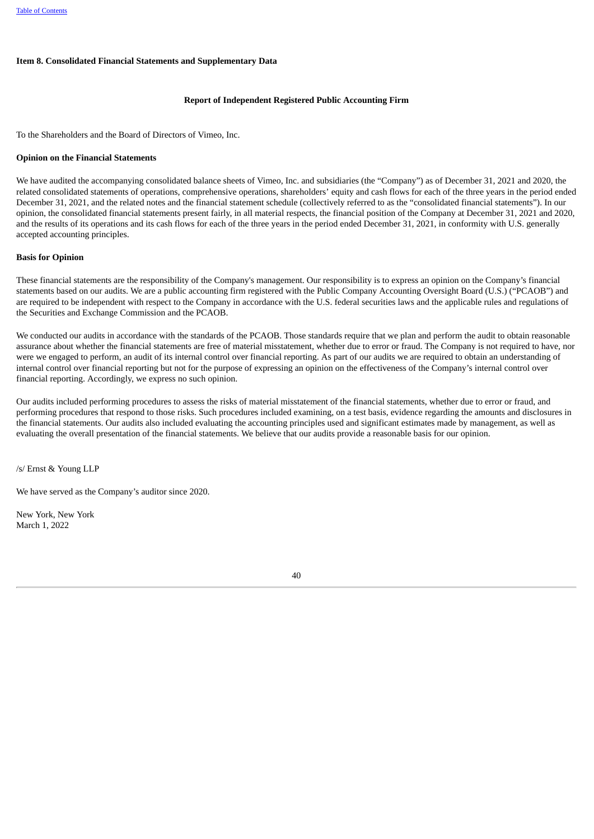### **Item 8. Consolidated Financial Statements and Supplementary Data**

### **Report of Independent Registered Public Accounting Firm**

To the Shareholders and the Board of Directors of Vimeo, Inc.

### **Opinion on the Financial Statements**

We have audited the accompanying consolidated balance sheets of Vimeo, Inc. and subsidiaries (the "Company") as of December 31, 2021 and 2020, the related consolidated statements of operations, comprehensive operations, shareholders' equity and cash flows for each of the three years in the period ended December 31, 2021, and the related notes and the financial statement schedule (collectively referred to as the "consolidated financial statements"). In our opinion, the consolidated financial statements present fairly, in all material respects, the financial position of the Company at December 31, 2021 and 2020, and the results of its operations and its cash flows for each of the three years in the period ended December 31, 2021, in conformity with U.S. generally accepted accounting principles.

### **Basis for Opinion**

These financial statements are the responsibility of the Company's management. Our responsibility is to express an opinion on the Company's financial statements based on our audits. We are a public accounting firm registered with the Public Company Accounting Oversight Board (U.S.) ("PCAOB") and are required to be independent with respect to the Company in accordance with the U.S. federal securities laws and the applicable rules and regulations of the Securities and Exchange Commission and the PCAOB.

We conducted our audits in accordance with the standards of the PCAOB. Those standards require that we plan and perform the audit to obtain reasonable assurance about whether the financial statements are free of material misstatement, whether due to error or fraud. The Company is not required to have, nor were we engaged to perform, an audit of its internal control over financial reporting. As part of our audits we are required to obtain an understanding of internal control over financial reporting but not for the purpose of expressing an opinion on the effectiveness of the Company's internal control over financial reporting. Accordingly, we express no such opinion.

Our audits included performing procedures to assess the risks of material misstatement of the financial statements, whether due to error or fraud, and performing procedures that respond to those risks. Such procedures included examining, on a test basis, evidence regarding the amounts and disclosures in the financial statements. Our audits also included evaluating the accounting principles used and significant estimates made by management, as well as evaluating the overall presentation of the financial statements. We believe that our audits provide a reasonable basis for our opinion.

/s/ Ernst & Young LLP

We have served as the Company's auditor since 2020.

New York, New York March 1, 2022

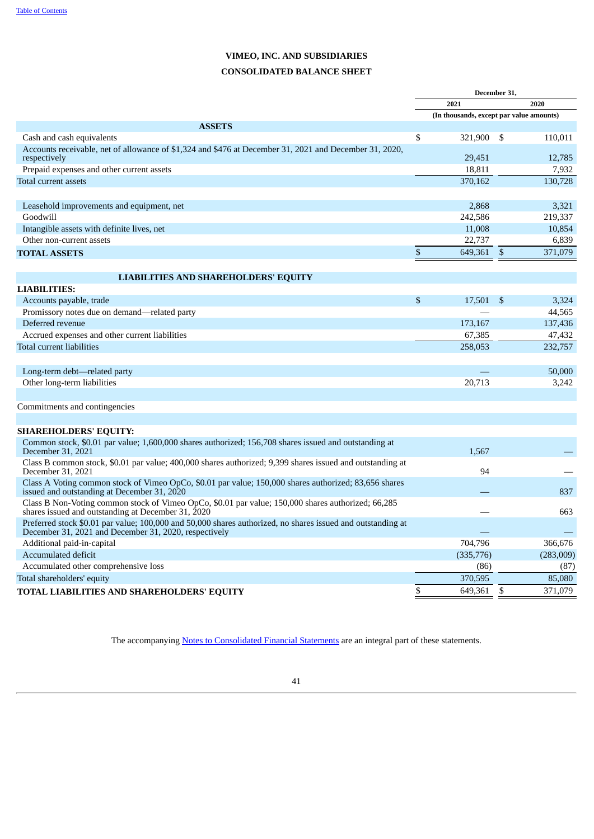# **CONSOLIDATED BALANCE SHEET**

| <b>ASSETS</b><br>Cash and cash equivalents<br>Accounts receivable, net of allowance of \$1,324 and \$476 at December 31, 2021 and December 31, 2020,<br>respectively | \$           | 2021<br>(In thousands, except par value amounts)<br>321,900<br>29,451 | - \$ | 2020      |
|----------------------------------------------------------------------------------------------------------------------------------------------------------------------|--------------|-----------------------------------------------------------------------|------|-----------|
|                                                                                                                                                                      |              |                                                                       |      |           |
|                                                                                                                                                                      |              |                                                                       |      |           |
|                                                                                                                                                                      |              |                                                                       |      |           |
|                                                                                                                                                                      |              |                                                                       |      | 110,011   |
|                                                                                                                                                                      |              |                                                                       |      | 12,785    |
| Prepaid expenses and other current assets                                                                                                                            |              | 18.811                                                                |      | 7,932     |
| Total current assets                                                                                                                                                 |              | 370.162                                                               |      | 130,728   |
|                                                                                                                                                                      |              |                                                                       |      |           |
| Leasehold improvements and equipment, net                                                                                                                            |              | 2,868                                                                 |      | 3,321     |
| Goodwill                                                                                                                                                             |              | 242,586                                                               |      | 219,337   |
| Intangible assets with definite lives, net                                                                                                                           |              | 11,008                                                                |      | 10,854    |
| Other non-current assets                                                                                                                                             |              | 22,737                                                                |      | 6,839     |
| <b>TOTAL ASSETS</b>                                                                                                                                                  | \$           | 649,361                                                               | \$   | 371,079   |
|                                                                                                                                                                      |              |                                                                       |      |           |
| <b>LIABILITIES AND SHAREHOLDERS' EQUITY</b><br><b>LIABILITIES:</b>                                                                                                   |              |                                                                       |      |           |
| Accounts payable, trade                                                                                                                                              | $\mathbb{S}$ | 17.501                                                                | -S   | 3,324     |
| Promissory notes due on demand—related party                                                                                                                         |              |                                                                       |      | 44,565    |
| Deferred revenue                                                                                                                                                     |              | 173,167                                                               |      | 137,436   |
| Accrued expenses and other current liabilities                                                                                                                       |              | 67,385                                                                |      | 47,432    |
| Total current liabilities                                                                                                                                            |              | 258,053                                                               |      | 232,757   |
|                                                                                                                                                                      |              |                                                                       |      |           |
| Long-term debt—related party                                                                                                                                         |              |                                                                       |      | 50,000    |
| Other long-term liabilities                                                                                                                                          |              | 20,713                                                                |      | 3,242     |
|                                                                                                                                                                      |              |                                                                       |      |           |
| Commitments and contingencies                                                                                                                                        |              |                                                                       |      |           |
|                                                                                                                                                                      |              |                                                                       |      |           |
| <b>SHAREHOLDERS' EQUITY:</b>                                                                                                                                         |              |                                                                       |      |           |
| Common stock, \$0.01 par value; 1,600,000 shares authorized; 156,708 shares issued and outstanding at<br>December 31, 2021                                           |              | 1.567                                                                 |      |           |
| Class B common stock, \$0.01 par value; 400,000 shares authorized; 9,399 shares issued and outstanding at<br>December 31, 2021                                       |              | 94                                                                    |      |           |
| Class A Voting common stock of Vimeo OpCo, \$0.01 par value; 150,000 shares authorized; 83,656 shares<br>issued and outstanding at December 31, 2020                 |              |                                                                       |      | 837       |
| Class B Non-Voting common stock of Vimeo OpCo, \$0.01 par value; 150,000 shares authorized; 66,285<br>shares issued and outstanding at December 31, 2020             |              |                                                                       |      | 663       |
| Preferred stock \$0.01 par value; 100,000 and 50,000 shares authorized, no shares issued and outstanding at<br>December 31, 2021 and December 31, 2020, respectively |              |                                                                       |      |           |
| Additional paid-in-capital                                                                                                                                           |              | 704.796                                                               |      | 366,676   |
| Accumulated deficit                                                                                                                                                  |              | (335,776)                                                             |      | (283,009) |
| Accumulated other comprehensive loss                                                                                                                                 |              | (86)                                                                  |      | (87)      |
| Total shareholders' equity                                                                                                                                           |              | 370,595                                                               |      | 85,080    |
| TOTAL LIABILITIES AND SHAREHOLDERS' EQUITY                                                                                                                           | \$           | 649,361                                                               | \$   | 371,079   |

The accompanying **Notes to [Consolidated](#page-49-0) Financial Statemen[ts](#page-49-0)** are an integral part of these statements.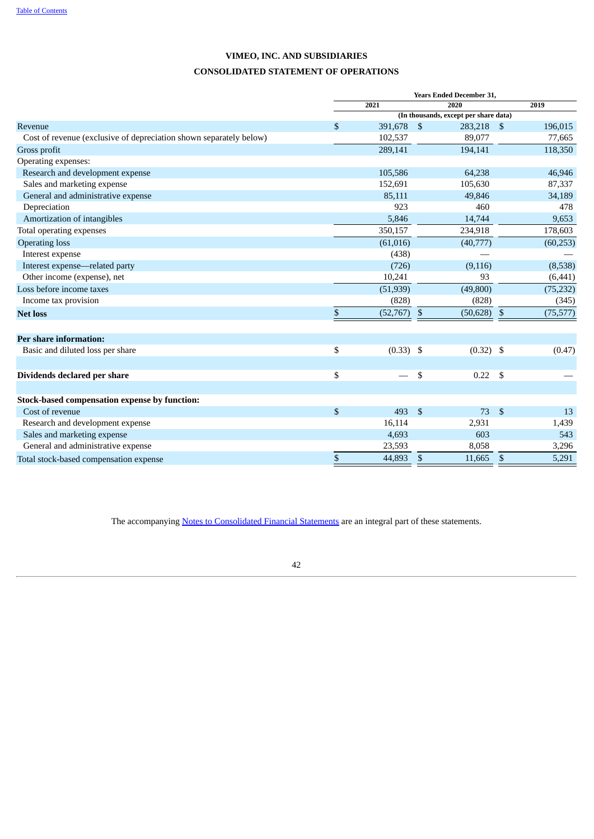# **CONSOLIDATED STATEMENT OF OPERATIONS**

|                                                                    |               |             |                | <b>Years Ended December 31,</b>       |                    |           |
|--------------------------------------------------------------------|---------------|-------------|----------------|---------------------------------------|--------------------|-----------|
|                                                                    |               | 2021        |                | 2020                                  |                    | 2019      |
|                                                                    |               |             |                | (In thousands, except per share data) |                    |           |
| Revenue                                                            | <sup>\$</sup> | 391,678     | $\mathfrak{s}$ | 283,218 \$                            |                    | 196,015   |
| Cost of revenue (exclusive of depreciation shown separately below) |               | 102,537     |                | 89,077                                |                    | 77,665    |
| Gross profit                                                       |               | 289,141     |                | 194,141                               |                    | 118,350   |
| Operating expenses:                                                |               |             |                |                                       |                    |           |
| Research and development expense                                   |               | 105,586     |                | 64,238                                |                    | 46,946    |
| Sales and marketing expense                                        |               | 152,691     |                | 105,630                               |                    | 87,337    |
| General and administrative expense                                 |               | 85,111      |                | 49,846                                |                    | 34,189    |
| Depreciation                                                       |               | 923         |                | 460                                   |                    | 478       |
| Amortization of intangibles                                        |               | 5,846       |                | 14,744                                |                    | 9,653     |
| Total operating expenses                                           |               | 350,157     |                | 234,918                               |                    | 178,603   |
| <b>Operating loss</b>                                              |               | (61, 016)   |                | (40,777)                              |                    | (60, 253) |
| Interest expense                                                   |               | (438)       |                |                                       |                    |           |
| Interest expense-related party                                     |               | (726)       |                | (9, 116)                              |                    | (8,538)   |
| Other income (expense), net                                        |               | 10,241      |                | 93                                    |                    | (6, 441)  |
| Loss before income taxes                                           |               | (51, 939)   |                | (49,800)                              |                    | (75, 232) |
| Income tax provision                                               |               | (828)       |                | (828)                                 |                    | (345)     |
| <b>Net loss</b>                                                    | \$            | (52,767)    | $\mathfrak{S}$ | (50, 628)                             | \$                 | (75, 577) |
| <b>Per share information:</b>                                      |               |             |                |                                       |                    |           |
| Basic and diluted loss per share                                   | \$            | $(0.33)$ \$ |                | $(0.32)$ \$                           |                    | (0.47)    |
|                                                                    |               |             |                |                                       |                    |           |
| Dividends declared per share                                       | \$            |             | $\mathbb{S}$   | 0.22                                  | <b>S</b>           |           |
|                                                                    |               |             |                |                                       |                    |           |
| Stock-based compensation expense by function:                      |               |             |                |                                       |                    |           |
| Cost of revenue                                                    | \$            | 493         | $\mathfrak{S}$ | 73                                    | $\mathbf{\hat{S}}$ | 13        |
| Research and development expense                                   |               | 16,114      |                | 2,931                                 |                    | 1,439     |
| Sales and marketing expense                                        |               | 4,693       |                | 603                                   |                    | 543       |
| General and administrative expense                                 |               | 23,593      |                | 8,058                                 |                    | 3,296     |
| Total stock-based compensation expense                             | $\mathbb{S}$  | 44,893      | <b>S</b>       | 11,665                                | $\mathbf{s}$       | 5,291     |

The accompanying **Notes to [Consolidated](#page-49-0) Financial Statements** are an integral part of these statements.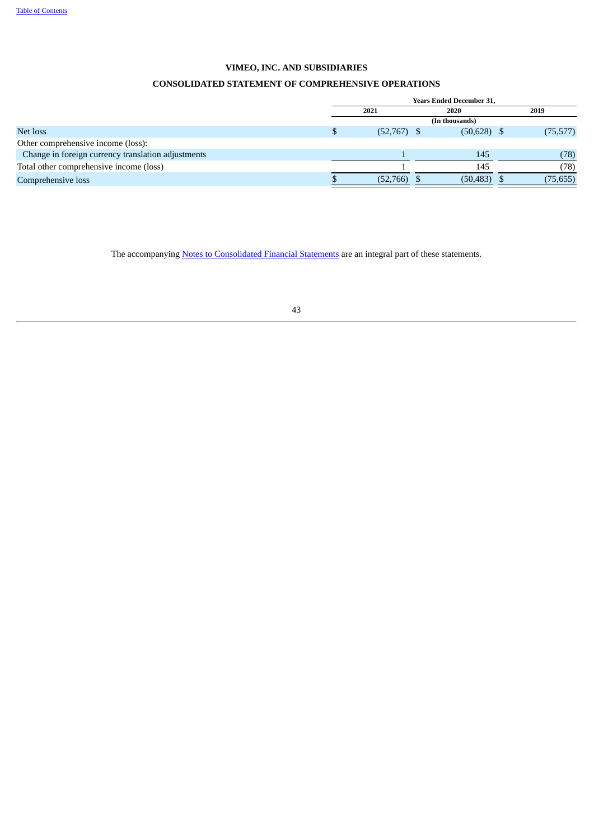# **CONSOLIDATED STATEMENT OF COMPREHENSIVE OPERATIONS**

|                                                    | <b>Years Ended December 31,</b> |      |                |  |           |  |  |  |  |
|----------------------------------------------------|---------------------------------|------|----------------|--|-----------|--|--|--|--|
|                                                    | 2021                            | 2020 |                |  | 2019      |  |  |  |  |
|                                                    |                                 |      | (In thousands) |  |           |  |  |  |  |
| Net loss                                           | $(52,767)$ \$                   |      | $(50,628)$ \$  |  | (75, 577) |  |  |  |  |
| Other comprehensive income (loss):                 |                                 |      |                |  |           |  |  |  |  |
| Change in foreign currency translation adjustments |                                 |      | 145            |  | (78)      |  |  |  |  |
| Total other comprehensive income (loss)            |                                 |      | 145            |  | (78)      |  |  |  |  |
| Comprehensive loss                                 | (52,766)                        |      | $(50, 483)$ \$ |  | (75, 655) |  |  |  |  |

The accompanying **Notes to [Consolidated](#page-49-0) Financial Statements** are an integral part of these statements.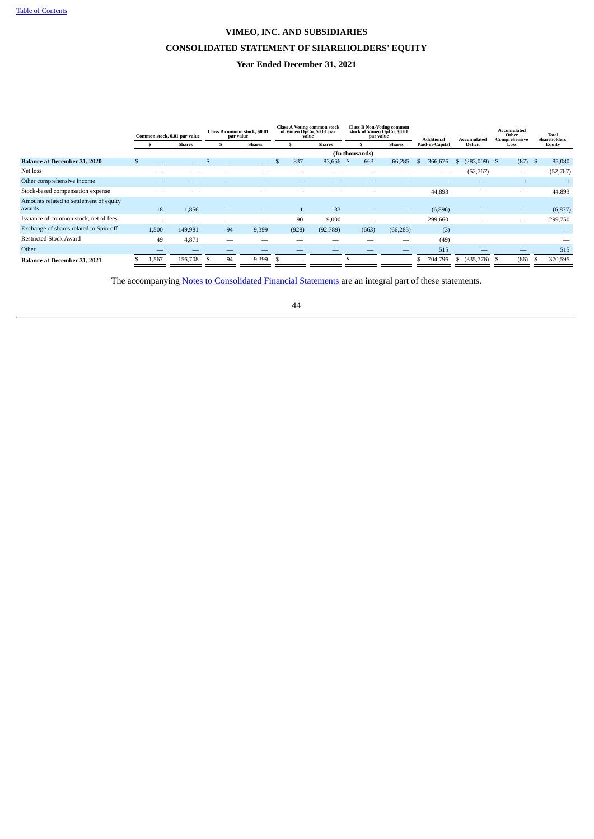## **CONSOLIDATED STATEMENT OF SHAREHOLDERS' EQUITY**

# **Year Ended December 31, 2021**

|                                         |       | Common stock, 0.01 par value | Class B common stock, \$0.01<br>par value |    | <b>Class A Voting common stock</b><br>of Vimeo OpCo, \$0.01 par<br>value |  | <b>Class B Non-Voting common</b><br>stock of Vimeo OpCo, \$0.01<br>par value |               |  |                | Additional    | <b>Accumulated</b> |                 | <b>Accumulated</b><br>Other<br>Comprehensive |                |              | <b>Total</b><br>Shareholders' |        |           |
|-----------------------------------------|-------|------------------------------|-------------------------------------------|----|--------------------------------------------------------------------------|--|------------------------------------------------------------------------------|---------------|--|----------------|---------------|--------------------|-----------------|----------------------------------------------|----------------|--------------|-------------------------------|--------|-----------|
|                                         |       | <b>Shares</b>                |                                           |    | <b>Shares</b>                                                            |  |                                                                              | <b>Shares</b> |  |                | <b>Shares</b> |                    | Paid-in-Capital | Deficit                                      |                | Loss         |                               | Equity |           |
|                                         |       |                              |                                           |    |                                                                          |  |                                                                              |               |  | (In thousands) |               |                    |                 |                                              |                |              |                               |        |           |
| <b>Balance at December 31, 2020</b>     |       | -                            |                                           |    |                                                                          |  | 837                                                                          | 83,656        |  | 663            | 66,285        | Эħ                 | 366,676         | Ъ.                                           | $(283,009)$ \$ |              | $(87)$ \$                     |        | 85,080    |
| Net loss                                |       |                              |                                           |    |                                                                          |  |                                                                              |               |  |                |               |                    |                 |                                              | (52, 767)      |              | -                             |        | (52, 767) |
| Other comprehensive income              |       |                              |                                           |    |                                                                          |  |                                                                              |               |  |                |               |                    |                 |                                              |                |              |                               |        |           |
| Stock-based compensation expense        |       |                              |                                           |    |                                                                          |  |                                                                              |               |  |                | _             |                    | 44,893          |                                              |                |              | --                            |        | 44,893    |
| Amounts related to settlement of equity |       |                              |                                           |    |                                                                          |  |                                                                              |               |  |                |               |                    |                 |                                              |                |              |                               |        |           |
| awards                                  | 18    | 1,856                        |                                           |    | _                                                                        |  |                                                                              | 133           |  | -              |               |                    | (6,896)         |                                              |                |              |                               |        | (6, 877)  |
| Issuance of common stock, net of fees   |       |                              |                                           |    |                                                                          |  | 90                                                                           | 9,000         |  |                | -             |                    | 299,660         |                                              |                |              | --                            |        | 299,750   |
| Exchange of shares related to Spin-off  | 1,500 | 149,981                      |                                           | 94 | 9,399                                                                    |  | (928)                                                                        | (92,789)      |  | (663)          | (66, 285)     |                    | (3)             |                                              |                |              |                               |        |           |
| <b>Restricted Stock Award</b>           | 49    | 4,871                        |                                           |    |                                                                          |  |                                                                              |               |  |                |               |                    | (49)            |                                              |                |              |                               |        |           |
| Other                                   |       |                              |                                           |    |                                                                          |  |                                                                              |               |  |                |               |                    | 515             |                                              |                |              |                               |        | 515       |
| Balance at December 31, 2021            | 1,567 | 156,708                      | - 55                                      | 94 | 9,399                                                                    |  |                                                                              | _             |  |                |               |                    | 704,796         | \$.                                          | (335,776)      | $\mathbf{s}$ | (86)                          |        | 370,595   |

The accompanying **Notes to [Consolidated](#page-49-0) Financial Statements** are an integral part of these statements.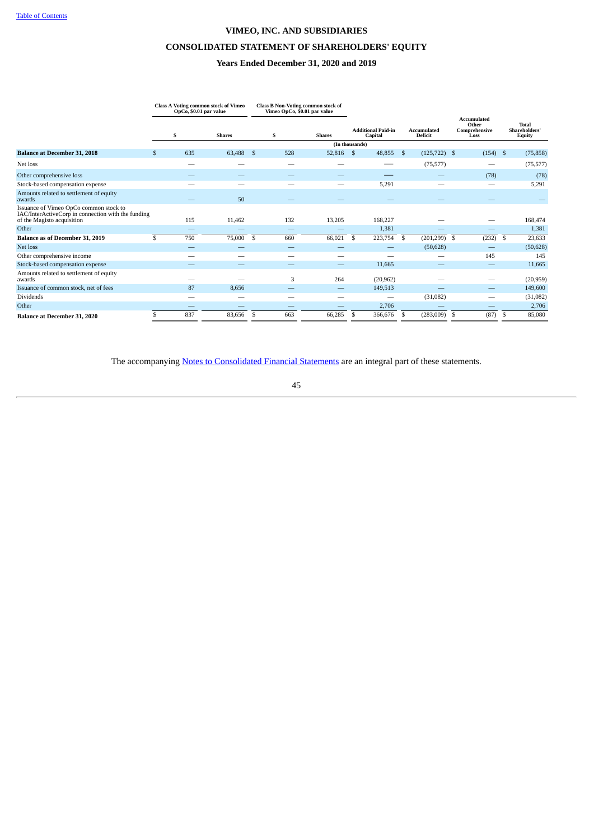# **CONSOLIDATED STATEMENT OF SHAREHOLDERS' EQUITY**

# **Years Ended December 31, 2020 and 2019**

|                                                                                                                            |     | OpCo, \$0.01 par value   | <b>Class A Voting common stock of Vimeo</b> |     |                          | <b>Class B Non-Voting common stock of</b><br>Vimeo OpCo, \$0.01 par value |      |                                      |    |                               |      |                                                      |      |                                                |
|----------------------------------------------------------------------------------------------------------------------------|-----|--------------------------|---------------------------------------------|-----|--------------------------|---------------------------------------------------------------------------|------|--------------------------------------|----|-------------------------------|------|------------------------------------------------------|------|------------------------------------------------|
|                                                                                                                            |     | \$                       | <b>Shares</b>                               |     | \$                       | <b>Shares</b>                                                             |      | <b>Additional Paid-in</b><br>Capital |    | <b>Accumulated</b><br>Deficit |      | <b>Accumulated</b><br>Other<br>Comprehensive<br>Loss |      | <b>Total</b><br>Shareholders'<br><b>Equity</b> |
|                                                                                                                            |     |                          |                                             |     |                          | (In thousands)                                                            |      |                                      |    |                               |      |                                                      |      |                                                |
| <b>Balance at December 31, 2018</b>                                                                                        | \$. | 635                      | 63,488                                      | -\$ | 528                      | 52,816                                                                    | - \$ | 48,855                               | -S | (125, 722)                    | - \$ | (154)                                                | - \$ | (75, 858)                                      |
| Net loss                                                                                                                   |     | $\overline{\phantom{a}}$ |                                             |     | $\overline{\phantom{a}}$ |                                                                           |      |                                      |    | (75, 577)                     |      |                                                      |      | (75, 577)                                      |
| Other comprehensive loss                                                                                                   |     |                          |                                             |     | _                        | -                                                                         |      |                                      |    |                               |      | (78)                                                 |      | (78)                                           |
| Stock-based compensation expense                                                                                           |     | -                        | -                                           |     | -                        | -                                                                         |      | 5,291                                |    |                               |      | $\overline{\phantom{a}}$                             |      | 5,291                                          |
| Amounts related to settlement of equity<br>awards                                                                          |     |                          | 50                                          |     |                          |                                                                           |      |                                      |    |                               |      |                                                      |      |                                                |
| Issuance of Vimeo OpCo common stock to<br>IAC/InterActiveCorp in connection with the funding<br>of the Magisto acquisition |     | 115                      | 11,462                                      |     | 132                      | 13,205                                                                    |      | 168,227                              |    |                               |      |                                                      |      | 168,474                                        |
| Other                                                                                                                      |     |                          |                                             |     |                          |                                                                           |      | 1,381                                |    |                               |      |                                                      |      | 1,381                                          |
| Balance as of December 31, 2019                                                                                            | \$. | 750                      | 75,000                                      | \$  | 660                      | 66,021                                                                    | \$   | 223,754                              | \$ | (201, 299)                    | - \$ | (232)                                                | -\$  | 23,633                                         |
| Net loss                                                                                                                   |     |                          |                                             |     | $\overline{\phantom{a}}$ |                                                                           |      |                                      |    | (50, 628)                     |      |                                                      |      | (50, 628)                                      |
| Other comprehensive income                                                                                                 |     |                          |                                             |     |                          |                                                                           |      |                                      |    |                               |      | 145                                                  |      | 145                                            |
| Stock-based compensation expense                                                                                           |     |                          |                                             |     |                          | $\overline{\phantom{a}}$                                                  |      | 11,665                               |    |                               |      |                                                      |      | 11,665                                         |
| Amounts related to settlement of equity<br>awards                                                                          |     |                          |                                             |     | 3                        | 264                                                                       |      | (20, 962)                            |    |                               |      |                                                      |      | (20, 959)                                      |
| Issuance of common stock, net of fees                                                                                      |     | 87                       | 8,656                                       |     | $\overline{\phantom{a}}$ |                                                                           |      | 149,513                              |    |                               |      |                                                      |      | 149,600                                        |
| Dividends                                                                                                                  |     | -                        |                                             |     |                          | -                                                                         |      | -                                    |    | (31,082)                      |      |                                                      |      | (31,082)                                       |
| Other                                                                                                                      |     | -                        |                                             |     | -                        |                                                                           |      | 2,706                                |    |                               |      |                                                      |      | 2,706                                          |
| <b>Balance at December 31, 2020</b>                                                                                        |     | 837                      | 83,656                                      | \$  | 663                      | 66,285                                                                    | \$   | 366,676                              | \$ | $(283,009)$ \$                |      | (87)                                                 | -\$  | 85,080                                         |

The accompanying **Notes to [Consolidated](#page-49-0) Financial Statements** are an integral part of these statements.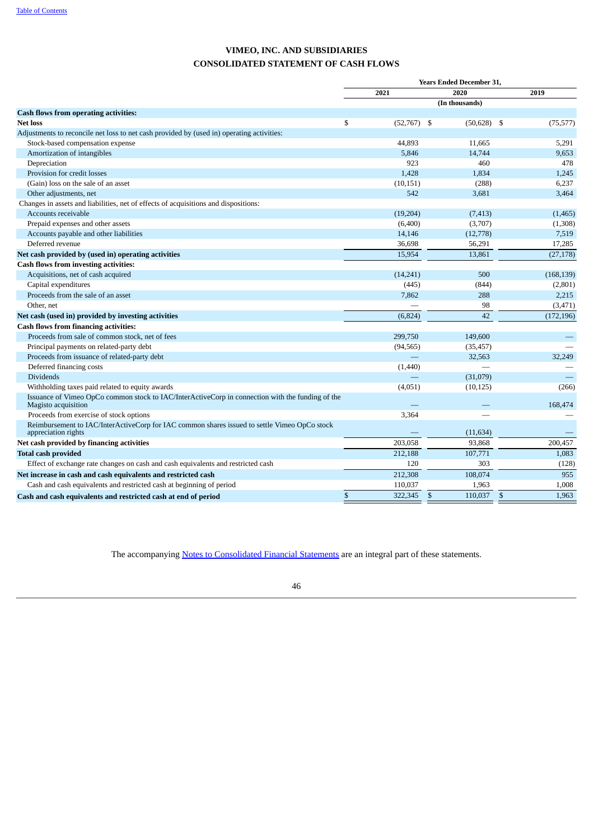# **VIMEO, INC. AND SUBSIDIARIES CONSOLIDATED STATEMENT OF CASH FLOWS**

|                                                                                                                         |              |               |               | <b>Years Ended December 31,</b> |              |            |  |  |
|-------------------------------------------------------------------------------------------------------------------------|--------------|---------------|---------------|---------------------------------|--------------|------------|--|--|
|                                                                                                                         | 2021         |               | 2020          |                                 |              | 2019       |  |  |
|                                                                                                                         |              |               |               | (In thousands)                  |              |            |  |  |
| <b>Cash flows from operating activities:</b>                                                                            |              |               |               |                                 |              |            |  |  |
| <b>Net loss</b>                                                                                                         | \$           | $(52,767)$ \$ |               | $(50,628)$ \$                   |              | (75, 577)  |  |  |
| Adjustments to reconcile net loss to net cash provided by (used in) operating activities:                               |              |               |               |                                 |              |            |  |  |
| Stock-based compensation expense                                                                                        |              | 44,893        |               | 11.665                          |              | 5,291      |  |  |
| Amortization of intangibles                                                                                             |              | 5,846         |               | 14,744                          |              | 9,653      |  |  |
| Depreciation                                                                                                            |              | 923           |               | 460                             |              | 478        |  |  |
| Provision for credit losses                                                                                             |              | 1,428         |               | 1,834                           |              | 1,245      |  |  |
| (Gain) loss on the sale of an asset                                                                                     |              | (10, 151)     |               | (288)                           |              | 6,237      |  |  |
| Other adjustments, net                                                                                                  |              | 542           |               | 3,681                           |              | 3,464      |  |  |
| Changes in assets and liabilities, net of effects of acquisitions and dispositions:                                     |              |               |               |                                 |              |            |  |  |
| Accounts receivable                                                                                                     |              | (19,204)      |               | (7, 413)                        |              | (1,465)    |  |  |
| Prepaid expenses and other assets                                                                                       |              | (6,400)       |               | (3,707)                         |              | (1,308)    |  |  |
| Accounts payable and other liabilities                                                                                  |              | 14,146        |               | (12,778)                        |              | 7,519      |  |  |
| Deferred revenue                                                                                                        |              | 36,698        |               | 56,291                          |              | 17,285     |  |  |
| Net cash provided by (used in) operating activities                                                                     |              | 15,954        |               | 13,861                          |              | (27, 178)  |  |  |
| <b>Cash flows from investing activities:</b>                                                                            |              |               |               |                                 |              |            |  |  |
| Acquisitions, net of cash acquired                                                                                      |              | (14, 241)     |               | 500                             |              | (168, 139) |  |  |
| Capital expenditures                                                                                                    |              | (445)         |               | (844)                           |              | (2,801)    |  |  |
| Proceeds from the sale of an asset                                                                                      |              | 7,862         |               | 288                             |              | 2,215      |  |  |
| Other, net                                                                                                              |              |               |               | 98                              |              | (3, 471)   |  |  |
| Net cash (used in) provided by investing activities                                                                     |              | (6, 824)      |               | 42                              |              | (172, 196) |  |  |
| <b>Cash flows from financing activities:</b>                                                                            |              |               |               |                                 |              |            |  |  |
| Proceeds from sale of common stock, net of fees                                                                         |              | 299,750       |               | 149,600                         |              |            |  |  |
| Principal payments on related-party debt                                                                                |              | (94, 565)     |               | (35, 457)                       |              |            |  |  |
| Proceeds from issuance of related-party debt                                                                            |              |               |               | 32,563                          |              | 32.249     |  |  |
| Deferred financing costs                                                                                                |              | (1,440)       |               |                                 |              |            |  |  |
| Dividends                                                                                                               |              |               |               | (31,079)                        |              |            |  |  |
| Withholding taxes paid related to equity awards                                                                         |              | (4,051)       |               | (10, 125)                       |              | (266)      |  |  |
| Issuance of Vimeo OpCo common stock to IAC/InterActiveCorp in connection with the funding of the<br>Magisto acquisition |              |               |               |                                 |              | 168,474    |  |  |
| Proceeds from exercise of stock options                                                                                 |              | 3,364         |               |                                 |              |            |  |  |
| Reimbursement to IAC/InterActiveCorp for IAC common shares issued to settle Vimeo OpCo stock<br>appreciation rights     |              |               |               | (11, 634)                       |              |            |  |  |
| Net cash provided by financing activities                                                                               |              | 203,058       |               | 93,868                          |              | 200,457    |  |  |
| <b>Total cash provided</b>                                                                                              |              | 212,188       |               | 107,771                         |              | 1,083      |  |  |
| Effect of exchange rate changes on cash and cash equivalents and restricted cash                                        |              | 120           |               | 303                             |              | (128)      |  |  |
| Net increase in cash and cash equivalents and restricted cash                                                           |              | 212,308       |               | 108,074                         |              | 955        |  |  |
| Cash and cash equivalents and restricted cash at beginning of period                                                    |              | 110,037       |               | 1,963                           |              | 1,008      |  |  |
| Cash and cash equivalents and restricted cash at end of period                                                          | $\mathbb{S}$ | 322,345       | $\mathcal{S}$ | 110,037                         | $\mathbb{S}$ | 1,963      |  |  |

<span id="page-49-0"></span>The accompanying **Notes to [Consolidated](#page-49-0) Financial Statements** are an integral part of these statements.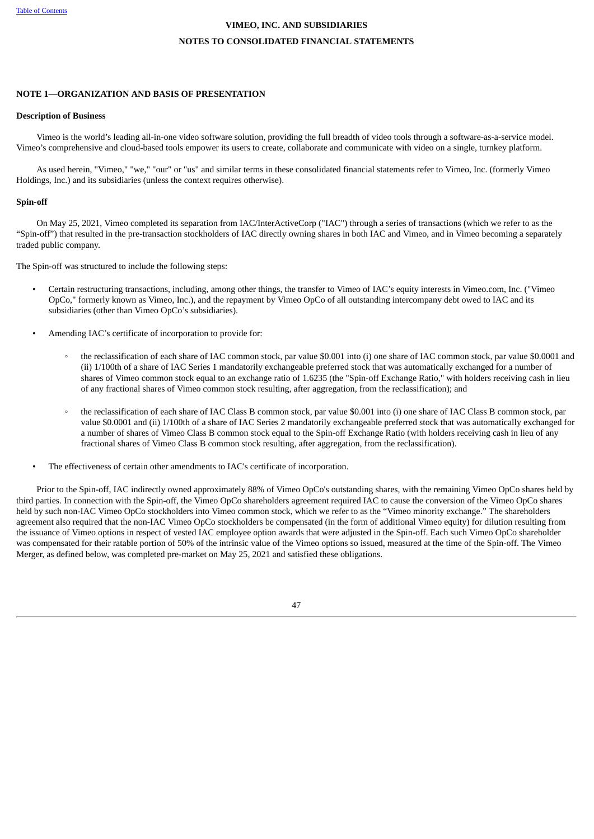### **NOTES TO CONSOLIDATED FINANCIAL STATEMENTS**

### <span id="page-50-0"></span>**NOTE 1—ORGANIZATION AND BASIS OF PRESENTATION**

#### **Description of Business**

Vimeo is the world's leading all-in-one video software solution, providing the full breadth of video tools through a software-as-a-service model. Vimeo's comprehensive and cloud-based tools empower its users to create, collaborate and communicate with video on a single, turnkey platform.

As used herein, "Vimeo," "we," "our" or "us" and similar terms in these consolidated financial statements refer to Vimeo, Inc. (formerly Vimeo Holdings, Inc.) and its subsidiaries (unless the context requires otherwise).

#### **Spin-off**

On May 25, 2021, Vimeo completed its separation from IAC/InterActiveCorp ("IAC") through a series of transactions (which we refer to as the "Spin-off") that resulted in the pre-transaction stockholders of IAC directly owning shares in both IAC and Vimeo, and in Vimeo becoming a separately traded public company.

The Spin-off was structured to include the following steps:

- Certain restructuring transactions, including, among other things, the transfer to Vimeo of IAC's equity interests in Vimeo.com, Inc. ("Vimeo OpCo," formerly known as Vimeo, Inc.), and the repayment by Vimeo OpCo of all outstanding intercompany debt owed to IAC and its subsidiaries (other than Vimeo OpCo's subsidiaries).
- Amending IAC's certificate of incorporation to provide for:
	- the reclassification of each share of IAC common stock, par value \$0.001 into (i) one share of IAC common stock, par value \$0.0001 and (ii) 1/100th of a share of IAC Series 1 mandatorily exchangeable preferred stock that was automatically exchanged for a number of shares of Vimeo common stock equal to an exchange ratio of 1.6235 (the "Spin-off Exchange Ratio," with holders receiving cash in lieu of any fractional shares of Vimeo common stock resulting, after aggregation, from the reclassification); and
	- the reclassification of each share of IAC Class B common stock, par value \$0.001 into (i) one share of IAC Class B common stock, par value \$0.0001 and (ii) 1/100th of a share of IAC Series 2 mandatorily exchangeable preferred stock that was automatically exchanged for a number of shares of Vimeo Class B common stock equal to the Spin-off Exchange Ratio (with holders receiving cash in lieu of any fractional shares of Vimeo Class B common stock resulting, after aggregation, from the reclassification).
	- The effectiveness of certain other amendments to IAC's certificate of incorporation.

Prior to the Spin-off, IAC indirectly owned approximately 88% of Vimeo OpCo's outstanding shares, with the remaining Vimeo OpCo shares held by third parties. In connection with the Spin-off, the Vimeo OpCo shareholders agreement required IAC to cause the conversion of the Vimeo OpCo shares held by such non-IAC Vimeo OpCo stockholders into Vimeo common stock, which we refer to as the "Vimeo minority exchange." The shareholders agreement also required that the non-IAC Vimeo OpCo stockholders be compensated (in the form of additional Vimeo equity) for dilution resulting from the issuance of Vimeo options in respect of vested IAC employee option awards that were adjusted in the Spin-off. Each such Vimeo OpCo shareholder was compensated for their ratable portion of 50% of the intrinsic value of the Vimeo options so issued, measured at the time of the Spin-off. The Vimeo Merger, as defined below, was completed pre-market on May 25, 2021 and satisfied these obligations.

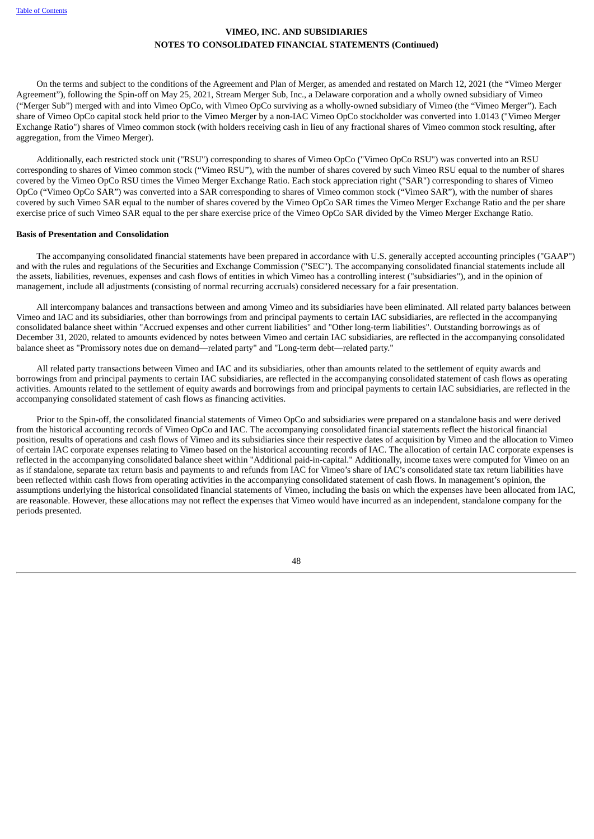On the terms and subject to the conditions of the Agreement and Plan of Merger, as amended and restated on March 12, 2021 (the "Vimeo Merger Agreement"), following the Spin-off on May 25, 2021, Stream Merger Sub, Inc., a Delaware corporation and a wholly owned subsidiary of Vimeo ("Merger Sub") merged with and into Vimeo OpCo, with Vimeo OpCo surviving as a wholly-owned subsidiary of Vimeo (the "Vimeo Merger"). Each share of Vimeo OpCo capital stock held prior to the Vimeo Merger by a non-IAC Vimeo OpCo stockholder was converted into 1.0143 ("Vimeo Merger Exchange Ratio") shares of Vimeo common stock (with holders receiving cash in lieu of any fractional shares of Vimeo common stock resulting, after aggregation, from the Vimeo Merger).

Additionally, each restricted stock unit ("RSU") corresponding to shares of Vimeo OpCo ("Vimeo OpCo RSU") was converted into an RSU corresponding to shares of Vimeo common stock ("Vimeo RSU"), with the number of shares covered by such Vimeo RSU equal to the number of shares covered by the Vimeo OpCo RSU times the Vimeo Merger Exchange Ratio. Each stock appreciation right ("SAR") corresponding to shares of Vimeo OpCo ("Vimeo OpCo SAR") was converted into a SAR corresponding to shares of Vimeo common stock ("Vimeo SAR"), with the number of shares covered by such Vimeo SAR equal to the number of shares covered by the Vimeo OpCo SAR times the Vimeo Merger Exchange Ratio and the per share exercise price of such Vimeo SAR equal to the per share exercise price of the Vimeo OpCo SAR divided by the Vimeo Merger Exchange Ratio.

### **Basis of Presentation and Consolidation**

The accompanying consolidated financial statements have been prepared in accordance with U.S. generally accepted accounting principles ("GAAP") and with the rules and regulations of the Securities and Exchange Commission ("SEC"). The accompanying consolidated financial statements include all the assets, liabilities, revenues, expenses and cash flows of entities in which Vimeo has a controlling interest ("subsidiaries"), and in the opinion of management, include all adjustments (consisting of normal recurring accruals) considered necessary for a fair presentation.

All intercompany balances and transactions between and among Vimeo and its subsidiaries have been eliminated. All related party balances between Vimeo and IAC and its subsidiaries, other than borrowings from and principal payments to certain IAC subsidiaries, are reflected in the accompanying consolidated balance sheet within "Accrued expenses and other current liabilities" and "Other long-term liabilities". Outstanding borrowings as of December 31, 2020, related to amounts evidenced by notes between Vimeo and certain IAC subsidiaries, are reflected in the accompanying consolidated balance sheet as "Promissory notes due on demand—related party" and "Long-term debt—related party."

All related party transactions between Vimeo and IAC and its subsidiaries, other than amounts related to the settlement of equity awards and borrowings from and principal payments to certain IAC subsidiaries, are reflected in the accompanying consolidated statement of cash flows as operating activities. Amounts related to the settlement of equity awards and borrowings from and principal payments to certain IAC subsidiaries, are reflected in the accompanying consolidated statement of cash flows as financing activities.

<span id="page-51-0"></span>Prior to the Spin-off, the consolidated financial statements of Vimeo OpCo and subsidiaries were prepared on a standalone basis and were derived from the historical accounting records of Vimeo OpCo and IAC. The accompanying consolidated financial statements reflect the historical financial position, results of operations and cash flows of Vimeo and its subsidiaries since their respective dates of acquisition by Vimeo and the allocation to Vimeo of certain IAC corporate expenses relating to Vimeo based on the historical accounting records of IAC. The allocation of certain IAC corporate expenses is reflected in the accompanying consolidated balance sheet within "Additional paid-in-capital." Additionally, income taxes were computed for Vimeo on an as if standalone, separate tax return basis and payments to and refunds from IAC for Vimeo's share of IAC's consolidated state tax return liabilities have been reflected within cash flows from operating activities in the accompanying consolidated statement of cash flows. In management's opinion, the assumptions underlying the historical consolidated financial statements of Vimeo, including the basis on which the expenses have been allocated from IAC, are reasonable. However, these allocations may not reflect the expenses that Vimeo would have incurred as an independent, standalone company for the periods presented.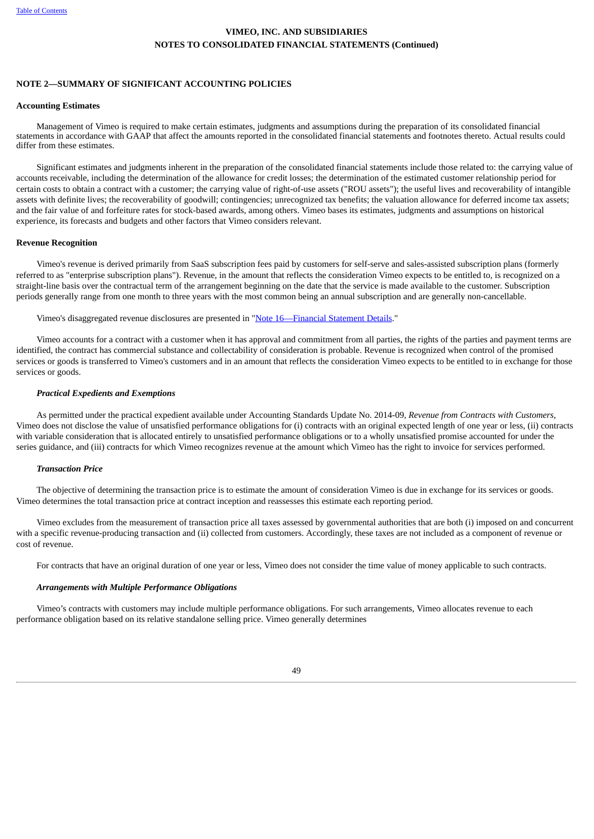### **NOTE 2—SUMMARY OF SIGNIFICANT ACCOUNTING POLICIES**

#### **Accounting Estimates**

Management of Vimeo is required to make certain estimates, judgments and assumptions during the preparation of its consolidated financial statements in accordance with GAAP that affect the amounts reported in the consolidated financial statements and footnotes thereto. Actual results could differ from these estimates.

Significant estimates and judgments inherent in the preparation of the consolidated financial statements include those related to: the carrying value of accounts receivable, including the determination of the allowance for credit losses; the determination of the estimated customer relationship period for certain costs to obtain a contract with a customer; the carrying value of right-of-use assets ("ROU assets"); the useful lives and recoverability of intangible assets with definite lives; the recoverability of goodwill; contingencies; unrecognized tax benefits; the valuation allowance for deferred income tax assets; and the fair value of and forfeiture rates for stock-based awards, among others. Vimeo bases its estimates, judgments and assumptions on historical experience, its forecasts and budgets and other factors that Vimeo considers relevant.

#### **Revenue Recognition**

Vimeo's revenue is derived primarily from SaaS subscription fees paid by customers for self-serve and sales-assisted subscription plans (formerly referred to as "enterprise subscription plans"). Revenue, in the amount that reflects the consideration Vimeo expects to be entitled to, is recognized on a straight-line basis over the contractual term of the arrangement beginning on the date that the service is made available to the customer. Subscription periods generally range from one month to three years with the most common being an annual subscription and are generally non-cancellable.

Vimeo's disaggregated revenue disclosures are presented in "Note [16—F](#page-75-0)inancial [Statement](#page-75-0) Details."

Vimeo accounts for a contract with a customer when it has approval and commitment from all parties, the rights of the parties and payment terms are identified, the contract has commercial substance and collectability of consideration is probable. Revenue is recognized when control of the promised services or goods is transferred to Vimeo's customers and in an amount that reflects the consideration Vimeo expects to be entitled to in exchange for those services or goods.

#### *Practical Expedients and Exemptions*

As permitted under the practical expedient available under Accounting Standards Update No. 2014-09, *Revenue from Contracts with Customers,* Vimeo does not disclose the value of unsatisfied performance obligations for (i) contracts with an original expected length of one year or less, (ii) contracts with variable consideration that is allocated entirely to unsatisfied performance obligations or to a wholly unsatisfied promise accounted for under the series guidance, and (iii) contracts for which Vimeo recognizes revenue at the amount which Vimeo has the right to invoice for services performed.

### *Transaction Price*

The objective of determining the transaction price is to estimate the amount of consideration Vimeo is due in exchange for its services or goods. Vimeo determines the total transaction price at contract inception and reassesses this estimate each reporting period.

Vimeo excludes from the measurement of transaction price all taxes assessed by governmental authorities that are both (i) imposed on and concurrent with a specific revenue-producing transaction and (ii) collected from customers. Accordingly, these taxes are not included as a component of revenue or cost of revenue.

For contracts that have an original duration of one year or less, Vimeo does not consider the time value of money applicable to such contracts.

### *Arrangements with Multiple Performance Obligations*

Vimeo's contracts with customers may include multiple performance obligations. For such arrangements, Vimeo allocates revenue to each performance obligation based on its relative standalone selling price. Vimeo generally determines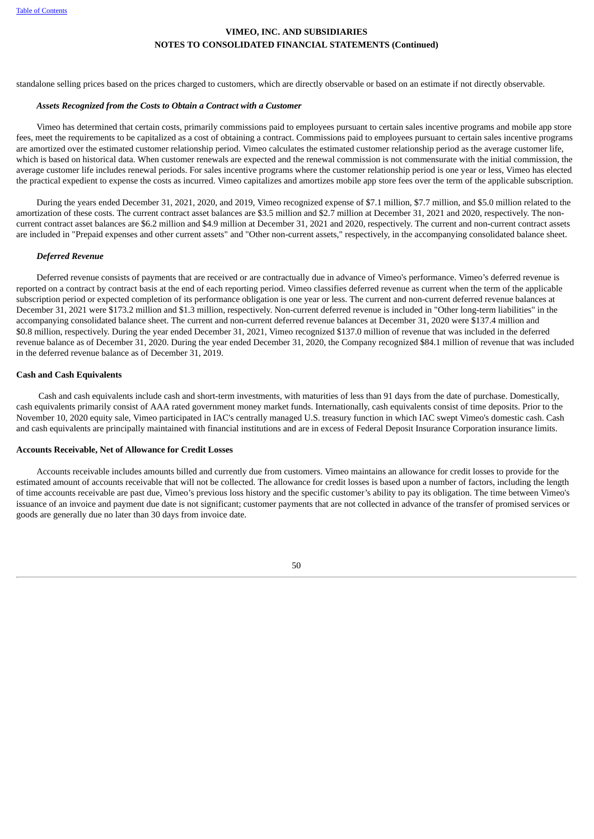standalone selling prices based on the prices charged to customers, which are directly observable or based on an estimate if not directly observable.

#### *Assets Recognized from the Costs to Obtain a Contract with a Customer*

Vimeo has determined that certain costs, primarily commissions paid to employees pursuant to certain sales incentive programs and mobile app store fees, meet the requirements to be capitalized as a cost of obtaining a contract. Commissions paid to employees pursuant to certain sales incentive programs are amortized over the estimated customer relationship period. Vimeo calculates the estimated customer relationship period as the average customer life, which is based on historical data. When customer renewals are expected and the renewal commission is not commensurate with the initial commission, the average customer life includes renewal periods. For sales incentive programs where the customer relationship period is one year or less, Vimeo has elected the practical expedient to expense the costs as incurred. Vimeo capitalizes and amortizes mobile app store fees over the term of the applicable subscription.

During the years ended December 31, 2021, 2020, and 2019, Vimeo recognized expense of \$7.1 million, \$7.7 million, and \$5.0 million related to the amortization of these costs. The current contract asset balances are \$3.5 million and \$2.7 million at December 31, 2021 and 2020, respectively. The noncurrent contract asset balances are \$6.2 million and \$4.9 million at December 31, 2021 and 2020, respectively. The current and non-current contract assets are included in "Prepaid expenses and other current assets" and "Other non-current assets," respectively, in the accompanying consolidated balance sheet.

#### *Deferred Revenue*

Deferred revenue consists of payments that are received or are contractually due in advance of Vimeo's performance. Vimeo's deferred revenue is reported on a contract by contract basis at the end of each reporting period. Vimeo classifies deferred revenue as current when the term of the applicable subscription period or expected completion of its performance obligation is one year or less. The current and non-current deferred revenue balances at December 31, 2021 were \$173.2 million and \$1.3 million, respectively. Non-current deferred revenue is included in "Other long-term liabilities" in the accompanying consolidated balance sheet. The current and non-current deferred revenue balances at December 31, 2020 were \$137.4 million and \$0.8 million, respectively. During the year ended December 31, 2021, Vimeo recognized \$137.0 million of revenue that was included in the deferred revenue balance as of December 31, 2020. During the year ended December 31, 2020, the Company recognized \$84.1 million of revenue that was included in the deferred revenue balance as of December 31, 2019.

### **Cash and Cash Equivalents**

Cash and cash equivalents include cash and short-term investments, with maturities of less than 91 days from the date of purchase. Domestically, cash equivalents primarily consist of AAA rated government money market funds. Internationally, cash equivalents consist of time deposits. Prior to the November 10, 2020 equity sale, Vimeo participated in IAC's centrally managed U.S. treasury function in which IAC swept Vimeo's domestic cash. Cash and cash equivalents are principally maintained with financial institutions and are in excess of Federal Deposit Insurance Corporation insurance limits.

#### **Accounts Receivable, Net of Allowance for Credit Losses**

Accounts receivable includes amounts billed and currently due from customers. Vimeo maintains an allowance for credit losses to provide for the estimated amount of accounts receivable that will not be collected. The allowance for credit losses is based upon a number of factors, including the length of time accounts receivable are past due, Vimeo's previous loss history and the specific customer's ability to pay its obligation. The time between Vimeo's issuance of an invoice and payment due date is not significant; customer payments that are not collected in advance of the transfer of promised services or goods are generally due no later than 30 days from invoice date.

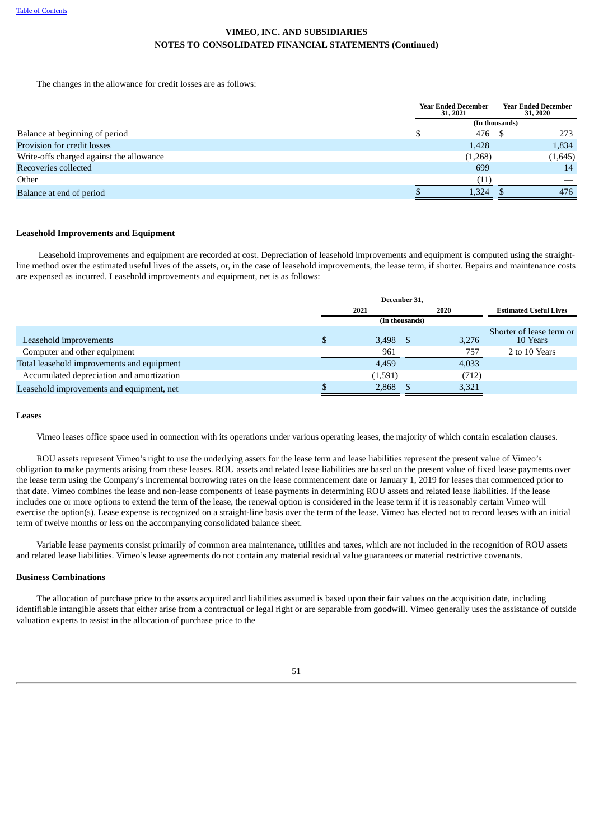The changes in the allowance for credit losses are as follows:

|                                          | <b>Year Ended December</b><br>31, 2021 | <b>Year Ended December</b><br>31, 2020 |
|------------------------------------------|----------------------------------------|----------------------------------------|
|                                          |                                        | (In thousands)                         |
| Balance at beginning of period           | 476 \$<br>ъĐ                           | 273                                    |
| Provision for credit losses              | 1,428                                  | 1,834                                  |
| Write-offs charged against the allowance | (1,268)                                | (1,645)                                |
| Recoveries collected                     | 699                                    | 14                                     |
| Other                                    | (11)                                   |                                        |
| Balance at end of period                 | 1.324                                  | 476                                    |

### **Leasehold Improvements and Equipment**

Leasehold improvements and equipment are recorded at cost. Depreciation of leasehold improvements and equipment is computed using the straightline method over the estimated useful lives of the assets, or, in the case of leasehold improvements, the lease term, if shorter. Repairs and maintenance costs are expensed as incurred. Leasehold improvements and equipment, net is as follows:

|                                            | December 31, |         |                |       |                                      |  |  |
|--------------------------------------------|--------------|---------|----------------|-------|--------------------------------------|--|--|
|                                            | 2021         |         |                | 2020  | <b>Estimated Useful Lives</b>        |  |  |
|                                            |              |         | (In thousands) |       |                                      |  |  |
| Leasehold improvements                     |              | 3,498   |                | 3,276 | Shorter of lease term or<br>10 Years |  |  |
| Computer and other equipment               |              | 961     |                | 757   | 2 to 10 Years                        |  |  |
| Total leasehold improvements and equipment |              | 4,459   |                | 4,033 |                                      |  |  |
| Accumulated depreciation and amortization  |              | (1,591) |                | (712) |                                      |  |  |
| Leasehold improvements and equipment, net  |              | 2,868   |                | 3,321 |                                      |  |  |

#### **Leases**

Vimeo leases office space used in connection with its operations under various operating leases, the majority of which contain escalation clauses.

ROU assets represent Vimeo's right to use the underlying assets for the lease term and lease liabilities represent the present value of Vimeo's obligation to make payments arising from these leases. ROU assets and related lease liabilities are based on the present value of fixed lease payments over the lease term using the Company's incremental borrowing rates on the lease commencement date or January 1, 2019 for leases that commenced prior to that date. Vimeo combines the lease and non-lease components of lease payments in determining ROU assets and related lease liabilities. If the lease includes one or more options to extend the term of the lease, the renewal option is considered in the lease term if it is reasonably certain Vimeo will exercise the option(s). Lease expense is recognized on a straight-line basis over the term of the lease. Vimeo has elected not to record leases with an initial term of twelve months or less on the accompanying consolidated balance sheet.

Variable lease payments consist primarily of common area maintenance, utilities and taxes, which are not included in the recognition of ROU assets and related lease liabilities. Vimeo's lease agreements do not contain any material residual value guarantees or material restrictive covenants.

### **Business Combinations**

The allocation of purchase price to the assets acquired and liabilities assumed is based upon their fair values on the acquisition date, including identifiable intangible assets that either arise from a contractual or legal right or are separable from goodwill. Vimeo generally uses the assistance of outside valuation experts to assist in the allocation of purchase price to the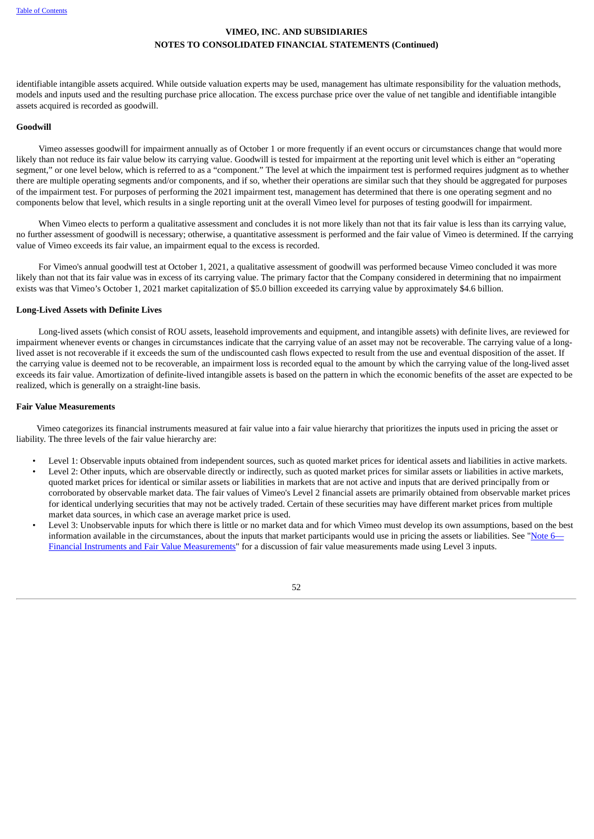identifiable intangible assets acquired. While outside valuation experts may be used, management has ultimate responsibility for the valuation methods, models and inputs used and the resulting purchase price allocation. The excess purchase price over the value of net tangible and identifiable intangible assets acquired is recorded as goodwill.

### **Goodwill**

Vimeo assesses goodwill for impairment annually as of October 1 or more frequently if an event occurs or circumstances change that would more likely than not reduce its fair value below its carrying value. Goodwill is tested for impairment at the reporting unit level which is either an "operating segment," or one level below, which is referred to as a "component." The level at which the impairment test is performed requires judgment as to whether there are multiple operating segments and/or components, and if so, whether their operations are similar such that they should be aggregated for purposes of the impairment test. For purposes of performing the 2021 impairment test, management has determined that there is one operating segment and no components below that level, which results in a single reporting unit at the overall Vimeo level for purposes of testing goodwill for impairment.

When Vimeo elects to perform a qualitative assessment and concludes it is not more likely than not that its fair value is less than its carrying value, no further assessment of goodwill is necessary; otherwise, a quantitative assessment is performed and the fair value of Vimeo is determined. If the carrying value of Vimeo exceeds its fair value, an impairment equal to the excess is recorded.

For Vimeo's annual goodwill test at October 1, 2021, a qualitative assessment of goodwill was performed because Vimeo concluded it was more likely than not that its fair value was in excess of its carrying value. The primary factor that the Company considered in determining that no impairment exists was that Vimeo's October 1, 2021 market capitalization of \$5.0 billion exceeded its carrying value by approximately \$4.6 billion.

### **Long-Lived Assets with Definite Lives**

Long-lived assets (which consist of ROU assets, leasehold improvements and equipment, and intangible assets) with definite lives, are reviewed for impairment whenever events or changes in circumstances indicate that the carrying value of an asset may not be recoverable. The carrying value of a longlived asset is not recoverable if it exceeds the sum of the undiscounted cash flows expected to result from the use and eventual disposition of the asset. If the carrying value is deemed not to be recoverable, an impairment loss is recorded equal to the amount by which the carrying value of the long-lived asset exceeds its fair value. Amortization of definite-lived intangible assets is based on the pattern in which the economic benefits of the asset are expected to be realized, which is generally on a straight-line basis.

### **Fair Value Measurements**

Vimeo categorizes its financial instruments measured at fair value into a fair value hierarchy that prioritizes the inputs used in pricing the asset or liability. The three levels of the fair value hierarchy are:

- Level 1: Observable inputs obtained from independent sources, such as quoted market prices for identical assets and liabilities in active markets.
- Level 2: Other inputs, which are observable directly or indirectly, such as quoted market prices for similar assets or liabilities in active markets, quoted market prices for identical or similar assets or liabilities in markets that are not active and inputs that are derived principally from or corroborated by observable market data. The fair values of Vimeo's Level 2 financial assets are primarily obtained from observable market prices for identical underlying securities that may not be actively traded. Certain of these securities may have different market prices from multiple market data sources, in which case an average market price is used.
- Level 3: Unobservable inputs for which there is little or no market data and for which Vimeo must develop its own assumptions, based on the best information available in the circumstances, about the inputs that market participants would use in pricing the assets or liabilities. See ["Note](#page-51-0) [6](#page-51-0)-Financial Instruments and Fair Value [Measurements"](#page-51-0) for a discussion of fair value measurements made using Level 3 inputs.

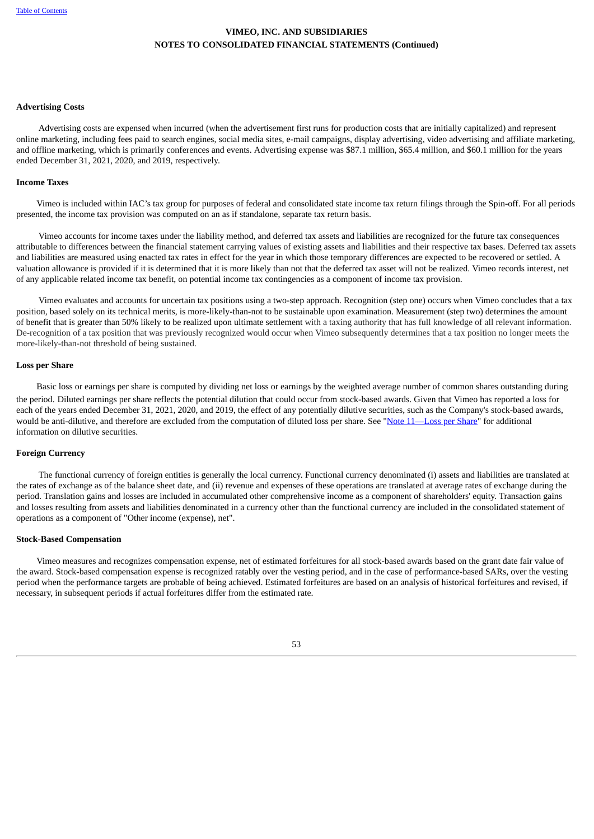### **Advertising Costs**

Advertising costs are expensed when incurred (when the advertisement first runs for production costs that are initially capitalized) and represent online marketing, including fees paid to search engines, social media sites, e-mail campaigns, display advertising, video advertising and affiliate marketing, and offline marketing, which is primarily conferences and events. Advertising expense was \$87.1 million, \$65.4 million, and \$60.1 million for the years ended December 31, 2021, 2020, and 2019, respectively.

### **Income Taxes**

Vimeo is included within IAC's tax group for purposes of federal and consolidated state income tax return filings through the Spin-off. For all periods presented, the income tax provision was computed on an as if standalone, separate tax return basis.

Vimeo accounts for income taxes under the liability method, and deferred tax assets and liabilities are recognized for the future tax consequences attributable to differences between the financial statement carrying values of existing assets and liabilities and their respective tax bases. Deferred tax assets and liabilities are measured using enacted tax rates in effect for the year in which those temporary differences are expected to be recovered or settled. A valuation allowance is provided if it is determined that it is more likely than not that the deferred tax asset will not be realized. Vimeo records interest, net of any applicable related income tax benefit, on potential income tax contingencies as a component of income tax provision.

Vimeo evaluates and accounts for uncertain tax positions using a two-step approach. Recognition (step one) occurs when Vimeo concludes that a tax position, based solely on its technical merits, is more-likely-than-not to be sustainable upon examination. Measurement (step two) determines the amount of benefit that is greater than 50% likely to be realized upon ultimate settlement with a taxing authority that has full knowledge of all relevant information. De-recognition of a tax position that was previously recognized would occur when Vimeo subsequently determines that a tax position no longer meets the more-likely-than-not threshold of being sustained.

### **Loss per Share**

Basic loss or earnings per share is computed by dividing net loss or earnings by the weighted average number of common shares outstanding during the period. Diluted earnings per share reflects the potential dilution that could occur from stock-based awards. Given that Vimeo has reported a loss for each of the years ended December 31, 2021, 2020, and 2019, the effect of any potentially dilutive securities, such as the Company's stock-based awards, would be anti-dilutive, and therefore are excluded from the computation of diluted loss per share. See "Note [11—Loss](#page-67-0) per Share" for additional information on dilutive securities.

### **Foreign Currency**

The functional currency of foreign entities is generally the local currency. Functional currency denominated (i) assets and liabilities are translated at the rates of exchange as of the balance sheet date, and (ii) revenue and expenses of these operations are translated at average rates of exchange during the period. Translation gains and losses are included in accumulated other comprehensive income as a component of shareholders' equity. Transaction gains and losses resulting from assets and liabilities denominated in a currency other than the functional currency are included in the consolidated statement of operations as a component of "Other income (expense), net".

### **Stock-Based Compensation**

Vimeo measures and recognizes compensation expense, net of estimated forfeitures for all stock‑based awards based on the grant date fair value of the award. Stock-based compensation expense is recognized ratably over the vesting period, and in the case of performance-based SARs, over the vesting period when the performance targets are probable of being achieved. Estimated forfeitures are based on an analysis of historical forfeitures and revised, if necessary, in subsequent periods if actual forfeitures differ from the estimated rate.

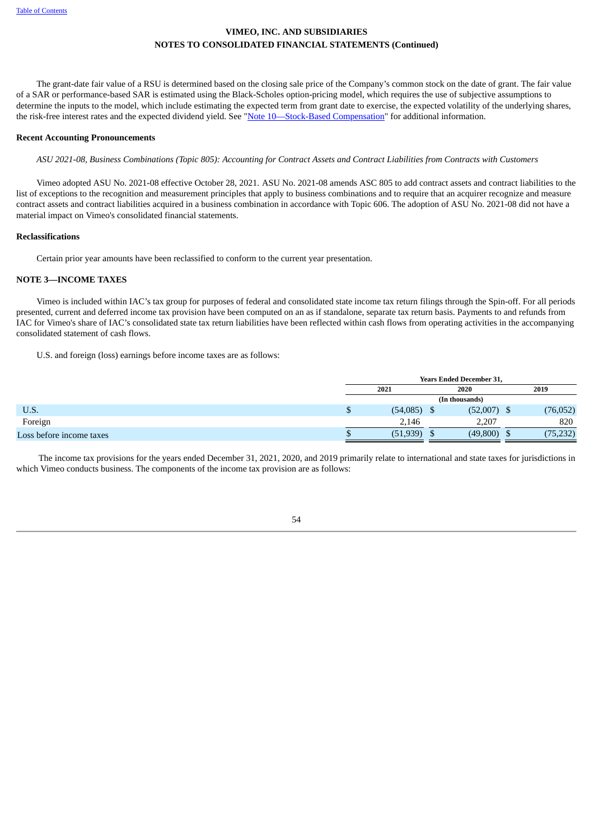The grant-date fair value of a RSU is determined based on the closing sale price of the Company's common stock on the date of grant. The fair value of a SAR or performance-based SAR is estimated using the Black‑Scholes option‑pricing model, which requires the use of subjective assumptions to determine the inputs to the model, which include estimating the expected term from grant date to exercise, the expected volatility of the underlying shares, the risk‑free interest rates and the expected dividend yield. See "Note [10—Stock-Based](#page-64-0) Compensation" for additional information.

### **Recent Accounting Pronouncements**

ASU 2021-08, Business Combinations (Topic 805): Accounting for Contract Assets and Contract Liabilities from Contracts with Customers

Vimeo adopted ASU No. 2021-08 effective October 28, 2021. ASU No. 2021-08 amends ASC 805 to add contract assets and contract liabilities to the list of exceptions to the recognition and measurement principles that apply to business combinations and to require that an acquirer recognize and measure contract assets and contract liabilities acquired in a business combination in accordance with Topic 606. The adoption of ASU No. 2021-08 did not have a material impact on Vimeo's consolidated financial statements.

#### **Reclassifications**

Certain prior year amounts have been reclassified to conform to the current year presentation.

### <span id="page-57-0"></span>**NOTE 3—INCOME TAXES**

Vimeo is included within IAC's tax group for purposes of federal and consolidated state income tax return filings through the Spin-off. For all periods presented, current and deferred income tax provision have been computed on an as if standalone, separate tax return basis. Payments to and refunds from IAC for Vimeo's share of IAC's consolidated state tax return liabilities have been reflected within cash flows from operating activities in the accompanying consolidated statement of cash flows.

U.S. and foreign (loss) earnings before income taxes are as follows:

|                          |   |                |      | <b>Years Ended December 31,</b> |  |           |  |  |  |  |
|--------------------------|---|----------------|------|---------------------------------|--|-----------|--|--|--|--|
|                          |   | 2021           | 2020 |                                 |  | 2019      |  |  |  |  |
|                          |   | (In thousands) |      |                                 |  |           |  |  |  |  |
| U.S.                     | P | (54,085)       | D    | (52,007)                        |  | (76, 052) |  |  |  |  |
| Foreign                  |   | 2.146          |      | 2,207                           |  | 820       |  |  |  |  |
| Loss before income taxes |   | (51, 939)      |      | (49,800)                        |  | (75, 232) |  |  |  |  |

The income tax provisions for the years ended December 31, 2021, 2020, and 2019 primarily relate to international and state taxes for jurisdictions in which Vimeo conducts business. The components of the income tax provision are as follows:

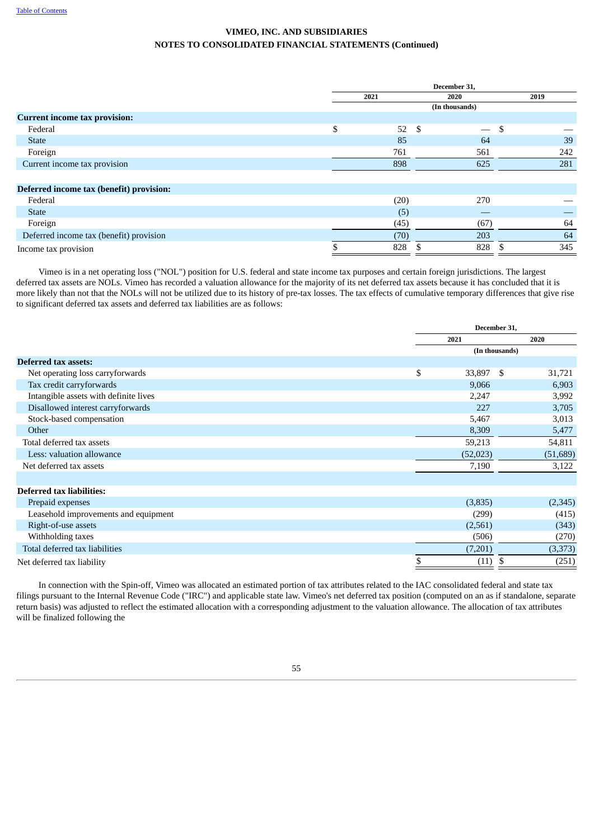|                                          | December 31, |      |                                  |      |     |  |  |  |  |
|------------------------------------------|--------------|------|----------------------------------|------|-----|--|--|--|--|
|                                          |              | 2021 | 2020                             | 2019 |     |  |  |  |  |
|                                          |              |      | (In thousands)                   |      |     |  |  |  |  |
| <b>Current income tax provision:</b>     |              |      |                                  |      |     |  |  |  |  |
| Federal                                  | \$           | 52   | - \$<br>$\overline{\phantom{0}}$ | - \$ |     |  |  |  |  |
| <b>State</b>                             |              | 85   | 64                               |      | 39  |  |  |  |  |
| Foreign                                  |              | 761  | 561                              |      | 242 |  |  |  |  |
| Current income tax provision             |              | 898  | 625                              |      | 281 |  |  |  |  |
|                                          |              |      |                                  |      |     |  |  |  |  |
| Deferred income tax (benefit) provision: |              |      |                                  |      |     |  |  |  |  |
| Federal                                  |              | (20) | 270                              |      |     |  |  |  |  |
| <b>State</b>                             |              | (5)  |                                  |      |     |  |  |  |  |
| Foreign                                  |              | (45) | (67)                             |      | 64  |  |  |  |  |
| Deferred income tax (benefit) provision  |              | (70) | 203                              |      | 64  |  |  |  |  |
| Income tax provision                     |              | 828  | 828                              |      | 345 |  |  |  |  |

Vimeo is in a net operating loss ("NOL") position for U.S. federal and state income tax purposes and certain foreign jurisdictions. The largest deferred tax assets are NOLs. Vimeo has recorded a valuation allowance for the majority of its net deferred tax assets because it has concluded that it is more likely than not that the NOLs will not be utilized due to its history of pre-tax losses. The tax effects of cumulative temporary differences that give rise to significant deferred tax assets and deferred tax liabilities are as follows:

|                                       |                 | December 31,   |          |
|---------------------------------------|-----------------|----------------|----------|
|                                       | 2021            |                | 2020     |
|                                       |                 | (In thousands) |          |
| <b>Deferred tax assets:</b>           |                 |                |          |
| Net operating loss carryforwards      | \$<br>33,897 \$ |                | 31,721   |
| Tax credit carryforwards              | 9,066           |                | 6,903    |
| Intangible assets with definite lives | 2,247           |                | 3,992    |
| Disallowed interest carryforwards     | 227             |                | 3,705    |
| Stock-based compensation              | 5,467           |                | 3,013    |
| Other                                 | 8,309           |                | 5,477    |
| Total deferred tax assets             | 59,213          |                | 54,811   |
| Less: valuation allowance             | (52, 023)       |                | (51,689) |
| Net deferred tax assets               | 7,190           |                | 3,122    |
|                                       |                 |                |          |
| <b>Deferred tax liabilities:</b>      |                 |                |          |
| Prepaid expenses                      | (3,835)         |                | (2,345)  |
| Leasehold improvements and equipment  | (299)           |                | (415)    |
| Right-of-use assets                   | (2,561)         |                | (343)    |
| Withholding taxes                     | (506)           |                | (270)    |
| Total deferred tax liabilities        | (7,201)         |                | (3,373)  |
| Net deferred tax liability            | \$<br>(11)      |                | (251)    |

In connection with the Spin-off, Vimeo was allocated an estimated portion of tax attributes related to the IAC consolidated federal and state tax filings pursuant to the Internal Revenue Code ("IRC") and applicable state law. Vimeo's net deferred tax position (computed on an as if standalone, separate return basis) was adjusted to reflect the estimated allocation with a corresponding adjustment to the valuation allowance. The allocation of tax attributes will be finalized following the

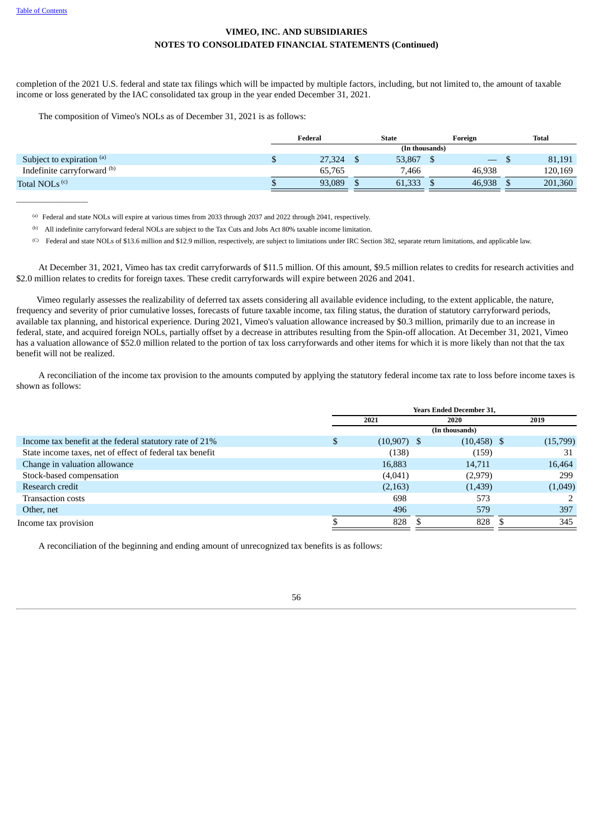$\overline{\phantom{a}}$  , where  $\overline{\phantom{a}}$ 

## **VIMEO, INC. AND SUBSIDIARIES NOTES TO CONSOLIDATED FINANCIAL STATEMENTS (Continued)**

completion of the 2021 U.S. federal and state tax filings which will be impacted by multiple factors, including, but not limited to, the amount of taxable income or loss generated by the IAC consolidated tax group in the year ended December 31, 2021.

The composition of Vimeo's NOLs as of December 31, 2021 is as follows:

|                             | Federal | <b>State</b>   | Foreign                  | Total   |
|-----------------------------|---------|----------------|--------------------------|---------|
|                             |         | (In thousands) |                          |         |
| Subject to expiration (a)   | 27,324  | 53,867         | $\overline{\phantom{0}}$ | 81,191  |
| Indefinite carryforward (b) | 65,765  | 7,466          | 46,938                   | 120,169 |
| Total NOLs <sup>(c)</sup>   | 93,089  | 61,333         | 46,938                   | 201,360 |

Federal and state NOLs will expire at various times from 2033 through 2037 and 2022 through 2041, respectively. (a)

<sup>(b)</sup> All indefinite carryforward federal NOLs are subject to the Tax Cuts and Jobs Act 80% taxable income limitation.

 $\degree$  Federal and state NOLs of \$13.6 million and \$12.9 million, respectively, are subject to limitations under IRC Section 382, separate return limitations, and applicable law.

At December 31, 2021, Vimeo has tax credit carryforwards of \$11.5 million. Of this amount, \$9.5 million relates to credits for research activities and \$2.0 million relates to credits for foreign taxes. These credit carryforwards will expire between 2026 and 2041.

Vimeo regularly assesses the realizability of deferred tax assets considering all available evidence including, to the extent applicable, the nature, frequency and severity of prior cumulative losses, forecasts of future taxable income, tax filing status, the duration of statutory carryforward periods, available tax planning, and historical experience. During 2021, Vimeo's valuation allowance increased by \$0.3 million, primarily due to an increase in federal, state, and acquired foreign NOLs, partially offset by a decrease in attributes resulting from the Spin-off allocation. At December 31, 2021, Vimeo has a valuation allowance of \$52.0 million related to the portion of tax loss carryforwards and other items for which it is more likely than not that the tax benefit will not be realized.

A reconciliation of the income tax provision to the amounts computed by applying the statutory federal income tax rate to loss before income taxes is shown as follows:

|                                                          |                     | <b>Years Ended December 31,</b> |          |
|----------------------------------------------------------|---------------------|---------------------------------|----------|
|                                                          | 2021                | 2020                            | 2019     |
|                                                          |                     | (In thousands)                  |          |
| Income tax benefit at the federal statutory rate of 21%  | \$<br>$(10,907)$ \$ | $(10, 458)$ \$                  | (15,799) |
| State income taxes, net of effect of federal tax benefit | (138)               | (159)                           | 31       |
| Change in valuation allowance                            | 16,883              | 14,711                          | 16,464   |
| Stock-based compensation                                 | (4,041)             | (2,979)                         | 299      |
| Research credit                                          | (2,163)             | (1,439)                         | (1,049)  |
| <b>Transaction costs</b>                                 | 698                 | 573                             |          |
| Other, net                                               | 496                 | 579                             | 397      |
| Income tax provision                                     | 828                 | 828                             | 345      |

A reconciliation of the beginning and ending amount of unrecognized tax benefits is as follows: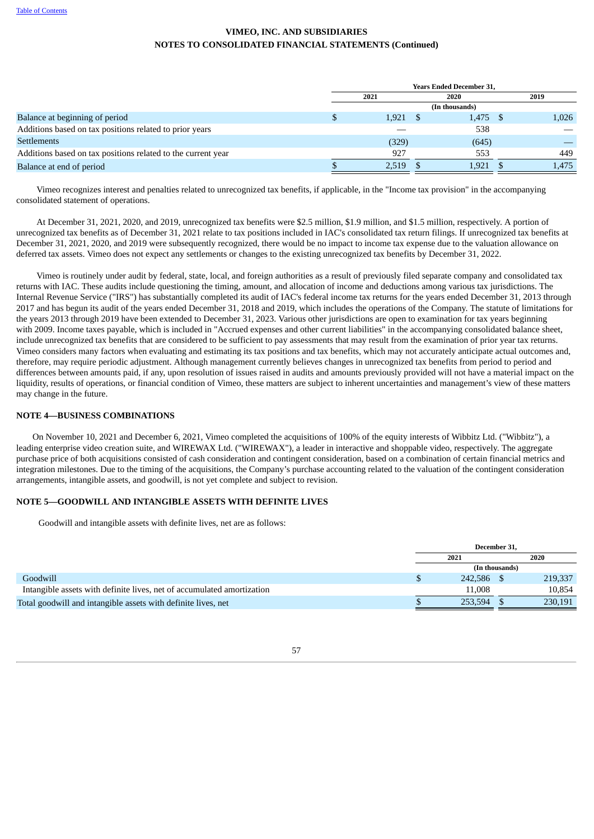|                                                              | <b>Years Ended December 31,</b> |      |                |  |       |  |  |
|--------------------------------------------------------------|---------------------------------|------|----------------|--|-------|--|--|
|                                                              | 2021                            | 2020 |                |  | 2019  |  |  |
|                                                              |                                 |      | (In thousands) |  |       |  |  |
| Balance at beginning of period                               | 1,921                           |      | $1,475$ \$     |  | 1,026 |  |  |
| Additions based on tax positions related to prior years      |                                 |      | 538            |  |       |  |  |
| <b>Settlements</b>                                           | (329)                           |      | (645)          |  |       |  |  |
| Additions based on tax positions related to the current year | 927                             |      | 553            |  | 449   |  |  |
| Balance at end of period                                     | 2,519                           |      | 1,921          |  | 1,475 |  |  |

Vimeo recognizes interest and penalties related to unrecognized tax benefits, if applicable, in the "Income tax provision" in the accompanying consolidated statement of operations.

At December 31, 2021, 2020, and 2019, unrecognized tax benefits were \$2.5 million, \$1.9 million, and \$1.5 million, respectively. A portion of unrecognized tax benefits as of December 31, 2021 relate to tax positions included in IAC's consolidated tax return filings. If unrecognized tax benefits at December 31, 2021, 2020, and 2019 were subsequently recognized, there would be no impact to income tax expense due to the valuation allowance on deferred tax assets. Vimeo does not expect any settlements or changes to the existing unrecognized tax benefits by December 31, 2022.

Vimeo is routinely under audit by federal, state, local, and foreign authorities as a result of previously filed separate company and consolidated tax returns with IAC. These audits include questioning the timing, amount, and allocation of income and deductions among various tax jurisdictions. The Internal Revenue Service ("IRS") has substantially completed its audit of IAC's federal income tax returns for the years ended December 31, 2013 through 2017 and has begun its audit of the years ended December 31, 2018 and 2019, which includes the operations of the Company. The statute of limitations for the years 2013 through 2019 have been extended to December 31, 2023. Various other jurisdictions are open to examination for tax years beginning with 2009. Income taxes payable, which is included in "Accrued expenses and other current liabilities" in the accompanying consolidated balance sheet, include unrecognized tax benefits that are considered to be sufficient to pay assessments that may result from the examination of prior year tax returns. Vimeo considers many factors when evaluating and estimating its tax positions and tax benefits, which may not accurately anticipate actual outcomes and, therefore, may require periodic adjustment. Although management currently believes changes in unrecognized tax benefits from period to period and differences between amounts paid, if any, upon resolution of issues raised in audits and amounts previously provided will not have a material impact on the liquidity, results of operations, or financial condition of Vimeo, these matters are subject to inherent uncertainties and management's view of these matters may change in the future.

### **NOTE 4—BUSINESS COMBINATIONS**

On November 10, 2021 and December 6, 2021, Vimeo completed the acquisitions of 100% of the equity interests of Wibbitz Ltd. ("Wibbitz"), a leading enterprise video creation suite, and WIREWAX Ltd. ("WIREWAX"), a leader in interactive and shoppable video, respectively. The aggregate purchase price of both acquisitions consisted of cash consideration and contingent consideration, based on a combination of certain financial metrics and integration milestones. Due to the timing of the acquisitions, the Company's purchase accounting related to the valuation of the contingent consideration arrangements, intangible assets, and goodwill, is not yet complete and subject to revision.

### **NOTE 5—GOODWILL AND INTANGIBLE ASSETS WITH DEFINITE LIVES**

Goodwill and intangible assets with definite lives, net are as follows:

|                                                                        |            | December 31,   |         |
|------------------------------------------------------------------------|------------|----------------|---------|
|                                                                        | 2021       |                | 2020    |
|                                                                        |            | (In thousands) |         |
| Goodwill                                                               | 242,586 \$ |                | 219,337 |
| Intangible assets with definite lives, net of accumulated amortization | 11.008     |                | 10.854  |
| Total goodwill and intangible assets with definite lives, net          | 253.594    |                | 230,191 |

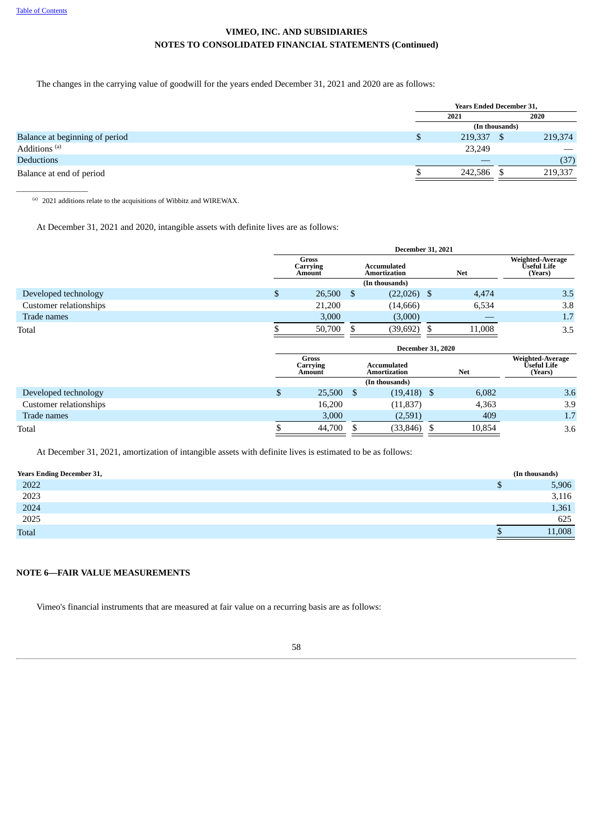The changes in the carrying value of goodwill for the years ended December 31, 2021 and 2020 are as follows:

|                                |      | <b>Years Ended December 31,</b> |                |         |
|--------------------------------|------|---------------------------------|----------------|---------|
|                                | 2021 |                                 |                | 2020    |
|                                |      |                                 | (In thousands) |         |
| Balance at beginning of period | S.   | 219,337 \$                      |                | 219,374 |
| Additions <sup>(a)</sup>       |      | 23,249                          |                | __      |
| <b>Deductions</b>              |      |                                 |                | (37)    |
| Balance at end of period       |      | 242,586                         |                | 219,337 |
|                                |      |                                 |                |         |

(a) 2021 additions relate to the acquisitions of Wibbitz and WIREWAX.

At December 31, 2021 and 2020, intangible assets with definite lives are as follows:

|                        |                |                                           |     |                                           |   | <b>December 31, 2021</b> |                                            |
|------------------------|----------------|-------------------------------------------|-----|-------------------------------------------|---|--------------------------|--------------------------------------------|
|                        |                | Gross<br>Carrying<br><b>Amount</b>        |     | <b>Accumulated</b><br><b>Amortization</b> |   | <b>Net</b>               | Weighted-Average<br>Ŭseful Life<br>(Years) |
|                        |                |                                           |     | (In thousands)                            |   |                          |                                            |
| Developed technology   | $\mathfrak{S}$ | $26,500$ \$                               |     | $(22,026)$ \$                             |   | 4,474                    | 3.5                                        |
| Customer relationships |                | 21,200                                    |     | (14, 666)                                 |   | 6,534                    | 3.8                                        |
| Trade names            |                | 3,000                                     |     | (3,000)                                   |   |                          | 1.7                                        |
| Total                  |                | 50,700                                    | \$  | (39, 692)                                 | S | 11,008                   | 3.5                                        |
|                        |                |                                           |     |                                           |   |                          |                                            |
|                        |                |                                           |     | <b>December 31, 2020</b>                  |   |                          |                                            |
|                        |                | <b>Gross</b><br>Carrying<br><b>Amount</b> |     | <b>Accumulated</b><br>Amortization        |   | <b>Net</b>               | Weighted-Average<br>Ŭseful Life<br>(Years) |
|                        |                |                                           |     | (In thousands)                            |   |                          |                                            |
| Developed technology   | \$             | 25,500                                    | \$. | $(19, 418)$ \$                            |   | 6,082                    | 3.6                                        |
| Customer relationships |                | 16,200                                    |     | (11, 837)                                 |   | 4,363                    | 3.9                                        |
| Trade names            |                | 3,000                                     |     | (2,591)                                   |   | 409                      | 1.7                                        |

At December 31, 2021, amortization of intangible assets with definite lives is estimated to be as follows:

| <b>Years Ending December 31,</b> |    | (In thousands) |
|----------------------------------|----|----------------|
| 2022                             | rU | 5,906          |
| 2023                             |    | 3,116          |
| 2024                             |    | 1,361          |
| 2025                             |    | 625            |
| <b>Total</b>                     |    | 11,008         |

### **NOTE 6—FAIR VALUE MEASUREMENTS**

Vimeo's financial instruments that are measured at fair value on a recurring basis are as follows: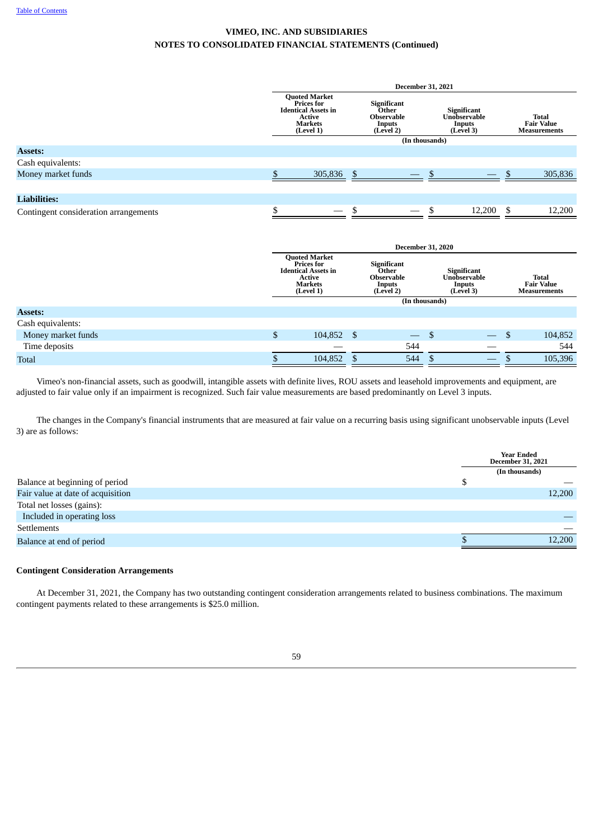|                                       |                                                                                                                         | <b>December 31, 2021</b>                                                |                                                           |                                                          |
|---------------------------------------|-------------------------------------------------------------------------------------------------------------------------|-------------------------------------------------------------------------|-----------------------------------------------------------|----------------------------------------------------------|
|                                       | <b>Quoted Market</b><br><b>Prices for</b><br><b>Identical Assets in</b><br><b>Active</b><br><b>Markets</b><br>(Level 1) | Significant<br>Other<br><b>Observable</b><br>Inputs<br>(Level 2)        | <b>Significant</b><br>Unobservable<br>Inputs<br>(Level 3) | <b>Total</b><br><b>Fair Value</b><br><b>Measurements</b> |
|                                       |                                                                                                                         | (In thousands)                                                          |                                                           |                                                          |
| <b>Assets:</b>                        |                                                                                                                         |                                                                         |                                                           |                                                          |
| Cash equivalents:                     |                                                                                                                         |                                                                         |                                                           |                                                          |
| Money market funds                    | \$<br>305,836                                                                                                           | \$                                                                      |                                                           | \$<br>305,836                                            |
|                                       |                                                                                                                         |                                                                         |                                                           |                                                          |
| <b>Liabilities:</b>                   |                                                                                                                         |                                                                         |                                                           |                                                          |
| Contingent consideration arrangements | \$<br>$\overbrace{\phantom{12333}}$                                                                                     | \$                                                                      | \$<br>12,200                                              | \$<br>12,200                                             |
|                                       |                                                                                                                         |                                                                         |                                                           |                                                          |
|                                       |                                                                                                                         |                                                                         |                                                           |                                                          |
|                                       |                                                                                                                         | <b>December 31, 2020</b>                                                |                                                           |                                                          |
|                                       | <b>Quoted Market</b><br><b>Prices for</b><br><b>Identical Assets in</b><br><b>Active</b><br><b>Markets</b><br>(Level 1) | <b>Significant</b><br>Other<br><b>Observable</b><br>Inputs<br>(Level 2) | Significant<br>Unobservable<br>Inputs<br>(Level 3)        | <b>Total</b><br><b>Fair Value</b><br><b>Measurements</b> |
|                                       |                                                                                                                         | (In thousands)                                                          |                                                           |                                                          |

| <b>Assets:</b>     |         |                          |                                           |         |
|--------------------|---------|--------------------------|-------------------------------------------|---------|
| Cash equivalents:  |         |                          |                                           |         |
| Money market funds | 104,852 | $\overline{\phantom{0}}$ | $\qquad \qquad \overline{\qquad \qquad }$ | 104,852 |
| Time deposits      |         | 544                      |                                           | 544     |
| <b>Total</b>       | 104,852 | 544                      |                                           | 105,396 |

Vimeo's non-financial assets, such as goodwill, intangible assets with definite lives, ROU assets and leasehold improvements and equipment, are adjusted to fair value only if an impairment is recognized. Such fair value measurements are based predominantly on Level 3 inputs.

The changes in the Company's financial instruments that are measured at fair value on a recurring basis using significant unobservable inputs (Level 3) are as follows:

| <b>Year Ended</b><br><b>December 31, 2021</b> |        |
|-----------------------------------------------|--------|
| (In thousands)                                |        |
| Œ                                             |        |
|                                               | 12,200 |
|                                               |        |
|                                               |        |
|                                               |        |
|                                               | 12,200 |
|                                               |        |

### **Contingent Consideration Arrangements**

At December 31, 2021, the Company has two outstanding contingent consideration arrangements related to business combinations. The maximum contingent payments related to these arrangements is \$25.0 million.

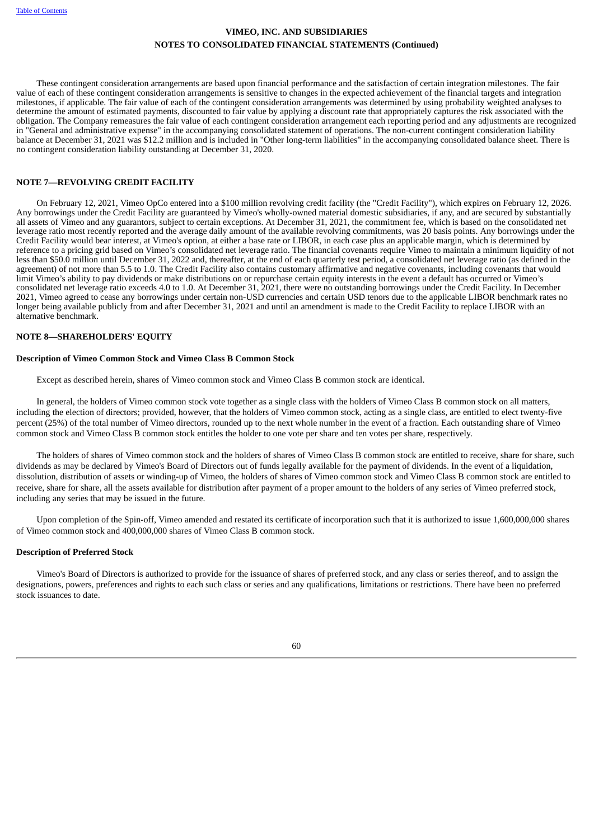These contingent consideration arrangements are based upon financial performance and the satisfaction of certain integration milestones. The fair value of each of these contingent consideration arrangements is sensitive to changes in the expected achievement of the financial targets and integration milestones, if applicable. The fair value of each of the contingent consideration arrangements was determined by using probability weighted analyses to determine the amount of estimated payments, discounted to fair value by applying a discount rate that appropriately captures the risk associated with the obligation. The Company remeasures the fair value of each contingent consideration arrangement each reporting period and any adjustments are recognized in "General and administrative expense" in the accompanying consolidated statement of operations. The non-current contingent consideration liability balance at December 31, 2021 was \$12.2 million and is included in "Other long-term liabilities" in the accompanying consolidated balance sheet. There is no contingent consideration liability outstanding at December 31, 2020.

### **NOTE 7—REVOLVING CREDIT FACILITY**

On February 12, 2021, Vimeo OpCo entered into a \$100 million revolving credit facility (the "Credit Facility"), which expires on February 12, 2026. Any borrowings under the Credit Facility are guaranteed by Vimeo's wholly-owned material domestic subsidiaries, if any, and are secured by substantially all assets of Vimeo and any guarantors, subject to certain exceptions. At December 31, 2021, the commitment fee, which is based on the consolidated net leverage ratio most recently reported and the average daily amount of the available revolving commitments, was 20 basis points. Any borrowings under the Credit Facility would bear interest, at Vimeo's option, at either a base rate or LIBOR, in each case plus an applicable margin, which is determined by reference to a pricing grid based on Vimeo's consolidated net leverage ratio. The financial covenants require Vimeo to maintain a minimum liquidity of not less than \$50.0 million until December 31, 2022 and, thereafter, at the end of each quarterly test period, a consolidated net leverage ratio (as defined in the agreement) of not more than 5.5 to 1.0. The Credit Facility also contains customary affirmative and negative covenants, including covenants that would limit Vimeo's ability to pay dividends or make distributions on or repurchase certain equity interests in the event a default has occurred or Vimeo's consolidated net leverage ratio exceeds 4.0 to 1.0. At December 31, 2021, there were no outstanding borrowings under the Credit Facility. In December 2021, Vimeo agreed to cease any borrowings under certain non-USD currencies and certain USD tenors due to the applicable LIBOR benchmark rates no longer being available publicly from and after December 31, 2021 and until an amendment is made to the Credit Facility to replace LIBOR with an alternative benchmark.

### **NOTE 8—SHAREHOLDERS' EQUITY**

### **Description of Vimeo Common Stock and Vimeo Class B Common Stock**

Except as described herein, shares of Vimeo common stock and Vimeo Class B common stock are identical.

In general, the holders of Vimeo common stock vote together as a single class with the holders of Vimeo Class B common stock on all matters, including the election of directors; provided, however, that the holders of Vimeo common stock, acting as a single class, are entitled to elect twenty-five percent (25%) of the total number of Vimeo directors, rounded up to the next whole number in the event of a fraction. Each outstanding share of Vimeo common stock and Vimeo Class B common stock entitles the holder to one vote per share and ten votes per share, respectively.

The holders of shares of Vimeo common stock and the holders of shares of Vimeo Class B common stock are entitled to receive, share for share, such dividends as may be declared by Vimeo's Board of Directors out of funds legally available for the payment of dividends. In the event of a liquidation, dissolution, distribution of assets or winding-up of Vimeo, the holders of shares of Vimeo common stock and Vimeo Class B common stock are entitled to receive, share for share, all the assets available for distribution after payment of a proper amount to the holders of any series of Vimeo preferred stock, including any series that may be issued in the future.

Upon completion of the Spin-off, Vimeo amended and restated its certificate of incorporation such that it is authorized to issue 1,600,000,000 shares of Vimeo common stock and 400,000,000 shares of Vimeo Class B common stock.

### **Description of Preferred Stock**

Vimeo's Board of Directors is authorized to provide for the issuance of shares of preferred stock, and any class or series thereof, and to assign the designations, powers, preferences and rights to each such class or series and any qualifications, limitations or restrictions. There have been no preferred stock issuances to date.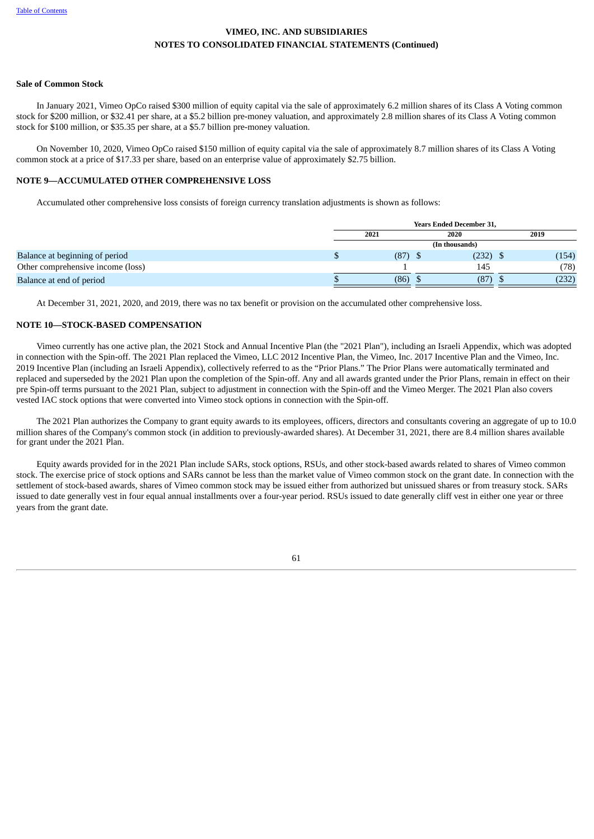### **Sale of Common Stock**

In January 2021, Vimeo OpCo raised \$300 million of equity capital via the sale of approximately 6.2 million shares of its Class A Voting common stock for \$200 million, or \$32.41 per share, at a \$5.2 billion pre-money valuation, and approximately 2.8 million shares of its Class A Voting common stock for \$100 million, or \$35.35 per share, at a \$5.7 billion pre-money valuation.

On November 10, 2020, Vimeo OpCo raised \$150 million of equity capital via the sale of approximately 8.7 million shares of its Class A Voting common stock at a price of \$17.33 per share, based on an enterprise value of approximately \$2.75 billion.

### **NOTE 9—ACCUMULATED OTHER COMPREHENSIVE LOSS**

Accumulated other comprehensive loss consists of foreign currency translation adjustments is shown as follows:

|                                   | <b>Years Ended December 31,</b> |                |      |       |  |  |  |
|-----------------------------------|---------------------------------|----------------|------|-------|--|--|--|
|                                   | 2021                            | 2020           | 2019 |       |  |  |  |
|                                   |                                 | (In thousands) |      |       |  |  |  |
| Balance at beginning of period    | $(87)$ \$                       | (232)          |      | (154) |  |  |  |
| Other comprehensive income (loss) |                                 | 145            |      | (78)  |  |  |  |
| Balance at end of period          | (86)                            | (87)           |      | (232) |  |  |  |

At December 31, 2021, 2020, and 2019, there was no tax benefit or provision on the accumulated other comprehensive loss.

### <span id="page-64-0"></span>**NOTE 10—STOCK-BASED COMPENSATION**

Vimeo currently has one active plan, the 2021 Stock and Annual Incentive Plan (the "2021 Plan"), including an Israeli Appendix, which was adopted in connection with the Spin-off. The 2021 Plan replaced the Vimeo, LLC 2012 Incentive Plan, the Vimeo, Inc. 2017 Incentive Plan and the Vimeo, Inc. 2019 Incentive Plan (including an Israeli Appendix), collectively referred to as the "Prior Plans." The Prior Plans were automatically terminated and replaced and superseded by the 2021 Plan upon the completion of the Spin-off. Any and all awards granted under the Prior Plans, remain in effect on their pre Spin-off terms pursuant to the 2021 Plan, subject to adjustment in connection with the Spin-off and the Vimeo Merger. The 2021 Plan also covers vested IAC stock options that were converted into Vimeo stock options in connection with the Spin-off.

The 2021 Plan authorizes the Company to grant equity awards to its employees, officers, directors and consultants covering an aggregate of up to 10.0 million shares of the Company's common stock (in addition to previously-awarded shares). At December 31, 2021, there are 8.4 million shares available for grant under the 2021 Plan.

Equity awards provided for in the 2021 Plan include SARs, stock options, RSUs, and other stock-based awards related to shares of Vimeo common stock. The exercise price of stock options and SARs cannot be less than the market value of Vimeo common stock on the grant date. In connection with the settlement of stock-based awards, shares of Vimeo common stock may be issued either from authorized but unissued shares or from treasury stock. SARs issued to date generally vest in four equal annual installments over a four-year period. RSUs issued to date generally cliff vest in either one year or three years from the grant date.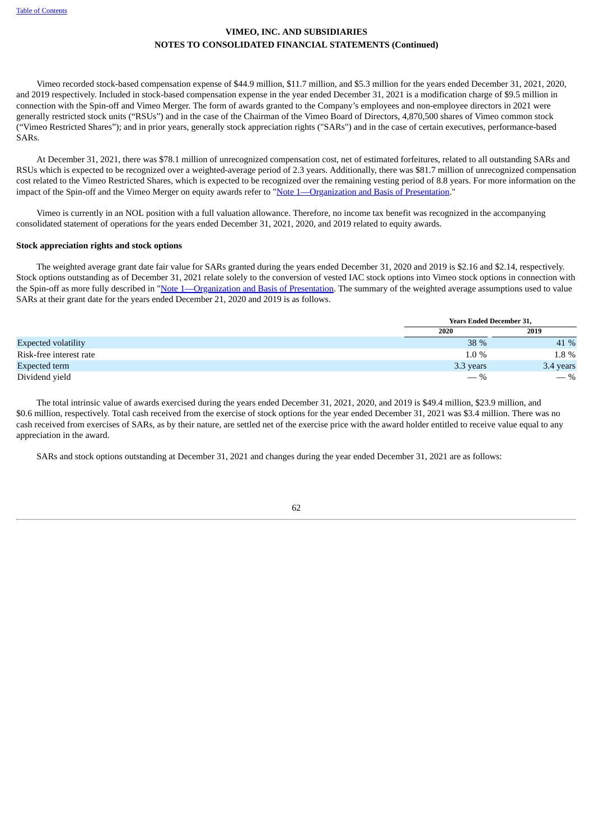Vimeo recorded stock-based compensation expense of \$44.9 million, \$11.7 million, and \$5.3 million for the years ended December 31, 2021, 2020, and 2019 respectively. Included in stock-based compensation expense in the year ended December 31, 2021 is a modification charge of \$9.5 million in connection with the Spin-off and Vimeo Merger. The form of awards granted to the Company's employees and non-employee directors in 2021 were generally restricted stock units ("RSUs") and in the case of the Chairman of the Vimeo Board of Directors, 4,870,500 shares of Vimeo common stock ("Vimeo Restricted Shares"); and in prior years, generally stock appreciation rights ("SARs") and in the case of certain executives, performance-based SARs.

At December 31, 2021, there was \$78.1 million of unrecognized compensation cost, net of estimated forfeitures, related to all outstanding SARs and RSUs which is expected to be recognized over a weighted-average period of 2.3 years. Additionally, there was \$81.7 million of unrecognized compensation cost related to the Vimeo Restricted Shares, which is expected to be recognized over the remaining vesting period of 8.8 years. For more information on the impact of the Spin-off and the Vimeo Merger on equity awards refer to ["Note](#page-50-0) [1—Organization](#page-50-0) and Basis of [Presentation](#page-50-0)."

Vimeo is currently in an NOL position with a full valuation allowance. Therefore, no income tax benefit was recognized in the accompanying consolidated statement of operations for the years ended December 31, 2021, 2020, and 2019 related to equity awards.

### **Stock appreciation rights and stock options**

The weighted average grant date fair value for SARs granted during the years ended December 31, 2020 and 2019 is \$2.16 and \$2.14, respectively. Stock options outstanding as of December 31, 2021 relate solely to the conversion of vested IAC stock options into Vimeo stock options in connection with the Spin-off as more fully described in "Note [1—Organizatio](#page-50-0)n and Basis of [Presentation](#page-50-0). The summary of the weighted average assumptions used to value SARs at their grant date for the years ended December 21, 2020 and 2019 is as follows.

|                            | <b>Years Ended December 31,</b> |           |
|----------------------------|---------------------------------|-----------|
|                            | 2020                            | 2019      |
| <b>Expected volatility</b> | 38 %                            | 41 %      |
| Risk-free interest rate    | $1.0\%$                         | 1.8 %     |
| Expected term              | 3.3 years                       | 3.4 years |
| Dividend yield             | $-$ %                           | $-$ %     |

The total intrinsic value of awards exercised during the years ended December 31, 2021, 2020, and 2019 is \$49.4 million, \$23.9 million, and \$0.6 million, respectively. Total cash received from the exercise of stock options for the year ended December 31, 2021 was \$3.4 million. There was no cash received from exercises of SARs, as by their nature, are settled net of the exercise price with the award holder entitled to receive value equal to any appreciation in the award.

SARs and stock options outstanding at December 31, 2021 and changes during the year ended December 31, 2021 are as follows: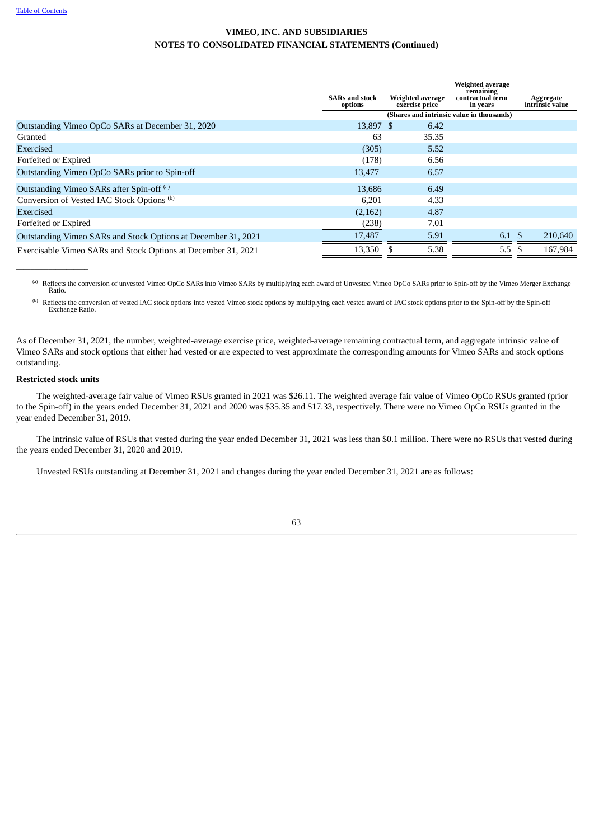|                                                               | <b>SARs and stock</b><br>options | Weighted average<br>exercise price | Weighted average<br>remaining<br>contractual term<br>in years | Aggregate<br>intrinsic value |
|---------------------------------------------------------------|----------------------------------|------------------------------------|---------------------------------------------------------------|------------------------------|
|                                                               |                                  |                                    |                                                               |                              |
| Outstanding Vimeo OpCo SARs at December 31, 2020              | 13,897 \$                        | 6.42                               |                                                               |                              |
| Granted                                                       | 63                               | 35.35                              |                                                               |                              |
| Exercised                                                     | (305)                            | 5.52                               |                                                               |                              |
| Forfeited or Expired                                          | (178)                            | 6.56                               |                                                               |                              |
| Outstanding Vimeo OpCo SARs prior to Spin-off                 | 13,477                           | 6.57                               |                                                               |                              |
| Outstanding Vimeo SARs after Spin-off <sup>(a)</sup>          | 13.686                           | 6.49                               |                                                               |                              |
| Conversion of Vested IAC Stock Options <sup>(b)</sup>         | 6.201                            | 4.33                               |                                                               |                              |
| Exercised                                                     | (2,162)                          | 4.87                               |                                                               |                              |
| Forfeited or Expired                                          | (238)                            | 7.01                               |                                                               |                              |
| Outstanding Vimeo SARs and Stock Options at December 31, 2021 | 17,487                           | 5.91                               | 6.1 \$                                                        | 210,640                      |
| Exercisable Vimeo SARs and Stock Options at December 31, 2021 | 13,350                           | 5.38                               | $5.5\phantom{0}$                                              | 167.984                      |

Reflects the conversion of unvested Vimeo OpCo SARs into Vimeo SARs by multiplying each award of Unvested Vimeo OpCo SARs prior to Spin-off by the Vimeo Merger Exchange (a) Ratio.

Reflects the conversion of vested IAC stock options into vested Vimeo stock options by multiplying each vested award of IAC stock options prior to the Spin-off by the Spin-off Exchange Ratio. (b)

As of December 31, 2021, the number, weighted-average exercise price, weighted-average remaining contractual term, and aggregate intrinsic value of Vimeo SARs and stock options that either had vested or are expected to vest approximate the corresponding amounts for Vimeo SARs and stock options outstanding.

### **Restricted stock units**

 $\overline{\phantom{a}}$  , and the set of the set of the set of the set of the set of the set of the set of the set of the set of the set of the set of the set of the set of the set of the set of the set of the set of the set of the s

The weighted-average fair value of Vimeo RSUs granted in 2021 was \$26.11. The weighted average fair value of Vimeo OpCo RSUs granted (prior to the Spin-off) in the years ended December 31, 2021 and 2020 was \$35.35 and \$17.33, respectively. There were no Vimeo OpCo RSUs granted in the year ended December 31, 2019.

The intrinsic value of RSUs that vested during the year ended December 31, 2021 was less than \$0.1 million. There were no RSUs that vested during the years ended December 31, 2020 and 2019.

Unvested RSUs outstanding at December 31, 2021 and changes during the year ended December 31, 2021 are as follows: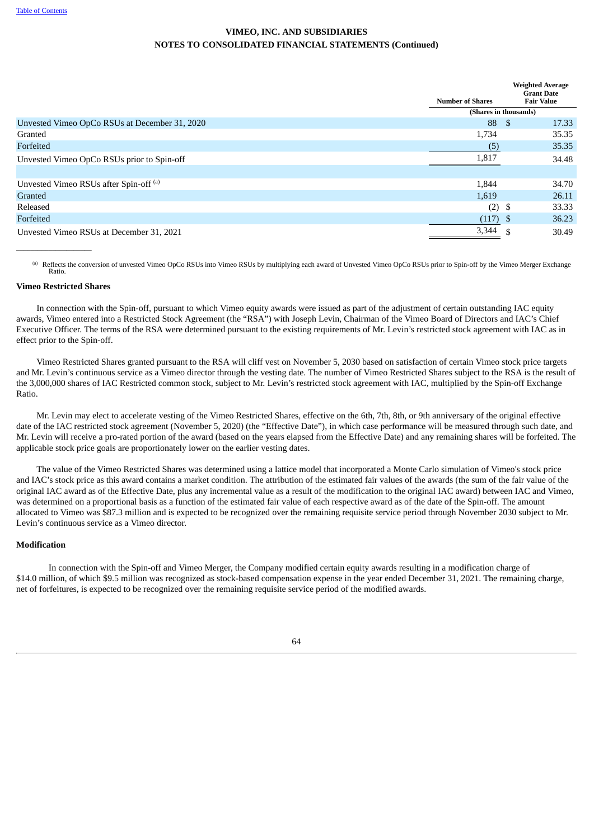|                                               | <b>Number of Shares</b> |      | <b>Weighted Average</b><br><b>Grant Date</b><br><b>Fair Value</b> |
|-----------------------------------------------|-------------------------|------|-------------------------------------------------------------------|
|                                               | (Shares in thousands)   |      |                                                                   |
| Unvested Vimeo OpCo RSUs at December 31, 2020 | 88                      | - \$ | 17.33                                                             |
| Granted                                       | 1,734                   |      | 35.35                                                             |
| Forfeited                                     | (5)                     |      | 35.35                                                             |
| Unvested Vimeo OpCo RSUs prior to Spin-off    | 1,817                   |      | 34.48                                                             |
|                                               |                         |      |                                                                   |
| Unvested Vimeo RSUs after Spin-off (a)        | 1,844                   |      | 34.70                                                             |
| Granted                                       | 1,619                   |      | 26.11                                                             |
| Released                                      | $(2)$ \$                |      | 33.33                                                             |
| Forfeited                                     | $(117)$ \$              |      | 36.23                                                             |
| Unvested Vimeo RSUs at December 31, 2021      | $3,344$ \$              |      | 30.49                                                             |

<sup>(a)</sup> Reflects the conversion of unvested Vimeo OpCo RSUs into Vimeo RSUs by multiplying each award of Unvested Vimeo OpCo RSUs prior to Spin-off by the Vimeo Merger Exchange Ratio.

### **Vimeo Restricted Shares**

 $\overline{\phantom{a}}$  , where  $\overline{\phantom{a}}$ 

In connection with the Spin-off, pursuant to which Vimeo equity awards were issued as part of the adjustment of certain outstanding IAC equity awards, Vimeo entered into a Restricted Stock Agreement (the "RSA") with Joseph Levin, Chairman of the Vimeo Board of Directors and IAC's Chief Executive Officer. The terms of the RSA were determined pursuant to the existing requirements of Mr. Levin's restricted stock agreement with IAC as in effect prior to the Spin-off.

Vimeo Restricted Shares granted pursuant to the RSA will cliff vest on November 5, 2030 based on satisfaction of certain Vimeo stock price targets and Mr. Levin's continuous service as a Vimeo director through the vesting date. The number of Vimeo Restricted Shares subject to the RSA is the result of the 3,000,000 shares of IAC Restricted common stock, subject to Mr. Levin's restricted stock agreement with IAC, multiplied by the Spin-off Exchange Ratio.

Mr. Levin may elect to accelerate vesting of the Vimeo Restricted Shares, effective on the 6th, 7th, 8th, or 9th anniversary of the original effective date of the IAC restricted stock agreement (November 5, 2020) (the "Effective Date"), in which case performance will be measured through such date, and Mr. Levin will receive a pro-rated portion of the award (based on the years elapsed from the Effective Date) and any remaining shares will be forfeited. The applicable stock price goals are proportionately lower on the earlier vesting dates.

The value of the Vimeo Restricted Shares was determined using a lattice model that incorporated a Monte Carlo simulation of Vimeo's stock price and IAC's stock price as this award contains a market condition. The attribution of the estimated fair values of the awards (the sum of the fair value of the original IAC award as of the Effective Date, plus any incremental value as a result of the modification to the original IAC award) between IAC and Vimeo, was determined on a proportional basis as a function of the estimated fair value of each respective award as of the date of the Spin-off. The amount allocated to Vimeo was \$87.3 million and is expected to be recognized over the remaining requisite service period through November 2030 subject to Mr. Levin's continuous service as a Vimeo director.

### **Modification**

<span id="page-67-0"></span>In connection with the Spin-off and Vimeo Merger, the Company modified certain equity awards resulting in a modification charge of \$14.0 million, of which \$9.5 million was recognized as stock-based compensation expense in the year ended December 31, 2021. The remaining charge, net of forfeitures, is expected to be recognized over the remaining requisite service period of the modified awards.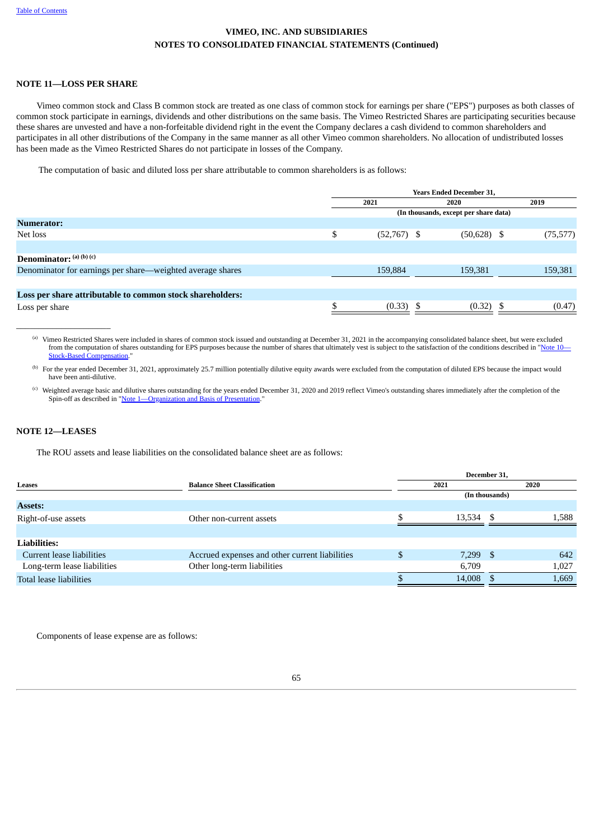### **NOTE 11—LOSS PER SHARE**

Vimeo common stock and Class B common stock are treated as one class of common stock for earnings per share ("EPS") purposes as both classes of common stock participate in earnings, dividends and other distributions on the same basis. The Vimeo Restricted Shares are participating securities because these shares are unvested and have a non-forfeitable dividend right in the event the Company declares a cash dividend to common shareholders and participates in all other distributions of the Company in the same manner as all other Vimeo common shareholders. No allocation of undistributed losses has been made as the Vimeo Restricted Shares do not participate in losses of the Company.

The computation of basic and diluted loss per share attributable to common shareholders is as follows:

|                                                            |    | <b>Years Ended December 31,</b>       |               |  |           |  |  |  |
|------------------------------------------------------------|----|---------------------------------------|---------------|--|-----------|--|--|--|
|                                                            |    | 2021                                  | 2020          |  | 2019      |  |  |  |
|                                                            |    | (In thousands, except per share data) |               |  |           |  |  |  |
| <b>Numerator:</b>                                          |    |                                       |               |  |           |  |  |  |
| Net loss                                                   | \$ | $(52,767)$ \$                         | $(50,628)$ \$ |  | (75, 577) |  |  |  |
|                                                            |    |                                       |               |  |           |  |  |  |
| <b>Denominator:</b> $(a)$ $(b)$ $(c)$                      |    |                                       |               |  |           |  |  |  |
| Denominator for earnings per share—weighted average shares |    | 159,884                               | 159,381       |  | 159,381   |  |  |  |
|                                                            |    |                                       |               |  |           |  |  |  |
| Loss per share attributable to common stock shareholders:  |    |                                       |               |  |           |  |  |  |
| Loss per share                                             | \$ | (0.33)                                | $(0.32)$ \$   |  | (0.47)    |  |  |  |

Vimeo Restricted Shares were included in shares of common stock issued and outstanding at December 31, 2021 in the accompanying consolidated balance sheet, but were excluded (a) from the computation of shares outstanding for EPS purposes because the number of shares that ultimately vest is subject to the satisfaction of the conditions described in ["Note](#page-64-0) [10](#page-64-0)-Sompensation."

<sup>(b)</sup> For the year ended December 31, 2021, approximately 25.7 million potentially dilutive equity awards were excluded from the computation of diluted EPS because the impact would have been anti-dilutive.

Weighted average basic and dilutive shares outstanding for the years ended December 31, 2020 and 2019 reflect Vimeo's outstanding shares immediately after the completion of the (c) Spin-off as described in "[Note](#page-50-0) 1—[Organization](#page-50-0) and Basis of Presentation."

### <span id="page-68-0"></span>**NOTE 12—LEASES**

 $\_$ 

The ROU assets and lease liabilities on the consolidated balance sheet are as follows:

|                             |                                                | December 31, |                |       |  |  |  |  |
|-----------------------------|------------------------------------------------|--------------|----------------|-------|--|--|--|--|
| Leases                      | <b>Balance Sheet Classification</b>            | 2021         | 2020           |       |  |  |  |  |
|                             |                                                |              | (In thousands) |       |  |  |  |  |
| <b>Assets:</b>              |                                                |              |                |       |  |  |  |  |
| Right-of-use assets         | Other non-current assets                       | 13,534       | - \$           | 1,588 |  |  |  |  |
|                             |                                                |              |                |       |  |  |  |  |
| <b>Liabilities:</b>         |                                                |              |                |       |  |  |  |  |
| Current lease liabilities   | Accrued expenses and other current liabilities | $7,299$ \$   |                | 642   |  |  |  |  |
| Long-term lease liabilities | Other long-term liabilities                    | 6,709        |                | 1,027 |  |  |  |  |
| Total lease liabilities     |                                                | 14,008 \$    |                | 1,669 |  |  |  |  |
|                             |                                                |              |                |       |  |  |  |  |

Components of lease expense are as follows: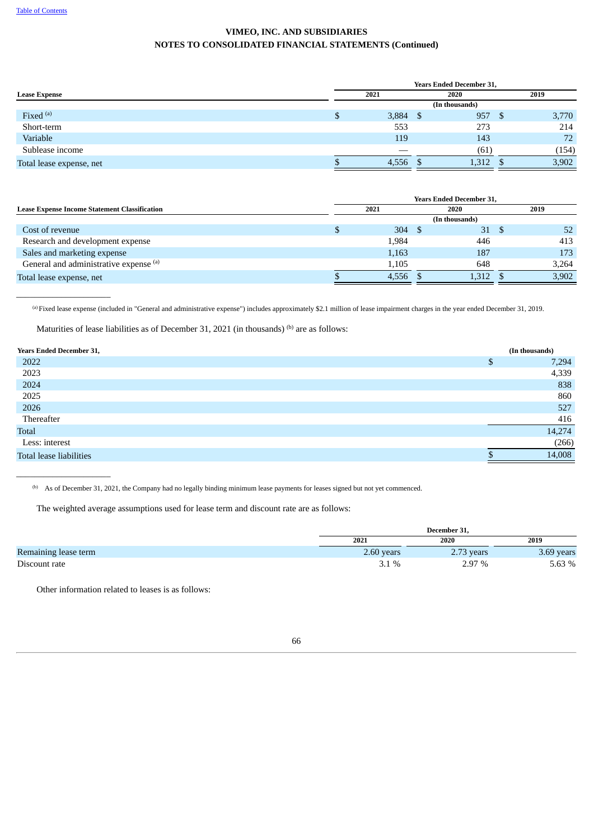$\_$ 

 $\_$ 

# **VIMEO, INC. AND SUBSIDIARIES NOTES TO CONSOLIDATED FINANCIAL STATEMENTS (Continued)**

|                          | <b>Years Ended December 31,</b> |  |       |  |       |  |  |  |  |
|--------------------------|---------------------------------|--|-------|--|-------|--|--|--|--|
| <b>Lease Expense</b>     | 2021                            |  |       |  | 2019  |  |  |  |  |
|                          | (In thousands)                  |  |       |  |       |  |  |  |  |
| Fixed $(a)$              | $3,884$ \$                      |  | 957   |  | 3,770 |  |  |  |  |
| Short-term               | 553                             |  | 273   |  | 214   |  |  |  |  |
| Variable                 | 119                             |  | 143   |  | 72    |  |  |  |  |
| Sublease income          |                                 |  | (61)  |  | (154) |  |  |  |  |
| Total lease expense, net | 4,556                           |  | 1,312 |  | 3,902 |  |  |  |  |

| <b>Years Ended December 31,</b> |       |  |               |  |              |  |  |  |
|---------------------------------|-------|--|---------------|--|--------------|--|--|--|
| 2021                            |       |  | 2020          |  | 2019         |  |  |  |
| (In thousands)                  |       |  |               |  |              |  |  |  |
|                                 |       |  | 31            |  | 52           |  |  |  |
|                                 | 1,984 |  | 446           |  | 413          |  |  |  |
|                                 | 1,163 |  | 187           |  | 173          |  |  |  |
|                                 | 1,105 |  | 648           |  | 3,264        |  |  |  |
|                                 | 4.556 |  |               |  | 3,902        |  |  |  |
|                                 |       |  | $304 \quad $$ |  | - S<br>1,312 |  |  |  |

Fixed lease expense (included in "General and administrative expense") includes approximately \$2.1 million of lease impairment charges in the year ended December 31, 2019. (a)

Maturities of lease liabilities as of December 31, 2021 (in thousands)  $^{(b)}$  are as follows:

| <b>Years Ended December 31,</b> |   | (In thousands) |
|---------------------------------|---|----------------|
| 2022                            | ¢ | 7,294          |
| 2023                            |   | 4,339          |
| 2024                            |   | 838            |
| 2025                            |   | 860            |
| 2026                            |   | 527            |
| Thereafter                      |   | 416            |
| Total                           |   | 14,274         |
| Less: interest                  |   | (266)          |
| Total lease liabilities         |   | 14,008         |

<sup>(b)</sup> As of December 31, 2021, the Company had no legally binding minimum lease payments for leases signed but not yet commenced.

The weighted average assumptions used for lease term and discount rate are as follows:

|                      | December 31, |            |            |  |  |  |
|----------------------|--------------|------------|------------|--|--|--|
|                      | 2021         | 2020       | 2019       |  |  |  |
| Remaining lease term | 2.60 years   | 2.73 years | 3.69 years |  |  |  |
| Discount rate        | 3.1%         | 2.97 %     | 5.63 %     |  |  |  |

Other information related to leases is as follows:

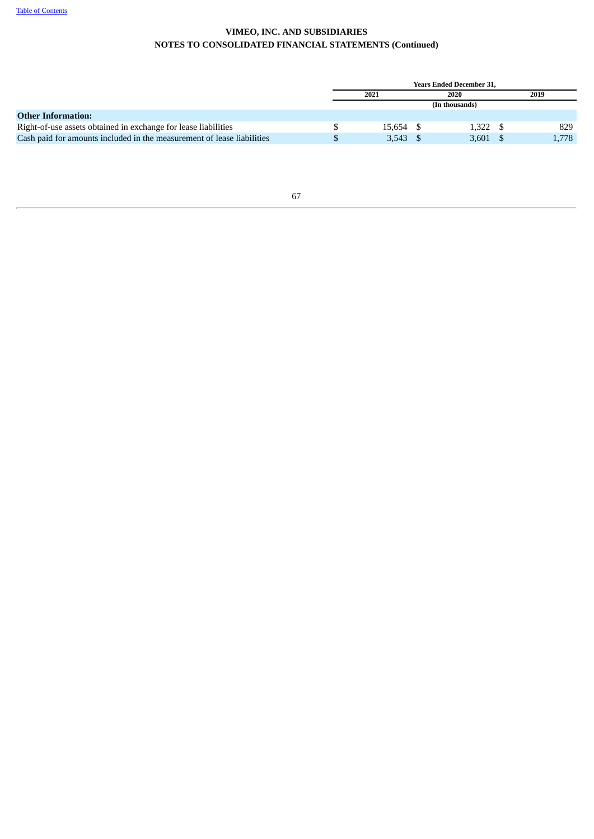<span id="page-70-0"></span>

|                                                                        | <b>Years Ended December 31.</b> |  |       |  |       |  |  |  |
|------------------------------------------------------------------------|---------------------------------|--|-------|--|-------|--|--|--|
|                                                                        | 2021                            |  | 2020  |  | 2019  |  |  |  |
|                                                                        | (In thousands)                  |  |       |  |       |  |  |  |
| <b>Other Information:</b>                                              |                                 |  |       |  |       |  |  |  |
| Right-of-use assets obtained in exchange for lease liabilities         | 15.654                          |  | 1,322 |  | 829   |  |  |  |
| Cash paid for amounts included in the measurement of lease liabilities | 3,543                           |  | 3,601 |  | 1,778 |  |  |  |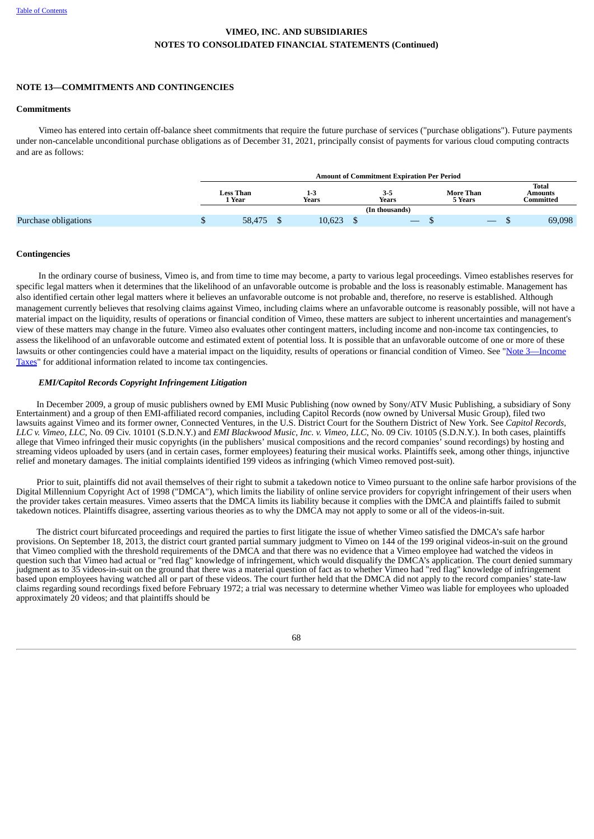### **NOTE 13—COMMITMENTS AND CONTINGENCIES**

#### **Commitments**

Vimeo has entered into certain off-balance sheet commitments that require the future purchase of services ("purchase obligations"). Future payments under non-cancelable unconditional purchase obligations as of December 31, 2021, principally consist of payments for various cloud computing contracts and are as follows:

|                      | <b>Amount of Commitment Expiration Per Period</b> |                            |  |                  |  |                  |  |                             |  |                               |
|----------------------|---------------------------------------------------|----------------------------|--|------------------|--|------------------|--|-----------------------------|--|-------------------------------|
|                      |                                                   | <b>Less Than</b><br>1 Year |  | $1 - 3$<br>Years |  | $3 - 5$<br>Years |  | <b>More Than</b><br>5 Years |  | Total<br>Amounts<br>Committed |
|                      |                                                   |                            |  |                  |  | (In thousands)   |  |                             |  |                               |
| Purchase obligations |                                                   | 58,475                     |  | 10,623           |  |                  |  |                             |  | 69,098                        |

#### **Contingencies**

In the ordinary course of business, Vimeo is, and from time to time may become, a party to various legal proceedings. Vimeo establishes reserves for specific legal matters when it determines that the likelihood of an unfavorable outcome is probable and the loss is reasonably estimable. Management has also identified certain other legal matters where it believes an unfavorable outcome is not probable and, therefore, no reserve is established. Although management currently believes that resolving claims against Vimeo, including claims where an unfavorable outcome is reasonably possible, will not have a material impact on the liquidity, results of operations or financial condition of Vimeo, these matters are subject to inherent uncertainties and management's view of these matters may change in the future. Vimeo also evaluates other contingent matters, including income and non-income tax contingencies, to assess the likelihood of an unfavorable outcome and estimated extent of potential loss. It is possible that an unfavorable outcome of one or more of these lawsuits or other contingencies could have a material impact on the liquidity, results of operations or financial condition of Vimeo. See "Note 3—Income Taxes" for additional information related to income tax [contingencies.](#page-57-0)

### *EMI/Capitol Records Copyright Infringement Litigation*

In December 2009, a group of music publishers owned by EMI Music Publishing (now owned by Sony/ATV Music Publishing, a subsidiary of Sony Entertainment) and a group of then EMI-affiliated record companies, including Capitol Records (now owned by Universal Music Group), filed two lawsuits against Vimeo and its former owner, Connected Ventures, in the U.S. District Court for the Southern District of New York. See *Capitol Records,* LLC v. Vimeo, LLC, No. 09 Civ. 10101 (S.D.N.Y.) and EMI Blackwood Music, Inc. v. Vimeo, LLC, No. 09 Civ. 10105 (S.D.N.Y.). In both cases, plaintiffs allege that Vimeo infringed their music copyrights (in the publishers' musical compositions and the record companies' sound recordings) by hosting and streaming videos uploaded by users (and in certain cases, former employees) featuring their musical works. Plaintiffs seek, among other things, injunctive relief and monetary damages. The initial complaints identified 199 videos as infringing (which Vimeo removed post-suit).

Prior to suit, plaintiffs did not avail themselves of their right to submit a takedown notice to Vimeo pursuant to the online safe harbor provisions of the Digital Millennium Copyright Act of 1998 ("DMCA"), which limits the liability of online service providers for copyright infringement of their users when the provider takes certain measures. Vimeo asserts that the DMCA limits its liability because it complies with the DMCA and plaintiffs failed to submit takedown notices. Plaintiffs disagree, asserting various theories as to why the DMCA may not apply to some or all of the videos-in-suit.

The district court bifurcated proceedings and required the parties to first litigate the issue of whether Vimeo satisfied the DMCA's safe harbor provisions. On September 18, 2013, the district court granted partial summary judgment to Vimeo on 144 of the 199 original videos-in-suit on the ground that Vimeo complied with the threshold requirements of the DMCA and that there was no evidence that a Vimeo employee had watched the videos in question such that Vimeo had actual or "red flag" knowledge of infringement, which would disqualify the DMCA's application. The court denied summary judgment as to 35 videos-in-suit on the ground that there was a material question of fact as to whether Vimeo had "red flag" knowledge of infringement based upon employees having watched all or part of these videos. The court further held that the DMCA did not apply to the record companies' state-law claims regarding sound recordings fixed before February 1972; a trial was necessary to determine whether Vimeo was liable for employees who uploaded approximately 20 videos; and that plaintiffs should be

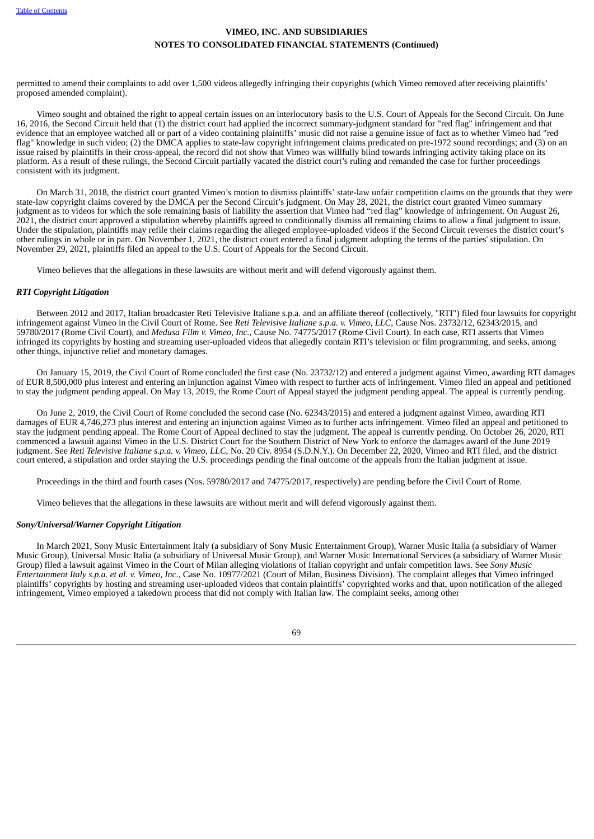permitted to amend their complaints to add over 1,500 videos allegedly infringing their copyrights (which Vimeo removed after receiving plaintiffs' proposed amended complaint).

Vimeo sought and obtained the right to appeal certain issues on an interlocutory basis to the U.S. Court of Appeals for the Second Circuit. On June 16, 2016, the Second Circuit held that (1) the district court had applied the incorrect summary-judgment standard for "red flag" infringement and that evidence that an employee watched all or part of a video containing plaintiffs' music did not raise a genuine issue of fact as to whether Vimeo had "red flag" knowledge in such video; (2) the DMCA applies to state-law copyright infringement claims predicated on pre-1972 sound recordings; and (3) on an issue raised by plaintiffs in their cross-appeal, the record did not show that Vimeo was willfully blind towards infringing activity taking place on its platform. As a result of these rulings, the Second Circuit partially vacated the district court's ruling and remanded the case for further proceedings consistent with its judgment.

On March 31, 2018, the district court granted Vimeo's motion to dismiss plaintiffs' state-law unfair competition claims on the grounds that they were state-law copyright claims covered by the DMCA per the Second Circuit's judgment. On May 28, 2021, the district court granted Vimeo summary judgment as to videos for which the sole remaining basis of liability the assertion that Vimeo had "red flag" knowledge of infringement. On August 26, 2021, the district court approved a stipulation whereby plaintiffs agreed to conditionally dismiss all remaining claims to allow a final judgment to issue. Under the stipulation, plaintiffs may refile their claims regarding the alleged employee-uploaded videos if the Second Circuit reverses the district court's other rulings in whole or in part. On November 1, 2021, the district court entered a final judgment adopting the terms of the parties' stipulation. On November 29, 2021, plaintiffs filed an appeal to the U.S. Court of Appeals for the Second Circuit.

Vimeo believes that the allegations in these lawsuits are without merit and will defend vigorously against them.

#### *RTI Copyright Litigation*

Between 2012 and 2017, Italian broadcaster Reti Televisive Italiane s.p.a. and an affiliate thereof (collectively, "RTI") filed four lawsuits for copyright infringement against Vimeo in the Civil Court of Rome. See *Reti Televisive Italiane s.p.a. v. Vimeo, LLC*, Cause Nos. 23732/12, 62343/2015, and 59780/2017 (Rome Civil Court), and *Medusa Film v. Vimeo, Inc.*, Cause No. 74775/2017 (Rome Civil Court). In each case, RTI asserts that Vimeo infringed its copyrights by hosting and streaming user-uploaded videos that allegedly contain RTI's television or film programming, and seeks, among other things, injunctive relief and monetary damages.

On January 15, 2019, the Civil Court of Rome concluded the first case (No. 23732/12) and entered a judgment against Vimeo, awarding RTI damages of EUR 8,500,000 plus interest and entering an injunction against Vimeo with respect to further acts of infringement. Vimeo filed an appeal and petitioned to stay the judgment pending appeal. On May 13, 2019, the Rome Court of Appeal stayed the judgment pending appeal. The appeal is currently pending.

On June 2, 2019, the Civil Court of Rome concluded the second case (No. 62343/2015) and entered a judgment against Vimeo, awarding RTI damages of EUR 4,746,273 plus interest and entering an injunction against Vimeo as to further acts infringement. Vimeo filed an appeal and petitioned to stay the judgment pending appeal. The Rome Court of Appeal declined to stay the judgment. The appeal is currently pending. On October 26, 2020, RTI commenced a lawsuit against Vimeo in the U.S. District Court for the Southern District of New York to enforce the damages award of the June 2019 judgment. See *Reti Televisive Italiane s.p.a. v. Vimeo, LLC*, No. 20 Civ. 8954 (S.D.N.Y.). On December 22, 2020, Vimeo and RTI filed, and the district court entered, a stipulation and order staying the U.S. proceedings pending the final outcome of the appeals from the Italian judgment at issue.

Proceedings in the third and fourth cases (Nos. 59780/2017 and 74775/2017, respectively) are pending before the Civil Court of Rome.

Vimeo believes that the allegations in these lawsuits are without merit and will defend vigorously against them.

### *Sony/Universal/Warner Copyright Litigation*

In March 2021, Sony Music Entertainment Italy (a subsidiary of Sony Music Entertainment Group), Warner Music Italia (a subsidiary of Warner Music Group), Universal Music Italia (a subsidiary of Universal Music Group), and Warner Music International Services (a subsidiary of Warner Music Group) filed a lawsuit against Vimeo in the Court of Milan alleging violations of Italian copyright and unfair competition laws. See *Sony Music Entertainment Italy s.p.a. et al. v. Vimeo, Inc.*, Case No. 10977/2021 (Court of Milan, Business Division). The complaint alleges that Vimeo infringed plaintiffs' copyrights by hosting and streaming user-uploaded videos that contain plaintiffs' copyrighted works and that, upon notification of the alleged infringement, Vimeo employed a takedown process that did not comply with Italian law. The complaint seeks, among other

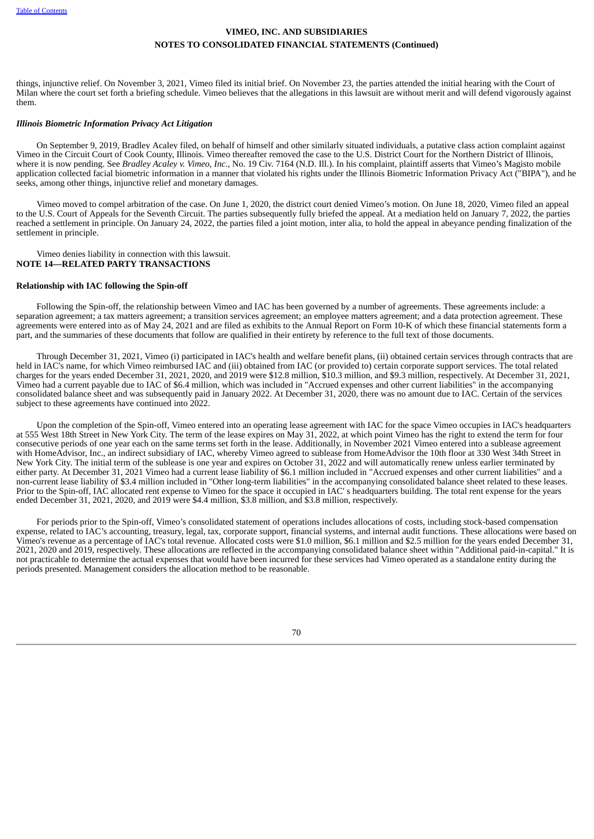things, injunctive relief. On November 3, 2021, Vimeo filed its initial brief. On November 23, the parties attended the initial hearing with the Court of Milan where the court set forth a briefing schedule. Vimeo believes that the allegations in this lawsuit are without merit and will defend vigorously against them.

### *Illinois Biometric Information Privacy Act Litigation*

On September 9, 2019, Bradley Acaley filed, on behalf of himself and other similarly situated individuals, a putative class action complaint against Vimeo in the Circuit Court of Cook County, Illinois. Vimeo thereafter removed the case to the U.S. District Court for the Northern District of Illinois, where it is now pending. See *Bradley Acaley v. Vimeo, Inc.*, No. 19 Civ. 7164 (N.D. Ill.). In his complaint, plaintiff asserts that Vimeo's Magisto mobile application collected facial biometric information in a manner that violated his rights under the Illinois Biometric Information Privacy Act ("BIPA"), and he seeks, among other things, injunctive relief and monetary damages.

Vimeo moved to compel arbitration of the case. On June 1, 2020, the district court denied Vimeo's motion. On June 18, 2020, Vimeo filed an appeal to the U.S. Court of Appeals for the Seventh Circuit. The parties subsequently fully briefed the appeal. At a mediation held on January 7, 2022, the parties reached a settlement in principle. On January 24, 2022, the parties filed a joint motion, inter alia, to hold the appeal in abeyance pending finalization of the settlement in principle.

<span id="page-73-0"></span>Vimeo denies liability in connection with this lawsuit. **NOTE 14—RELATED PARTY TRANSACTIONS**

### **Relationship with IAC following the Spin-off**

Following the Spin-off, the relationship between Vimeo and IAC has been governed by a number of agreements. These agreements include: a separation agreement; a tax matters agreement; a transition services agreement; an employee matters agreement; and a data protection agreement. These agreements were entered into as of May 24, 2021 and are filed as exhibits to the Annual Report on Form 10-K of which these financial statements form a part, and the summaries of these documents that follow are qualified in their entirety by reference to the full text of those documents.

Through December 31, 2021, Vimeo (i) participated in IAC's health and welfare benefit plans, (ii) obtained certain services through contracts that are held in IAC's name, for which Vimeo reimbursed IAC and (iii) obtained from IAC (or provided to) certain corporate support services. The total related charges for the years ended December 31, 2021, 2020, and 2019 were \$12.8 million, \$10.3 million, and \$9.3 million, respectively. At December 31, 2021, Vimeo had a current payable due to IAC of \$6.4 million, which was included in "Accrued expenses and other current liabilities" in the accompanying consolidated balance sheet and was subsequently paid in January 2022. At December 31, 2020, there was no amount due to IAC. Certain of the services subject to these agreements have continued into 2022.

Upon the completion of the Spin-off, Vimeo entered into an operating lease agreement with IAC for the space Vimeo occupies in IAC's headquarters at 555 West 18th Street in New York City. The term of the lease expires on May 31, 2022, at which point Vimeo has the right to extend the term for four consecutive periods of one year each on the same terms set forth in the lease. Additionally, in November 2021 Vimeo entered into a sublease agreement with HomeAdvisor, Inc., an indirect subsidiary of IAC, whereby Vimeo agreed to sublease from HomeAdvisor the 10th floor at 330 West 34th Street in New York City. The initial term of the sublease is one year and expires on October 31, 2022 and will automatically renew unless earlier terminated by either party. At December 31, 2021 Vimeo had a current lease liability of \$6.1 million included in "Accrued expenses and other current liabilities" and a non-current lease liability of \$3.4 million included in "Other long-term liabilities" in the accompanying consolidated balance sheet related to these leases. Prior to the Spin-off, IAC allocated rent expense to Vimeo for the space it occupied in IAC' s headquarters building. The total rent expense for the years ended December 31, 2021, 2020, and 2019 were \$4.4 million, \$3.8 million, and \$3.8 million, respectively.

For periods prior to the Spin-off, Vimeo's consolidated statement of operations includes allocations of costs, including stock-based compensation expense, related to IAC's accounting, treasury, legal, tax, corporate support, financial systems, and internal audit functions. These allocations were based on Vimeo's revenue as a percentage of IAC's total revenue. Allocated costs were \$1.0 million, \$6.1 million and \$2.5 million for the years ended December 31, 2021, 2020 and 2019, respectively. These allocations are reflected in the accompanying consolidated balance sheet within "Additional paid-in-capital." It is not practicable to determine the actual expenses that would have been incurred for these services had Vimeo operated as a standalone entity during the periods presented. Management considers the allocation method to be reasonable.

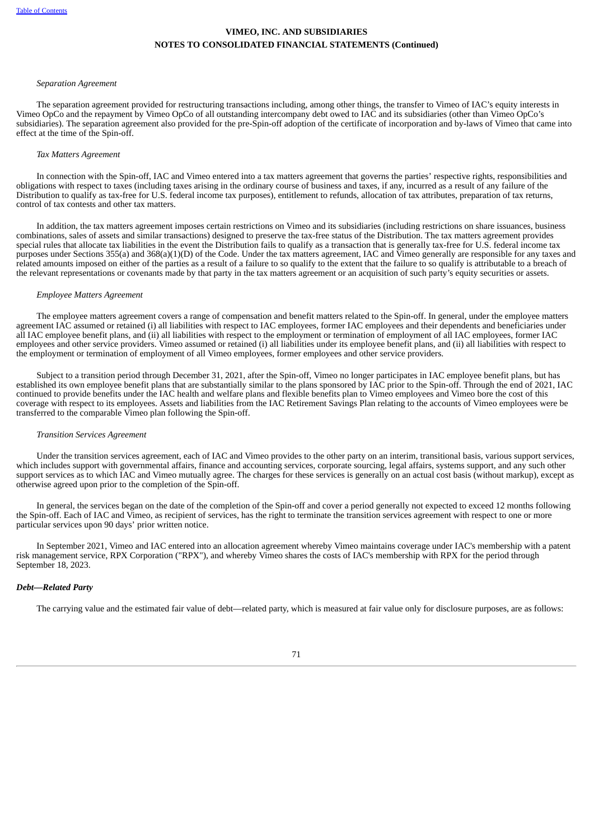### *Separation Agreement*

The separation agreement provided for restructuring transactions including, among other things, the transfer to Vimeo of IAC's equity interests in Vimeo OpCo and the repayment by Vimeo OpCo of all outstanding intercompany debt owed to IAC and its subsidiaries (other than Vimeo OpCo's subsidiaries). The separation agreement also provided for the pre-Spin-off adoption of the certificate of incorporation and by-laws of Vimeo that came into effect at the time of the Spin-off.

#### *Tax Matters Agreement*

In connection with the Spin-off, IAC and Vimeo entered into a tax matters agreement that governs the parties' respective rights, responsibilities and obligations with respect to taxes (including taxes arising in the ordinary course of business and taxes, if any, incurred as a result of any failure of the Distribution to qualify as tax-free for U.S. federal income tax purposes), entitlement to refunds, allocation of tax attributes, preparation of tax returns, control of tax contests and other tax matters.

In addition, the tax matters agreement imposes certain restrictions on Vimeo and its subsidiaries (including restrictions on share issuances, business combinations, sales of assets and similar transactions) designed to preserve the tax-free status of the Distribution. The tax matters agreement provides special rules that allocate tax liabilities in the event the Distribution fails to qualify as a transaction that is generally tax-free for U.S. federal income tax purposes under Sections 355(a) and 368(a)(1)(D) of the Code. Under the tax matters agreement, IAC and Vimeo generally are responsible for any taxes and related amounts imposed on either of the parties as a result of a failure to so qualify to the extent that the failure to so qualify is attributable to a breach of the relevant representations or covenants made by that party in the tax matters agreement or an acquisition of such party's equity securities or assets.

#### *Employee Matters Agreement*

The employee matters agreement covers a range of compensation and benefit matters related to the Spin-off. In general, under the employee matters agreement IAC assumed or retained (i) all liabilities with respect to IAC employees, former IAC employees and their dependents and beneficiaries under all IAC employee benefit plans, and (ii) all liabilities with respect to the employment or termination of employment of all IAC employees, former IAC employees and other service providers. Vimeo assumed or retained (i) all liabilities under its employee benefit plans, and (ii) all liabilities with respect to the employment or termination of employment of all Vimeo employees, former employees and other service providers.

Subject to a transition period through December 31, 2021, after the Spin-off, Vimeo no longer participates in IAC employee benefit plans, but has established its own employee benefit plans that are substantially similar to the plans sponsored by IAC prior to the Spin-off. Through the end of 2021, IAC continued to provide benefits under the IAC health and welfare plans and flexible benefits plan to Vimeo employees and Vimeo bore the cost of this coverage with respect to its employees. Assets and liabilities from the IAC Retirement Savings Plan relating to the accounts of Vimeo employees were be transferred to the comparable Vimeo plan following the Spin-off.

#### *Transition Services Agreement*

Under the transition services agreement, each of IAC and Vimeo provides to the other party on an interim, transitional basis, various support services, which includes support with governmental affairs, finance and accounting services, corporate sourcing, legal affairs, systems support, and any such other support services as to which IAC and Vimeo mutually agree. The charges for these services is generally on an actual cost basis (without markup), except as otherwise agreed upon prior to the completion of the Spin-off.

In general, the services began on the date of the completion of the Spin-off and cover a period generally not expected to exceed 12 months following the Spin-off. Each of IAC and Vimeo, as recipient of services, has the right to terminate the transition services agreement with respect to one or more particular services upon 90 days' prior written notice.

In September 2021, Vimeo and IAC entered into an allocation agreement whereby Vimeo maintains coverage under IAC's membership with a patent risk management service, RPX Corporation ("RPX"), and whereby Vimeo shares the costs of IAC's membership with RPX for the period through September 18, 2023.

### *Debt—Related Party*

The carrying value and the estimated fair value of debt—related party, which is measured at fair value only for disclosure purposes, are as follows:

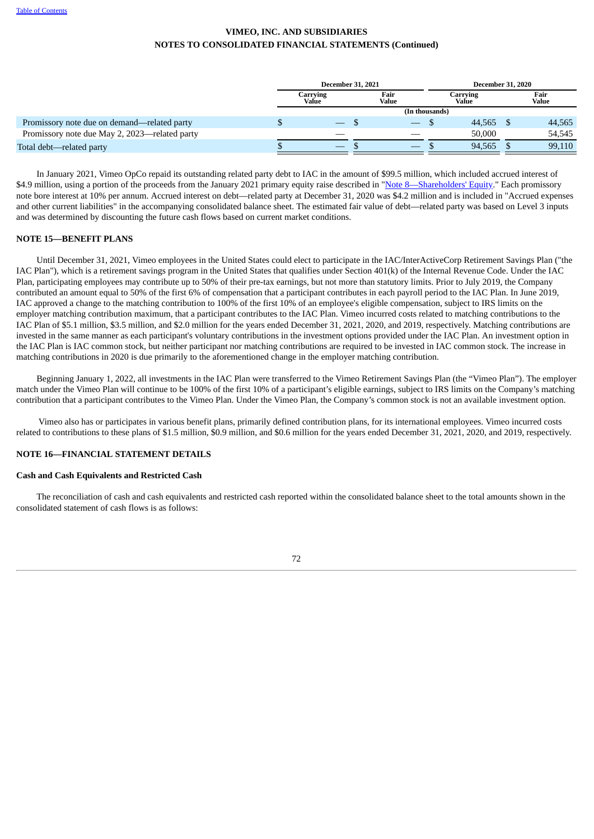|                                               | <b>December 31, 2021</b>        |               | <b>December 31, 2020</b> |  |                   |  |               |
|-----------------------------------------------|---------------------------------|---------------|--------------------------|--|-------------------|--|---------------|
|                                               | Carrying<br>Value               | Fair<br>Value |                          |  | Carrving<br>Value |  | Fair<br>Value |
|                                               |                                 |               | (In thousands)           |  |                   |  |               |
| Promissory note due on demand—related party   | $\hspace{0.1mm}-\hspace{0.1mm}$ |               | $\overline{\phantom{0}}$ |  | 44,565 \$         |  | 44,565        |
| Promissory note due May 2, 2023—related party |                                 |               |                          |  | 50,000            |  | 54.545        |
| Total debt—related party                      |                                 |               |                          |  | 94,565            |  | 99,110        |

In January 2021, Vimeo OpCo repaid its outstanding related party debt to IAC in the amount of \$99.5 million, which included accrued interest of \$4.9 million, using a portion of the proceeds from the January 2021 primary equity raise described in "Note [8—Shareholders'](#page-63-0) Equity." Each promissory note bore interest at 10% per annum. Accrued interest on debt—related party at December 31, 2020 was \$4.2 million and is included in "Accrued expenses and other current liabilities" in the accompanying consolidated balance sheet. The estimated fair value of debt—related party was based on Level 3 inputs and was determined by discounting the future cash flows based on current market conditions.

## **NOTE 15—BENEFIT PLANS**

Until December 31, 2021, Vimeo employees in the United States could elect to participate in the IAC/InterActiveCorp Retirement Savings Plan ("the IAC Plan"), which is a retirement savings program in the United States that qualifies under Section 401(k) of the Internal Revenue Code. Under the IAC Plan, participating employees may contribute up to 50% of their pre-tax earnings, but not more than statutory limits. Prior to July 2019, the Company contributed an amount equal to 50% of the first 6% of compensation that a participant contributes in each payroll period to the IAC Plan. In June 2019, IAC approved a change to the matching contribution to 100% of the first 10% of an employee's eligible compensation, subject to IRS limits on the employer matching contribution maximum, that a participant contributes to the IAC Plan. Vimeo incurred costs related to matching contributions to the IAC Plan of \$5.1 million, \$3.5 million, and \$2.0 million for the years ended December 31, 2021, 2020, and 2019, respectively. Matching contributions are invested in the same manner as each participant's voluntary contributions in the investment options provided under the IAC Plan. An investment option in the IAC Plan is IAC common stock, but neither participant nor matching contributions are required to be invested in IAC common stock. The increase in matching contributions in 2020 is due primarily to the aforementioned change in the employer matching contribution.

Beginning January 1, 2022, all investments in the IAC Plan were transferred to the Vimeo Retirement Savings Plan (the "Vimeo Plan"). The employer match under the Vimeo Plan will continue to be 100% of the first 10% of a participant's eligible earnings, subject to IRS limits on the Company's matching contribution that a participant contributes to the Vimeo Plan. Under the Vimeo Plan, the Company's common stock is not an available investment option.

Vimeo also has or participates in various benefit plans, primarily defined contribution plans, for its international employees. Vimeo incurred costs related to contributions to these plans of \$1.5 million, \$0.9 million, and \$0.6 million for the years ended December 31, 2021, 2020, and 2019, respectively.

# **NOTE 16—FINANCIAL STATEMENT DETAILS**

# **Cash and Cash Equivalents and Restricted Cash**

The reconciliation of cash and cash equivalents and restricted cash reported within the consolidated balance sheet to the total amounts shown in the consolidated statement of cash flows is as follows:

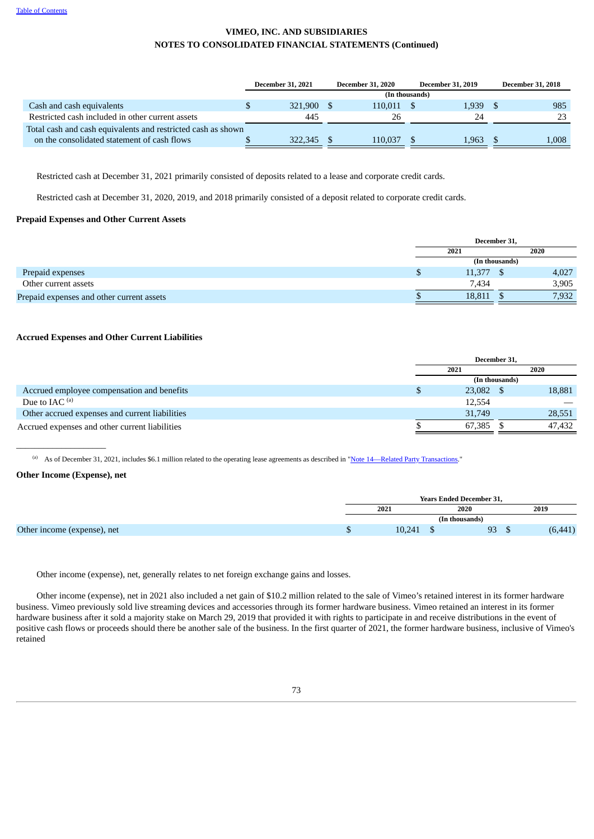|                                                              | <b>December 31, 2021</b> | <b>December 31, 2020</b> | <b>December 31, 2019</b> | <b>December 31, 2018</b> |
|--------------------------------------------------------------|--------------------------|--------------------------|--------------------------|--------------------------|
|                                                              |                          |                          | (In thousands)           |                          |
| Cash and cash equivalents                                    | 321.900                  | 110.011                  | 1,939                    | 985                      |
| Restricted cash included in other current assets             | 445                      | 26                       | 24                       | 23                       |
| Total cash and cash equivalents and restricted cash as shown |                          |                          |                          |                          |
| on the consolidated statement of cash flows                  | 322,345                  | 110.037                  | 1.963                    | 1,008                    |

Restricted cash at December 31, 2021 primarily consisted of deposits related to a lease and corporate credit cards.

Restricted cash at December 31, 2020, 2019, and 2018 primarily consisted of a deposit related to corporate credit cards.

### **Prepaid Expenses and Other Current Assets**

|                                           |      | December 31,   |       |  |  |  |
|-------------------------------------------|------|----------------|-------|--|--|--|
|                                           | 2021 |                | 2020  |  |  |  |
|                                           |      | (In thousands) |       |  |  |  |
| Prepaid expenses                          |      | 11,377         | 4,027 |  |  |  |
| Other current assets                      |      | 7.434          | 3,905 |  |  |  |
| Prepaid expenses and other current assets |      | 18,811         | 7,932 |  |  |  |

# **Accrued Expenses and Other Current Liabilities**

|                                                | December 31. |                |        |  |
|------------------------------------------------|--------------|----------------|--------|--|
|                                                | 2021         |                | 2020   |  |
|                                                |              | (In thousands) |        |  |
| Accrued employee compensation and benefits     | 23,082 \$    |                | 18,881 |  |
| Due to $IAC$ <sup>(a)</sup>                    | 12.554       |                |        |  |
| Other accrued expenses and current liabilities | 31,749       |                | 28,551 |  |
| Accrued expenses and other current liabilities | 67,385       |                | 47,432 |  |

(a) As of December 31, 2021, includes \$6.1 million related to the operating lease agreements as described in ["Note](#page-73-0) 14[—R](#page-73-0)elated Party [Transactions.](#page-73-0)"

# **Other Income (Expense), net**

 $\_$ 

|  |        | <b>Years Ended December 31.</b> |                 |       |
|--|--------|---------------------------------|-----------------|-------|
|  | 2021   | 2020                            |                 | 2019  |
|  |        | (In thousands)                  |                 |       |
|  | 10.241 |                                 | <b>Q3</b><br>ںر | ,441) |

Other income (expense), net, generally relates to net foreign exchange gains and losses.

Other income (expense), net in 2021 also included a net gain of \$10.2 million related to the sale of Vimeo's retained interest in its former hardware business. Vimeo previously sold live streaming devices and accessories through its former hardware business. Vimeo retained an interest in its former hardware business after it sold a majority stake on March 29, 2019 that provided it with rights to participate in and receive distributions in the event of positive cash flows or proceeds should there be another sale of the business. In the first quarter of 2021, the former hardware business, inclusive of Vimeo's retained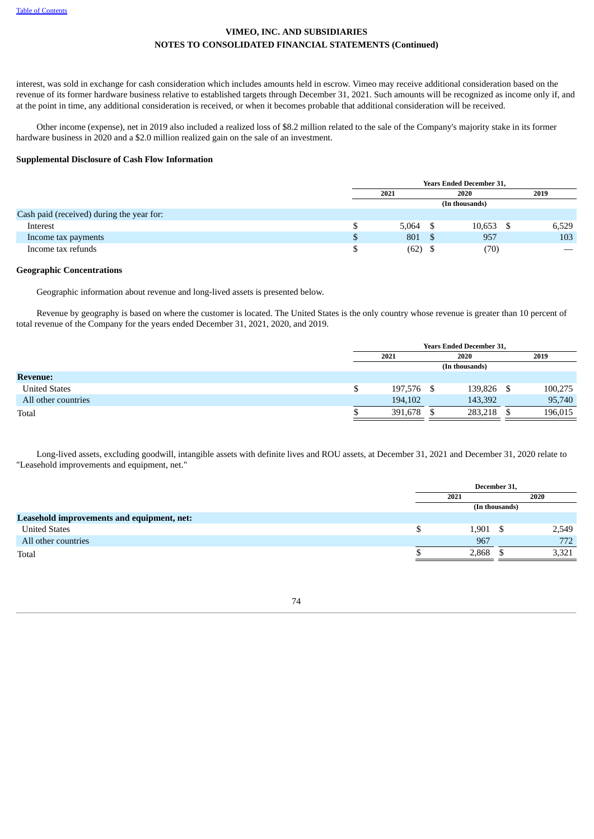interest, was sold in exchange for cash consideration which includes amounts held in escrow. Vimeo may receive additional consideration based on the revenue of its former hardware business relative to established targets through December 31, 2021. Such amounts will be recognized as income only if, and at the point in time, any additional consideration is received, or when it becomes probable that additional consideration will be received.

Other income (expense), net in 2019 also included a realized loss of \$8.2 million related to the sale of the Company's majority stake in its former hardware business in 2020 and a \$2.0 million realized gain on the sale of an investment.

## **Supplemental Disclosure of Cash Flow Information**

|                                           | <b>Years Ended December 31,</b> |       |    |                |       |  |  |
|-------------------------------------------|---------------------------------|-------|----|----------------|-------|--|--|
|                                           | 2021<br>2020                    |       |    |                | 2019  |  |  |
|                                           |                                 |       |    | (In thousands) |       |  |  |
| Cash paid (received) during the year for: |                                 |       |    |                |       |  |  |
| Interest                                  |                                 | 5,064 |    | 10,653         | 6,529 |  |  |
| Income tax payments                       | \$                              | 801   | Эb | 957            | 103   |  |  |
| Income tax refunds                        |                                 | (62)  |    | (70)           |       |  |  |

## **Geographic Concentrations**

Geographic information about revenue and long-lived assets is presented below.

Revenue by geography is based on where the customer is located. The United States is the only country whose revenue is greater than 10 percent of total revenue of the Company for the years ended December 31, 2021, 2020, and 2019.

|                      |   | <b>Years Ended December 31,</b> |      |            |  |         |  |  |  |
|----------------------|---|---------------------------------|------|------------|--|---------|--|--|--|
|                      |   | 2021                            | 2020 |            |  | 2019    |  |  |  |
|                      |   |                                 |      |            |  |         |  |  |  |
| <b>Revenue:</b>      |   |                                 |      |            |  |         |  |  |  |
| <b>United States</b> | S | 197,576 \$                      |      | 139,826 \$ |  | 100,275 |  |  |  |
| All other countries  |   | 194,102                         |      | 143,392    |  | 95,740  |  |  |  |
| Total                |   | 391,678                         |      | 283,218    |  | 196,015 |  |  |  |
|                      |   |                                 |      |            |  |         |  |  |  |

Long-lived assets, excluding goodwill, intangible assets with definite lives and ROU assets, at December 31, 2021 and December 31, 2020 relate to "Leasehold improvements and equipment, net."

|                                            | December 31, |                |       |  |  |
|--------------------------------------------|--------------|----------------|-------|--|--|
|                                            | 2021         |                | 2020  |  |  |
|                                            |              | (In thousands) |       |  |  |
| Leasehold improvements and equipment, net: |              |                |       |  |  |
| <b>United States</b>                       | $1,901$ \$   |                | 2,549 |  |  |
| All other countries                        | 967          |                | 772   |  |  |
| Total                                      | 2,868        |                | 3,321 |  |  |
|                                            |              |                |       |  |  |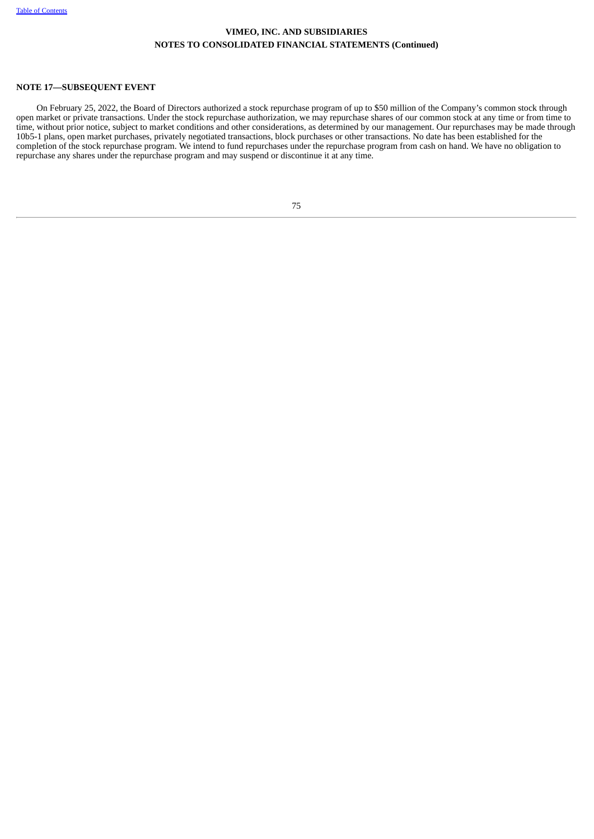# **NOTE 17—SUBSEQUENT EVENT**

On February 25, 2022, the Board of Directors authorized a stock repurchase program of up to \$50 million of the Company's common stock through open market or private transactions. Under the stock repurchase authorization, we may repurchase shares of our common stock at any time or from time to time, without prior notice, subject to market conditions and other considerations, as determined by our management. Our repurchases may be made through 10b5-1 plans, open market purchases, privately negotiated transactions, block purchases or other transactions. No date has been established for the completion of the stock repurchase program. We intend to fund repurchases under the repurchase program from cash on hand. We have no obligation to repurchase any shares under the repurchase program and may suspend or discontinue it at any time.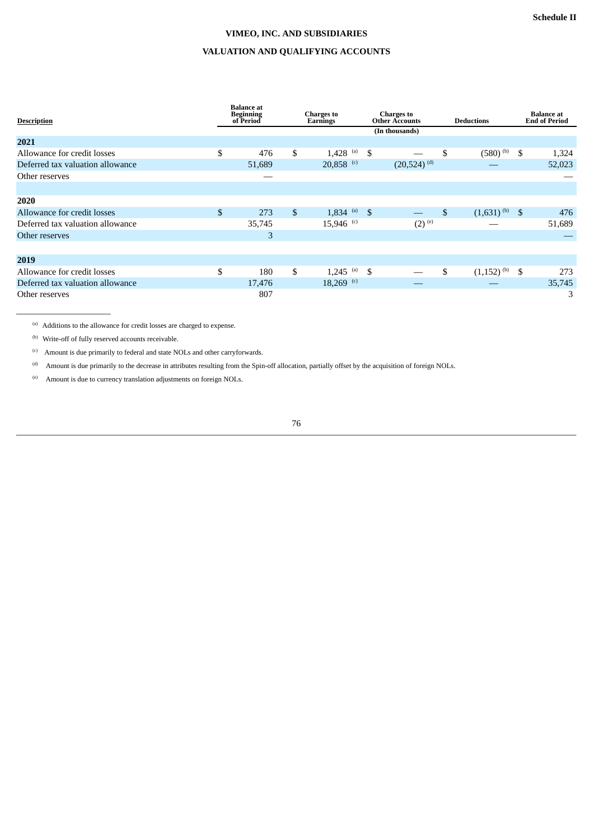# **VIMEO, INC. AND SUBSIDIARIES**

# **VALUATION AND QUALIFYING ACCOUNTS**

| <b>Description</b>               | <b>Balance</b> at<br><b>Beginning</b><br>of Period | <b>Charges to</b><br>Earnings |    | <b>Charges to</b><br><b>Other Accounts</b> | <b>Deductions</b>                 | <b>Balance</b> at<br><b>End of Period</b> |
|----------------------------------|----------------------------------------------------|-------------------------------|----|--------------------------------------------|-----------------------------------|-------------------------------------------|
|                                  |                                                    |                               |    | (In thousands)                             |                                   |                                           |
| 2021                             |                                                    |                               |    |                                            |                                   |                                           |
| Allowance for credit losses      | \$<br>476                                          | \$<br>1,428 (a) $\frac{1}{3}$ |    |                                            | \$<br>$(580)$ <sup>(b)</sup>      | \$<br>1,324                               |
| Deferred tax valuation allowance | 51,689                                             | 20,858 $(c)$                  |    | $(20,524)$ <sup>(d)</sup>                  |                                   | 52,023                                    |
| Other reserves                   |                                                    |                               |    |                                            |                                   |                                           |
|                                  |                                                    |                               |    |                                            |                                   |                                           |
| 2020                             |                                                    |                               |    |                                            |                                   |                                           |
| Allowance for credit losses      | \$<br>273                                          | \$<br>$1,834$ (a)             | -S |                                            | \$<br>$(1,631)$ <sup>(b)</sup> \$ | 476                                       |
| Deferred tax valuation allowance | 35,745                                             | $15,946$ <sup>(c)</sup>       |    | $(2)$ <sup>(e)</sup>                       |                                   | 51,689                                    |
| Other reserves                   | 3                                                  |                               |    |                                            |                                   |                                           |
|                                  |                                                    |                               |    |                                            |                                   |                                           |
| 2019                             |                                                    |                               |    |                                            |                                   |                                           |
| Allowance for credit losses      | \$<br>180                                          | \$<br>$1,245$ <sup>(a)</sup>  | \$ |                                            | \$<br>$(1,152)$ <sup>(b)</sup>    | \$<br>273                                 |
| Deferred tax valuation allowance | 17,476                                             | $18,269$ <sup>(c)</sup>       |    |                                            |                                   | 35,745                                    |
| Other reserves                   | 807                                                |                               |    |                                            |                                   | 3                                         |

(a) Additions to the allowance for credit losses are charged to expense.

<sup>(b)</sup> Write-off of fully reserved accounts receivable.

 $\_$ 

 $\alpha$  Amount is due primarily to federal and state NOLs and other carryforwards.

Amount is due primarily to the decrease in attributes resulting from the Spin-off allocation, partially offset by the acquisition of foreign NOLs. (d)

Amount is due to currency translation adjustments on foreign NOLs. (e)

76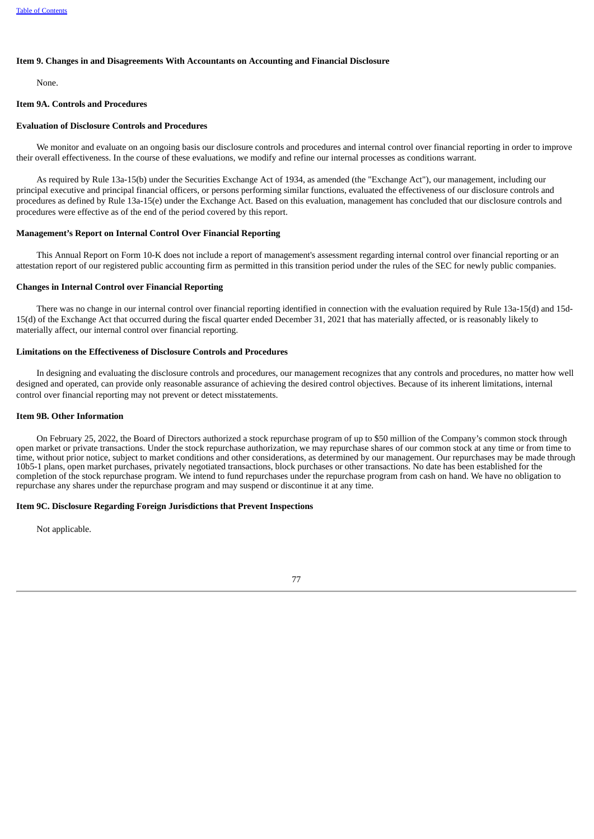## **Item 9. Changes in and Disagreements With Accountants on Accounting and Financial Disclosure**

None.

# **Item 9A. Controls and Procedures**

# **Evaluation of Disclosure Controls and Procedures**

We monitor and evaluate on an ongoing basis our disclosure controls and procedures and internal control over financial reporting in order to improve their overall effectiveness. In the course of these evaluations, we modify and refine our internal processes as conditions warrant.

As required by Rule 13a-15(b) under the Securities Exchange Act of 1934, as amended (the "Exchange Act"), our management, including our principal executive and principal financial officers, or persons performing similar functions, evaluated the effectiveness of our disclosure controls and procedures as defined by Rule 13a-15(e) under the Exchange Act. Based on this evaluation, management has concluded that our disclosure controls and procedures were effective as of the end of the period covered by this report.

### **Management's Report on Internal Control Over Financial Reporting**

This Annual Report on Form 10-K does not include a report of management's assessment regarding internal control over financial reporting or an attestation report of our registered public accounting firm as permitted in this transition period under the rules of the SEC for newly public companies.

#### **Changes in Internal Control over Financial Reporting**

There was no change in our internal control over financial reporting identified in connection with the evaluation required by Rule 13a-15(d) and 15d-15(d) of the Exchange Act that occurred during the fiscal quarter ended December 31, 2021 that has materially affected, or is reasonably likely to materially affect, our internal control over financial reporting.

#### **Limitations on the Effectiveness of Disclosure Controls and Procedures**

In designing and evaluating the disclosure controls and procedures, our management recognizes that any controls and procedures, no matter how well designed and operated, can provide only reasonable assurance of achieving the desired control objectives. Because of its inherent limitations, internal control over financial reporting may not prevent or detect misstatements.

#### **Item 9B. Other Information**

On February 25, 2022, the Board of Directors authorized a stock repurchase program of up to \$50 million of the Company's common stock through open market or private transactions. Under the stock repurchase authorization, we may repurchase shares of our common stock at any time or from time to time, without prior notice, subject to market conditions and other considerations, as determined by our management. Our repurchases may be made through 10b5-1 plans, open market purchases, privately negotiated transactions, block purchases or other transactions. No date has been established for the completion of the stock repurchase program. We intend to fund repurchases under the repurchase program from cash on hand. We have no obligation to repurchase any shares under the repurchase program and may suspend or discontinue it at any time.

## **Item 9C. Disclosure Regarding Foreign Jurisdictions that Prevent Inspections**

Not applicable.

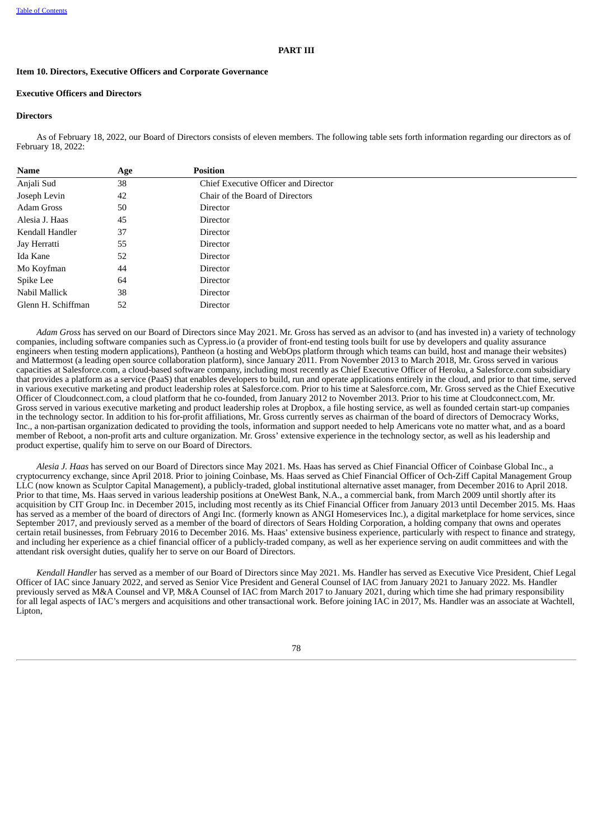### **PART III**

#### **Item 10. Directors, Executive Officers and Corporate Governance**

## **Executive Officers and Directors**

#### **Directors**

As of February 18, 2022, our Board of Directors consists of eleven members. The following table sets forth information regarding our directors as of February 18, 2022:

| <b>Name</b>        | Age | <b>Position</b>                      |  |
|--------------------|-----|--------------------------------------|--|
| Anjali Sud         | 38  | Chief Executive Officer and Director |  |
| Joseph Levin       | 42  | Chair of the Board of Directors      |  |
| Adam Gross         | 50  | Director                             |  |
| Alesia J. Haas     | 45  | Director                             |  |
| Kendall Handler    | 37  | Director                             |  |
| Jay Herratti       | 55  | Director                             |  |
| Ida Kane           | 52  | Director                             |  |
| Mo Koyfman         | 44  | Director                             |  |
| Spike Lee          | 64  | Director                             |  |
| Nabil Mallick      | 38  | Director                             |  |
| Glenn H. Schiffman | 52  | Director                             |  |

*Adam Gross* has served on our Board of Directors since May 2021. Mr. Gross has served as an advisor to (and has invested in) a variety of technology companies, including software companies such as Cypress.io (a provider of front-end testing tools built for use by developers and quality assurance engineers when testing modern applications), Pantheon (a hosting and WebOps platform through which teams can build, host and manage their websites) and Mattermost (a leading open source collaboration platform), since January 2011. From November 2013 to March 2018, Mr. Gross served in various capacities at Salesforce.com, a cloud-based software company, including most recently as Chief Executive Officer of Heroku, a Salesforce.com subsidiary that provides a platform as a service (PaaS) that enables developers to build, run and operate applications entirely in the cloud, and prior to that time, served in various executive marketing and product leadership roles at Salesforce.com. Prior to his time at Salesforce.com, Mr. Gross served as the Chief Executive Officer of Cloudconnect.com, a cloud platform that he co-founded, from January 2012 to November 2013. Prior to his time at Cloudconnect.com, Mr. Gross served in various executive marketing and product leadership roles at Dropbox, a file hosting service, as well as founded certain start-up companies in the technology sector. In addition to his for-profit affiliations, Mr. Gross currently serves as chairman of the board of directors of Democracy Works, Inc., a non-partisan organization dedicated to providing the tools, information and support needed to help Americans vote no matter what, and as a board member of Reboot, a non-profit arts and culture organization. Mr. Gross' extensive experience in the technology sector, as well as his leadership and product expertise, qualify him to serve on our Board of Directors.

*Alesia J. Haas* has served on our Board of Directors since May 2021. Ms. Haas has served as Chief Financial Officer of Coinbase Global Inc., a cryptocurrency exchange, since April 2018. Prior to joining Coinbase, Ms. Haas served as Chief Financial Officer of Och-Ziff Capital Management Group LLC (now known as Sculptor Capital Management), a publicly-traded, global institutional alternative asset manager, from December 2016 to April 2018. Prior to that time, Ms. Haas served in various leadership positions at OneWest Bank, N.A., a commercial bank, from March 2009 until shortly after its acquisition by CIT Group Inc. in December 2015, including most recently as its Chief Financial Officer from January 2013 until December 2015. Ms. Haas has served as a member of the board of directors of Angi Inc. (formerly known as ANGI Homeservices Inc.), a digital marketplace for home services, since September 2017, and previously served as a member of the board of directors of Sears Holding Corporation, a holding company that owns and operates certain retail businesses, from February 2016 to December 2016. Ms. Haas' extensive business experience, particularly with respect to finance and strategy, and including her experience as a chief financial officer of a publicly-traded company, as well as her experience serving on audit committees and with the attendant risk oversight duties, qualify her to serve on our Board of Directors.

*Kendall Handler* has served as a member of our Board of Directors since May 2021. Ms. Handler has served as Executive Vice President, Chief Legal Officer of IAC since January 2022, and served as Senior Vice President and General Counsel of IAC from January 2021 to January 2022. Ms. Handler previously served as M&A Counsel and VP, M&A Counsel of IAC from March 2017 to January 2021, during which time she had primary responsibility for all legal aspects of IAC's mergers and acquisitions and other transactional work. Before joining IAC in 2017, Ms. Handler was an associate at Wachtell, Lipton,

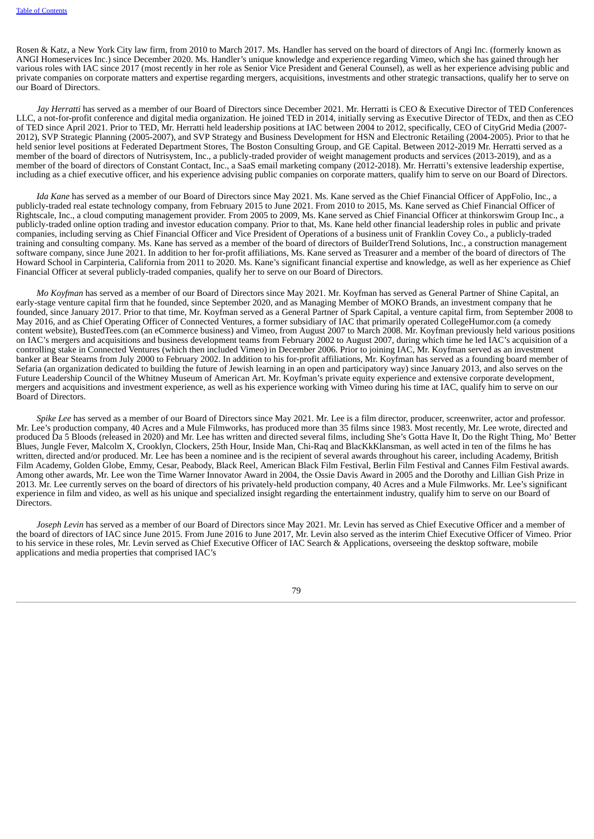Rosen & Katz, a New York City law firm, from 2010 to March 2017. Ms. Handler has served on the board of directors of Angi Inc. (formerly known as ANGI Homeservices Inc.) since December 2020. Ms. Handler's unique knowledge and experience regarding Vimeo, which she has gained through her various roles with IAC since 2017 (most recently in her role as Senior Vice President and General Counsel), as well as her experience advising public and private companies on corporate matters and expertise regarding mergers, acquisitions, investments and other strategic transactions, qualify her to serve on our Board of Directors.

*Jay Herratti* has served as a member of our Board of Directors since December 2021. Mr. Herratti is CEO & Executive Director of TED Conferences LLC, a not-for-profit conference and digital media organization. He joined TED in 2014, initially serving as Executive Director of TEDx, and then as CEO of TED since April 2021. Prior to TED, Mr. Herratti held leadership positions at IAC between 2004 to 2012, specifically, CEO of CityGrid Media (2007- 2012), SVP Strategic Planning (2005-2007), and SVP Strategy and Business Development for HSN and Electronic Retailing (2004-2005). Prior to that he held senior level positions at Federated Department Stores, The Boston Consulting Group, and GE Capital. Between 2012-2019 Mr. Herratti served as a member of the board of directors of Nutrisystem, Inc., a publicly-traded provider of weight management products and services (2013-2019), and as a member of the board of directors of Constant Contact, Inc., a SaaS email marketing company (2012-2018). Mr. Herratti's extensive leadership expertise, including as a chief executive officer, and his experience advising public companies on corporate matters, qualify him to serve on our Board of Directors.

*Ida Kane* has served as a member of our Board of Directors since May 2021. Ms. Kane served as the Chief Financial Officer of AppFolio, Inc., a publicly-traded real estate technology company, from February 2015 to June 2021. From 2010 to 2015, Ms. Kane served as Chief Financial Officer of Rightscale, Inc., a cloud computing management provider. From 2005 to 2009, Ms. Kane served as Chief Financial Officer at thinkorswim Group Inc., a publicly-traded online option trading and investor education company. Prior to that, Ms. Kane held other financial leadership roles in public and private companies, including serving as Chief Financial Officer and Vice President of Operations of a business unit of Franklin Covey Co., a publicly-traded training and consulting company. Ms. Kane has served as a member of the board of directors of BuilderTrend Solutions, Inc., a construction management software company, since June 2021. In addition to her for-profit affiliations, Ms. Kane served as Treasurer and a member of the board of directors of The Howard School in Carpinteria, California from 2011 to 2020. Ms. Kane's significant financial expertise and knowledge, as well as her experience as Chief Financial Officer at several publicly-traded companies, qualify her to serve on our Board of Directors.

*Mo Koyfman* has served as a member of our Board of Directors since May 2021. Mr. Koyfman has served as General Partner of Shine Capital, an early-stage venture capital firm that he founded, since September 2020, and as Managing Member of MOKO Brands, an investment company that he founded, since January 2017. Prior to that time, Mr. Koyfman served as a General Partner of Spark Capital, a venture capital firm, from September 2008 to May 2016, and as Chief Operating Officer of Connected Ventures, a former subsidiary of IAC that primarily operated CollegeHumor.com (a comedy content website), BustedTees.com (an eCommerce business) and Vimeo, from August 2007 to March 2008. Mr. Koyfman previously held various positions on IAC's mergers and acquisitions and business development teams from February 2002 to August 2007, during which time he led IAC's acquisition of a controlling stake in Connected Ventures (which then included Vimeo) in December 2006. Prior to joining IAC, Mr. Koyfman served as an investment banker at Bear Stearns from July 2000 to February 2002. In addition to his for-profit affiliations, Mr. Koyfman has served as a founding board member of Sefaria (an organization dedicated to building the future of Jewish learning in an open and participatory way) since January 2013, and also serves on the Future Leadership Council of the Whitney Museum of American Art. Mr. Koyfman's private equity experience and extensive corporate development, mergers and acquisitions and investment experience, as well as his experience working with Vimeo during his time at IAC, qualify him to serve on our Board of Directors.

*Spike Lee* has served as a member of our Board of Directors since May 2021. Mr. Lee is a film director, producer, screenwriter, actor and professor. Mr. Lee's production company, 40 Acres and a Mule Filmworks, has produced more than 35 films since 1983. Most recently, Mr. Lee wrote, directed and produced Da 5 Bloods (released in 2020) and Mr. Lee has written and directed several films, including She's Gotta Have It, Do the Right Thing, Mo' Better Blues, Jungle Fever, Malcolm X, Crooklyn, Clockers, 25th Hour, Inside Man, Chi-Raq and BlacKkKlansman, as well acted in ten of the films he has written, directed and/or produced. Mr. Lee has been a nominee and is the recipient of several awards throughout his career, including Academy, British Film Academy, Golden Globe, Emmy, Cesar, Peabody, Black Reel, American Black Film Festival, Berlin Film Festival and Cannes Film Festival awards. Among other awards, Mr. Lee won the Time Warner Innovator Award in 2004, the Ossie Davis Award in 2005 and the Dorothy and Lillian Gish Prize in 2013. Mr. Lee currently serves on the board of directors of his privately-held production company, 40 Acres and a Mule Filmworks. Mr. Lee's significant experience in film and video, as well as his unique and specialized insight regarding the entertainment industry, qualify him to serve on our Board of Directors.

*Joseph Levin* has served as a member of our Board of Directors since May 2021. Mr. Levin has served as Chief Executive Officer and a member of the board of directors of IAC since June 2015. From June 2016 to June 2017, Mr. Levin also served as the interim Chief Executive Officer of Vimeo. Prior to his service in these roles, Mr. Levin served as Chief Executive Officer of IAC Search & Applications, overseeing the desktop software, mobile applications and media properties that comprised IAC's

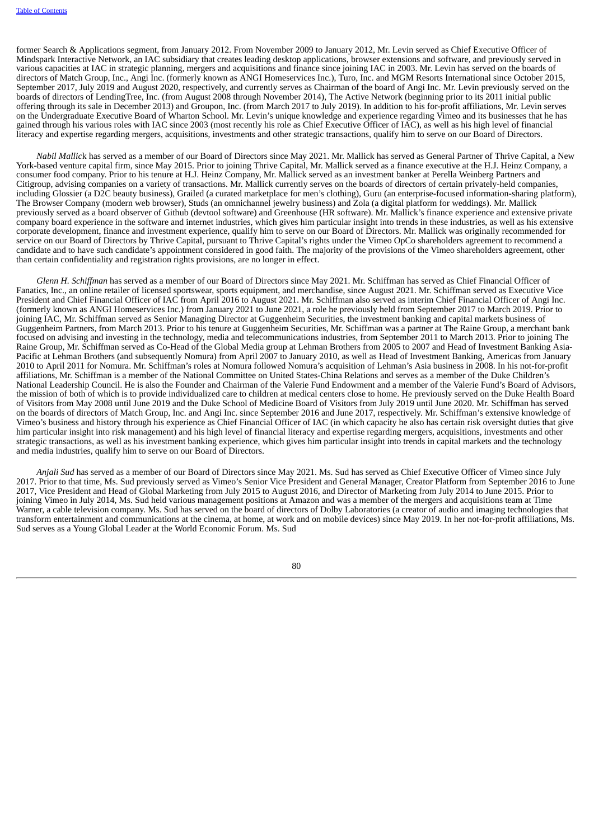former Search & Applications segment, from January 2012. From November 2009 to January 2012, Mr. Levin served as Chief Executive Officer of Mindspark Interactive Network, an IAC subsidiary that creates leading desktop applications, browser extensions and software, and previously served in various capacities at IAC in strategic planning, mergers and acquisitions and finance since joining IAC in 2003. Mr. Levin has served on the boards of directors of Match Group, Inc., Angi Inc. (formerly known as ANGI Homeservices Inc.), Turo, Inc. and MGM Resorts International since October 2015, September 2017, July 2019 and August 2020, respectively, and currently serves as Chairman of the board of Angi Inc. Mr. Levin previously served on the boards of directors of LendingTree, Inc. (from August 2008 through November 2014), The Active Network (beginning prior to its 2011 initial public offering through its sale in December 2013) and Groupon, Inc. (from March 2017 to July 2019). In addition to his for-profit affiliations, Mr. Levin serves on the Undergraduate Executive Board of Wharton School. Mr. Levin's unique knowledge and experience regarding Vimeo and its businesses that he has gained through his various roles with IAC since 2003 (most recently his role as Chief Executive Officer of IAC), as well as his high level of financial literacy and expertise regarding mergers, acquisitions, investments and other strategic transactions, qualify him to serve on our Board of Directors.

*Nabil Mallic*k has served as a member of our Board of Directors since May 2021. Mr. Mallick has served as General Partner of Thrive Capital, a New York-based venture capital firm, since May 2015. Prior to joining Thrive Capital, Mr. Mallick served as a finance executive at the H.J. Heinz Company, a consumer food company. Prior to his tenure at H.J. Heinz Company, Mr. Mallick served as an investment banker at Perella Weinberg Partners and Citigroup, advising companies on a variety of transactions. Mr. Mallick currently serves on the boards of directors of certain privately-held companies, including Glossier (a D2C beauty business), Grailed (a curated marketplace for men's clothing), Guru (an enterprise-focused information-sharing platform), The Browser Company (modern web browser), Studs (an omnichannel jewelry business) and Zola (a digital platform for weddings). Mr. Mallick previously served as a board observer of Github (devtool software) and Greenhouse (HR software). Mr. Mallick's finance experience and extensive private company board experience in the software and internet industries, which gives him particular insight into trends in these industries, as well as his extensive corporate development, finance and investment experience, qualify him to serve on our Board of Directors. Mr. Mallick was originally recommended for service on our Board of Directors by Thrive Capital, pursuant to Thrive Capital's rights under the Vimeo OpCo shareholders agreement to recommend a candidate and to have such candidate's appointment considered in good faith. The majority of the provisions of the Vimeo shareholders agreement, other than certain confidentiality and registration rights provisions, are no longer in effect.

*Glenn H. Schiffman* has served as a member of our Board of Directors since May 2021. Mr. Schiffman has served as Chief Financial Officer of Fanatics, Inc., an online retailer of licensed sportswear, sports equipment, and merchandise, since August 2021. Mr. Schiffman served as Executive Vice President and Chief Financial Officer of IAC from April 2016 to August 2021. Mr. Schiffman also served as interim Chief Financial Officer of Angi Inc. (formerly known as ANGI Homeservices Inc.) from January 2021 to June 2021, a role he previously held from September 2017 to March 2019. Prior to joining IAC, Mr. Schiffman served as Senior Managing Director at Guggenheim Securities, the investment banking and capital markets business of Guggenheim Partners, from March 2013. Prior to his tenure at Guggenheim Securities, Mr. Schiffman was a partner at The Raine Group, a merchant bank focused on advising and investing in the technology, media and telecommunications industries, from September 2011 to March 2013. Prior to joining The Raine Group, Mr. Schiffman served as Co-Head of the Global Media group at Lehman Brothers from 2005 to 2007 and Head of Investment Banking Asia-Pacific at Lehman Brothers (and subsequently Nomura) from April 2007 to January 2010, as well as Head of Investment Banking, Americas from January 2010 to April 2011 for Nomura. Mr. Schiffman's roles at Nomura followed Nomura's acquisition of Lehman's Asia business in 2008. In his not-for-profit affiliations, Mr. Schiffman is a member of the National Committee on United States-China Relations and serves as a member of the Duke Children's National Leadership Council. He is also the Founder and Chairman of the Valerie Fund Endowment and a member of the Valerie Fund's Board of Advisors, the mission of both of which is to provide individualized care to children at medical centers close to home. He previously served on the Duke Health Board of Visitors from May 2008 until June 2019 and the Duke School of Medicine Board of Visitors from July 2019 until June 2020. Mr. Schiffman has served on the boards of directors of Match Group, Inc. and Angi Inc. since September 2016 and June 2017, respectively. Mr. Schiffman's extensive knowledge of Vimeo's business and history through his experience as Chief Financial Officer of IAC (in which capacity he also has certain risk oversight duties that give him particular insight into risk management) and his high level of financial literacy and expertise regarding mergers, acquisitions, investments and other strategic transactions, as well as his investment banking experience, which gives him particular insight into trends in capital markets and the technology and media industries, qualify him to serve on our Board of Directors.

*Anjali Sud* has served as a member of our Board of Directors since May 2021. Ms. Sud has served as Chief Executive Officer of Vimeo since July 2017. Prior to that time, Ms. Sud previously served as Vimeo's Senior Vice President and General Manager, Creator Platform from September 2016 to June 2017, Vice President and Head of Global Marketing from July 2015 to August 2016, and Director of Marketing from July 2014 to June 2015. Prior to joining Vimeo in July 2014, Ms. Sud held various management positions at Amazon and was a member of the mergers and acquisitions team at Time Warner, a cable television company. Ms. Sud has served on the board of directors of Dolby Laboratories (a creator of audio and imaging technologies that transform entertainment and communications at the cinema, at home, at work and on mobile devices) since May 2019. In her not-for-profit affiliations, Ms. Sud serves as a Young Global Leader at the World Economic Forum. Ms. Sud

 $80$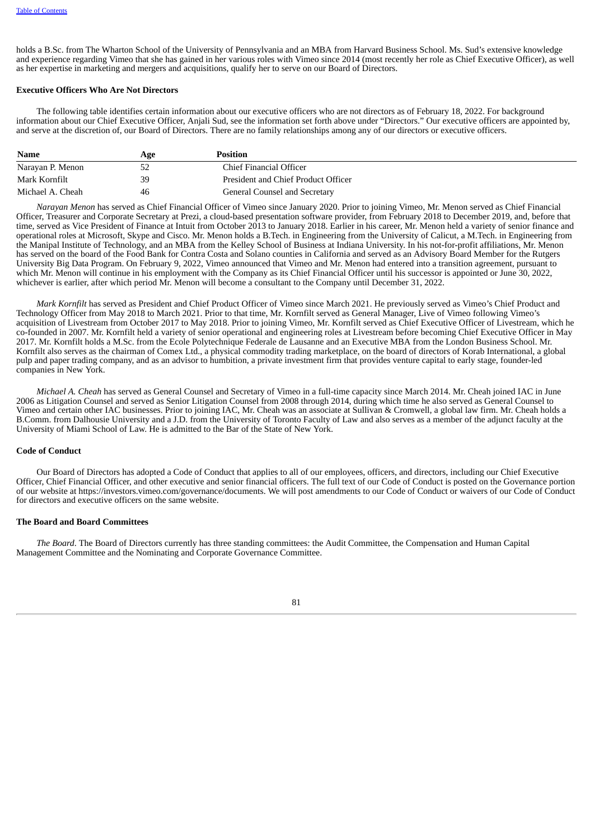holds a B.Sc. from The Wharton School of the University of Pennsylvania and an MBA from Harvard Business School. Ms. Sud's extensive knowledge and experience regarding Vimeo that she has gained in her various roles with Vimeo since 2014 (most recently her role as Chief Executive Officer), as well as her expertise in marketing and mergers and acquisitions, qualify her to serve on our Board of Directors.

### **Executive Officers Who Are Not Directors**

The following table identifies certain information about our executive officers who are not directors as of February 18, 2022. For background information about our Chief Executive Officer, Anjali Sud, see the information set forth above under "Directors." Our executive officers are appointed by, and serve at the discretion of, our Board of Directors. There are no family relationships among any of our directors or executive officers.

| Name             | Age | <b>Position</b>                     |
|------------------|-----|-------------------------------------|
| Narayan P. Menon |     | Chief Financial Officer             |
| Mark Kornfilt    | 39  | President and Chief Product Officer |
| Michael A. Cheah | 46  | General Counsel and Secretary       |

*Narayan Menon* has served as Chief Financial Officer of Vimeo since January 2020. Prior to joining Vimeo, Mr. Menon served as Chief Financial Officer, Treasurer and Corporate Secretary at Prezi, a cloud-based presentation software provider, from February 2018 to December 2019, and, before that time, served as Vice President of Finance at Intuit from October 2013 to January 2018. Earlier in his career, Mr. Menon held a variety of senior finance and operational roles at Microsoft, Skype and Cisco. Mr. Menon holds a B.Tech. in Engineering from the University of Calicut, a M.Tech. in Engineering from the Manipal Institute of Technology, and an MBA from the Kelley School of Business at Indiana University. In his not-for-profit affiliations, Mr. Menon has served on the board of the Food Bank for Contra Costa and Solano counties in California and served as an Advisory Board Member for the Rutgers University Big Data Program. On February 9, 2022, Vimeo announced that Vimeo and Mr. Menon had entered into a transition agreement, pursuant to which Mr. Menon will continue in his employment with the Company as its Chief Financial Officer until his successor is appointed or June 30, 2022, whichever is earlier, after which period Mr. Menon will become a consultant to the Company until December 31, 2022.

*Mark Kornfilt* has served as President and Chief Product Officer of Vimeo since March 2021. He previously served as Vimeo's Chief Product and Technology Officer from May 2018 to March 2021. Prior to that time, Mr. Kornfilt served as General Manager, Live of Vimeo following Vimeo's acquisition of Livestream from October 2017 to May 2018. Prior to joining Vimeo, Mr. Kornfilt served as Chief Executive Officer of Livestream, which he co-founded in 2007. Mr. Kornfilt held a variety of senior operational and engineering roles at Livestream before becoming Chief Executive Officer in May 2017. Mr. Kornfilt holds a M.Sc. from the Ecole Polytechnique Federale de Lausanne and an Executive MBA from the London Business School. Mr. Kornfilt also serves as the chairman of Comex Ltd., a physical commodity trading marketplace, on the board of directors of Korab International, a global pulp and paper trading company, and as an advisor to humbition, a private investment firm that provides venture capital to early stage, founder-led companies in New York.

*Michael A. Cheah* has served as General Counsel and Secretary of Vimeo in a full-time capacity since March 2014. Mr. Cheah joined IAC in June 2006 as Litigation Counsel and served as Senior Litigation Counsel from 2008 through 2014, during which time he also served as General Counsel to Vimeo and certain other IAC businesses. Prior to joining IAC, Mr. Cheah was an associate at Sullivan & Cromwell, a global law firm. Mr. Cheah holds a B.Comm. from Dalhousie University and a J.D. from the University of Toronto Faculty of Law and also serves as a member of the adjunct faculty at the University of Miami School of Law. He is admitted to the Bar of the State of New York.

## **Code of Conduct**

Our Board of Directors has adopted a Code of Conduct that applies to all of our employees, officers, and directors, including our Chief Executive Officer, Chief Financial Officer, and other executive and senior financial officers. The full text of our Code of Conduct is posted on the Governance portion of our website at https://investors.vimeo.com/governance/documents. We will post amendments to our Code of Conduct or waivers of our Code of Conduct for directors and executive officers on the same website.

#### **The Board and Board Committees**

*The Board*. The Board of Directors currently has three standing committees: the Audit Committee, the Compensation and Human Capital Management Committee and the Nominating and Corporate Governance Committee.

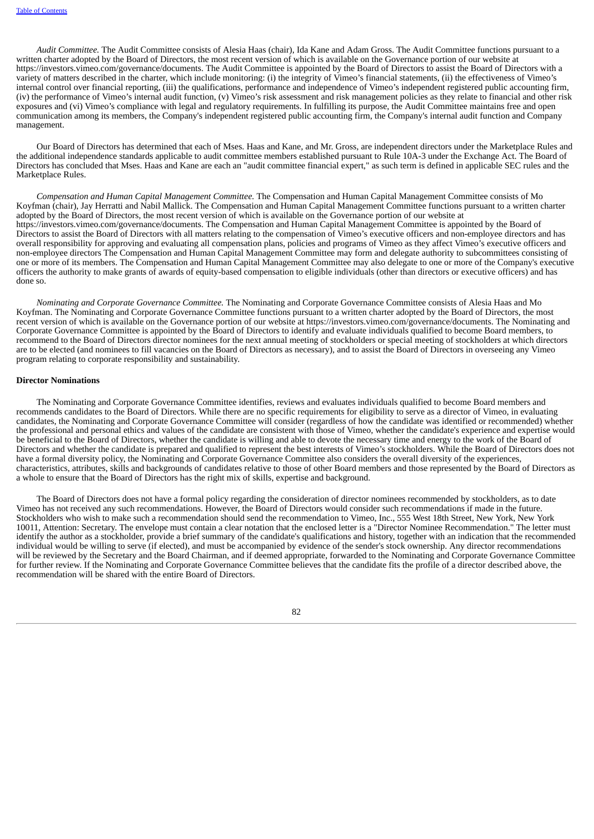*Audit Committee.* The Audit Committee consists of Alesia Haas (chair), Ida Kane and Adam Gross. The Audit Committee functions pursuant to a written charter adopted by the Board of Directors, the most recent version of which is available on the Governance portion of our website at https://investors.vimeo.com/governance/documents. The Audit Committee is appointed by the Board of Directors to assist the Board of Directors with a variety of matters described in the charter, which include monitoring: (i) the integrity of Vimeo's financial statements, (ii) the effectiveness of Vimeo's internal control over financial reporting, (iii) the qualifications, performance and independence of Vimeo's independent registered public accounting firm, (iv) the performance of Vimeo's internal audit function, (v) Vimeo's risk assessment and risk management policies as they relate to financial and other risk exposures and (vi) Vimeo's compliance with legal and regulatory requirements. In fulfilling its purpose, the Audit Committee maintains free and open communication among its members, the Company's independent registered public accounting firm, the Company's internal audit function and Company management.

Our Board of Directors has determined that each of Mses. Haas and Kane, and Mr. Gross, are independent directors under the Marketplace Rules and the additional independence standards applicable to audit committee members established pursuant to Rule 10A-3 under the Exchange Act. The Board of Directors has concluded that Mses. Haas and Kane are each an "audit committee financial expert," as such term is defined in applicable SEC rules and the Marketplace Rules.

*Compensation and Human Capital Management Committee.* The Compensation and Human Capital Management Committee consists of Mo Koyfman (chair), Jay Herratti and Nabil Mallick. The Compensation and Human Capital Management Committee functions pursuant to a written charter adopted by the Board of Directors, the most recent version of which is available on the Governance portion of our website at https://investors.vimeo.com/governance/documents. The Compensation and Human Capital Management Committee is appointed by the Board of Directors to assist the Board of Directors with all matters relating to the compensation of Vimeo's executive officers and non-employee directors and has overall responsibility for approving and evaluating all compensation plans, policies and programs of Vimeo as they affect Vimeo's executive officers and non-employee directors The Compensation and Human Capital Management Committee may form and delegate authority to subcommittees consisting of one or more of its members. The Compensation and Human Capital Management Committee may also delegate to one or more of the Company's executive officers the authority to make grants of awards of equity-based compensation to eligible individuals (other than directors or executive officers) and has done so.

*Nominating and Corporate Governance Committee.* The Nominating and Corporate Governance Committee consists of Alesia Haas and Mo Koyfman. The Nominating and Corporate Governance Committee functions pursuant to a written charter adopted by the Board of Directors, the most recent version of which is available on the Governance portion of our website at https://investors.vimeo.com/governance/documents. The Nominating and Corporate Governance Committee is appointed by the Board of Directors to identify and evaluate individuals qualified to become Board members, to recommend to the Board of Directors director nominees for the next annual meeting of stockholders or special meeting of stockholders at which directors are to be elected (and nominees to fill vacancies on the Board of Directors as necessary), and to assist the Board of Directors in overseeing any Vimeo program relating to corporate responsibility and sustainability.

### **Director Nominations**

The Nominating and Corporate Governance Committee identifies, reviews and evaluates individuals qualified to become Board members and recommends candidates to the Board of Directors. While there are no specific requirements for eligibility to serve as a director of Vimeo, in evaluating candidates, the Nominating and Corporate Governance Committee will consider (regardless of how the candidate was identified or recommended) whether the professional and personal ethics and values of the candidate are consistent with those of Vimeo, whether the candidate's experience and expertise would be beneficial to the Board of Directors, whether the candidate is willing and able to devote the necessary time and energy to the work of the Board of Directors and whether the candidate is prepared and qualified to represent the best interests of Vimeo's stockholders. While the Board of Directors does not have a formal diversity policy, the Nominating and Corporate Governance Committee also considers the overall diversity of the experiences, characteristics, attributes, skills and backgrounds of candidates relative to those of other Board members and those represented by the Board of Directors as a whole to ensure that the Board of Directors has the right mix of skills, expertise and background.

The Board of Directors does not have a formal policy regarding the consideration of director nominees recommended by stockholders, as to date Vimeo has not received any such recommendations. However, the Board of Directors would consider such recommendations if made in the future. Stockholders who wish to make such a recommendation should send the recommendation to Vimeo, Inc., 555 West 18th Street, New York, New York 10011, Attention: Secretary. The envelope must contain a clear notation that the enclosed letter is a "Director Nominee Recommendation." The letter must identify the author as a stockholder, provide a brief summary of the candidate's qualifications and history, together with an indication that the recommended individual would be willing to serve (if elected), and must be accompanied by evidence of the sender's stock ownership. Any director recommendations will be reviewed by the Secretary and the Board Chairman, and if deemed appropriate, forwarded to the Nominating and Corporate Governance Committee for further review. If the Nominating and Corporate Governance Committee believes that the candidate fits the profile of a director described above, the recommendation will be shared with the entire Board of Directors.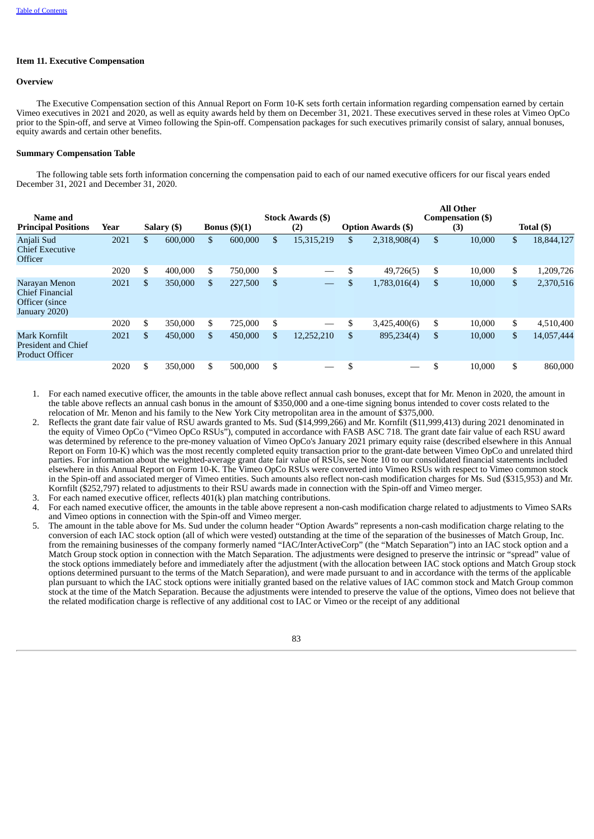## **Item 11. Executive Compensation**

### **Overview**

The Executive Compensation section of this Annual Report on Form 10-K sets forth certain information regarding compensation earned by certain Vimeo executives in 2021 and 2020, as well as equity awards held by them on December 31, 2021. These executives served in these roles at Vimeo OpCo prior to the Spin-off, and serve at Vimeo following the Spin-off. Compensation packages for such executives primarily consist of salary, annual bonuses, equity awards and certain other benefits.

#### **Summary Compensation Table**

The following table sets forth information concerning the compensation paid to each of our named executive officers for our fiscal years ended December 31, 2021 and December 31, 2020.

| Name and<br><b>Principal Positions</b>                                | Year | Salary (\$)   | Bonus $(\text{\$})(1)$ |              | <b>Stock Awards (\$)</b><br>(2) | <b>Option Awards (\$)</b> | All Other<br>Compensation (\$)<br>(3) | Total (\$)       |
|-----------------------------------------------------------------------|------|---------------|------------------------|--------------|---------------------------------|---------------------------|---------------------------------------|------------------|
| Anjali Sud<br><b>Chief Executive</b><br><b>Officer</b>                | 2021 | \$<br>600,000 | \$<br>600,000          | \$           | 15,315,219                      | \$<br>2,318,908(4)        | \$<br>10,000                          | \$<br>18,844,127 |
|                                                                       | 2020 | \$<br>400,000 | \$<br>750,000          | $\mathbf{s}$ |                                 | 49,726(5)                 | \$<br>10.000                          | \$<br>1,209,726  |
| Narayan Menon<br>Chief Financial<br>Officer (since)<br>January 2020)  | 2021 | \$<br>350,000 | \$<br>227,500          | \$           |                                 | \$<br>1,783,016(4)        | \$<br>10,000                          | \$<br>2,370,516  |
|                                                                       | 2020 | \$<br>350,000 | \$<br>725,000          | \$           |                                 | \$<br>3,425,400(6)        | \$<br>10,000                          | \$<br>4,510,400  |
| Mark Kornfilt<br><b>President and Chief</b><br><b>Product Officer</b> | 2021 | \$<br>450,000 | \$<br>450,000          | \$           | 12,252,210                      | \$<br>895,234(4)          | \$<br>10,000                          | \$<br>14,057,444 |
|                                                                       | 2020 | \$<br>350,000 | \$<br>500.000          | \$           |                                 |                           | 10.000                                | \$<br>860,000    |

**All Other**

1. For each named executive officer, the amounts in the table above reflect annual cash bonuses, except that for Mr. Menon in 2020, the amount in the table above reflects an annual cash bonus in the amount of \$350,000 and a one-time signing bonus intended to cover costs related to the relocation of Mr. Menon and his family to the New York City metropolitan area in the amount of \$375,000.

- 2. Reflects the grant date fair value of RSU awards granted to Ms. Sud (\$14,999,266) and Mr. Kornfilt (\$11,999,413) during 2021 denominated in the equity of Vimeo OpCo ("Vimeo OpCo RSUs"), computed in accordance with FASB ASC 718. The grant date fair value of each RSU award was determined by reference to the pre-money valuation of Vimeo OpCo's January 2021 primary equity raise (described elsewhere in this Annual Report on Form 10-K) which was the most recently completed equity transaction prior to the grant-date between Vimeo OpCo and unrelated third parties. For information about the weighted-average grant date fair value of RSUs, see Note 10 to our consolidated financial statements included elsewhere in this Annual Report on Form 10-K. The Vimeo OpCo RSUs were converted into Vimeo RSUs with respect to Vimeo common stock in the Spin-off and associated merger of Vimeo entities. Such amounts also reflect non-cash modification charges for Ms. Sud (\$315,953) and Mr. Kornfilt (\$252,797) related to adjustments to their RSU awards made in connection with the Spin-off and Vimeo merger.
- For each named executive officer, reflects  $401(k)$  plan matching contributions.
- 4. For each named executive officer, the amounts in the table above represent a non-cash modification charge related to adjustments to Vimeo SARs and Vimeo options in connection with the Spin-off and Vimeo merger.
- 5. The amount in the table above for Ms. Sud under the column header "Option Awards" represents a non-cash modification charge relating to the conversion of each IAC stock option (all of which were vested) outstanding at the time of the separation of the businesses of Match Group, Inc. from the remaining businesses of the company formerly named "IAC/InterActiveCorp" (the "Match Separation") into an IAC stock option and a Match Group stock option in connection with the Match Separation. The adjustments were designed to preserve the intrinsic or "spread" value of the stock options immediately before and immediately after the adjustment (with the allocation between IAC stock options and Match Group stock options determined pursuant to the terms of the Match Separation), and were made pursuant to and in accordance with the terms of the applicable plan pursuant to which the IAC stock options were initially granted based on the relative values of IAC common stock and Match Group common stock at the time of the Match Separation. Because the adjustments were intended to preserve the value of the options, Vimeo does not believe that the related modification charge is reflective of any additional cost to IAC or Vimeo or the receipt of any additional

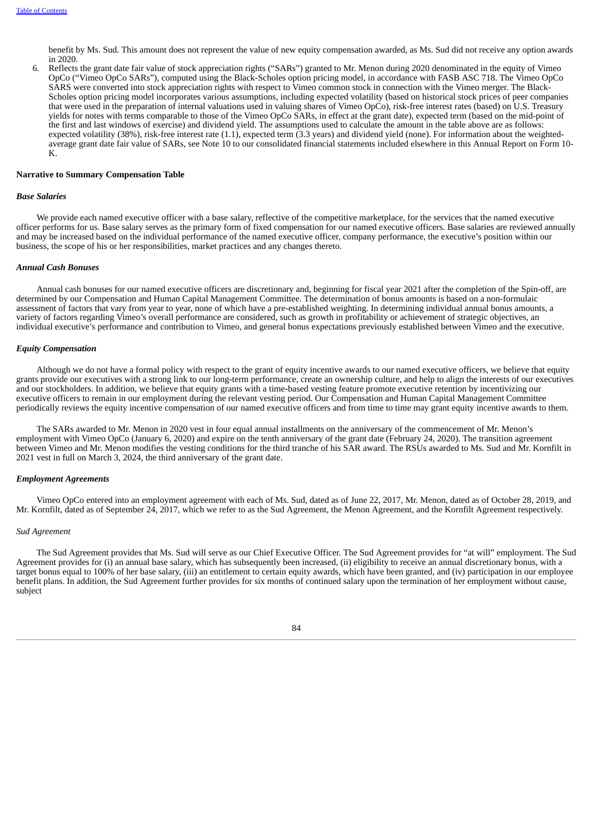benefit by Ms. Sud. This amount does not represent the value of new equity compensation awarded, as Ms. Sud did not receive any option awards in 2020.

6. Reflects the grant date fair value of stock appreciation rights ("SARs") granted to Mr. Menon during 2020 denominated in the equity of Vimeo OpCo ("Vimeo OpCo SARs"), computed using the Black-Scholes option pricing model, in accordance with FASB ASC 718. The Vimeo OpCo SARS were converted into stock appreciation rights with respect to Vimeo common stock in connection with the Vimeo merger. The Black-Scholes option pricing model incorporates various assumptions, including expected volatility (based on historical stock prices of peer companies that were used in the preparation of internal valuations used in valuing shares of Vimeo OpCo), risk-free interest rates (based) on U.S. Treasury yields for notes with terms comparable to those of the Vimeo OpCo SARs, in effect at the grant date), expected term (based on the mid-point of the first and last windows of exercise) and dividend yield. The assumptions used to calculate the amount in the table above are as follows: expected volatility (38%), risk-free interest rate (1.1), expected term (3.3 years) and dividend yield (none). For information about the weightedaverage grant date fair value of SARs, see Note 10 to our consolidated financial statements included elsewhere in this Annual Report on Form 10- K.

#### **Narrative to Summary Compensation Table**

#### *Base Salaries*

We provide each named executive officer with a base salary, reflective of the competitive marketplace, for the services that the named executive officer performs for us. Base salary serves as the primary form of fixed compensation for our named executive officers. Base salaries are reviewed annually and may be increased based on the individual performance of the named executive officer, company performance, the executive's position within our business, the scope of his or her responsibilities, market practices and any changes thereto.

#### *Annual Cash Bonuses*

Annual cash bonuses for our named executive officers are discretionary and, beginning for fiscal year 2021 after the completion of the Spin-off, are determined by our Compensation and Human Capital Management Committee. The determination of bonus amounts is based on a non-formulaic assessment of factors that vary from year to year, none of which have a pre-established weighting. In determining individual annual bonus amounts, a variety of factors regarding Vimeo's overall performance are considered, such as growth in profitability or achievement of strategic objectives, an individual executive's performance and contribution to Vimeo, and general bonus expectations previously established between Vimeo and the executive.

#### *Equity Compensation*

Although we do not have a formal policy with respect to the grant of equity incentive awards to our named executive officers, we believe that equity grants provide our executives with a strong link to our long-term performance, create an ownership culture, and help to align the interests of our executives and our stockholders. In addition, we believe that equity grants with a time-based vesting feature promote executive retention by incentivizing our executive officers to remain in our employment during the relevant vesting period. Our Compensation and Human Capital Management Committee periodically reviews the equity incentive compensation of our named executive officers and from time to time may grant equity incentive awards to them.

The SARs awarded to Mr. Menon in 2020 vest in four equal annual installments on the anniversary of the commencement of Mr. Menon's employment with Vimeo OpCo (January 6, 2020) and expire on the tenth anniversary of the grant date (February 24, 2020). The transition agreement between Vimeo and Mr. Menon modifies the vesting conditions for the third tranche of his SAR award. The RSUs awarded to Ms. Sud and Mr. Kornfilt in 2021 vest in full on March 3, 2024, the third anniversary of the grant date.

#### *Employment Agreements*

Vimeo OpCo entered into an employment agreement with each of Ms. Sud, dated as of June 22, 2017, Mr. Menon, dated as of October 28, 2019, and Mr. Kornfilt, dated as of September 24, 2017, which we refer to as the Sud Agreement, the Menon Agreement, and the Kornfilt Agreement respectively.

#### *Sud Agreement*

The Sud Agreement provides that Ms. Sud will serve as our Chief Executive Officer. The Sud Agreement provides for "at will" employment. The Sud Agreement provides for (i) an annual base salary, which has subsequently been increased, (ii) eligibility to receive an annual discretionary bonus, with a target bonus equal to 100% of her base salary, (iii) an entitlement to certain equity awards, which have been granted, and (iv) participation in our employee benefit plans. In addition, the Sud Agreement further provides for six months of continued salary upon the termination of her employment without cause, subject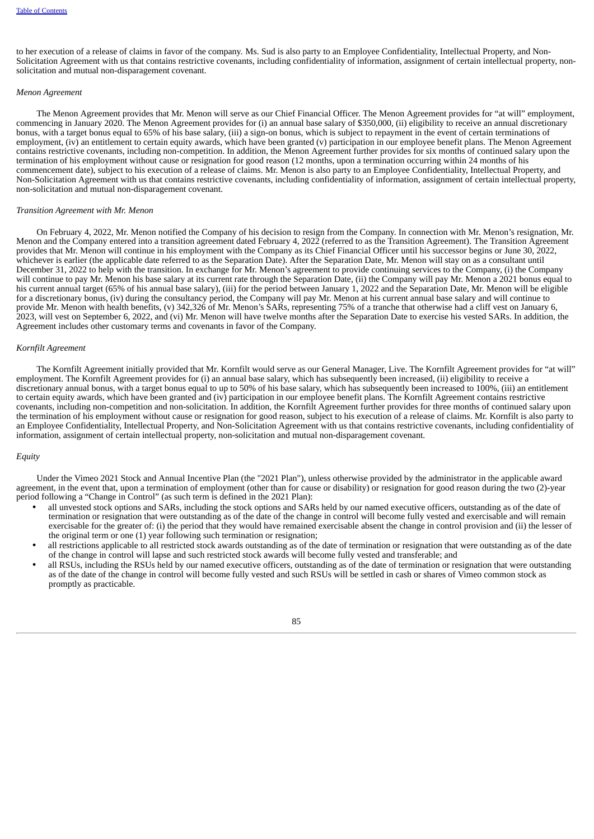to her execution of a release of claims in favor of the company. Ms. Sud is also party to an Employee Confidentiality, Intellectual Property, and Non-Solicitation Agreement with us that contains restrictive covenants, including confidentiality of information, assignment of certain intellectual property, nonsolicitation and mutual non-disparagement covenant.

### *Menon Agreement*

The Menon Agreement provides that Mr. Menon will serve as our Chief Financial Officer. The Menon Agreement provides for "at will" employment, commencing in January 2020. The Menon Agreement provides for (i) an annual base salary of \$350,000, (ii) eligibility to receive an annual discretionary bonus, with a target bonus equal to 65% of his base salary, (iii) a sign-on bonus, which is subject to repayment in the event of certain terminations of employment, (iv) an entitlement to certain equity awards, which have been granted (v) participation in our employee benefit plans. The Menon Agreement contains restrictive covenants, including non-competition. In addition, the Menon Agreement further provides for six months of continued salary upon the termination of his employment without cause or resignation for good reason (12 months, upon a termination occurring within 24 months of his commencement date), subject to his execution of a release of claims. Mr. Menon is also party to an Employee Confidentiality, Intellectual Property, and Non-Solicitation Agreement with us that contains restrictive covenants, including confidentiality of information, assignment of certain intellectual property, non-solicitation and mutual non-disparagement covenant.

#### *Transition Agreement with Mr. Menon*

On February 4, 2022, Mr. Menon notified the Company of his decision to resign from the Company. In connection with Mr. Menon's resignation, Mr. Menon and the Company entered into a transition agreement dated February 4, 2022 (referred to as the Transition Agreement). The Transition Agreement provides that Mr. Menon will continue in his employment with the Company as its Chief Financial Officer until his successor begins or June 30, 2022, whichever is earlier (the applicable date referred to as the Separation Date). After the Separation Date, Mr. Menon will stay on as a consultant until December 31, 2022 to help with the transition. In exchange for Mr. Menon's agreement to provide continuing services to the Company, (i) the Company will continue to pay Mr. Menon his base salary at its current rate through the Separation Date, (ii) the Company will pay Mr. Menon a 2021 bonus equal to his current annual target (65% of his annual base salary), (iii) for the period between January 1, 2022 and the Separation Date, Mr. Menon will be eligible for a discretionary bonus, (iv) during the consultancy period, the Company will pay Mr. Menon at his current annual base salary and will continue to provide Mr. Menon with health benefits, (v) 342,326 of Mr. Menon's SARs, representing 75% of a tranche that otherwise had a cliff vest on January 6, 2023, will vest on September 6, 2022, and (vi) Mr. Menon will have twelve months after the Separation Date to exercise his vested SARs. In addition, the Agreement includes other customary terms and covenants in favor of the Company.

#### *Kornfilt Agreement*

The Kornfilt Agreement initially provided that Mr. Kornfilt would serve as our General Manager, Live. The Kornfilt Agreement provides for "at will" employment. The Kornfilt Agreement provides for (i) an annual base salary, which has subsequently been increased, (ii) eligibility to receive a discretionary annual bonus, with a target bonus equal to up to 50% of his base salary, which has subsequently been increased to 100%, (iii) an entitlement to certain equity awards, which have been granted and (iv) participation in our employee benefit plans. The Kornfilt Agreement contains restrictive covenants, including non-competition and non-solicitation. In addition, the Kornfilt Agreement further provides for three months of continued salary upon the termination of his employment without cause or resignation for good reason, subject to his execution of a release of claims. Mr. Kornfilt is also party to an Employee Confidentiality, Intellectual Property, and Non-Solicitation Agreement with us that contains restrictive covenants, including confidentiality of information, assignment of certain intellectual property, non-solicitation and mutual non-disparagement covenant.

# *Equity*

Under the Vimeo 2021 Stock and Annual Incentive Plan (the "2021 Plan"), unless otherwise provided by the administrator in the applicable award agreement, in the event that, upon a termination of employment (other than for cause or disability) or resignation for good reason during the two (2)-year period following a "Change in Control" (as such term is defined in the 2021 Plan):

- all unvested stock options and SARs, including the stock options and SARs held by our named executive officers, outstanding as of the date of termination or resignation that were outstanding as of the date of the change in control will become fully vested and exercisable and will remain exercisable for the greater of: (i) the period that they would have remained exercisable absent the change in control provision and (ii) the lesser of the original term or one (1) year following such termination or resignation;
- all restrictions applicable to all restricted stock awards outstanding as of the date of termination or resignation that were outstanding as of the date of the change in control will lapse and such restricted stock awards will become fully vested and transferable; and
- all RSUs, including the RSUs held by our named executive officers, outstanding as of the date of termination or resignation that were outstanding as of the date of the change in control will become fully vested and such RSUs will be settled in cash or shares of Vimeo common stock as promptly as practicable.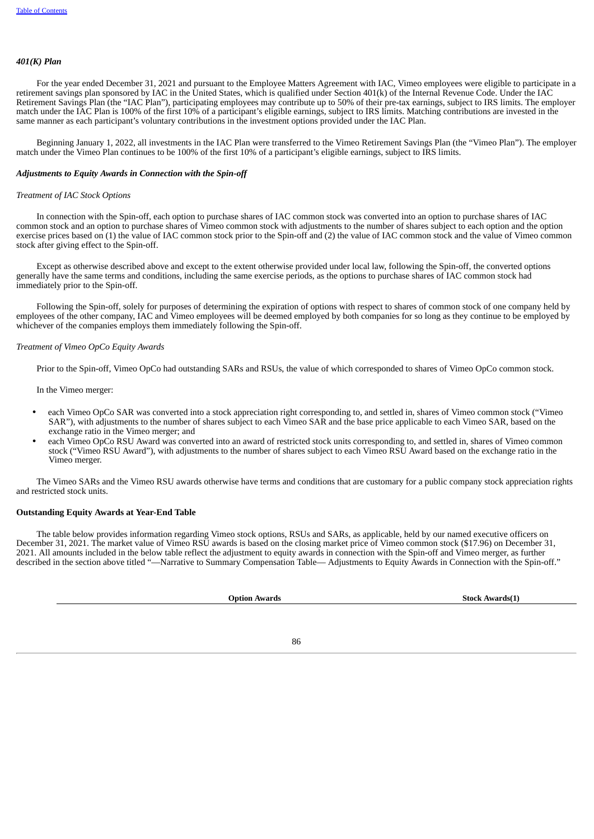### *401(K) Plan*

For the year ended December 31, 2021 and pursuant to the Employee Matters Agreement with IAC, Vimeo employees were eligible to participate in a retirement savings plan sponsored by IAC in the United States, which is qualified under Section 401(k) of the Internal Revenue Code. Under the IAC Retirement Savings Plan (the "IAC Plan"), participating employees may contribute up to 50% of their pre-tax earnings, subject to IRS limits. The employer match under the IAC Plan is 100% of the first 10% of a participant's eligible earnings, subject to IRS limits. Matching contributions are invested in the same manner as each participant's voluntary contributions in the investment options provided under the IAC Plan.

Beginning January 1, 2022, all investments in the IAC Plan were transferred to the Vimeo Retirement Savings Plan (the "Vimeo Plan"). The employer match under the Vimeo Plan continues to be 100% of the first 10% of a participant's eligible earnings, subject to IRS limits.

### *Adjustments to Equity Awards in Connection with the Spin-off*

#### *Treatment of IAC Stock Options*

In connection with the Spin-off, each option to purchase shares of IAC common stock was converted into an option to purchase shares of IAC common stock and an option to purchase shares of Vimeo common stock with adjustments to the number of shares subject to each option and the option exercise prices based on (1) the value of IAC common stock prior to the Spin-off and (2) the value of IAC common stock and the value of Vimeo common stock after giving effect to the Spin-off.

Except as otherwise described above and except to the extent otherwise provided under local law, following the Spin-off, the converted options generally have the same terms and conditions, including the same exercise periods, as the options to purchase shares of IAC common stock had immediately prior to the Spin-off.

Following the Spin-off, solely for purposes of determining the expiration of options with respect to shares of common stock of one company held by employees of the other company, IAC and Vimeo employees will be deemed employed by both companies for so long as they continue to be employed by whichever of the companies employs them immediately following the Spin-off.

### *Treatment of Vimeo OpCo Equity Awards*

Prior to the Spin-off, Vimeo OpCo had outstanding SARs and RSUs, the value of which corresponded to shares of Vimeo OpCo common stock.

In the Vimeo merger:

- each Vimeo OpCo SAR was converted into a stock appreciation right corresponding to, and settled in, shares of Vimeo common stock ("Vimeo SAR"), with adjustments to the number of shares subject to each Vimeo SAR and the base price applicable to each Vimeo SAR, based on the exchange ratio in the Vimeo merger; and
- each Vimeo OpCo RSU Award was converted into an award of restricted stock units corresponding to, and settled in, shares of Vimeo common stock ("Vimeo RSU Award"), with adjustments to the number of shares subject to each Vimeo RSU Award based on the exchange ratio in the Vimeo merger.

The Vimeo SARs and the Vimeo RSU awards otherwise have terms and conditions that are customary for a public company stock appreciation rights and restricted stock units.

#### **Outstanding Equity Awards at Year-End Table**

The table below provides information regarding Vimeo stock options, RSUs and SARs, as applicable, held by our named executive officers on December 31, 2021. The market value of Vimeo RSU awards is based on the closing market price of Vimeo common stock (\$17.96) on December 31, 2021. All amounts included in the below table reflect the adjustment to equity awards in connection with the Spin-off and Vimeo merger, as further described in the section above titled "-Narrative to Summary Compensation Table- Adjustments to Equity Awards in Connection with the Spin-off."

| <b>Option Awards</b> | <b>Stock Awards(1)</b> |
|----------------------|------------------------|
|                      |                        |
|                      |                        |

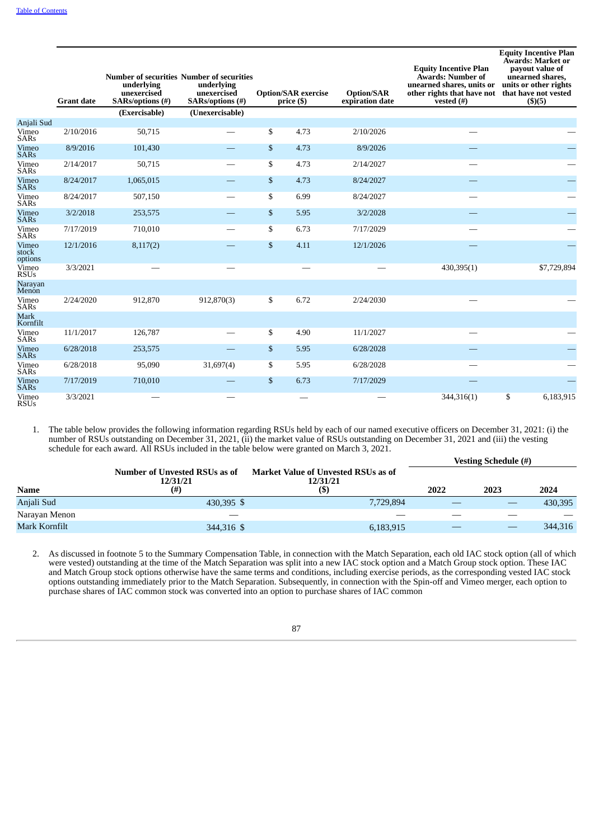|                           | <b>Grant date</b> | <b>Number of securities Number of securities</b><br>underlying<br>unexercised<br>SARs/options (#) | underlying<br>unexercised<br>SARs/options (#) | <b>Option/SAR</b> exercise<br>price (\$) | <b>Option/SAR</b><br>expiration date | <b>Equity Incentive Plan</b><br>Awards: Number of<br>unearned shares, units or<br>other rights that have not<br>vested $(\#)$ | <b>Equity Incentive Plan</b><br>Awards: Market or<br>payout value of<br>unearned shares,<br>units or other rights<br>that have not vested<br>$($ \$ $)($ 5 $)$ |
|---------------------------|-------------------|---------------------------------------------------------------------------------------------------|-----------------------------------------------|------------------------------------------|--------------------------------------|-------------------------------------------------------------------------------------------------------------------------------|----------------------------------------------------------------------------------------------------------------------------------------------------------------|
|                           |                   | (Exercisable)                                                                                     | (Unexercisable)                               |                                          |                                      |                                                                                                                               |                                                                                                                                                                |
| Anjali Sud                |                   |                                                                                                   |                                               |                                          |                                      |                                                                                                                               |                                                                                                                                                                |
| Vimeo<br><b>SARs</b>      | 2/10/2016         | 50,715                                                                                            |                                               | \$<br>4.73                               | 2/10/2026                            |                                                                                                                               |                                                                                                                                                                |
| Vimeo<br><b>SARs</b>      | 8/9/2016          | 101,430                                                                                           | $\overline{\phantom{0}}$                      | \$<br>4.73                               | 8/9/2026                             |                                                                                                                               |                                                                                                                                                                |
| Vimeo<br><b>SARs</b>      | 2/14/2017         | 50,715                                                                                            |                                               | \$<br>4.73                               | 2/14/2027                            |                                                                                                                               |                                                                                                                                                                |
| Vimeo<br><b>SARs</b>      | 8/24/2017         | 1,065,015                                                                                         |                                               | \$<br>4.73                               | 8/24/2027                            |                                                                                                                               |                                                                                                                                                                |
| Vimeo<br><b>SARs</b>      | 8/24/2017         | 507,150                                                                                           |                                               | \$<br>6.99                               | 8/24/2027                            |                                                                                                                               |                                                                                                                                                                |
| Vimeo<br><b>SARs</b>      | 3/2/2018          | 253,575                                                                                           |                                               | \$<br>5.95                               | 3/2/2028                             |                                                                                                                               |                                                                                                                                                                |
| Vimeo<br><b>SARs</b>      | 7/17/2019         | 710,010                                                                                           |                                               | \$<br>6.73                               | 7/17/2029                            |                                                                                                                               |                                                                                                                                                                |
| Vimeo<br>stock<br>options | 12/1/2016         | 8,117(2)                                                                                          |                                               | \$<br>4.11                               | 12/1/2026                            |                                                                                                                               |                                                                                                                                                                |
| Vimeo<br><b>RSUs</b>      | 3/3/2021          |                                                                                                   |                                               |                                          |                                      | 430,395(1)                                                                                                                    | \$7,729,894                                                                                                                                                    |
| Narayan<br>Menon          |                   |                                                                                                   |                                               |                                          |                                      |                                                                                                                               |                                                                                                                                                                |
| Vimeo<br><b>SARs</b>      | 2/24/2020         | 912,870                                                                                           | 912,870(3)                                    | \$<br>6.72                               | 2/24/2030                            |                                                                                                                               |                                                                                                                                                                |
| <b>Mark</b><br>Kornfilt   |                   |                                                                                                   |                                               |                                          |                                      |                                                                                                                               |                                                                                                                                                                |
| Vimeo<br><b>SARs</b>      | 11/1/2017         | 126,787                                                                                           |                                               | \$<br>4.90                               | 11/1/2027                            |                                                                                                                               |                                                                                                                                                                |
| Vimeo<br><b>SARs</b>      | 6/28/2018         | 253,575                                                                                           |                                               | \$<br>5.95                               | 6/28/2028                            |                                                                                                                               |                                                                                                                                                                |
| Vimeo<br>SARs             | 6/28/2018         | 95,090                                                                                            | 31,697(4)                                     | \$<br>5.95                               | 6/28/2028                            |                                                                                                                               |                                                                                                                                                                |
| Vimeo<br><b>SARs</b>      | 7/17/2019         | 710,010                                                                                           |                                               | \$<br>6.73                               | 7/17/2029                            |                                                                                                                               |                                                                                                                                                                |
| Vimeo<br><b>RSUs</b>      | 3/3/2021          |                                                                                                   |                                               |                                          |                                      | 344,316(1)                                                                                                                    | \$<br>6,183,915                                                                                                                                                |

1. The table below provides the following information regarding RSUs held by each of our named executive officers on December 31, 2021: (i) the number of RSUs outstanding on December 31, 2021, (ii) the market value of RSUs outstanding on December 31, 2021 and (iii) the vesting schedule for each award. All RSUs included in the table below were granted on March 3, 2021.

|               |                                           |                                                        |      | <b>Vesting Schedule (#)</b> |                                |
|---------------|-------------------------------------------|--------------------------------------------------------|------|-----------------------------|--------------------------------|
|               | Number of Unvested RSUs as of<br>12/31/21 | <b>Market Value of Unvested RSUs as of</b><br>12/31/21 |      |                             |                                |
| Name          | (# )                                      | (S)                                                    | 2022 | 2023                        | 2024                           |
| Anjali Sud    | 430,395 \$                                | 7,729,894                                              |      |                             | 430,395                        |
| Naravan Menon |                                           | __                                                     | _    | _                           | $\overbrace{\hspace{25mm}}^{}$ |
| Mark Kornfilt | 344,316 \$                                | 6,183,915                                              |      |                             | 344,316                        |
|               |                                           |                                                        |      |                             |                                |

2. As discussed in footnote 5 to the Summary Compensation Table, in connection with the Match Separation, each old IAC stock option (all of which were vested) outstanding at the time of the Match Separation was split into a new IAC stock option and a Match Group stock option. These IAC and Match Group stock options otherwise have the same terms and conditions, including exercise periods, as the corresponding vested IAC stock options outstanding immediately prior to the Match Separation. Subsequently, in connection with the Spin-off and Vimeo merger, each option to purchase shares of IAC common stock was converted into an option to purchase shares of IAC common

87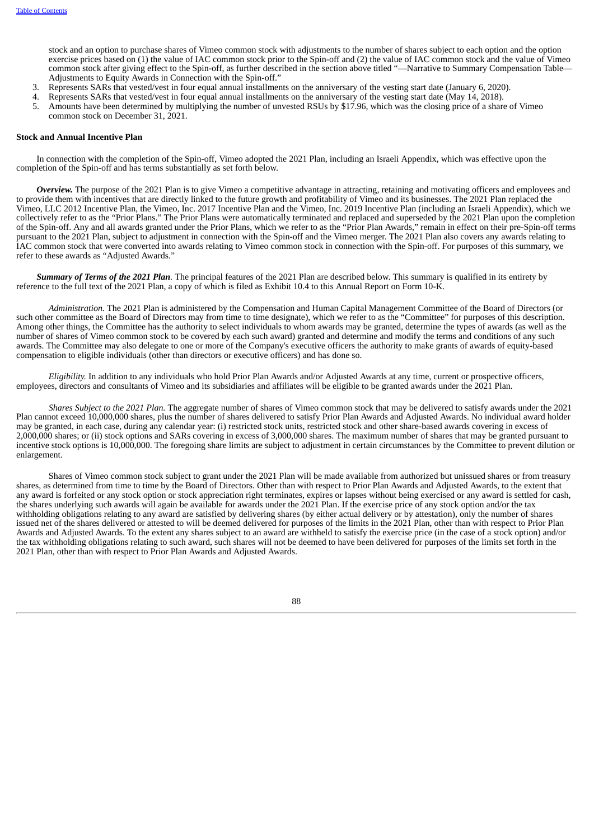stock and an option to purchase shares of Vimeo common stock with adjustments to the number of shares subject to each option and the option exercise prices based on (1) the value of IAC common stock prior to the Spin-off and (2) the value of IAC common stock and the value of Vimeo common stock after giving effect to the Spin-off, as further described in the section above titled "—Narrative to Summary Compensation Table— Adjustments to Equity Awards in Connection with the Spin-off.'

- 3. Represents SARs that vested/vest in four equal annual installments on the anniversary of the vesting start date (January 6, 2020).
- 4. Represents SARs that vested/vest in four equal annual installments on the anniversary of the vesting start date (May 14, 2018).
- Amounts have been determined by multiplying the number of unvested RSUs by \$17.96, which was the closing price of a share of Vimeo common stock on December 31, 2021.

## **Stock and Annual Incentive Plan**

In connection with the completion of the Spin-off, Vimeo adopted the 2021 Plan, including an Israeli Appendix, which was effective upon the completion of the Spin-off and has terms substantially as set forth below.

*Overview.* The purpose of the 2021 Plan is to give Vimeo a competitive advantage in attracting, retaining and motivating officers and employees and to provide them with incentives that are directly linked to the future growth and profitability of Vimeo and its businesses. The 2021 Plan replaced the Vimeo, LLC 2012 Incentive Plan, the Vimeo, Inc. 2017 Incentive Plan and the Vimeo, Inc. 2019 Incentive Plan (including an Israeli Appendix), which we collectively refer to as the "Prior Plans." The Prior Plans were automatically terminated and replaced and superseded by the 2021 Plan upon the completion of the Spin-off. Any and all awards granted under the Prior Plans, which we refer to as the "Prior Plan Awards," remain in effect on their pre-Spin-off terms pursuant to the 2021 Plan, subject to adjustment in connection with the Spin-off and the Vimeo merger. The 2021 Plan also covers any awards relating to IAC common stock that were converted into awards relating to Vimeo common stock in connection with the Spin-off. For purposes of this summary, we refer to these awards as "Adjusted Awards."

*Summary of Terms of the 2021 Plan.* The principal features of the 2021 Plan are described below. This summary is qualified in its entirety by reference to the full text of the 2021 Plan, a copy of which is filed as Exhibit 10.4 to this Annual Report on Form 10-K.

*Administration.* The 2021 Plan is administered by the Compensation and Human Capital Management Committee of the Board of Directors (or such other committee as the Board of Directors may from time to time designate), which we refer to as the "Committee" for purposes of this description. Among other things, the Committee has the authority to select individuals to whom awards may be granted, determine the types of awards (as well as the number of shares of Vimeo common stock to be covered by each such award) granted and determine and modify the terms and conditions of any such awards. The Committee may also delegate to one or more of the Company's executive officers the authority to make grants of awards of equity-based compensation to eligible individuals (other than directors or executive officers) and has done so.

*Eligibility.* In addition to any individuals who hold Prior Plan Awards and/or Adjusted Awards at any time, current or prospective officers, employees, directors and consultants of Vimeo and its subsidiaries and affiliates will be eligible to be granted awards under the 2021 Plan.

*Shares Subject to the 2021 Plan.* The aggregate number of shares of Vimeo common stock that may be delivered to satisfy awards under the 2021 Plan cannot exceed 10,000,000 shares, plus the number of shares delivered to satisfy Prior Plan Awards and Adjusted Awards. No individual award holder may be granted, in each case, during any calendar year: (i) restricted stock units, restricted stock and other share-based awards covering in excess of 2,000,000 shares; or (ii) stock options and SARs covering in excess of 3,000,000 shares. The maximum number of shares that may be granted pursuant to incentive stock options is 10,000,000. The foregoing share limits are subject to adjustment in certain circumstances by the Committee to prevent dilution or enlargement.

Shares of Vimeo common stock subject to grant under the 2021 Plan will be made available from authorized but unissued shares or from treasury shares, as determined from time to time by the Board of Directors. Other than with respect to Prior Plan Awards and Adjusted Awards, to the extent that any award is forfeited or any stock option or stock appreciation right terminates, expires or lapses without being exercised or any award is settled for cash, the shares underlying such awards will again be available for awards under the 2021 Plan. If the exercise price of any stock option and/or the tax withholding obligations relating to any award are satisfied by delivering shares (by either actual delivery or by attestation), only the number of shares issued net of the shares delivered or attested to will be deemed delivered for purposes of the limits in the 2021 Plan, other than with respect to Prior Plan Awards and Adjusted Awards. To the extent any shares subject to an award are withheld to satisfy the exercise price (in the case of a stock option) and/or the tax withholding obligations relating to such award, such shares will not be deemed to have been delivered for purposes of the limits set forth in the 2021 Plan, other than with respect to Prior Plan Awards and Adjusted Awards.

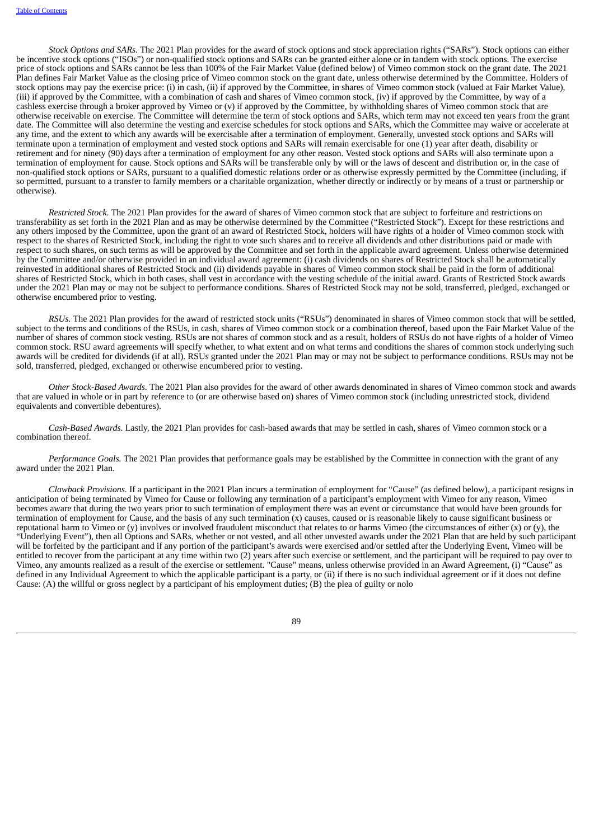*Stock Options and SARs.* The 2021 Plan provides for the award of stock options and stock appreciation rights ("SARs"). Stock options can either be incentive stock options ("ISOs") or non-qualified stock options and SARs can be granted either alone or in tandem with stock options. The exercise price of stock options and SARs cannot be less than 100% of the Fair Market Value (defined below) of Vimeo common stock on the grant date. The 2021 Plan defines Fair Market Value as the closing price of Vimeo common stock on the grant date, unless otherwise determined by the Committee. Holders of stock options may pay the exercise price: (i) in cash, (ii) if approved by the Committee, in shares of Vimeo common stock (valued at Fair Market Value), (iii) if approved by the Committee, with a combination of cash and shares of Vimeo common stock, (iv) if approved by the Committee, by way of a cashless exercise through a broker approved by Vimeo or (v) if approved by the Committee, by withholding shares of Vimeo common stock that are otherwise receivable on exercise. The Committee will determine the term of stock options and SARs, which term may not exceed ten years from the grant date. The Committee will also determine the vesting and exercise schedules for stock options and SARs, which the Committee may waive or accelerate at any time, and the extent to which any awards will be exercisable after a termination of employment. Generally, unvested stock options and SARs will terminate upon a termination of employment and vested stock options and SARs will remain exercisable for one (1) year after death, disability or retirement and for ninety (90) days after a termination of employment for any other reason. Vested stock options and SARs will also terminate upon a termination of employment for cause. Stock options and SARs will be transferable only by will or the laws of descent and distribution or, in the case of non-qualified stock options or SARs, pursuant to a qualified domestic relations order or as otherwise expressly permitted by the Committee (including, if so permitted, pursuant to a transfer to family members or a charitable organization, whether directly or indirectly or by means of a trust or partnership or otherwise).

*Restricted Stock.* The 2021 Plan provides for the award of shares of Vimeo common stock that are subject to forfeiture and restrictions on transferability as set forth in the 2021 Plan and as may be otherwise determined by the Committee ("Restricted Stock"). Except for these restrictions and any others imposed by the Committee, upon the grant of an award of Restricted Stock, holders will have rights of a holder of Vimeo common stock with respect to the shares of Restricted Stock, including the right to vote such shares and to receive all dividends and other distributions paid or made with respect to such shares, on such terms as will be approved by the Committee and set forth in the applicable award agreement. Unless otherwise determined by the Committee and/or otherwise provided in an individual award agreement: (i) cash dividends on shares of Restricted Stock shall be automatically reinvested in additional shares of Restricted Stock and (ii) dividends payable in shares of Vimeo common stock shall be paid in the form of additional shares of Restricted Stock, which in both cases, shall vest in accordance with the vesting schedule of the initial award. Grants of Restricted Stock awards under the 2021 Plan may or may not be subject to performance conditions. Shares of Restricted Stock may not be sold, transferred, pledged, exchanged or otherwise encumbered prior to vesting.

*RSUs.* The 2021 Plan provides for the award of restricted stock units ("RSUs") denominated in shares of Vimeo common stock that will be settled, subject to the terms and conditions of the RSUs, in cash, shares of Vimeo common stock or a combination thereof, based upon the Fair Market Value of the number of shares of common stock vesting. RSUs are not shares of common stock and as a result, holders of RSUs do not have rights of a holder of Vimeo common stock. RSU award agreements will specify whether, to what extent and on what terms and conditions the shares of common stock underlying such awards will be credited for dividends (if at all). RSUs granted under the 2021 Plan may or may not be subject to performance conditions. RSUs may not be sold, transferred, pledged, exchanged or otherwise encumbered prior to vesting.

*Other Stock-Based Awards.* The 2021 Plan also provides for the award of other awards denominated in shares of Vimeo common stock and awards that are valued in whole or in part by reference to (or are otherwise based on) shares of Vimeo common stock (including unrestricted stock, dividend equivalents and convertible debentures).

*Cash-Based Awards.* Lastly, the 2021 Plan provides for cash-based awards that may be settled in cash, shares of Vimeo common stock or a combination thereof.

*Performance Goals.* The 2021 Plan provides that performance goals may be established by the Committee in connection with the grant of any award under the 2021 Plan.

*Clawback Provisions.* If a participant in the 2021 Plan incurs a termination of employment for "Cause" (as defined below), a participant resigns in anticipation of being terminated by Vimeo for Cause or following any termination of a participant's employment with Vimeo for any reason, Vimeo becomes aware that during the two years prior to such termination of employment there was an event or circumstance that would have been grounds for termination of employment for Cause, and the basis of any such termination (x) causes, caused or is reasonable likely to cause significant business or reputational harm to Vimeo or (y) involves or involved fraudulent misconduct that relates to or harms Vimeo (the circumstances of either (x) or (y), the "Underlying Event"), then all Options and SARs, whether or not vested, and all other unvested awards under the 2021 Plan that are held by such participant will be forfeited by the participant and if any portion of the participant's awards were exercised and/or settled after the Underlying Event, Vimeo will be entitled to recover from the participant at any time within two (2) years after such exercise or settlement, and the participant will be required to pay over to Vimeo, any amounts realized as a result of the exercise or settlement. "Cause" means, unless otherwise provided in an Award Agreement, (i) "Cause" as defined in any Individual Agreement to which the applicable participant is a party, or (ii) if there is no such individual agreement or if it does not define Cause: (A) the willful or gross neglect by a participant of his employment duties; (B) the plea of guilty or nolo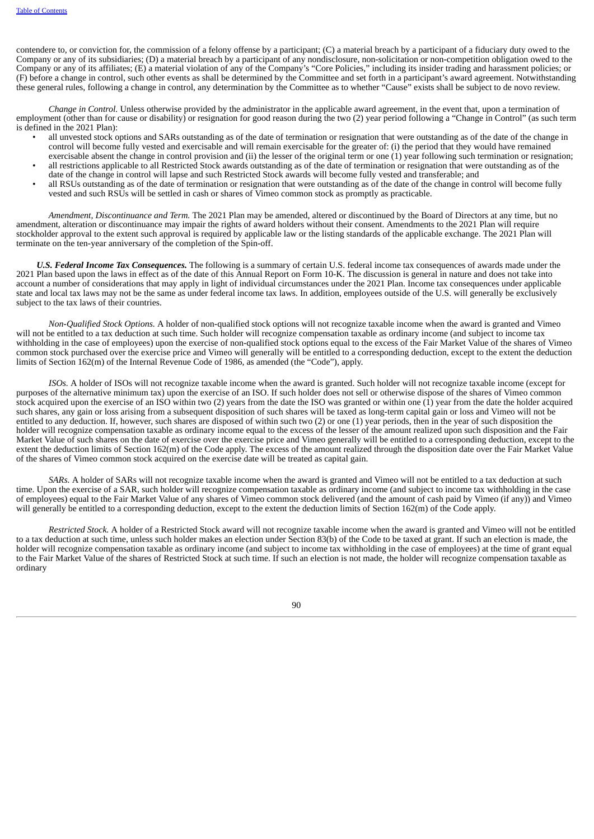contendere to, or conviction for, the commission of a felony offense by a participant; (C) a material breach by a participant of a fiduciary duty owed to the Company or any of its subsidiaries; (D) a material breach by a participant of any nondisclosure, non-solicitation or non-competition obligation owed to the Company or any of its affiliates; (E) a material violation of any of the Company's "Core Policies," including its insider trading and harassment policies; or (F) before a change in control, such other events as shall be determined by the Committee and set forth in a participant's award agreement. Notwithstanding these general rules, following a change in control, any determination by the Committee as to whether "Cause" exists shall be subject to de novo review.

*Change in Control.* Unless otherwise provided by the administrator in the applicable award agreement, in the event that, upon a termination of employment (other than for cause or disability) or resignation for good reason during the two (2) year period following a "Change in Control" (as such term is defined in the 2021 Plan):

- all unvested stock options and SARs outstanding as of the date of termination or resignation that were outstanding as of the date of the change in control will become fully vested and exercisable and will remain exercisable for the greater of: (i) the period that they would have remained exercisable absent the change in control provision and (ii) the lesser of the original term or one (1) year following such termination or resignation;
- all restrictions applicable to all Restricted Stock awards outstanding as of the date of termination or resignation that were outstanding as of the date of the change in control will lapse and such Restricted Stock awards will become fully vested and transferable; and
- all RSUs outstanding as of the date of termination or resignation that were outstanding as of the date of the change in control will become fully vested and such RSUs will be settled in cash or shares of Vimeo common stock as promptly as practicable.

*Amendment, Discontinuance and Term.* The 2021 Plan may be amended, altered or discontinued by the Board of Directors at any time, but no amendment, alteration or discontinuance may impair the rights of award holders without their consent. Amendments to the 2021 Plan will require stockholder approval to the extent such approval is required by applicable law or the listing standards of the applicable exchange. The 2021 Plan will terminate on the ten-year anniversary of the completion of the Spin-off.

*U.S. Federal Income Tax Consequences.* The following is a summary of certain U.S. federal income tax consequences of awards made under the 2021 Plan based upon the laws in effect as of the date of this Annual Report on Form 10-K. The discussion is general in nature and does not take into account a number of considerations that may apply in light of individual circumstances under the 2021 Plan. Income tax consequences under applicable state and local tax laws may not be the same as under federal income tax laws. In addition, employees outside of the U.S. will generally be exclusively subject to the tax laws of their countries.

*Non-Qualified Stock Options.* A holder of non-qualified stock options will not recognize taxable income when the award is granted and Vimeo will not be entitled to a tax deduction at such time. Such holder will recognize compensation taxable as ordinary income (and subject to income tax withholding in the case of employees) upon the exercise of non-qualified stock options equal to the excess of the Fair Market Value of the shares of Vimeo common stock purchased over the exercise price and Vimeo will generally will be entitled to a corresponding deduction, except to the extent the deduction limits of Section 162(m) of the Internal Revenue Code of 1986, as amended (the "Code"), apply.

*ISOs.* A holder of ISOs will not recognize taxable income when the award is granted. Such holder will not recognize taxable income (except for purposes of the alternative minimum tax) upon the exercise of an ISO. If such holder does not sell or otherwise dispose of the shares of Vimeo common stock acquired upon the exercise of an ISO within two (2) years from the date the ISO was granted or within one (1) year from the date the holder acquired such shares, any gain or loss arising from a subsequent disposition of such shares will be taxed as long-term capital gain or loss and Vimeo will not be entitled to any deduction. If, however, such shares are disposed of within such two (2) or one (1) year periods, then in the year of such disposition the holder will recognize compensation taxable as ordinary income equal to the excess of the lesser of the amount realized upon such disposition and the Fair Market Value of such shares on the date of exercise over the exercise price and Vimeo generally will be entitled to a corresponding deduction, except to the extent the deduction limits of Section 162(m) of the Code apply. The excess of the amount realized through the disposition date over the Fair Market Value of the shares of Vimeo common stock acquired on the exercise date will be treated as capital gain.

*SARs.* A holder of SARs will not recognize taxable income when the award is granted and Vimeo will not be entitled to a tax deduction at such time. Upon the exercise of a SAR, such holder will recognize compensation taxable as ordinary income (and subject to income tax withholding in the case of employees) equal to the Fair Market Value of any shares of Vimeo common stock delivered (and the amount of cash paid by Vimeo (if any)) and Vimeo will generally be entitled to a corresponding deduction, except to the extent the deduction limits of Section 162(m) of the Code apply.

*Restricted Stock.* A holder of a Restricted Stock award will not recognize taxable income when the award is granted and Vimeo will not be entitled to a tax deduction at such time, unless such holder makes an election under Section 83(b) of the Code to be taxed at grant. If such an election is made, the holder will recognize compensation taxable as ordinary income (and subject to income tax withholding in the case of employees) at the time of grant equal to the Fair Market Value of the shares of Restricted Stock at such time. If such an election is not made, the holder will recognize compensation taxable as ordinary

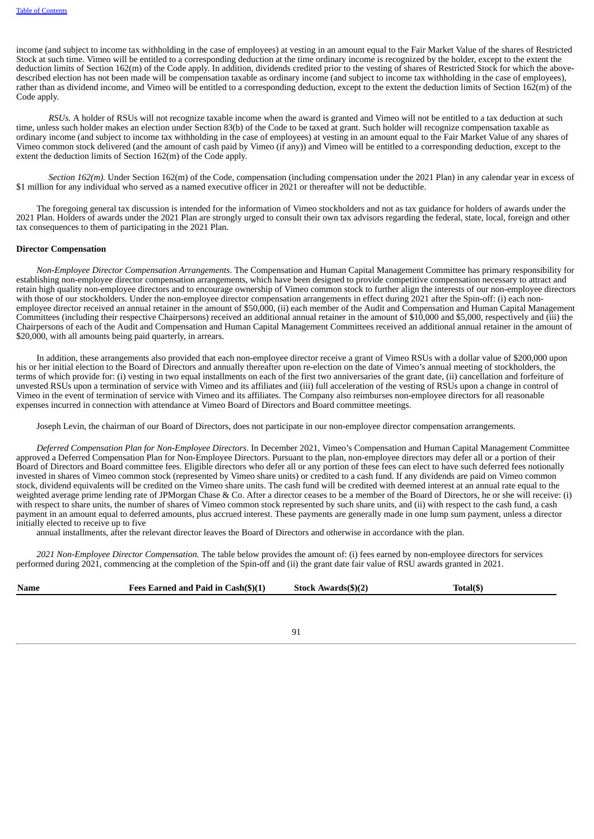income (and subject to income tax withholding in the case of employees) at vesting in an amount equal to the Fair Market Value of the shares of Restricted Stock at such time. Vimeo will be entitled to a corresponding deduction at the time ordinary income is recognized by the holder, except to the extent the deduction limits of Section 162(m) of the Code apply. In addition, dividends credited prior to the vesting of shares of Restricted Stock for which the abovedescribed election has not been made will be compensation taxable as ordinary income (and subject to income tax withholding in the case of employees), rather than as dividend income, and Vimeo will be entitled to a corresponding deduction, except to the extent the deduction limits of Section 162(m) of the Code apply.

*RSUs.* A holder of RSUs will not recognize taxable income when the award is granted and Vimeo will not be entitled to a tax deduction at such time, unless such holder makes an election under Section 83(b) of the Code to be taxed at grant. Such holder will recognize compensation taxable as ordinary income (and subject to income tax withholding in the case of employees) at vesting in an amount equal to the Fair Market Value of any shares of Vimeo common stock delivered (and the amount of cash paid by Vimeo (if any)) and Vimeo will be entitled to a corresponding deduction, except to the extent the deduction limits of Section 162(m) of the Code apply.

*Section 162(m).* Under Section 162(m) of the Code, compensation (including compensation under the 2021 Plan) in any calendar year in excess of \$1 million for any individual who served as a named executive officer in 2021 or thereafter will not be deductible.

The foregoing general tax discussion is intended for the information of Vimeo stockholders and not as tax guidance for holders of awards under the 2021 Plan. Holders of awards under the 2021 Plan are strongly urged to consult their own tax advisors regarding the federal, state, local, foreign and other tax consequences to them of participating in the 2021 Plan.

### **Director Compensation**

*Non-Employee Director Compensation Arrangements*. The Compensation and Human Capital Management Committee has primary responsibility for establishing non-employee director compensation arrangements, which have been designed to provide competitive compensation necessary to attract and retain high quality non-employee directors and to encourage ownership of Vimeo common stock to further align the interests of our non-employee directors with those of our stockholders. Under the non-employee director compensation arrangements in effect during 2021 after the Spin-off: (i) each nonemployee director received an annual retainer in the amount of \$50,000, (ii) each member of the Audit and Compensation and Human Capital Management Committees (including their respective Chairpersons) received an additional annual retainer in the amount of \$10,000 and \$5,000, respectively and (iii) the Chairpersons of each of the Audit and Compensation and Human Capital Management Committees received an additional annual retainer in the amount of \$20,000, with all amounts being paid quarterly, in arrears.

In addition, these arrangements also provided that each non-employee director receive a grant of Vimeo RSUs with a dollar value of \$200,000 upon his or her initial election to the Board of Directors and annually thereafter upon re-election on the date of Vimeo's annual meeting of stockholders, the terms of which provide for: (i) vesting in two equal installments on each of the first two anniversaries of the grant date, (ii) cancellation and forfeiture of unvested RSUs upon a termination of service with Vimeo and its affiliates and (iii) full acceleration of the vesting of RSUs upon a change in control of Vimeo in the event of termination of service with Vimeo and its affiliates. The Company also reimburses non-employee directors for all reasonable expenses incurred in connection with attendance at Vimeo Board of Directors and Board committee meetings.

Joseph Levin, the chairman of our Board of Directors, does not participate in our non-employee director compensation arrangements.

*Deferred Compensation Plan for Non-Employee Directors*. In December 2021, Vimeo's Compensation and Human Capital Management Committee approved a Deferred Compensation Plan for Non-Employee Directors. Pursuant to the plan, non-employee directors may defer all or a portion of their Board of Directors and Board committee fees. Eligible directors who defer all or any portion of these fees can elect to have such deferred fees notionally invested in shares of Vimeo common stock (represented by Vimeo share units) or credited to a cash fund. If any dividends are paid on Vimeo common stock, dividend equivalents will be credited on the Vimeo share units. The cash fund will be credited with deemed interest at an annual rate equal to the weighted average prime lending rate of JPMorgan Chase & Co. After a director ceases to be a member of the Board of Directors, he or she will receive: (i) with respect to share units, the number of shares of Vimeo common stock represented by such share units, and (ii) with respect to the cash fund, a cash payment in an amount equal to deferred amounts, plus accrued interest. These payments are generally made in one lump sum payment, unless a director initially elected to receive up to five

annual installments, after the relevant director leaves the Board of Directors and otherwise in accordance with the plan.

*2021 Non-Employee Director Compensation.* The table below provides the amount of: (i) fees earned by non-employee directors for services performed during 2021, commencing at the completion of the Spin-off and (ii) the grant date fair value of RSU awards granted in 2021.

| <b>Name</b> | Fees Earned and Paid in Cash(\$)(1) | Stock Awards(\$)(2) | Total(\$) |
|-------------|-------------------------------------|---------------------|-----------|
|             |                                     |                     |           |

91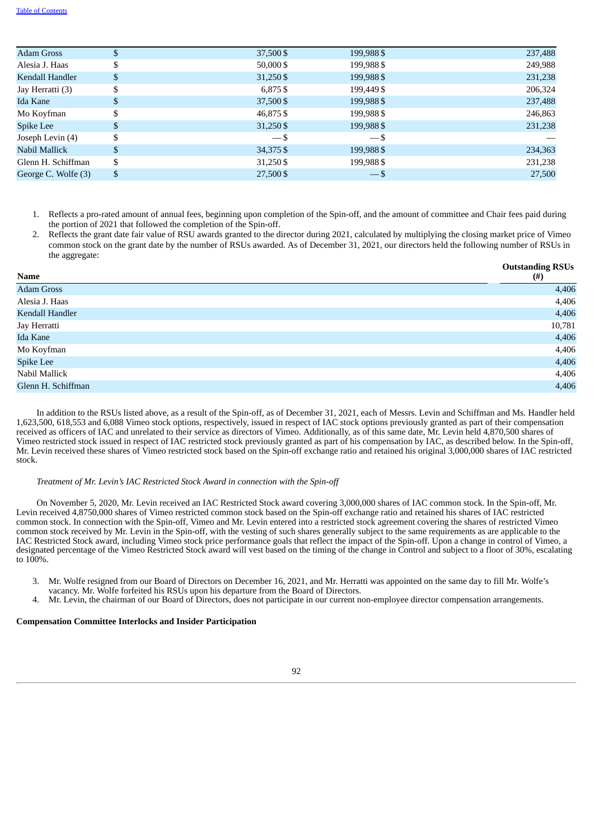| <b>Adam Gross</b>   | \$ | 37,500\$    | 199,988 \$ | 237,488 |
|---------------------|----|-------------|------------|---------|
| Alesia J. Haas      | ъ. | $50,000$ \$ | 199,988\$  | 249,988 |
| Kendall Handler     | \$ | 31,250 \$   | 199,988 \$ | 231,238 |
| Jay Herratti (3)    | \$ | 6,875\$     | 199,449 \$ | 206,324 |
| Ida Kane            | \$ | 37,500\$    | 199,988 \$ | 237,488 |
| Mo Koyfman          | \$ | 46,875\$    | 199,988 \$ | 246,863 |
| Spike Lee           | S  | 31,250 \$   | 199,988 \$ | 231,238 |
| Joseph Levin (4)    |    | $-5$        | $-$ \$     |         |
| Nabil Mallick       | \$ | 34,375 \$   | 199,988 \$ | 234,363 |
| Glenn H. Schiffman  | \$ | 31,250 \$   | 199,988\$  | 231,238 |
| George C. Wolfe (3) | \$ | 27,500 \$   | $-$ \$     | 27,500  |
|                     |    |             |            |         |

- 1. Reflects a pro-rated amount of annual fees, beginning upon completion of the Spin-off, and the amount of committee and Chair fees paid during the portion of 2021 that followed the completion of the Spin-off.
- 2. Reflects the grant date fair value of RSU awards granted to the director during 2021, calculated by multiplying the closing market price of Vimeo common stock on the grant date by the number of RSUs awarded. As of December 31, 2021, our directors held the following number of RSUs in the aggregate:

| Name               | <b>Outstanding RSUs</b><br>$(\#)$ |
|--------------------|-----------------------------------|
| <b>Adam Gross</b>  | 4,406                             |
| Alesia J. Haas     | 4,406                             |
| Kendall Handler    | 4,406                             |
| Jay Herratti       | 10,781                            |
| Ida Kane           | 4,406                             |
| Mo Koyfman         | 4,406                             |
| Spike Lee          | 4,406                             |
| Nabil Mallick      | 4,406                             |
| Glenn H. Schiffman | 4,406                             |

In addition to the RSUs listed above, as a result of the Spin-off, as of December 31, 2021, each of Messrs. Levin and Schiffman and Ms. Handler held 1,623,500, 618,553 and 6,088 Vimeo stock options, respectively, issued in respect of IAC stock options previously granted as part of their compensation received as officers of IAC and unrelated to their service as directors of Vimeo. Additionally, as of this same date, Mr. Levin held 4,870,500 shares of Vimeo restricted stock issued in respect of IAC restricted stock previously granted as part of his compensation by IAC, as described below. In the Spin-off, Mr. Levin received these shares of Vimeo restricted stock based on the Spin-off exchange ratio and retained his original 3,000,000 shares of IAC restricted stock.

#### *Treatment of Mr. Levin's IAC Restricted Stock Award in connection with the Spin-off*

On November 5, 2020, Mr. Levin received an IAC Restricted Stock award covering 3,000,000 shares of IAC common stock. In the Spin-off, Mr. Levin received 4,8750,000 shares of Vimeo restricted common stock based on the Spin-off exchange ratio and retained his shares of IAC restricted common stock. In connection with the Spin-off, Vimeo and Mr. Levin entered into a restricted stock agreement covering the shares of restricted Vimeo common stock received by Mr. Levin in the Spin-off, with the vesting of such shares generally subject to the same requirements as are applicable to the IAC Restricted Stock award, including Vimeo stock price performance goals that reflect the impact of the Spin-off. Upon a change in control of Vimeo, a designated percentage of the Vimeo Restricted Stock award will vest based on the timing of the change in Control and subject to a floor of 30%, escalating to 100%.

- 3. Mr. Wolfe resigned from our Board of Directors on December 16, 2021, and Mr. Herratti was appointed on the same day to fill Mr. Wolfe's vacancy. Mr. Wolfe forfeited his RSUs upon his departure from the Board of Directors.
- 4. Mr. Levin, the chairman of our Board of Directors, does not participate in our current non-employee director compensation arrangements.

### **Compensation Committee Interlocks and Insider Participation**

92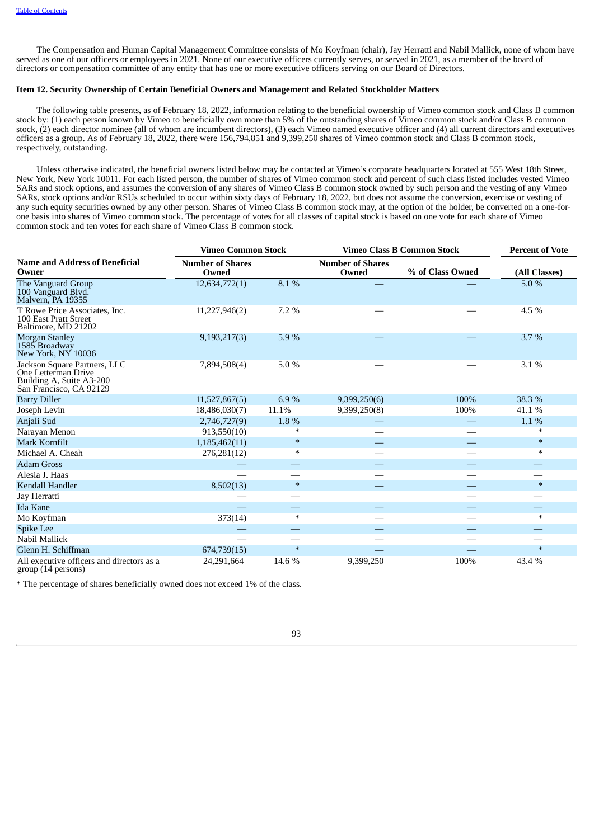The Compensation and Human Capital Management Committee consists of Mo Koyfman (chair), Jay Herratti and Nabil Mallick, none of whom have served as one of our officers or employees in 2021. None of our executive officers currently serves, or served in 2021, as a member of the board of directors or compensation committee of any entity that has one or more executive officers serving on our Board of Directors.

# **Item 12. Security Ownership of Certain Beneficial Owners and Management and Related Stockholder Matters**

The following table presents, as of February 18, 2022, information relating to the beneficial ownership of Vimeo common stock and Class B common stock by: (1) each person known by Vimeo to beneficially own more than 5% of the outstanding shares of Vimeo common stock and/or Class B common stock, (2) each director nominee (all of whom are incumbent directors), (3) each Vimeo named executive officer and (4) all current directors and executives officers as a group. As of February 18, 2022, there were 156,794,851 and 9,399,250 shares of Vimeo common stock and Class B common stock, respectively, outstanding.

Unless otherwise indicated, the beneficial owners listed below may be contacted at Vimeo's corporate headquarters located at 555 West 18th Street, New York, New York 10011. For each listed person, the number of shares of Vimeo common stock and percent of such class listed includes vested Vimeo SARs and stock options, and assumes the conversion of any shares of Vimeo Class B common stock owned by such person and the vesting of any Vimeo SARs, stock options and/or RSUs scheduled to occur within sixty days of February 18, 2022, but does not assume the conversion, exercise or vesting of any such equity securities owned by any other person. Shares of Vimeo Class B common stock may, at the option of the holder, be converted on a one-forone basis into shares of Vimeo common stock. The percentage of votes for all classes of capital stock is based on one vote for each share of Vimeo common stock and ten votes for each share of Vimeo Class B common stock.

|                                                                                                            | <b>Vimeo Common Stock</b>        |        | <b>Vimeo Class B Common Stock</b> |                  | <b>Percent of Vote</b> |
|------------------------------------------------------------------------------------------------------------|----------------------------------|--------|-----------------------------------|------------------|------------------------|
| <b>Name and Address of Beneficial</b><br>Owner                                                             | <b>Number of Shares</b><br>Owned |        | <b>Number of Shares</b><br>Owned  | % of Class Owned | (All Classes)          |
| The Vanguard Group<br>100 Vanguard Blvd.<br>Malvern, PA 19355                                              | 12,634,772(1)                    | 8.1%   |                                   |                  | 5.0 %                  |
| T Rowe Price Associates, Inc.<br>100 East Pratt Street<br>Baltimore, MD 21202                              | 11,227,946(2)                    | 7.2 %  |                                   |                  | 4.5 %                  |
| Morgan Stanley<br>1585 Broadway<br>New York, NY 10036                                                      | 9,193,217(3)                     | 5.9%   |                                   |                  | 3.7%                   |
| Jackson Square Partners, LLC<br>One Letterman Drive<br>Building A, Suite A3-200<br>San Francisco, CA 92129 | 7,894,508(4)                     | 5.0%   |                                   |                  | 3.1 %                  |
| <b>Barry Diller</b>                                                                                        | 11,527,867(5)                    | 6.9%   | 9,399,250(6)                      | 100%             | 38.3 %                 |
| Joseph Levin                                                                                               | 18,486,030(7)                    | 11.1%  | 9,399,250(8)                      | 100%             | 41.1 %                 |
| Anjali Sud                                                                                                 | 2,746,727(9)                     | 1.8 %  |                                   |                  | 1.1 %                  |
| Narayan Menon                                                                                              | 913,550(10)                      | $\ast$ |                                   |                  | $\ast$                 |
| Mark Kornfilt                                                                                              | 1,185,462(11)                    | $\ast$ |                                   |                  | $*$                    |
| Michael A. Cheah                                                                                           | 276,281(12)                      | $\ast$ |                                   |                  | $\ast$                 |
| <b>Adam Gross</b>                                                                                          |                                  |        |                                   |                  |                        |
| Alesia J. Haas                                                                                             |                                  |        |                                   |                  |                        |
| Kendall Handler                                                                                            | 8,502(13)                        | $\ast$ |                                   |                  | $*$                    |
| Jay Herratti                                                                                               |                                  |        |                                   |                  |                        |
| <b>Ida Kane</b>                                                                                            |                                  |        |                                   |                  |                        |
| Mo Koyfman                                                                                                 | 373(14)                          | $\ast$ |                                   |                  | $\ast$                 |
| Spike Lee                                                                                                  |                                  |        |                                   |                  |                        |
| Nabil Mallick                                                                                              |                                  |        |                                   |                  |                        |
| Glenn H. Schiffman                                                                                         | 674,739(15)                      | $\ast$ |                                   |                  | $\ast$                 |
| All executive officers and directors as a<br>group (14 persons)                                            | 24,291,664                       | 14.6 % | 9,399,250                         | 100%             | 43.4 %                 |

\* The percentage of shares beneficially owned does not exceed 1% of the class.

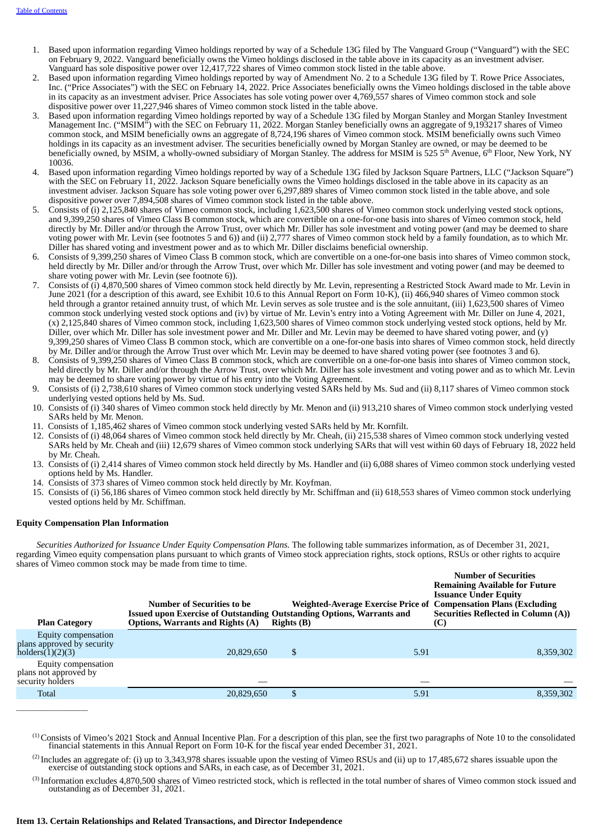- 1. Based upon information regarding Vimeo holdings reported by way of a Schedule 13G filed by The Vanguard Group ("Vanguard") with the SEC on February 9, 2022. Vanguard beneficially owns the Vimeo holdings disclosed in the table above in its capacity as an investment adviser. Vanguard has sole dispositive power over 12,417,722 shares of Vimeo common stock listed in the table above.
- 2. Based upon information regarding Vimeo holdings reported by way of Amendment No. 2 to a Schedule 13G filed by T. Rowe Price Associates, Inc. ("Price Associates") with the SEC on February 14, 2022. Price Associates beneficially owns the Vimeo holdings disclosed in the table above in its capacity as an investment adviser. Price Associates has sole voting power over 4,769,557 shares of Vimeo common stock and sole dispositive power over 11,227,946 shares of Vimeo common stock listed in the table above.
- 3. Based upon information regarding Vimeo holdings reported by way of a Schedule 13G filed by Morgan Stanley and Morgan Stanley Investment Management Inc. ("MSIM") with the SEC on February 11, 2022. Morgan Stanley beneficially owns an aggregate of 9,193217 shares of Vimeo common stock, and MSIM beneficially owns an aggregate of 8,724,196 shares of Vimeo common stock. MSIM beneficially owns such Vimeo holdings in its capacity as an investment adviser. The securities beneficially owned by Morgan Stanley are owned, or may be deemed to be beneficially owned, by MSIM, a wholly-owned subsidiary of Morgan Stanley. The address for MSIM is 525 5<sup>th</sup> Avenue,  $6^{\rm th}$  Floor, New York, NY 10036.
- 4. Based upon information regarding Vimeo holdings reported by way of a Schedule 13G filed by Jackson Square Partners, LLC ("Jackson Square") with the SEC on February 11, 2022. Jackson Square beneficially owns the Vimeo holdings disclosed in the table above in its capacity as an investment adviser. Jackson Square has sole voting power over 6,297,889 shares of Vimeo common stock listed in the table above, and sole dispositive power over 7,894,508 shares of Vimeo common stock listed in the table above.
- 5. Consists of (i) 2,125,840 shares of Vimeo common stock, including 1,623,500 shares of Vimeo common stock underlying vested stock options, and 9,399,250 shares of Vimeo Class B common stock, which are convertible on a one-for-one basis into shares of Vimeo common stock, held directly by Mr. Diller and/or through the Arrow Trust, over which Mr. Diller has sole investment and voting power (and may be deemed to share voting power with Mr. Levin (see footnotes 5 and 6)) and (ii) 2,777 shares of Vimeo common stock held by a family foundation, as to which Mr. Diller has shared voting and investment power and as to which Mr. Diller disclaims beneficial ownership.
- 6. Consists of 9,399,250 shares of Vimeo Class B common stock, which are convertible on a one-for-one basis into shares of Vimeo common stock, held directly by Mr. Diller and/or through the Arrow Trust, over which Mr. Diller has sole investment and voting power (and may be deemed to share voting power with Mr. Levin (see footnote 6)).
- 7. Consists of (i) 4,870,500 shares of Vimeo common stock held directly by Mr. Levin, representing a Restricted Stock Award made to Mr. Levin in June 2021 (for a description of this award, see Exhibit 10.6 to this Annual Report on Form 10-K), (ii) 466,940 shares of Vimeo common stock held through a grantor retained annuity trust, of which Mr. Levin serves as sole trustee and is the sole annuitant, (iii) 1,623,500 shares of Vimeo common stock underlying vested stock options and (iv) by virtue of Mr. Levin's entry into a Voting Agreement with Mr. Diller on June 4, 2021, (x) 2,125,840 shares of Vimeo common stock, including 1,623,500 shares of Vimeo common stock underlying vested stock options, held by Mr. Diller, over which Mr. Diller has sole investment power and Mr. Diller and Mr. Levin may be deemed to have shared voting power, and (y) 9,399,250 shares of Vimeo Class B common stock, which are convertible on a one-for-one basis into shares of Vimeo common stock, held directly by Mr. Diller and/or through the Arrow Trust over which Mr. Levin may be deemed to have shared voting power (see footnotes 3 and 6).
- 8. Consists of 9,399,250 shares of Vimeo Class B common stock, which are convertible on a one-for-one basis into shares of Vimeo common stock, held directly by Mr. Diller and/or through the Arrow Trust, over which Mr. Diller has sole investment and voting power and as to which Mr. Levin may be deemed to share voting power by virtue of his entry into the Voting Agreement.
- 9. Consists of (i) 2,738,610 shares of Vimeo common stock underlying vested SARs held by Ms. Sud and (ii) 8,117 shares of Vimeo common stock underlying vested options held by Ms. Sud.
- 10. Consists of (i) 340 shares of Vimeo common stock held directly by Mr. Menon and (ii) 913,210 shares of Vimeo common stock underlying vested SARs held by Mr. Menon.
- 11. Consists of 1,185,462 shares of Vimeo common stock underlying vested SARs held by Mr. Kornfilt.
- 12. Consists of (i) 48,064 shares of Vimeo common stock held directly by Mr. Cheah, (ii) 215,538 shares of Vimeo common stock underlying vested SARs held by Mr. Cheah and (iii) 12,679 shares of Vimeo common stock underlying SARs that will vest within 60 days of February 18, 2022 held by Mr. Cheah.
- 13. Consists of (i) 2,414 shares of Vimeo common stock held directly by Ms. Handler and (ii) 6,088 shares of Vimeo common stock underlying vested options held by Ms. Handler.
- 14. Consists of 373 shares of Vimeo common stock held directly by Mr. Koyfman.
- 15. Consists of (i) 56,186 shares of Vimeo common stock held directly by Mr. Schiffman and (ii) 618,553 shares of Vimeo common stock underlying vested options held by Mr. Schiffman.

### **Equity Compensation Plan Information**

 $\overline{\phantom{a}}$  , and the set of the set of the set of the set of the set of the set of the set of the set of the set of the set of the set of the set of the set of the set of the set of the set of the set of the set of the s

*Securities Authorized for Issuance Under Equity Compensation Plans.* The following table summarizes information, as of December 31, 2021, regarding Vimeo equity compensation plans pursuant to which grants of Vimeo stock appreciation rights, stock options, RSUs or other rights to acquire shares of Vimeo common stock may be made from time to time.

| <b>Plan Category</b>                                                | Number of Securities to be<br><b>Issued upon Exercise of Outstanding Outstanding Options, Warrants and</b><br><b>Options, Warrants and Rights (A)</b> | <b>Rights</b> (B) |      | <b>Number of Securities</b><br><b>Remaining Available for Future</b><br><b>Issuance Under Equity</b><br><b>Weighted-Average Exercise Price of Compensation Plans (Excluding</b><br><b>Securities Reflected in Column (A))</b><br>(C) |
|---------------------------------------------------------------------|-------------------------------------------------------------------------------------------------------------------------------------------------------|-------------------|------|--------------------------------------------------------------------------------------------------------------------------------------------------------------------------------------------------------------------------------------|
| Equity compensation<br>plans approved by security<br>holds(1)(2)(3) | 20.829.650                                                                                                                                            | \$                | 5.91 | 8,359,302                                                                                                                                                                                                                            |
| Equity compensation<br>plans not approved by<br>security holders    |                                                                                                                                                       |                   |      |                                                                                                                                                                                                                                      |
| Total                                                               | 20,829,650                                                                                                                                            |                   | 5.91 | 8,359,302                                                                                                                                                                                                                            |
|                                                                     |                                                                                                                                                       |                   |      |                                                                                                                                                                                                                                      |

Consists of Vimeo's 2021 Stock and Annual Incentive Plan. For a description of this plan, see the first two paragraphs of Note 10 to the consolidated financial statements in this Annual Report on Form 10-K for the fiscal year ended December 31, 2021. (1)

- <sup>(2)</sup> Includes an aggregate of: (i) up to 3,343,978 shares issuable upon the vesting of Vimeo RSUs and (ii) up to 17,485,672 shares issuable upon the exercise of outstanding stock options and SARs, in each case, as of December 31, 2021.
- $^{(3)}$  Information excludes 4,870,500 shares of Vimeo restricted stock, which is reflected in the total number of shares of Vimeo common stock issued and outstanding as of December 31, 2021.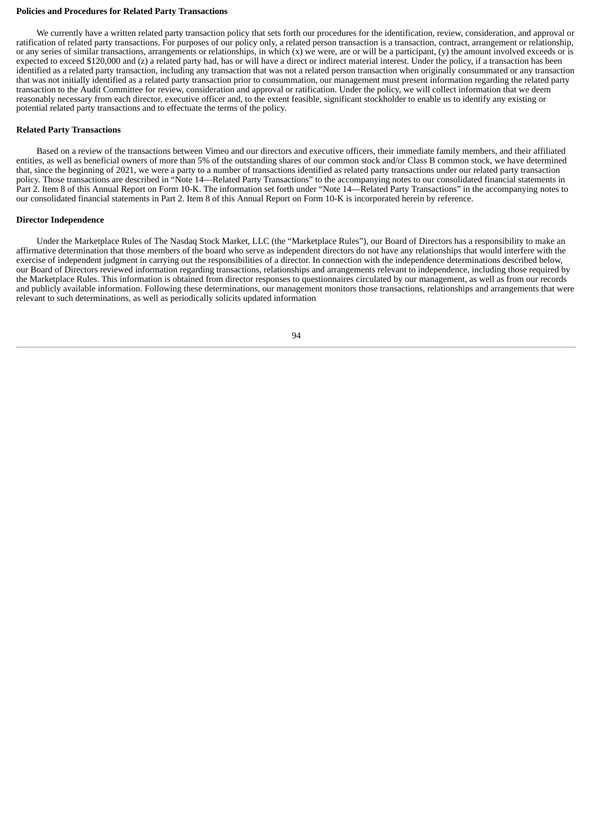#### **Policies and Procedures for Related Party Transactions**

We currently have a written related party transaction policy that sets forth our procedures for the identification, review, consideration, and approval or ratification of related party transactions. For purposes of our policy only, a related person transaction is a transaction, contract, arrangement or relationship, or any series of similar transactions, arrangements or relationships, in which  $(x)$  we were, are or will be a participant,  $(y)$  the amount involved exceeds or is expected to exceed \$120,000 and (z) a related party had, has or will have a direct or indirect material interest. Under the policy, if a transaction has been identified as a related party transaction, including any transaction that was not a related person transaction when originally consummated or any transaction that was not initially identified as a related party transaction prior to consummation, our management must present information regarding the related party transaction to the Audit Committee for review, consideration and approval or ratification. Under the policy, we will collect information that we deem reasonably necessary from each director, executive officer and, to the extent feasible, significant stockholder to enable us to identify any existing or potential related party transactions and to effectuate the terms of the policy.

### **Related Party Transactions**

Based on a review of the transactions between Vimeo and our directors and executive officers, their immediate family members, and their affiliated entities, as well as beneficial owners of more than 5% of the outstanding shares of our common stock and/or Class B common stock, we have determined that, since the beginning of 2021, we were a party to a number of transactions identified as related party transactions under our related party transaction policy. Those transactions are described in "Note 14—Related Party Transactions" to the accompanying notes to our consolidated financial statements in Part 2. Item 8 of this Annual Report on Form 10-K. The information set forth under "Note 14—Related Party Transactions" in the accompanying notes to our consolidated financial statements in Part 2. Item 8 of this Annual Report on Form 10-K is incorporated herein by reference.

#### **Director Independence**

Under the Marketplace Rules of The Nasdaq Stock Market, LLC (the "Marketplace Rules"), our Board of Directors has a responsibility to make an affirmative determination that those members of the board who serve as independent directors do not have any relationships that would interfere with the exercise of independent judgment in carrying out the responsibilities of a director. In connection with the independence determinations described below, our Board of Directors reviewed information regarding transactions, relationships and arrangements relevant to independence, including those required by the Marketplace Rules. This information is obtained from director responses to questionnaires circulated by our management, as well as from our records and publicly available information. Following these determinations, our management monitors those transactions, relationships and arrangements that were relevant to such determinations, as well as periodically solicits updated information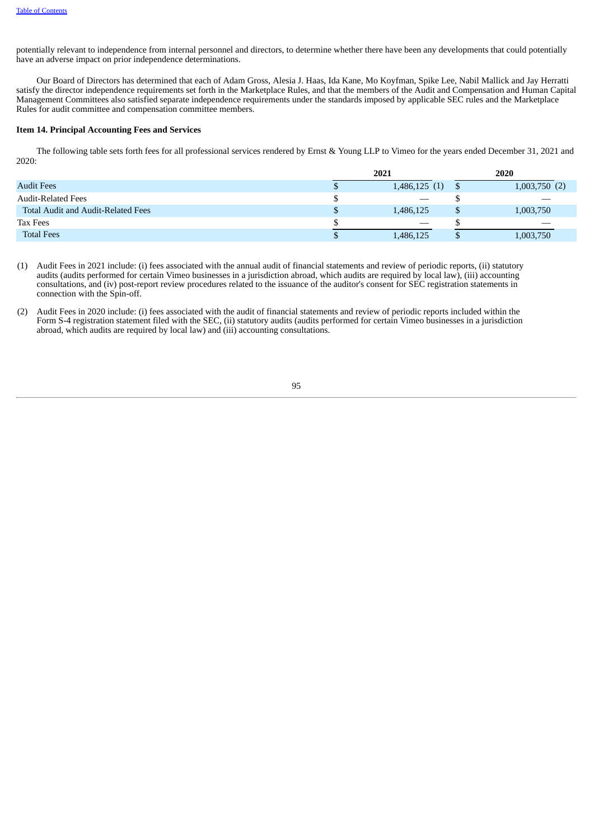potentially relevant to independence from internal personnel and directors, to determine whether there have been any developments that could potentially have an adverse impact on prior independence determinations.

Our Board of Directors has determined that each of Adam Gross, Alesia J. Haas, Ida Kane, Mo Koyfman, Spike Lee, Nabil Mallick and Jay Herratti satisfy the director independence requirements set forth in the Marketplace Rules, and that the members of the Audit and Compensation and Human Capital Management Committees also satisfied separate independence requirements under the standards imposed by applicable SEC rules and the Marketplace Rules for audit committee and compensation committee members.

### **Item 14. Principal Accounting Fees and Services**

The following table sets forth fees for all professional services rendered by Ernst & Young LLP to Vimeo for the years ended December 31, 2021 and 2020:

|                                           | 2021 |                                 | 2020              |
|-------------------------------------------|------|---------------------------------|-------------------|
| <b>Audit Fees</b>                         |      | 1,486,125(1)                    | 1,003,750(2)      |
| <b>Audit-Related Fees</b>                 |      |                                 | $\hspace{0.05cm}$ |
| <b>Total Audit and Audit-Related Fees</b> |      | 1,486,125                       | 1,003,750         |
| Tax Fees                                  |      | $\hspace{0.1mm}-\hspace{0.1mm}$ |                   |
| <b>Total Fees</b>                         |      | 1,486,125                       | 1,003,750         |

- (1) Audit Fees in 2021 include: (i) fees associated with the annual audit of financial statements and review of periodic reports, (ii) statutory audits (audits performed for certain Vimeo businesses in a jurisdiction abroad, which audits are required by local law), (iii) accounting consultations, and (iv) post-report review procedures related to the issuance of the auditor's consent for SEC registration statements in connection with the Spin-off.
- (2) Audit Fees in 2020 include: (i) fees associated with the audit of financial statements and review of periodic reports included within the Form S-4 registration statement filed with the SEC, (ii) statutory audits (audits performed for certain Vimeo businesses in a jurisdiction abroad, which audits are required by local law) and (iii) accounting consultations.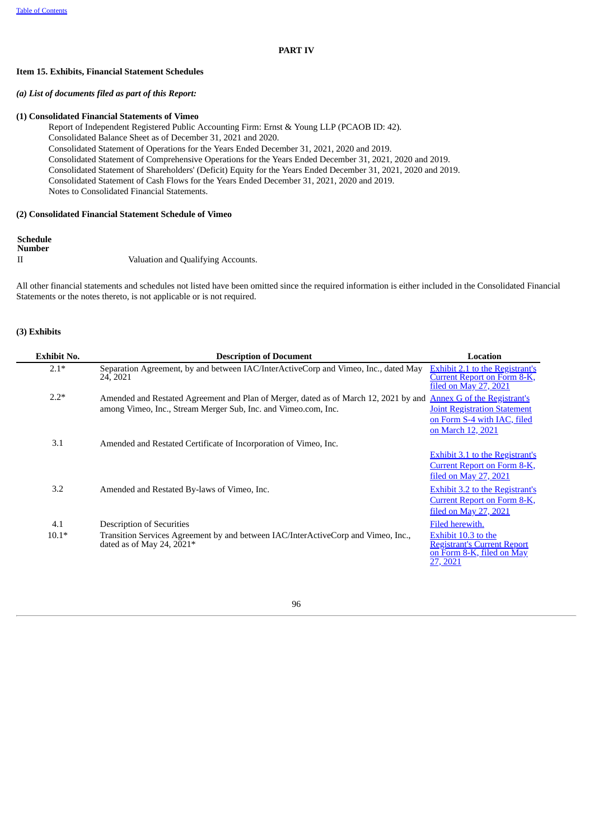# **PART IV**

# **Item 15. Exhibits, Financial Statement Schedules**

# *(a) List of documents filed as part of this Report:*

## **(1) Consolidated Financial Statements of Vimeo**

Report of Independent Registered Public Accounting Firm: Ernst & Young LLP (PCAOB ID: 42).

Consolidated Balance Sheet as of December 31, 2021 and 2020.

Consolidated Statement of Operations for the Years Ended December 31, 2021, 2020 and 2019.

Consolidated Statement of Comprehensive Operations for the Years Ended December 31, 2021, 2020 and 2019.

Consolidated Statement of Shareholders' (Deficit) Equity for the Years Ended December 31, 2021, 2020 and 2019.

Consolidated Statement of Cash Flows for the Years Ended December 31, 2021, 2020 and 2019.

Notes to Consolidated Financial Statements.

## **(2) Consolidated Financial Statement Schedule of Vimeo**

# **Schedule Number** II Valuation and Qualifying Accounts.

All other financial statements and schedules not listed have been omitted since the required information is either included in the Consolidated Financial Statements or the notes thereto, is not applicable or is not required.

# **(3) Exhibits**

| <b>Exhibit No.</b> | <b>Description of Document</b>                                                                                                                                                     | Location                                                                                                     |
|--------------------|------------------------------------------------------------------------------------------------------------------------------------------------------------------------------------|--------------------------------------------------------------------------------------------------------------|
| $2.1*$             | Separation Agreement, by and between IAC/InterActiveCorp and Vimeo, Inc., dated May<br>24, 2021                                                                                    | <b>Exhibit 2.1 to the Registrant's</b><br>Current Report on Form 8-K,<br>filed on May 27, 2021               |
| $2.2*$             | Amended and Restated Agreement and Plan of Merger, dated as of March 12, 2021 by and Annex G of the Registrant's<br>among Vimeo, Inc., Stream Merger Sub, Inc. and Vimeo.com, Inc. | <b>Joint Registration Statement</b><br>on Form S-4 with IAC, filed                                           |
| 3.1                | Amended and Restated Certificate of Incorporation of Vimeo, Inc.                                                                                                                   | on March 12, 2021                                                                                            |
|                    |                                                                                                                                                                                    | Exhibit 3.1 to the Registrant's<br>Current Report on Form 8-K,<br>filed on May 27, 2021                      |
| 3.2                | Amended and Restated By-laws of Vimeo, Inc.                                                                                                                                        | <b>Exhibit 3.2 to the Registrant's</b><br><b>Current Report on Form 8-K,</b><br><u>filed on May 27, 2021</u> |
| 4.1                | <b>Description of Securities</b>                                                                                                                                                   | Filed herewith.                                                                                              |
| $10.1*$            | Transition Services Agreement by and between IAC/InterActiveCorp and Vimeo, Inc.,<br>dated as of May 24, $2021*$                                                                   | Exhibit 10.3 to the<br><b>Registrant's Current Report</b><br>on Form 8-K, filed on May<br>27, 2021           |

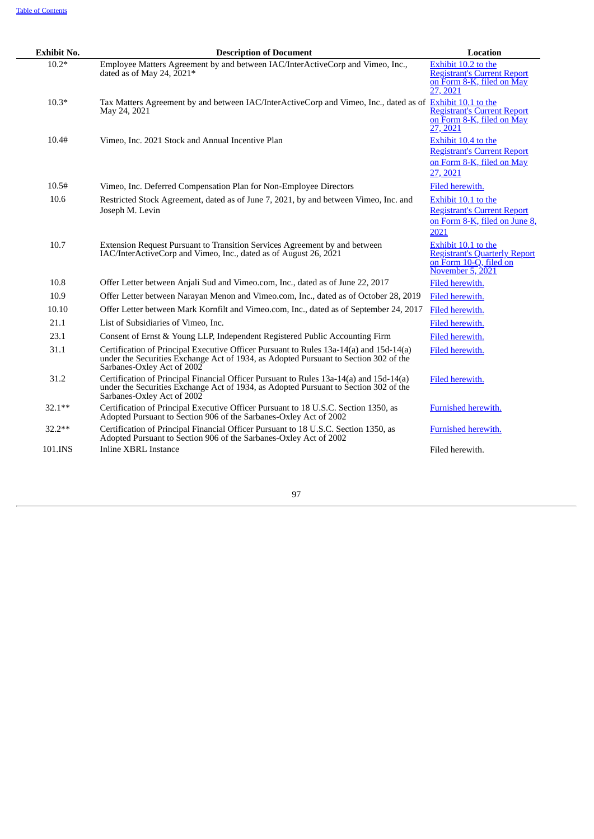| <b>Exhibit No.</b> | <b>Description of Document</b>                                                                                                                                                                               | Location                                                                                                  |
|--------------------|--------------------------------------------------------------------------------------------------------------------------------------------------------------------------------------------------------------|-----------------------------------------------------------------------------------------------------------|
| $10.2*$            | Employee Matters Agreement by and between IAC/InterActiveCorp and Vimeo, Inc.,<br>dated as of May 24, $2021*$                                                                                                | Exhibit 10.2 to the<br><b>Registrant's Current Report</b><br>on Form 8-K, filed on May<br>27, 2021        |
| $10.3*$            | Tax Matters Agreement by and between IAC/InterActiveCorp and Vimeo, Inc., dated as of Exhibit 10.1 to the<br>May 24, 2021                                                                                    | <b>Registrant's Current Report</b><br>on Form 8-K, filed on May<br>27, 2021                               |
| 10.4#              | Vimeo, Inc. 2021 Stock and Annual Incentive Plan                                                                                                                                                             | Exhibit 10.4 to the<br><b>Registrant's Current Report</b><br>on Form 8-K, filed on May<br>27, 2021        |
| 10.5#              | Vimeo, Inc. Deferred Compensation Plan for Non-Employee Directors                                                                                                                                            | Filed herewith.                                                                                           |
| 10.6               | Restricted Stock Agreement, dated as of June 7, 2021, by and between Vimeo, Inc. and<br>Joseph M. Levin                                                                                                      | Exhibit 10.1 to the<br><b>Registrant's Current Report</b><br>on Form 8-K, filed on June 8,<br>2021        |
| 10.7               | Extension Request Pursuant to Transition Services Agreement by and between<br>IAC/InterActiveCorp and Vimeo, Inc., dated as of August 26, 2021                                                               | Exhibit 10.1 to the<br><b>Registrant's Quarterly Report</b><br>on Form 10-Q, filed on<br>November 5, 2021 |
| 10.8               | Offer Letter between Anjali Sud and Vimeo.com, Inc., dated as of June 22, 2017                                                                                                                               | Filed herewith.                                                                                           |
| 10.9               | Offer Letter between Narayan Menon and Vimeo.com, Inc., dated as of October 28, 2019                                                                                                                         | Filed herewith.                                                                                           |
| 10.10              | Offer Letter between Mark Kornfilt and Vimeo.com, Inc., dated as of September 24, 2017                                                                                                                       | Filed herewith.                                                                                           |
| 21.1               | List of Subsidiaries of Vimeo, Inc.                                                                                                                                                                          | Filed herewith.                                                                                           |
| 23.1               | Consent of Ernst & Young LLP, Independent Registered Public Accounting Firm                                                                                                                                  | Filed herewith.                                                                                           |
| 31.1               | Certification of Principal Executive Officer Pursuant to Rules 13a-14(a) and 15d-14(a)<br>under the Securities Exchange Act of 1934, as Adopted Pursuant to Section 302 of the<br>Sarbanes-Oxley Act of 2002 | Filed herewith.                                                                                           |
| 31.2               | Certification of Principal Financial Officer Pursuant to Rules 13a-14(a) and 15d-14(a)<br>under the Securities Exchange Act of 1934, as Adopted Pursuant to Section 302 of the<br>Sarbanes-Oxley Act of 2002 | Filed herewith.                                                                                           |
| $32.1**$           | Certification of Principal Executive Officer Pursuant to 18 U.S.C. Section 1350, as<br>Adopted Pursuant to Section 906 of the Sarbanes-Oxley Act of 2002                                                     | Furnished herewith.                                                                                       |
| $32.2**$           | Certification of Principal Financial Officer Pursuant to 18 U.S.C. Section 1350, as<br>Adopted Pursuant to Section 906 of the Sarbanes-Oxley Act of 2002                                                     | <b>Furnished herewith.</b>                                                                                |
| 101.INS            | <b>Inline XBRL Instance</b>                                                                                                                                                                                  | Filed herewith.                                                                                           |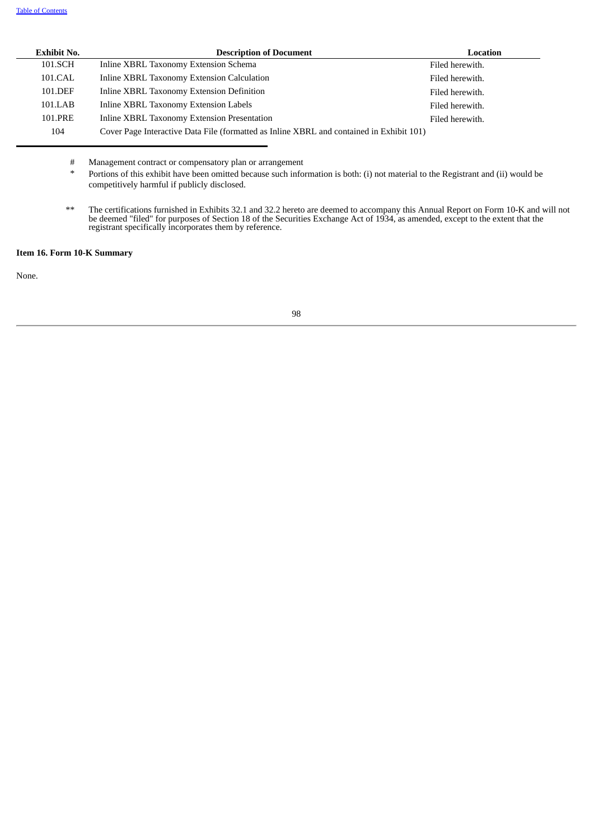| <b>Exhibit No.</b> | <b>Description of Document</b>                                                           | Location        |
|--------------------|------------------------------------------------------------------------------------------|-----------------|
| 101.SCH            | Inline XBRL Taxonomy Extension Schema                                                    | Filed herewith. |
| 101.CAL            | Inline XBRL Taxonomy Extension Calculation                                               | Filed herewith. |
| 101.DEF            | Inline XBRL Taxonomy Extension Definition                                                | Filed herewith. |
| 101.LAB            | Inline XBRL Taxonomy Extension Labels                                                    | Filed herewith. |
| 101.PRE            | Inline XBRL Taxonomy Extension Presentation                                              | Filed herewith. |
| 104                | Cover Page Interactive Data File (formatted as Inline XBRL and contained in Exhibit 101) |                 |

# Management contract or compensatory plan or arrangement

Portions of this exhibit have been omitted because such information is both: (i) not material to the Registrant and (ii) would be competitively harmful if publicly disclosed.

\*\* The certifications furnished in Exhibits 32.1 and 32.2 hereto are deemed to accompany this Annual Report on Form 10-K and will not be deemed "filed" for purposes of Section 18 of the Securities Exchange Act of 1934, as amended, except to the extent that the registrant specifically incorporates them by reference.

# **Item 16. Form 10-K Summary**

None.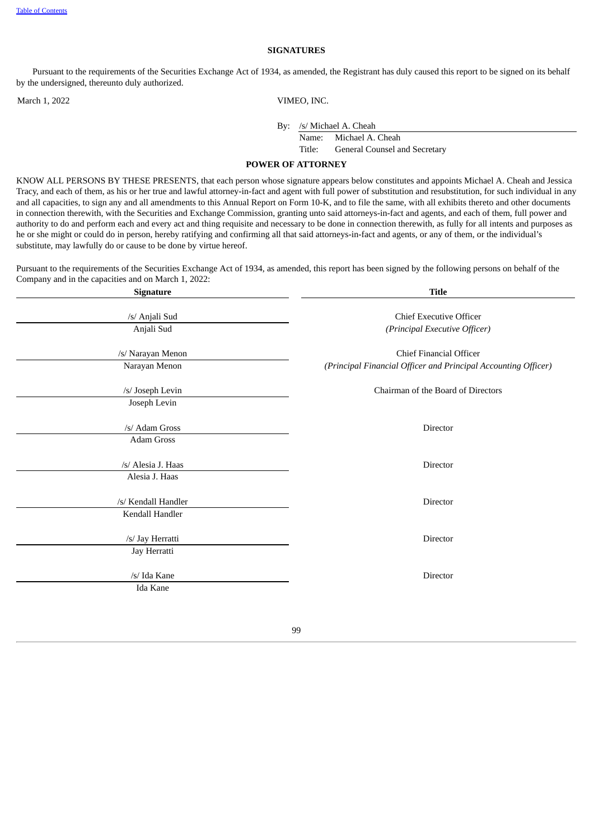#### **SIGNATURES**

Pursuant to the requirements of the Securities Exchange Act of 1934, as amended, the Registrant has duly caused this report to be signed on its behalf by the undersigned, thereunto duly authorized.

March 1, 2022 VIMEO, INC.

By: /s/ Michael A. Cheah

Name: Michael A. Cheah

Title: General Counsel and Secretary

## **POWER OF ATTORNEY**

KNOW ALL PERSONS BY THESE PRESENTS, that each person whose signature appears below constitutes and appoints Michael A. Cheah and Jessica Tracy, and each of them, as his or her true and lawful attorney-in-fact and agent with full power of substitution and resubstitution, for such individual in any and all capacities, to sign any and all amendments to this Annual Report on Form 10-K, and to file the same, with all exhibits thereto and other documents in connection therewith, with the Securities and Exchange Commission, granting unto said attorneys-in-fact and agents, and each of them, full power and authority to do and perform each and every act and thing requisite and necessary to be done in connection therewith, as fully for all intents and purposes as he or she might or could do in person, hereby ratifying and confirming all that said attorneys-in-fact and agents, or any of them, or the individual's substitute, may lawfully do or cause to be done by virtue hereof.

Pursuant to the requirements of the Securities Exchange Act of 1934, as amended, this report has been signed by the following persons on behalf of the Company and in the capacities and on March 1, 2022:

| <b>Signature</b>                       | <b>Title</b>                                                                                     |
|----------------------------------------|--------------------------------------------------------------------------------------------------|
| /s/ Anjali Sud                         | <b>Chief Executive Officer</b>                                                                   |
| Anjali Sud                             | (Principal Executive Officer)                                                                    |
| /s/ Narayan Menon<br>Narayan Menon     | <b>Chief Financial Officer</b><br>(Principal Financial Officer and Principal Accounting Officer) |
| /s/ Joseph Levin<br>Joseph Levin       | Chairman of the Board of Directors                                                               |
| /s/ Adam Gross<br>Adam Gross           | Director                                                                                         |
| /s/ Alesia J. Haas<br>Alesia J. Haas   | Director                                                                                         |
| /s/ Kendall Handler<br>Kendall Handler | Director                                                                                         |
| /s/ Jay Herratti<br>Jay Herratti       | Director                                                                                         |
| /s/ Ida Kane<br>Ida Kane               | Director                                                                                         |
|                                        |                                                                                                  |

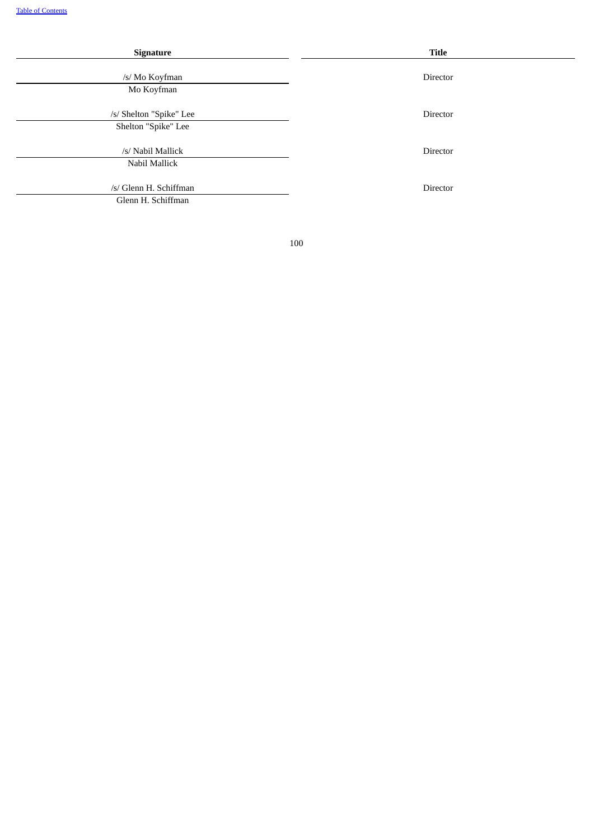| Signature                                      | Title           |
|------------------------------------------------|-----------------|
| /s/ Mo Koyfman<br>Mo Koyfman                   | Director        |
| /s/ Shelton "Spike" Lee<br>Shelton "Spike" Lee | Director        |
| /s/ Nabil Mallick<br>Nabil Mallick             | Director        |
| /s/ Glenn H. Schiffman<br>Glenn H. Schiffman   | <b>Director</b> |

÷,

100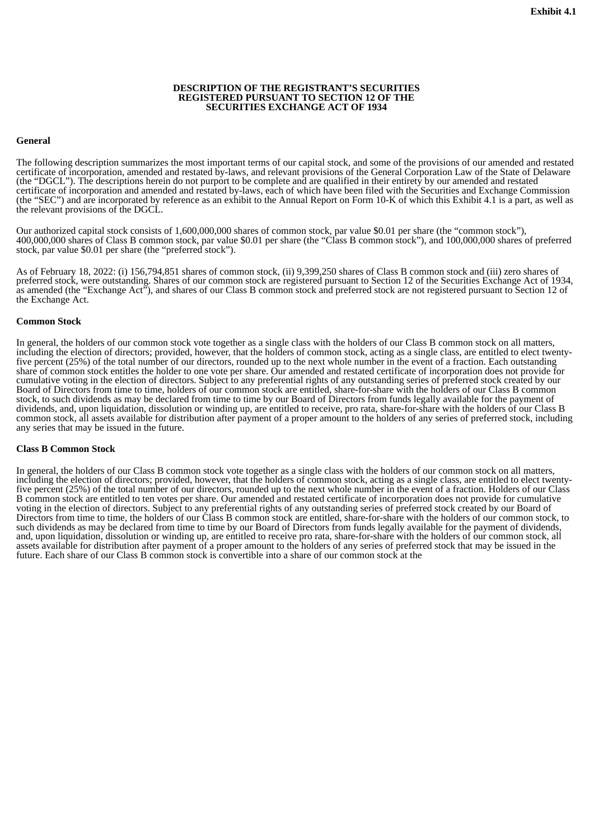## **DESCRIPTION OF THE REGISTRANT'S SECURITIES REGISTERED PURSUANT TO SECTION 12 OF THE SECURITIES EXCHANGE ACT OF 1934**

# <span id="page-105-0"></span>**General**

The following description summarizes the most important terms of our capital stock, and some of the provisions of our amended and restated certificate of incorporation, amended and restated by-laws, and relevant provisions of the General Corporation Law of the State of Delaware (the "DGCL"). The descriptions herein do not purport to be complete and are qualified in their entirety by our amended and restated certificate of incorporation and amended and restated by-laws, each of which have been filed with the Securities and Exchange Commission (the "SEC") and are incorporated by reference as an exhibit to the Annual Report on Form 10-K of which this Exhibit 4.1 is a part, as well as the relevant provisions of the DGCL.

Our authorized capital stock consists of 1,600,000,000 shares of common stock, par value \$0.01 per share (the "common stock"), 400,000,000 shares of Class B common stock, par value \$0.01 per share (the "Class B common stock"), and 100,000,000 shares of preferred stock, par value \$0.01 per share (the "preferred stock").

As of February 18, 2022: (i) 156,794,851 shares of common stock, (ii) 9,399,250 shares of Class B common stock and (iii) zero shares of preferred stock, were outstanding. Shares of our common stock are registered pursuant to Section 12 of the Securities Exchange Act of 1934, as amended (the "Exchange Act"), and shares of our Class B common stock and preferred stock are not registered pursuant to Section 12 of the Exchange Act.

## **Common Stock**

In general, the holders of our common stock vote together as a single class with the holders of our Class B common stock on all matters, including the election of directors; provided, however, that the holders of common stock, acting as a single class, are entitled to elect twentyfive percent (25%) of the total number of our directors, rounded up to the next whole number in the event of a fraction. Each outstanding share of common stock entitles the holder to one vote per share. Our amended and restated certificate of incorporation does not provide for cumulative voting in the election of directors. Subject to any preferential rights of any outstanding series of preferred stock created by our Board of Directors from time to time, holders of our common stock are entitled, share-for-share with the holders of our Class B common stock, to such dividends as may be declared from time to time by our Board of Directors from funds legally available for the payment of dividends, and, upon liquidation, dissolution or winding up, are entitled to receive, pro rata, share-for-share with the holders of our Class B common stock, all assets available for distribution after payment of a proper amount to the holders of any series of preferred stock, including any series that may be issued in the future.

# **Class B Common Stock**

In general, the holders of our Class B common stock vote together as a single class with the holders of our common stock on all matters, including the election of directors; provided, however, that the holders of common stock, acting as a single class, are entitled to elect twentyfive percent (25%) of the total number of our directors, rounded up to the next whole number in the event of a fraction. Holders of our Class B common stock are entitled to ten votes per share. Our amended and restated certificate of incorporation does not provide for cumulative voting in the election of directors. Subject to any preferential rights of any outstanding series of preferred stock created by our Board of Directors from time to time, the holders of our Class B common stock are entitled, share-for-share with the holders of our common stock, to such dividends as may be declared from time to time by our Board of Directors from funds legally available for the payment of dividends, and, upon liquidation, dissolution or winding up, are entitled to receive pro rata, share-for-share with the holders of our common stock, all assets available for distribution after payment of a proper amount to the holders of any series of preferred stock that may be issued in the future. Each share of our Class B common stock is convertible into a share of our common stock at the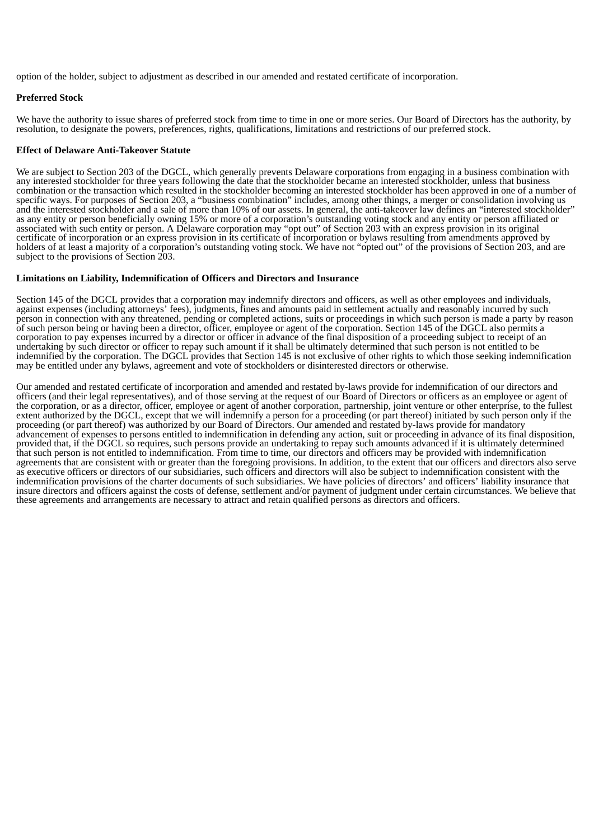option of the holder, subject to adjustment as described in our amended and restated certificate of incorporation.

# **Preferred Stock**

We have the authority to issue shares of preferred stock from time to time in one or more series. Our Board of Directors has the authority, by resolution, to designate the powers, preferences, rights, qualifications, limitations and restrictions of our preferred stock.

# **Effect of Delaware Anti-Takeover Statute**

We are subject to Section 203 of the DGCL, which generally prevents Delaware corporations from engaging in a business combination with any interested stockholder for three years following the date that the stockholder became an interested stockholder, unless that business combination or the transaction which resulted in the stockholder becoming an interested stockholder has been approved in one of a number of specific ways. For purposes of Section 203, a "business combination" includes, among other things, a merger or consolidation involving us and the interested stockholder and a sale of more than 10% of our assets. In general, the anti-takeover law defines an "interested stockholder" as any entity or person beneficially owning 15% or more of a corporation's outstanding voting stock and any entity or person affiliated or associated with such entity or person. A Delaware corporation may "opt out" of Section 203 with an express provision in its original certificate of incorporation or an express provision in its certificate of incorporation or bylaws resulting from amendments approved by holders of at least a majority of a corporation's outstanding voting stock. We have not "opted out" of the provisions of Section 203, and are subject to the provisions of Section 203.

# **Limitations on Liability, Indemnification of Officers and Directors and Insurance**

Section 145 of the DGCL provides that a corporation may indemnify directors and officers, as well as other employees and individuals, against expenses (including attorneys' fees), judgments, fines and amounts paid in settlement actually and reasonably incurred by such person in connection with any threatened, pending or completed actions, suits or proceedings in which such person is made a party by reason of such person being or having been a director, officer, employee or agent of the corporation. Section 145 of the DGCL also permits a corporation to pay expenses incurred by a director or officer in advance of the final disposition of a proceeding subject to receipt of an undertaking by such director or officer to repay such amount if it shall be ultimately determined that such person is not entitled to be indemnified by the corporation. The DGCL provides that Section 145 is not exclusive of other rights to which those seeking indemnification may be entitled under any bylaws, agreement and vote of stockholders or disinterested directors or otherwise.

Our amended and restated certificate of incorporation and amended and restated by-laws provide for indemnification of our directors and officers (and their legal representatives), and of those serving at the request of our Board of Directors or officers as an employee or agent of the corporation, or as a director, officer, employee or agent of another corporation, partnership, joint venture or other enterprise, to the fullest extent authorized by the DGCL, except that we will indemnify a person for a proceeding (or part thereof) initiated by such person only if the proceeding (or part thereof) was authorized by our Board of Directors. Our amended and restated by-laws provide for mandatory advancement of expenses to persons entitled to indemnification in defending any action, suit or proceeding in advance of its final disposition, provided that, if the DGCL so requires, such persons provide an undertaking to repay such amounts advanced if it is ultimately determined that such person is not entitled to indemnification. From time to time, our directors and officers may be provided with indemnification agreements that are consistent with or greater than the foregoing provisions. In addition, to the extent that our officers and directors also serve as executive officers or directors of our subsidiaries, such officers and directors will also be subject to indemnification consistent with the indemnification provisions of the charter documents of such subsidiaries. We have policies of directors' and officers' liability insurance that insure directors and officers against the costs of defense, settlement and/or payment of judgment under certain circumstances. We believe that these agreements and arrangements are necessary to attract and retain qualified persons as directors and officers.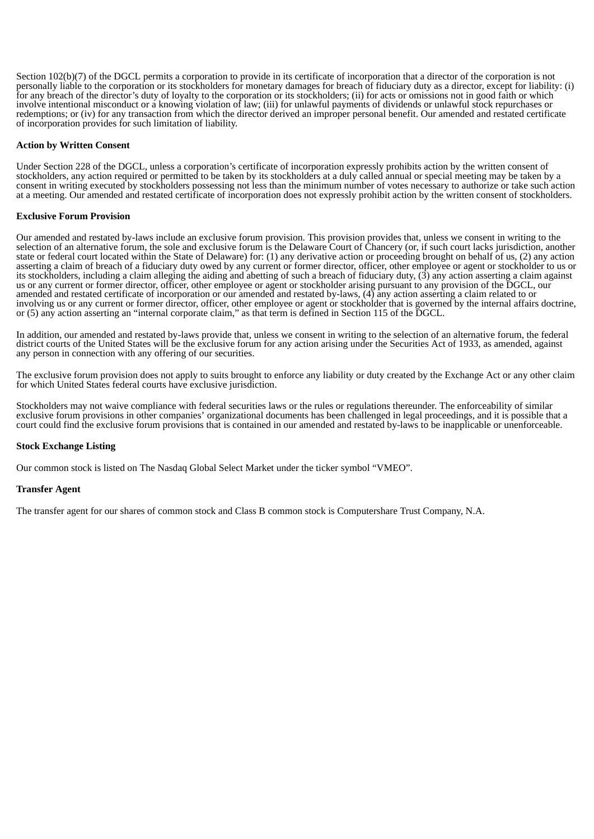Section 102(b)(7) of the DGCL permits a corporation to provide in its certificate of incorporation that a director of the corporation is not personally liable to the corporation or its stockholders for monetary damages for breach of fiduciary duty as a director, except for liability: (i) for any breach of the director's duty of loyalty to the corporation or its stockholders; (ii) for acts or omissions not in good faith or which involve intentional misconduct or a knowing violation of law; (iii) for unlawful payments of dividends or unlawful stock repurchases or redemptions; or (iv) for any transaction from which the director derived an improper personal benefit. Our amended and restated certificate of incorporation provides for such limitation of liability.

# **Action by Written Consent**

Under Section 228 of the DGCL, unless a corporation's certificate of incorporation expressly prohibits action by the written consent of stockholders, any action required or permitted to be taken by its stockholders at a duly called annual or special meeting may be taken by a consent in writing executed by stockholders possessing not less than the minimum number of votes necessary to authorize or take such action at a meeting. Our amended and restated certificate of incorporation does not expressly prohibit action by the written consent of stockholders.

# **Exclusive Forum Provision**

Our amended and restated by-laws include an exclusive forum provision. This provision provides that, unless we consent in writing to the selection of an alternative forum, the sole and exclusive forum is the Delaware Court of Chancery (or, if such court lacks jurisdiction, another state or federal court located within the State of Delaware) for: (1) any derivative action or proceeding brought on behalf of us, (2) any action asserting a claim of breach of a fiduciary duty owed by any current or former director, officer, other employee or agent or stockholder to us or its stockholders, including a claim alleging the aiding and abetting of such a breach of fiduciary duty, (3) any action asserting a claim against us or any current or former director, officer, other employee or agent or stockholder arising pursuant to any provision of the DGCL, our amended and restated certificate of incorporation or our amended and restated by-laws, (4) any action asserting a claim related to or involving us or any current or former director, officer, other employee or agent or stockholder that is governed by the internal affairs doctrine, or (5) any action asserting an "internal corporate claim," as that term is defined in Section 115 of the DGCL.

In addition, our amended and restated by-laws provide that, unless we consent in writing to the selection of an alternative forum, the federal district courts of the United States will be the exclusive forum for any action arising under the Securities Act of 1933, as amended, against any person in connection with any offering of our securities.

The exclusive forum provision does not apply to suits brought to enforce any liability or duty created by the Exchange Act or any other claim for which United States federal courts have exclusive jurisdiction.

Stockholders may not waive compliance with federal securities laws or the rules or regulations thereunder. The enforceability of similar exclusive forum provisions in other companies' organizational documents has been challenged in legal proceedings, and it is possible that a court could find the exclusive forum provisions that is contained in our amended and restated by-laws to be inapplicable or unenforceable.

# **Stock Exchange Listing**

Our common stock is listed on The Nasdaq Global Select Market under the ticker symbol "VMEO".

# **Transfer Agent**

The transfer agent for our shares of common stock and Class B common stock is Computershare Trust Company, N.A.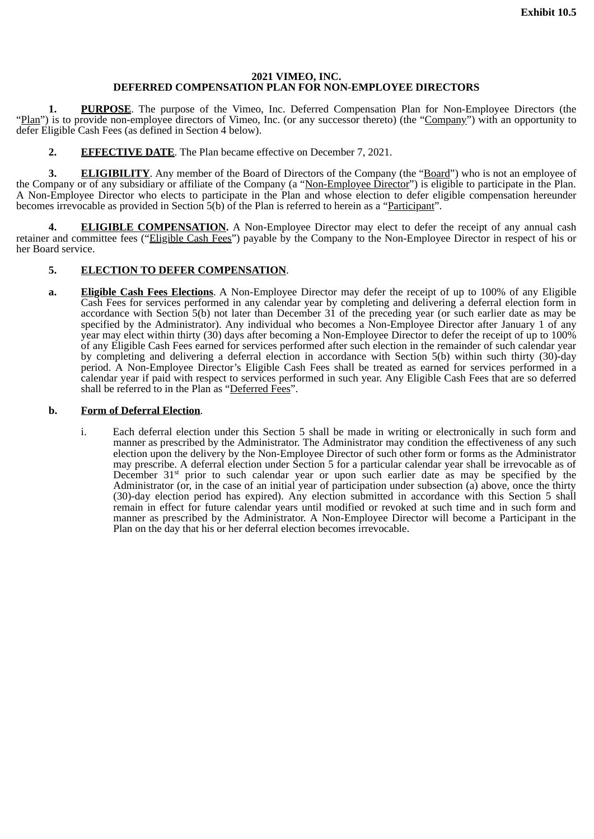## **2021 VIMEO, INC. DEFERRED COMPENSATION PLAN FOR NON-EMPLOYEE DIRECTORS**

**1. PURPOSE**. The purpose of the Vimeo, Inc. Deferred Compensation Plan for Non-Employee Directors (the "Plan") is to provide non-employee directors of Vimeo, Inc. (or any successor thereto) (the "Company") with an opportunity to defer Eligible Cash Fees (as defined in Section 4 below).

**2. EFFECTIVE DATE**. The Plan became effective on December 7, 2021.

**3. ELIGIBILITY**. Any member of the Board of Directors of the Company (the "Board") who is not an employee of the Company or of any subsidiary or affiliate of the Company (a "Non-Employee Director") is eligible to participate in the Plan. A Non-Employee Director who elects to participate in the Plan and whose election to defer eligible compensation hereunder becomes irrevocable as provided in Section 5(b) of the Plan is referred to herein as a "Participant".

**4. ELIGIBLE COMPENSATION.** A Non-Employee Director may elect to defer the receipt of any annual cash retainer and committee fees ("Eligible Cash Fees") payable by the Company to the Non-Employee Director in respect of his or her Board service.

# **5. ELECTION TO DEFER COMPENSATION**.

**a. Eligible Cash Fees Elections**. A Non-Employee Director may defer the receipt of up to 100% of any Eligible Cash Fees for services performed in any calendar year by completing and delivering a deferral election form in accordance with Section 5(b) not later than December 31 of the preceding year (or such earlier date as may be specified by the Administrator). Any individual who becomes a Non-Employee Director after January 1 of any year may elect within thirty (30) days after becoming a Non-Employee Director to defer the receipt of up to 100% of any Eligible Cash Fees earned for services performed after such election in the remainder of such calendar year by completing and delivering a deferral election in accordance with Section 5(b) within such thirty (30)-day period. A Non-Employee Director's Eligible Cash Fees shall be treated as earned for services performed in a calendar year if paid with respect to services performed in such year. Any Eligible Cash Fees that are so deferred shall be referred to in the Plan as "Deferred Fees".

## **b. Form of Deferral Election**.

i. Each deferral election under this Section 5 shall be made in writing or electronically in such form and manner as prescribed by the Administrator. The Administrator may condition the effectiveness of any such election upon the delivery by the Non-Employee Director of such other form or forms as the Administrator may prescribe. A deferral election under Section 5 for a particular calendar year shall be irrevocable as of December  $31<sup>st</sup>$  prior to such calendar year or upon such earlier date as may be specified by the Administrator (or, in the case of an initial year of participation under subsection (a) above, once the thirty (30)-day election period has expired). Any election submitted in accordance with this Section 5 shall remain in effect for future calendar years until modified or revoked at such time and in such form and manner as prescribed by the Administrator. A Non-Employee Director will become a Participant in the Plan on the day that his or her deferral election becomes irrevocable.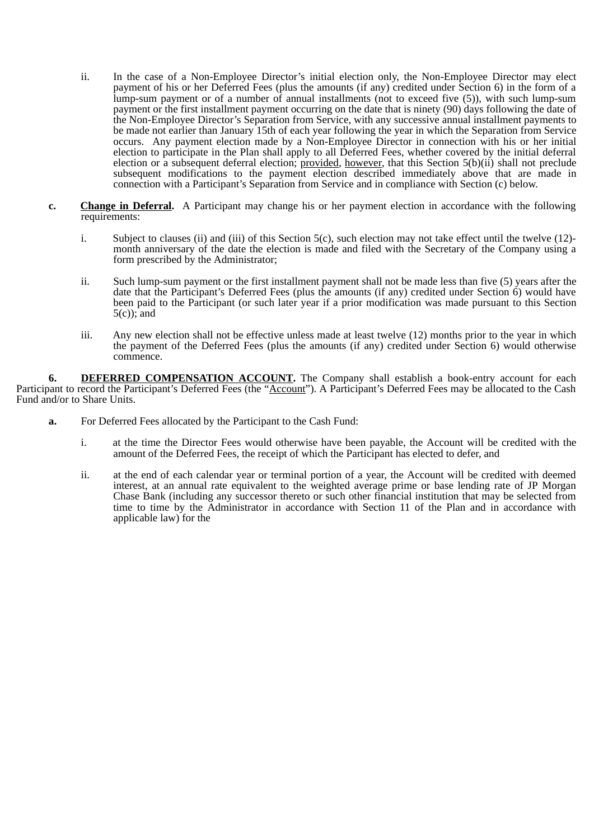- ii. In the case of a Non-Employee Director's initial election only, the Non-Employee Director may elect payment of his or her Deferred Fees (plus the amounts (if any) credited under Section 6) in the form of a lump-sum payment or of a number of annual installments (not to exceed five (5)), with such lump-sum payment or the first installment payment occurring on the date that is ninety (90) days following the date of the Non-Employee Director's Separation from Service, with any successive annual installment payments to be made not earlier than January 15th of each year following the year in which the Separation from Service occurs. Any payment election made by a Non-Employee Director in connection with his or her initial election to participate in the Plan shall apply to all Deferred Fees, whether covered by the initial deferral election or a subsequent deferral election; provided*,* however, that this Section 5(b)(ii) shall not preclude subsequent modifications to the payment election described immediately above that are made in connection with a Participant's Separation from Service and in compliance with Section (c) below.
- **c. Change in Deferral.** A Participant may change his or her payment election in accordance with the following requirements:
	- i. Subject to clauses (ii) and (iii) of this Section 5(c), such election may not take effect until the twelve (12) month anniversary of the date the election is made and filed with the Secretary of the Company using a form prescribed by the Administrator;
	- ii. Such lump-sum payment or the first installment payment shall not be made less than five (5) years after the date that the Participant's Deferred Fees (plus the amounts (if any) credited under Section 6) would have been paid to the Participant (or such later year if a prior modification was made pursuant to this Section 5(c)); and
	- iii. Any new election shall not be effective unless made at least twelve (12) months prior to the year in which the payment of the Deferred Fees (plus the amounts (if any) credited under Section 6) would otherwise commence.

**6. DEFERRED COMPENSATION ACCOUNT**. The Company shall establish a book-entry account for each Participant to record the Participant's Deferred Fees (the "Account"). A Participant's Deferred Fees may be allocated to the Cash Fund and/or to Share Units.

- **a.** For Deferred Fees allocated by the Participant to the Cash Fund:
	- i. at the time the Director Fees would otherwise have been payable, the Account will be credited with the amount of the Deferred Fees, the receipt of which the Participant has elected to defer, and
	- ii. at the end of each calendar year or terminal portion of a year, the Account will be credited with deemed interest, at an annual rate equivalent to the weighted average prime or base lending rate of JP Morgan Chase Bank (including any successor thereto or such other financial institution that may be selected from time to time by the Administrator in accordance with Section 11 of the Plan and in accordance with applicable law) for the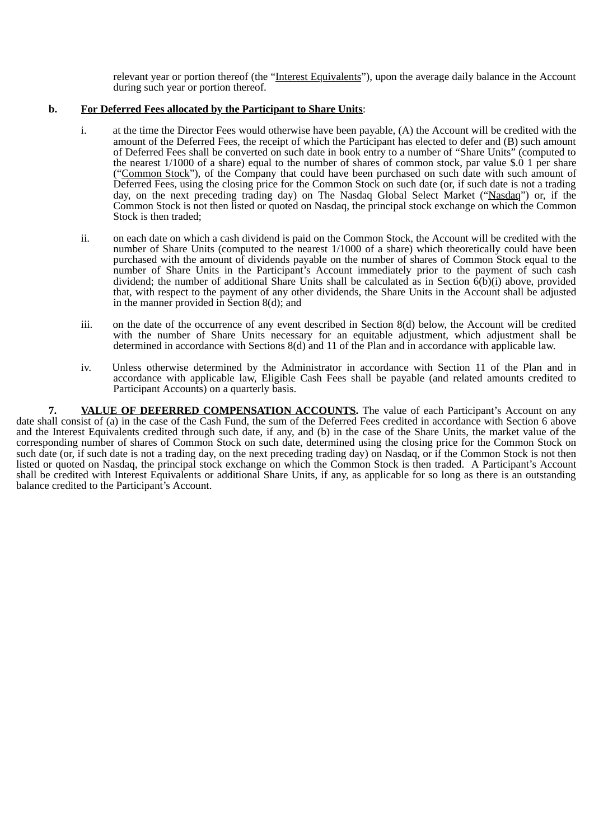relevant year or portion thereof (the "Interest Equivalents"), upon the average daily balance in the Account during such year or portion thereof.

# **b. For Deferred Fees allocated by the Participant to Share Units**:

- i. at the time the Director Fees would otherwise have been payable, (A) the Account will be credited with the amount of the Deferred Fees, the receipt of which the Participant has elected to defer and (B) such amount of Deferred Fees shall be converted on such date in book entry to a number of "Share Units" (computed to the nearest 1/1000 of a share) equal to the number of shares of common stock, par value \$.0 1 per share ("Common Stock"), of the Company that could have been purchased on such date with such amount of Deferred Fees, using the closing price for the Common Stock on such date (or, if such date is not a trading day, on the next preceding trading day) on The Nasdaq Global Select Market ("Nasdaq") or, if the Common Stock is not then listed or quoted on Nasdaq, the principal stock exchange on which the Common Stock is then traded;
- ii. on each date on which a cash dividend is paid on the Common Stock, the Account will be credited with the number of Share Units (computed to the nearest 1/1000 of a share) which theoretically could have been purchased with the amount of dividends payable on the number of shares of Common Stock equal to the number of Share Units in the Participant's Account immediately prior to the payment of such cash dividend; the number of additional Share Units shall be calculated as in Section 6(b)(i) above, provided that, with respect to the payment of any other dividends, the Share Units in the Account shall be adjusted in the manner provided in Section 8(d); and
- iii. on the date of the occurrence of any event described in Section 8(d) below, the Account will be credited with the number of Share Units necessary for an equitable adjustment, which adjustment shall be determined in accordance with Sections 8(d) and 11 of the Plan and in accordance with applicable law.
- iv. Unless otherwise determined by the Administrator in accordance with Section 11 of the Plan and in accordance with applicable law, Eligible Cash Fees shall be payable (and related amounts credited to Participant Accounts) on a quarterly basis.

**7. VALUE OF DEFERRED COMPENSATION ACCOUNTS.** The value of each Participant's Account on any date shall consist of (a) in the case of the Cash Fund, the sum of the Deferred Fees credited in accordance with Section 6 above and the Interest Equivalents credited through such date, if any, and (b) in the case of the Share Units, the market value of the corresponding number of shares of Common Stock on such date, determined using the closing price for the Common Stock on such date (or, if such date is not a trading day, on the next preceding trading day) on Nasdaq, or if the Common Stock is not then listed or quoted on Nasdaq, the principal stock exchange on which the Common Stock is then traded. A Participant's Account shall be credited with Interest Equivalents or additional Share Units, if any, as applicable for so long as there is an outstanding balance credited to the Participant's Account.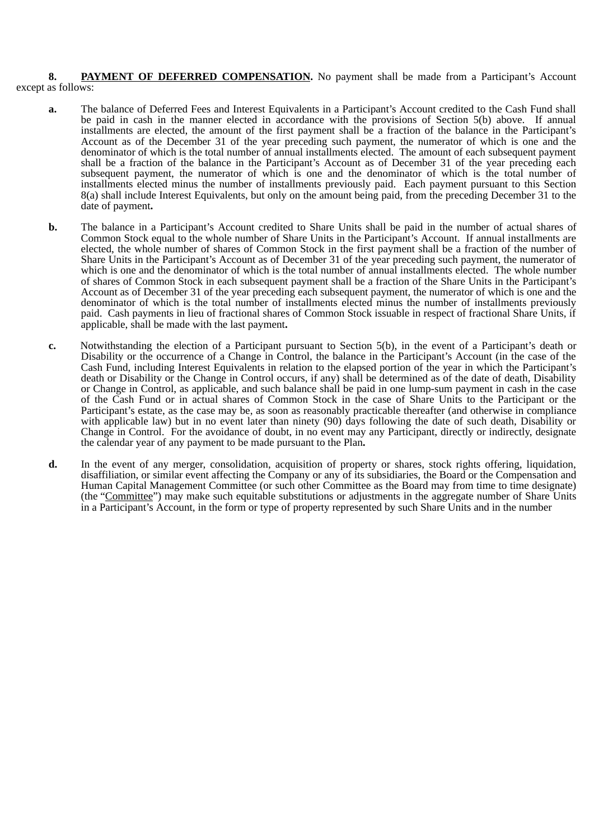8. **PAYMENT OF DEFERRED COMPENSATION.** No payment shall be made from a Participant's Account except as follows:

- **a.** The balance of Deferred Fees and Interest Equivalents in a Participant's Account credited to the Cash Fund shall be paid in cash in the manner elected in accordance with the provisions of Section 5(b) above. If annual installments are elected, the amount of the first payment shall be a fraction of the balance in the Participant's Account as of the December 31 of the year preceding such payment, the numerator of which is one and the denominator of which is the total number of annual installments elected. The amount of each subsequent payment shall be a fraction of the balance in the Participant's Account as of December 31 of the year preceding each subsequent payment, the numerator of which is one and the denominator of which is the total number of installments elected minus the number of installments previously paid. Each payment pursuant to this Section 8(a) shall include Interest Equivalents, but only on the amount being paid, from the preceding December 31 to the date of payment**.**
- **b.** The balance in a Participant's Account credited to Share Units shall be paid in the number of actual shares of Common Stock equal to the whole number of Share Units in the Participant's Account. If annual installments are elected, the whole number of shares of Common Stock in the first payment shall be a fraction of the number of Share Units in the Participant's Account as of December 31 of the year preceding such payment, the numerator of which is one and the denominator of which is the total number of annual installments elected. The whole number of shares of Common Stock in each subsequent payment shall be a fraction of the Share Units in the Participant's Account as of December 31 of the year preceding each subsequent payment, the numerator of which is one and the denominator of which is the total number of installments elected minus the number of installments previously paid. Cash payments in lieu of fractional shares of Common Stock issuable in respect of fractional Share Units, if applicable, shall be made with the last payment**.**
- **c.** Notwithstanding the election of a Participant pursuant to Section 5(b), in the event of a Participant's death or Disability or the occurrence of a Change in Control, the balance in the Participant's Account (in the case of the Cash Fund, including Interest Equivalents in relation to the elapsed portion of the year in which the Participant's death or Disability or the Change in Control occurs, if any) shall be determined as of the date of death, Disability or Change in Control, as applicable, and such balance shall be paid in one lump-sum payment in cash in the case of the Cash Fund or in actual shares of Common Stock in the case of Share Units to the Participant or the Participant's estate, as the case may be, as soon as reasonably practicable thereafter (and otherwise in compliance with applicable law) but in no event later than ninety (90) days following the date of such death, Disability or Change in Control. For the avoidance of doubt, in no event may any Participant, directly or indirectly, designate the calendar year of any payment to be made pursuant to the Plan**.**
- **d.** In the event of any merger, consolidation, acquisition of property or shares, stock rights offering, liquidation, disaffiliation, or similar event affecting the Company or any of its subsidiaries, the Board or the Compensation and Human Capital Management Committee (or such other Committee as the Board may from time to time designate) (the "Committee") may make such equitable substitutions or adjustments in the aggregate number of Share Units in a Participant's Account, in the form or type of property represented by such Share Units and in the number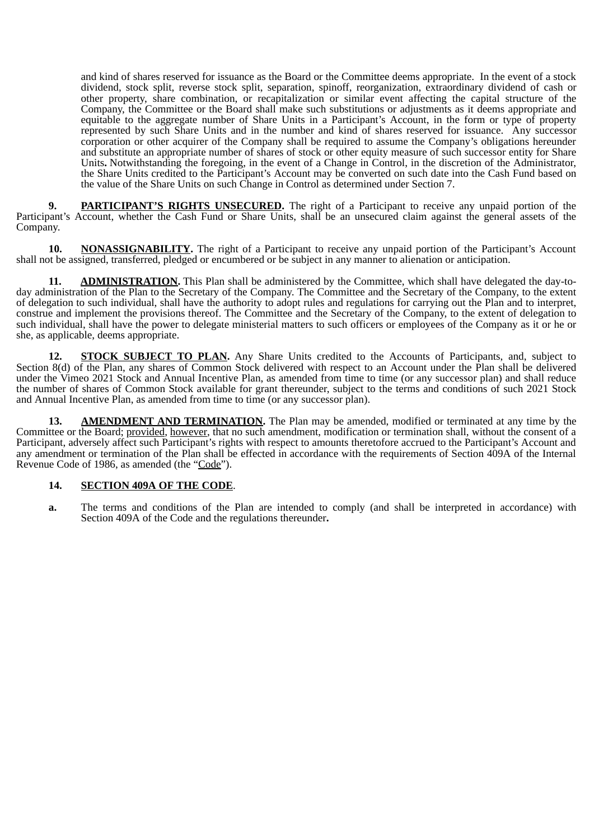and kind of shares reserved for issuance as the Board or the Committee deems appropriate. In the event of a stock dividend, stock split, reverse stock split, separation, spinoff, reorganization, extraordinary dividend of cash or other property, share combination, or recapitalization or similar event affecting the capital structure of the Company, the Committee or the Board shall make such substitutions or adjustments as it deems appropriate and equitable to the aggregate number of Share Units in a Participant's Account, in the form or type of property represented by such Share Units and in the number and kind of shares reserved for issuance. Any successor corporation or other acquirer of the Company shall be required to assume the Company's obligations hereunder and substitute an appropriate number of shares of stock or other equity measure of such successor entity for Share Units**.** Notwithstanding the foregoing, in the event of a Change in Control, in the discretion of the Administrator, the Share Units credited to the Participant's Account may be converted on such date into the Cash Fund based on the value of the Share Units on such Change in Control as determined under Section 7.

**9. PARTICIPANT'S RIGHTS UNSECURED.** The right of a Participant to receive any unpaid portion of the Participant's Account, whether the Cash Fund or Share Units, shall be an unsecured claim against the general assets of the Company.

**10. NONASSIGNABILITY.** The right of a Participant to receive any unpaid portion of the Participant's Account shall not be assigned, transferred, pledged or encumbered or be subject in any manner to alienation or anticipation.

**11. ADMINISTRATION.** This Plan shall be administered by the Committee, which shall have delegated the day-today administration of the Plan to the Secretary of the Company. The Committee and the Secretary of the Company, to the extent of delegation to such individual, shall have the authority to adopt rules and regulations for carrying out the Plan and to interpret, construe and implement the provisions thereof. The Committee and the Secretary of the Company, to the extent of delegation to such individual, shall have the power to delegate ministerial matters to such officers or employees of the Company as it or he or she, as applicable, deems appropriate.

**12. STOCK SUBJECT TO PLAN.** Any Share Units credited to the Accounts of Participants, and, subject to Section 8(d) of the Plan, any shares of Common Stock delivered with respect to an Account under the Plan shall be delivered under the Vimeo 2021 Stock and Annual Incentive Plan, as amended from time to time (or any successor plan) and shall reduce the number of shares of Common Stock available for grant thereunder, subject to the terms and conditions of such 2021 Stock and Annual Incentive Plan, as amended from time to time (or any successor plan).

**13. AMENDMENT AND TERMINATION.** The Plan may be amended, modified or terminated at any time by the Committee or the Board; provided, however, that no such amendment, modification or termination shall, without the consent of a Participant, adversely affect such Participant's rights with respect to amounts theretofore accrued to the Participant's Account and any amendment or termination of the Plan shall be effected in accordance with the requirements of Section 409A of the Internal Revenue Code of 1986, as amended (the "Code").

## **14. SECTION 409A OF THE CODE**.

**a.** The terms and conditions of the Plan are intended to comply (and shall be interpreted in accordance) with Section 409A of the Code and the regulations thereunder**.**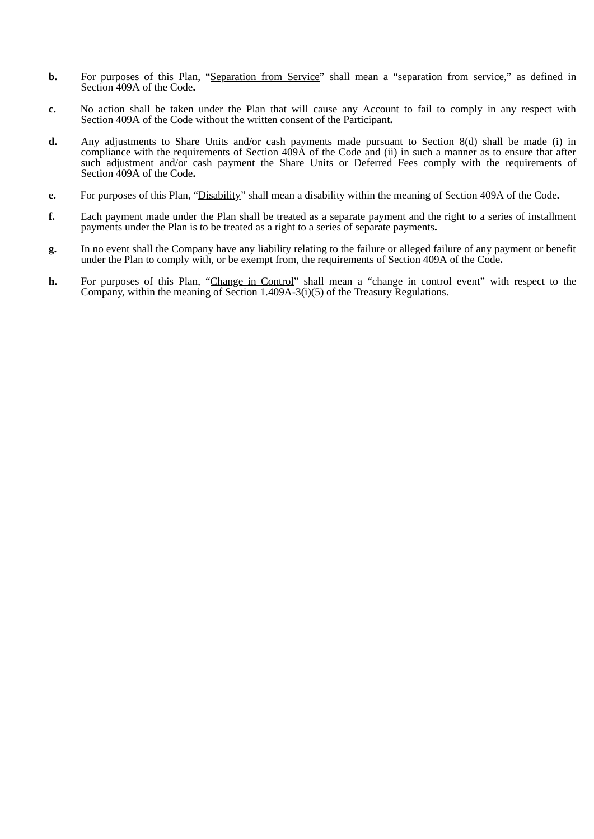- **b.** For purposes of this Plan, "Separation from Service" shall mean a "separation from service," as defined in Section 409A of the Code**.**
- **c.** No action shall be taken under the Plan that will cause any Account to fail to comply in any respect with Section 409A of the Code without the written consent of the Participant**.**
- **d.** Any adjustments to Share Units and/or cash payments made pursuant to Section 8(d) shall be made (i) in compliance with the requirements of Section 409A of the Code and (ii) in such a manner as to ensure that after such adjustment and/or cash payment the Share Units or Deferred Fees comply with the requirements of Section 409A of the Code**.**
- **e.** For purposes of this Plan, "Disability" shall mean a disability within the meaning of Section 409A of the Code**.**
- **f.** Each payment made under the Plan shall be treated as a separate payment and the right to a series of installment payments under the Plan is to be treated as a right to a series of separate payments**.**
- **g.** In no event shall the Company have any liability relating to the failure or alleged failure of any payment or benefit under the Plan to comply with, or be exempt from, the requirements of Section 409A of the Code**.**
- **h.** For purposes of this Plan, "Change in Control" shall mean a "change in control event" with respect to the Company, within the meaning of Section 1.409A-3(i)(5) of the Treasury Regulations.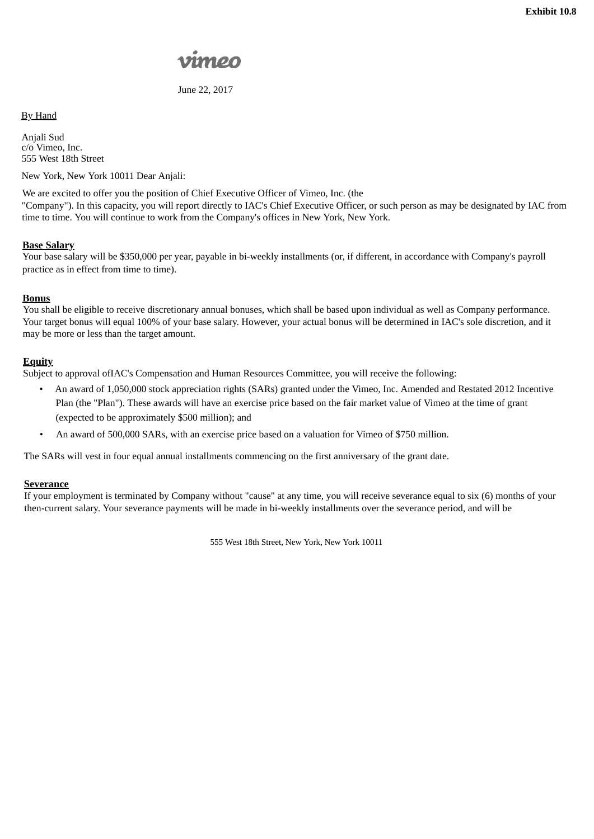June 22, 2017

# By Hand

Anjali Sud c/o Vimeo, Inc. 555 West 18th Street

New York, New York 10011 Dear Anjali:

We are excited to offer you the position of Chief Executive Officer of Vimeo, Inc. (the "Company"). In this capacity, you will report directly to IAC's Chief Executive Officer, or such person as may be designated by IAC from time to time. You will continue to work from the Company's offices in New York, New York.

# **Base Salary**

Your base salary will be \$350,000 per year, payable in bi-weekly installments (or, if different, in accordance with Company's payroll practice as in effect from time to time).

# **Bonus**

You shall be eligible to receive discretionary annual bonuses, which shall be based upon individual as well as Company performance. Your target bonus will equal 100% of your base salary. However, your actual bonus will be determined in IAC's sole discretion, and it may be more or less than the target amount.

# **Equity**

Subject to approval ofIAC's Compensation and Human Resources Committee, you will receive the following:

- An award of 1,050,000 stock appreciation rights (SARs) granted under the Vimeo, Inc. Amended and Restated 2012 Incentive Plan (the "Plan"). These awards will have an exercise price based on the fair market value of Vimeo at the time of grant (expected to be approximately \$500 million); and
- An award of 500,000 SARs, with an exercise price based on a valuation for Vimeo of \$750 million.

The SARs will vest in four equal annual installments commencing on the first anniversary of the grant date.

# **Severance**

If your employment is terminated by Company without "cause" at any time, you will receive severance equal to six (6) months of your then-current salary. Your severance payments will be made in bi-weekly installments over the severance period, and will be

555 West 18th Street, New York, New York 10011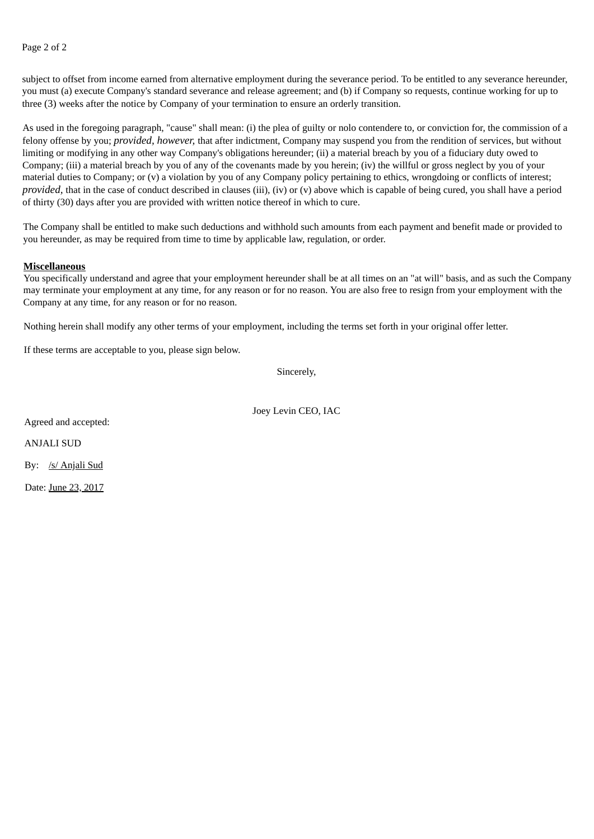Page 2 of 2

subject to offset from income earned from alternative employment during the severance period. To be entitled to any severance hereunder, you must (a) execute Company's standard severance and release agreement; and (b) if Company so requests, continue working for up to three (3) weeks after the notice by Company of your termination to ensure an orderly transition.

As used in the foregoing paragraph, "cause" shall mean: (i) the plea of guilty or nolo contendere to, or conviction for, the commission of a felony offense by you; *provided, however,* that after indictment, Company may suspend you from the rendition of services, but without limiting or modifying in any other way Company's obligations hereunder; (ii) a material breach by you of a fiduciary duty owed to Company; (iii) a material breach by you of any of the covenants made by you herein; (iv) the willful or gross neglect by you of your material duties to Company; or (v) a violation by you of any Company policy pertaining to ethics, wrongdoing or conflicts of interest; *provided*, that in the case of conduct described in clauses (iii), (iv) or (v) above which is capable of being cured, you shall have a period of thirty (30) days after you are provided with written notice thereof in which to cure.

The Company shall be entitled to make such deductions and withhold such amounts from each payment and benefit made or provided to you hereunder, as may be required from time to time by applicable law, regulation, or order.

#### **Miscellaneous**

You specifically understand and agree that your employment hereunder shall be at all times on an "at will" basis, and as such the Company may terminate your employment at any time, for any reason or for no reason. You are also free to resign from your employment with the Company at any time, for any reason or for no reason.

Nothing herein shall modify any other terms of your employment, including the terms set forth in your original offer letter.

If these terms are acceptable to you, please sign below.

Sincerely,

Joey Levin CEO, IAC

Agreed and accepted:

ANJALI SUD

By: /s/ Anjali Sud

Date: June 23, 2017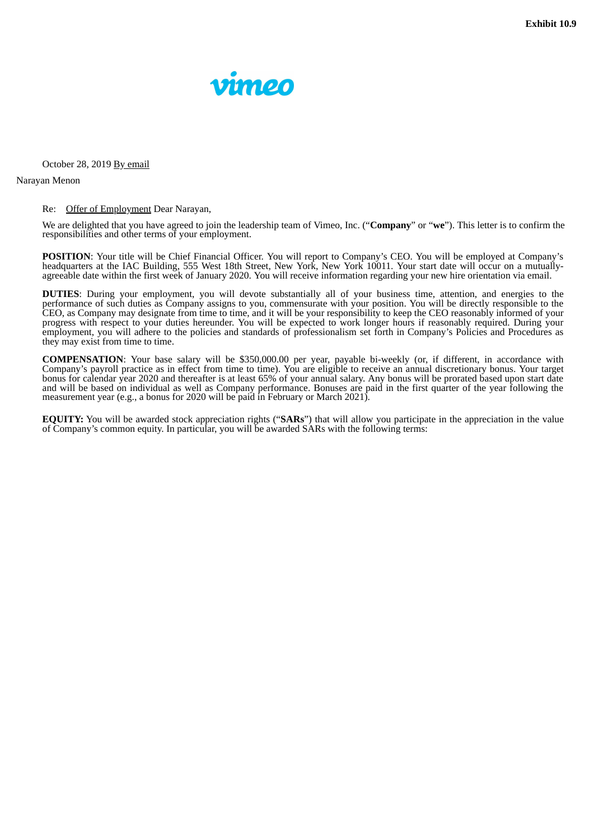

October 28, 2019 By email

Narayan Menon

#### Re: Offer of Employment Dear Narayan,

We are delighted that you have agreed to join the leadership team of Vimeo, Inc. ("**Company**" or "**we**"). This letter is to confirm the responsibilities and other terms of your employment.

**POSITION**: Your title will be Chief Financial Officer. You will report to Company's CEO. You will be employed at Company's headquarters at the IAC Building, 555 West 18th Street, New York, New York 10011. Your start date will occur on a mutuallyagreeable date within the first week of January 2020. You will receive information regarding your new hire orientation via email.

**DUTIES**: During your employment, you will devote substantially all of your business time, attention, and energies to the performance of such duties as Company assigns to you, commensurate with your position. You will be directly responsible to the CEO, as Company may designate from time to time, and it will be your responsibility to keep the CEO reasonably informed of your progress with respect to your duties hereunder. You will be expected to work longer hours if reasonably required. During your progress with respect to your duties hereunder. You will be expected to work longer hours if rea employment, you will adhere to the policies and standards of professionalism set forth in Company's Policies and Procedures as they may exist from time to time.

**COMPENSATION**: Your base salary will be \$350,000.00 per year, payable bi-weekly (or, if different, in accordance with Company's payroll practice as in effect from time to time). You are eligible to receive an annual discretionary bonus. Your target bonus for calendar year 2020 and thereafter is at least 65% of your annual salary. Any bonus will be prorated based upon start date and will be based on individual as well as Company performance. Bonuses are paid in the first quarter of the year following the measurement year (e.g., a bonus for 2020 will be paid in February or March 2021).

**EQUITY:** You will be awarded stock appreciation rights ("**SARs**") that will allow you participate in the appreciation in the value of Company's common equity. In particular, you will be awarded SARs with the following terms: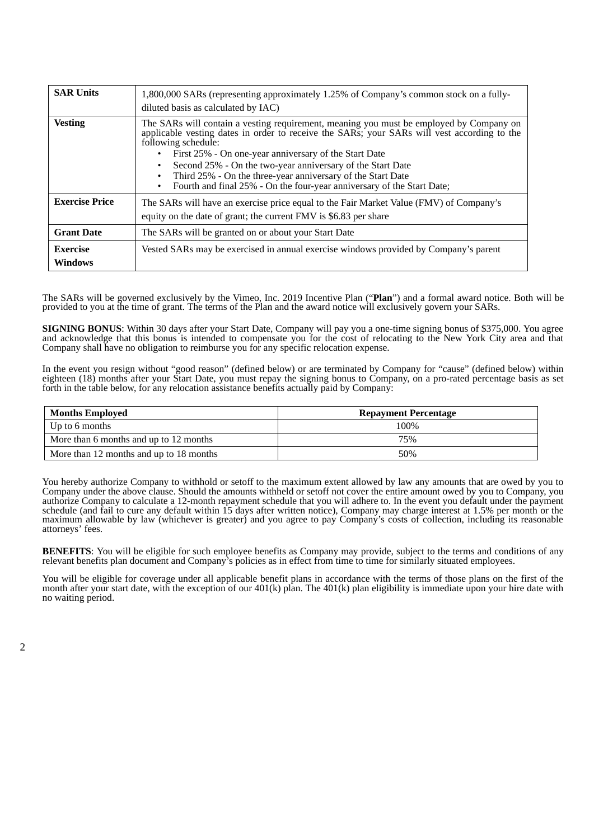| <b>SAR Units</b>           | 1,800,000 SARs (representing approximately 1.25% of Company's common stock on a fully-<br>diluted basis as calculated by IAC)                                                                                                                                                                                                                                                                                                                                                                           |  |
|----------------------------|---------------------------------------------------------------------------------------------------------------------------------------------------------------------------------------------------------------------------------------------------------------------------------------------------------------------------------------------------------------------------------------------------------------------------------------------------------------------------------------------------------|--|
| <b>Vesting</b>             | The SARs will contain a vesting requirement, meaning you must be employed by Company on<br>applicable vesting dates in order to receive the SARs; your SARs will vest according to the<br>following schedule:<br>First 25% - On one-year anniversary of the Start Date<br>$\bullet$<br>Second 25% - On the two-year anniversary of the Start Date<br>$\bullet$<br>Third 25% - On the three-year anniversary of the Start Date<br>Fourth and final 25% - On the four-year anniversary of the Start Date; |  |
| <b>Exercise Price</b>      | The SARs will have an exercise price equal to the Fair Market Value (FMV) of Company's<br>equity on the date of grant; the current FMV is \$6.83 per share                                                                                                                                                                                                                                                                                                                                              |  |
| <b>Grant Date</b>          | The SARs will be granted on or about your Start Date                                                                                                                                                                                                                                                                                                                                                                                                                                                    |  |
| Exercise<br><b>Windows</b> | Vested SARs may be exercised in annual exercise windows provided by Company's parent                                                                                                                                                                                                                                                                                                                                                                                                                    |  |

The SARs will be governed exclusively by the Vimeo, Inc. 2019 Incentive Plan ("**Plan**") and a formal award notice. Both will be provided to you at the time of grant. The terms of the Plan and the award notice will exclusively govern your SARs.

**SIGNING BONUS**: Within 30 days after your Start Date, Company will pay you a one-time signing bonus of \$375,000. You agree and acknowledge that this bonus is intended to compensate you for the cost of relocating to the New York City area and that Company shall have no obligation to reimburse you for any specific relocation expense.

In the event you resign without "good reason" (defined below) or are terminated by Company for "cause" (defined below) within eighteen (18) months after your Start Date, you must repay the signing bonus to Company, on a pro-rated percentage basis as set forth in the table below, for any relocation assistance benefits actually paid by Company:

| <b>Months Employed</b>                  | <b>Repayment Percentage</b> |
|-----------------------------------------|-----------------------------|
| Up to 6 months                          | 100%                        |
| More than 6 months and up to 12 months  | 75%                         |
| More than 12 months and up to 18 months | 50%                         |

You hereby authorize Company to withhold or setoff to the maximum extent allowed by law any amounts that are owed by you to Company under the above clause. Should the amounts withheld or setoff not cover the entire amount owed by you to Company, you authorize Company to calculate a 12-month repayment schedule that you will adhere to. In the event you default under the payment schedule (and fail to cure any default within 15 days after written notice), Company may charge interest at 1.5% per month or the maximum allowable by law (whichever is greater) and you agree to pay Company's costs of collection, including its reasonable attorneys' fees.

**BENEFITS**: You will be eligible for such employee benefits as Company may provide, subject to the terms and conditions of any relevant benefits plan document and Company's policies as in effect from time to time for similarly situated employees.

You will be eligible for coverage under all applicable benefit plans in accordance with the terms of those plans on the first of the month after your start date, with the exception of our 401(k) plan. The 401(k) plan eligibility is immediate upon your hire date with no waiting period.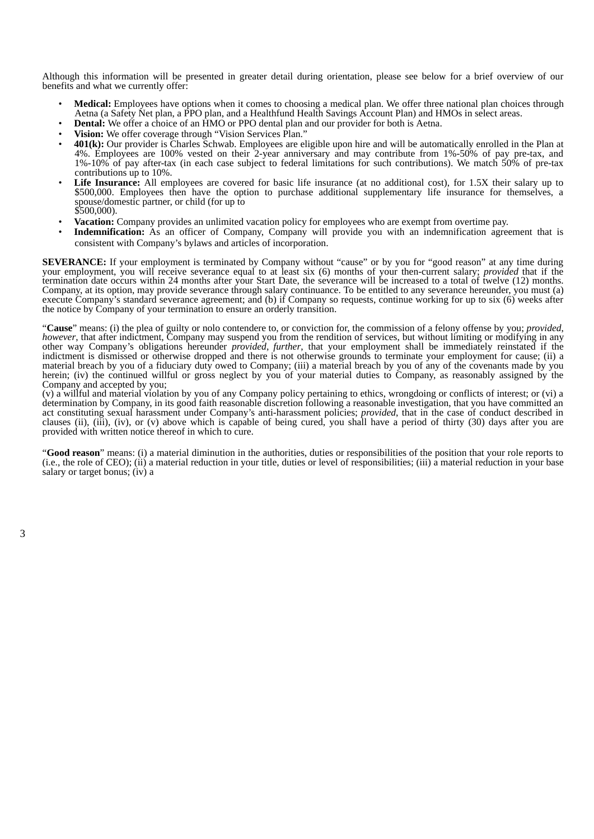Although this information will be presented in greater detail during orientation, please see below for a brief overview of our benefits and what we currently offer:

- **Medical:** Employees have options when it comes to choosing a medical plan. We offer three national plan choices through Aetna (a Safety Net plan, a PPO plan, and a Healthfund Health Savings Account Plan) and HMOs in select areas.
- **Dental:** We offer a choice of an HMO or PPO dental plan and our provider for both is Aetna.
- **Vision:** We offer coverage through "Vision Services Plan."
- **401(k):** Our provider is Charles Schwab. Employees are eligible upon hire and will be automatically enrolled in the Plan at 4%. Employees are 100% vested on their 2-year anniversary and may contribute from 1%-50% of pay pre-tax, and 1%-10% of pay after-tax (in each case subject to federal limitations for such contributions). We match 50% of pre-tax contributions up to 10%.
- Life Insurance: All employees are covered for basic life insurance (at no additional cost), for 1.5X their salary up to \$500,000. Employees then have the option to purchase additional supplementary life insurance for themselves, a spouse/domestic partner, or child (for up to  $$500,000$ ).
- **Vacation:** Company provides an unlimited vacation policy for employees who are exempt from overtime pay.
- **Indemnification:** As an officer of Company, Company will provide you with an indemnification agreement that is consistent with Company's bylaws and articles of incorporation.

**SEVERANCE:** If your employment is terminated by Company without "cause" or by you for "good reason" at any time during your employment, you will receive severance equal to at least six (6) months of your then-current salary; *provided* that if the termination date occurs within 24 months after your Start Date, the severance will be increased to a total of twelve (12) months. Company, at its option, may provide severance through salary continuance. To be entitled to any severance hereunder, you must (a) execute Company's standard severance agreement; and (b) if Company so requests, continue working for up to six (6) weeks after the notice by Company of your termination to ensure an orderly transition.

"**Cause**" means: (i) the plea of guilty or nolo contendere to, or conviction for, the commission of a felony offense by you; *provided*, *however*, that after indictment, Company may suspend you from the rendition of services, but without limiting or modifying in any other way Company's obligations hereunder *provided*, *further*, that your employment shall be immediately reinstated if the indictment is dismissed or otherwise dropped and there is not otherwise grounds to terminate your employment for cause; (ii) a material breach by you of a fiduciary duty owed to Company; (iii) a material breach by you of any of the covenants made by you herein; (iv) the continued willful or gross neglect by you of your material duties to Company, as reasonably assigned by the Company and accepted by you;

(v) a willful and material violation by you of any Company policy pertaining to ethics, wrongdoing or conflicts of interest; or (vi) a determination by Company, in its good faith reasonable discretion following a reasonable investigation, that you have committed an act constituting sexual harassment under Company's anti-harassment policies; *provided*, that in the case of conduct described in clauses (ii), (iii), (iv), or (v) above which is capable of being cured, you shall have a period of thirty (30) days after you are provided with written notice thereof in which to cure.

"**Good reason**" means: (i) a material diminution in the authorities, duties or responsibilities of the position that your role reports to (i.e., the role of CEO); (ii) a material reduction in your title, duties or level of responsibilities; (iii) a material reduction in your base salary or target bonus; (iv) a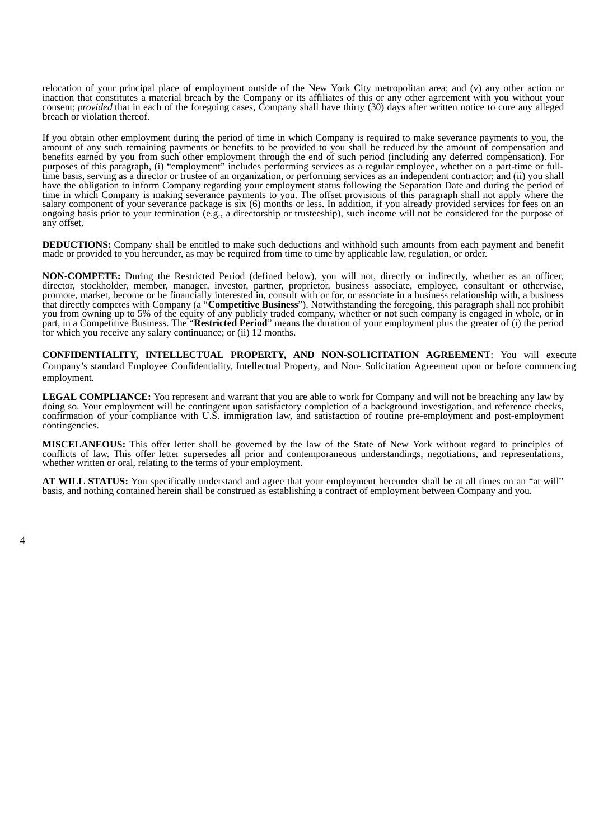relocation of your principal place of employment outside of the New York City metropolitan area; and (v) any other action or inaction that constitutes a material breach by the Company or its affiliates of this or any other agreement with you without your consent; *provided* that in each of the foregoing cases, Company shall have thirty (30) days after written notice to cure any alleged breach or violation thereof.

If you obtain other employment during the period of time in which Company is required to make severance payments to you, the amount of any such remaining payments or benefits to be provided to you shall be reduced by the amount of compensation and benefits earned by you from such other employment through the end of such period (including any deferred compensation). For purposes of this paragraph, (i) "employment" includes performing services as a regular employee, whether on a part-time or fulltime basis, serving as a director or trustee of an organization, or performing services as an independent contractor; and (ii) you shall have the obligation to inform Company regarding your employment status following the Separation Date and during the period of time in which Company is making severance payments to you. The offset provisions of this paragraph shall not apply where the salary component of your severance package is six (6) months or less. In addition, if you already provided services for fees on an ongoing basis prior to your termination (e.g., a directorship or trusteeship), such income will not be considered for the purpose of any offset.

**DEDUCTIONS:** Company shall be entitled to make such deductions and withhold such amounts from each payment and benefit made or provided to you hereunder, as may be required from time to time by applicable law, regulation, or order.

**NON-COMPETE:** During the Restricted Period (defined below), you will not, directly or indirectly, whether as an officer, director, stockholder, member, manager, investor, partner, proprietor, business associate, employee, consultant or otherwise, promote, market, become or be financially interested in, consult with or for, or associate in a business relationship with, a business that directly competes with Company (a "**Competitive Business**"). Notwithstanding the foregoing, this paragraph shall not prohibit you from owning up to 5% of the equity of any publicly traded company, whether or not such company is engaged in whole, or in part, in a Competitive Business. The "**Restricted Period**" means the duration of your employment plus the greater of (i) the period for which you receive any salary continuance; or (ii) 12 months.

**CONFIDENTIALITY, INTELLECTUAL PROPERTY, AND NON-SOLICITATION AGREEMENT**: You will execute Company's standard Employee Confidentiality, Intellectual Property, and Non- Solicitation Agreement upon or before commencing employment.

**LEGAL COMPLIANCE:** You represent and warrant that you are able to work for Company and will not be breaching any law by doing so. Your employment will be contingent upon satisfactory completion of a background investigation, and reference checks, confirmation of your compliance with U.S. immigration law, and satisfaction of routine pre-employment and post-employment contingencies.

**MISCELANEOUS:** This offer letter shall be governed by the law of the State of New York without regard to principles of conflicts of law. This offer letter supersedes all prior and contemporaneous understandings, negotiations, and representations, whether written or oral, relating to the terms of your employment.

**AT WILL STATUS:** You specifically understand and agree that your employment hereunder shall be at all times on an "at will" basis, and nothing contained herein shall be construed as establishing a contract of employment between Company and you.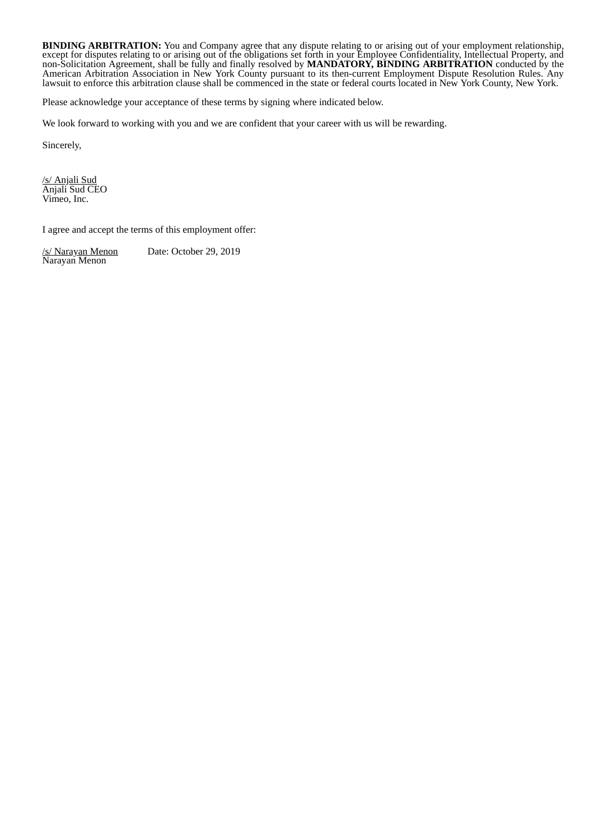**BINDING ARBITRATION:** You and Company agree that any dispute relating to or arising out of your employment relationship, except for disputes relating to or arising out of the obligations set forth in your Employee Confidentiality, Intellectual Property, and non-Solicitation Agreement, shall be fully and finally resolved by **MANDATORY, BINDING ARBITRATION** conducted by the American Arbitration Association in New York County pursuant to its then-current Employment Dispute Resolution Rules. Any lawsuit to enforce this arbitration clause shall be commenced in the state or federal courts located in New York County, New York.

Please acknowledge your acceptance of these terms by signing where indicated below.

We look forward to working with you and we are confident that your career with us will be rewarding.

Sincerely,

/s/ Anjali Sud Anjali Sud CEO Vimeo, Inc.

I agree and accept the terms of this employment offer:

Date: October 29, 2019 /s/ Narayan Menon<br>Narayan Menon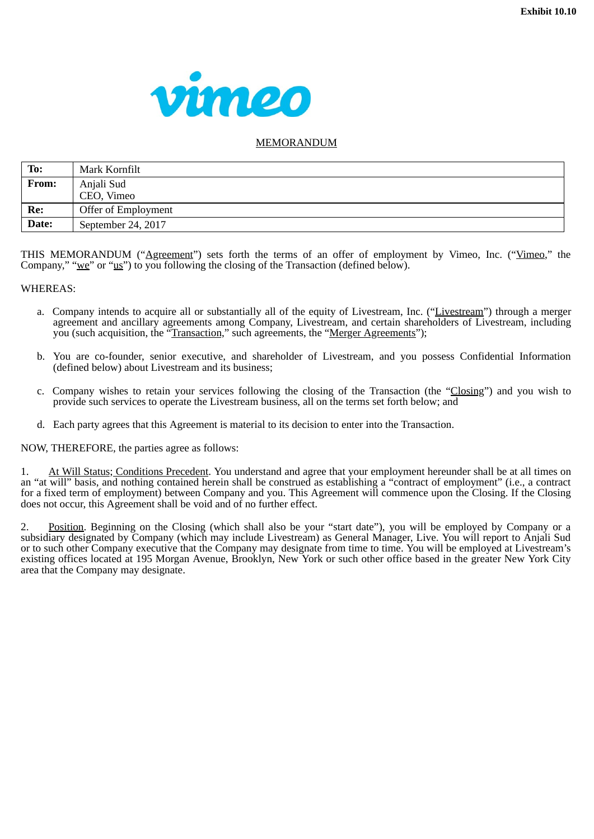

# MEMORANDUM

| To:   | Mark Kornfilt       |
|-------|---------------------|
| From: | Anjali Sud          |
|       | CEO, Vimeo          |
| Re:   | Offer of Employment |
| Date: | September 24, 2017  |

THIS MEMORANDUM ("Agreement") sets forth the terms of an offer of employment by Vimeo, Inc. ("Vimeo," the Company," " $we$ " or " $us$ ") to you following the closing of the Transaction (defined below).

#### WHEREAS:

- a. Company intends to acquire all or substantially all of the equity of Livestream, Inc. ("Livestream") through a merger agreement and ancillary agreements among Company, Livestream, and certain shareholders of Livestream, including you (such acquisition, the "Transaction," such agreements, the "Merger Agreements");
- b. You are co-founder, senior executive, and shareholder of Livestream, and you possess Confidential Information (defined below) about Livestream and its business;
- c. Company wishes to retain your services following the closing of the Transaction (the "Closing") and you wish to provide such services to operate the Livestream business, all on the terms set forth below; and
- d. Each party agrees that this Agreement is material to its decision to enter into the Transaction.

NOW, THEREFORE, the parties agree as follows:

1. At Will Status; Conditions Precedent. You understand and agree that your employment hereunder shall be at all times on an "at will" basis, and nothing contained herein shall be construed as establishing a "contract of employment" (i.e., a contract for a fixed term of employment) between Company and you. This Agreement will commence upon the Closing. If the Closing does not occur, this Agreement shall be void and of no further effect.

2. Position. Beginning on the Closing (which shall also be your "start date"), you will be employed by Company or a subsidiary designated by Company (which may include Livestream) as General Manager, Live. You will report to Anjali Sud or to such other Company executive that the Company may designate from time to time. You will be employed at Livestream's existing offices located at 195 Morgan Avenue, Brooklyn, New York or such other office based in the greater New York City area that the Company may designate.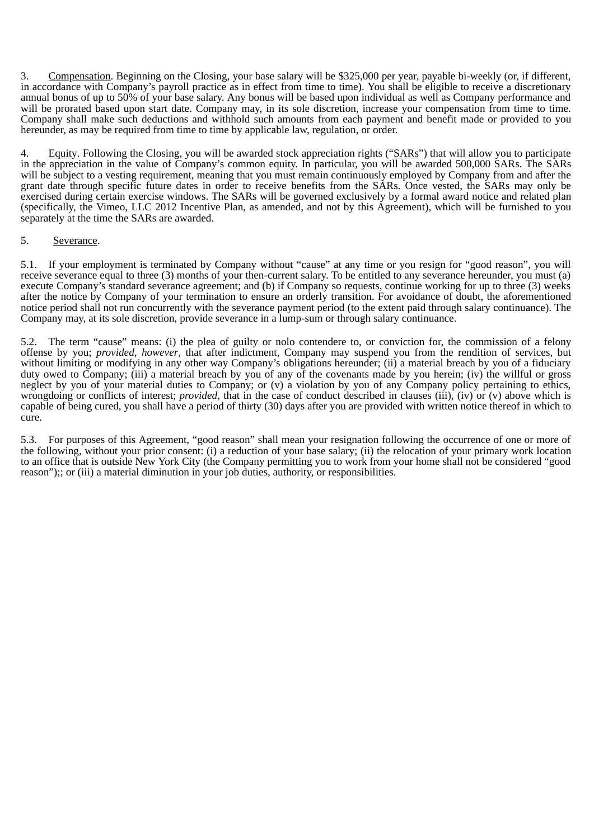3. Compensation. Beginning on the Closing, your base salary will be \$325,000 per year, payable bi-weekly (or, if different, in accordance with Company's payroll practice as in effect from time to time). You shall be eligible to receive a discretionary annual bonus of up to 50% of your base salary. Any bonus will be based upon individual as well as Company performance and will be prorated based upon start date. Company may, in its sole discretion, increase your compensation from time to time. Company shall make such deductions and withhold such amounts from each payment and benefit made or provided to you hereunder, as may be required from time to time by applicable law, regulation, or order.

4. Equity. Following the Closing, you will be awarded stock appreciation rights ("SARs") that will allow you to participate in the appreciation in the value of Company's common equity. In particular, you will be awarded 500,000 SARs. The SARs will be subject to a vesting requirement, meaning that you must remain continuously employed by Company from and after the grant date through specific future dates in order to receive benefits from the SARs. Once vested, the SARs may only be exercised during certain exercise windows. The SARs will be governed exclusively by a formal award notice and related plan (specifically, the Vimeo, LLC 2012 Incentive Plan, as amended, and not by this Agreement), which will be furnished to you separately at the time the SARs are awarded.

## 5. Severance.

5.1. If your employment is terminated by Company without "cause" at any time or you resign for "good reason", you will receive severance equal to three (3) months of your then-current salary. To be entitled to any severance hereunder, you must (a) execute Company's standard severance agreement; and (b) if Company so requests, continue working for up to three (3) weeks after the notice by Company of your termination to ensure an orderly transition. For avoidance of doubt, the aforementioned notice period shall not run concurrently with the severance payment period (to the extent paid through salary continuance). The Company may, at its sole discretion, provide severance in a lump-sum or through salary continuance.

5.2. The term "cause" means: (i) the plea of guilty or nolo contendere to, or conviction for, the commission of a felony offense by you; *provided*, *however*, that after indictment, Company may suspend you from the rendition of services, but without limiting or modifying in any other way Company's obligations hereunder; (ii) a material breach by you of a fiduciary duty owed to Company; (iii) a material breach by you of any of the covenants made by you herein; (iv) the willful or gross neglect by you of your material duties to Company; or (v) a violation by you of any Company policy pertaining to ethics, wrongdoing or conflicts of interest; *provided*, that in the case of conduct described in clauses (iii), (iv) or (v) above which is capable of being cured, you shall have a period of thirty (30) days after you are provided with written notice thereof in which to cure.

5.3. For purposes of this Agreement, "good reason" shall mean your resignation following the occurrence of one or more of the following, without your prior consent: (i) a reduction of your base salary; (ii) the relocation of your primary work location to an office that is outside New York City (the Company permitting you to work from your home shall not be considered "good reason");; or (iii) a material diminution in your job duties, authority, or responsibilities.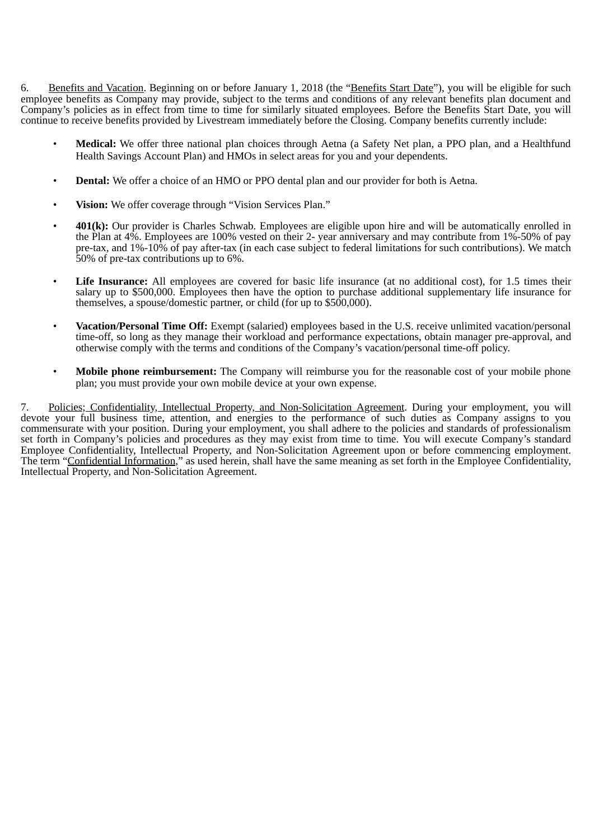6. Benefits and Vacation. Beginning on or before January 1, 2018 (the "Benefits Start Date"), you will be eligible for such employee benefits as Company may provide, subject to the terms and conditions of any relevant benefits plan document and Company's policies as in effect from time to time for similarly situated employees. Before the Benefits Start Date, you will continue to receive benefits provided by Livestream immediately before the Closing. Company benefits currently include:

- **Medical:** We offer three national plan choices through Aetna (a Safety Net plan, a PPO plan, and a Healthfund Health Savings Account Plan) and HMOs in select areas for you and your dependents.
- **Dental:** We offer a choice of an HMO or PPO dental plan and our provider for both is Aetna.
- **Vision:** We offer coverage through "Vision Services Plan."
- **401(k):** Our provider is Charles Schwab. Employees are eligible upon hire and will be automatically enrolled in the Plan at 4%. Employees are 100% vested on their 2- year anniversary and may contribute from 1%-50% of pay pre-tax, and 1%-10% of pay after-tax (in each case subject to federal limitations for such contributions). We match 50% of pre-tax contributions up to 6%.
- **Life Insurance:** All employees are covered for basic life insurance (at no additional cost), for 1.5 times their salary up to \$500,000. Employees then have the option to purchase additional supplementary life insurance for themselves, a spouse/domestic partner, or child (for up to \$500,000).
- **Vacation/Personal Time Off:** Exempt (salaried) employees based in the U.S. receive unlimited vacation/personal time-off, so long as they manage their workload and performance expectations, obtain manager pre-approval, and otherwise comply with the terms and conditions of the Company's vacation/personal time-off policy.
- **Mobile phone reimbursement:** The Company will reimburse you for the reasonable cost of your mobile phone plan; you must provide your own mobile device at your own expense.

7. Policies; Confidentiality, Intellectual Property, and Non-Solicitation Agreement. During your employment, you will devote your full business time, attention, and energies to the performance of such duties as Company assigns to you commensurate with your position. During your employment, you shall adhere to the policies and standards of professionalism set forth in Company's policies and procedures as they may exist from time to time. You will execute Company's standard Employee Confidentiality, Intellectual Property, and Non-Solicitation Agreement upon or before commencing employment. The term "Confidential Information," as used herein, shall have the same meaning as set forth in the Employee Confidentiality, Intellectual Property, and Non-Solicitation Agreement.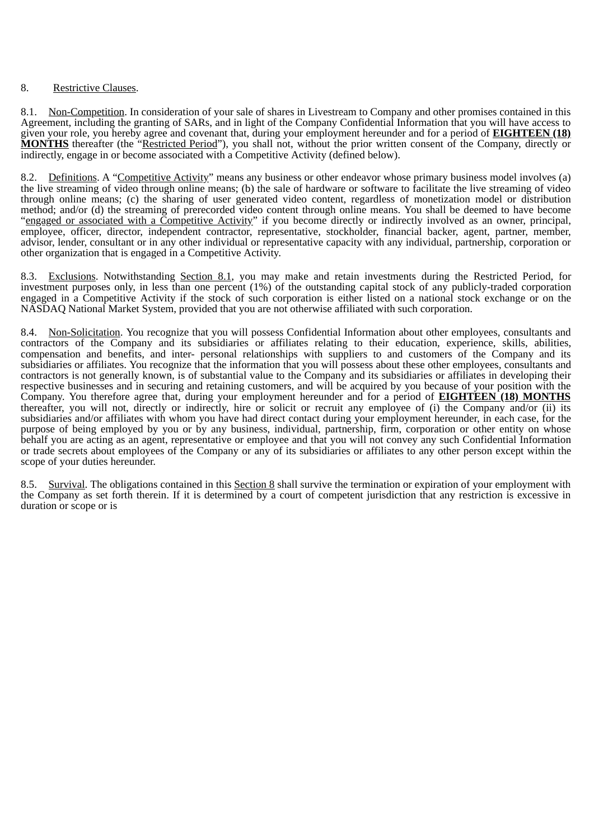# 8. Restrictive Clauses.

8.1. Non-Competition. In consideration of your sale of shares in Livestream to Company and other promises contained in this Agreement, including the granting of SARs, and in light of the Company Confidential Information that you will have access to given your role, you hereby agree and covenant that, during your employment hereunder and for a period of **EIGHTEEN (18) MONTHS** thereafter (the "Restricted Period"), you shall not, without the prior written consent of the Company, directly or indirectly, engage in or become associated with a Competitive Activity (defined below).

8.2. Definitions. A "Competitive Activity" means any business or other endeavor whose primary business model involves (a) the live streaming of video through online means; (b) the sale of hardware or software to facilitate the live streaming of video through online means; (c) the sharing of user generated video content, regardless of monetization model or distribution method; and/or (d) the streaming of prerecorded video content through online means. You shall be deemed to have become "engaged or associated with a Competitive Activity" if you become directly or indirectly involved as an owner, principal, employee, officer, director, independent contractor, representative, stockholder, financial backer, agent, partner, member, advisor, lender, consultant or in any other individual or representative capacity with any individual, partnership, corporation or other organization that is engaged in a Competitive Activity.

8.3. Exclusions. Notwithstanding Section 8.1, you may make and retain investments during the Restricted Period, for investment purposes only, in less than one percent (1%) of the outstanding capital stock of any publicly-traded corporation engaged in a Competitive Activity if the stock of such corporation is either listed on a national stock exchange or on the NASDAQ National Market System, provided that you are not otherwise affiliated with such corporation.

8.4. Non-Solicitation. You recognize that you will possess Confidential Information about other employees, consultants and contractors of the Company and its subsidiaries or affiliates relating to their education, experience, skills, abilities, compensation and benefits, and inter- personal relationships with suppliers to and customers of the Company and its subsidiaries or affiliates. You recognize that the information that you will possess about these other employees, consultants and contractors is not generally known, is of substantial value to the Company and its subsidiaries or affiliates in developing their respective businesses and in securing and retaining customers, and will be acquired by you because of your position with the Company. You therefore agree that, during your employment hereunder and for a period of **EIGHTEEN (18) MONTHS** thereafter, you will not, directly or indirectly, hire or solicit or recruit any employee of (i) the Company and/or (ii) its subsidiaries and/or affiliates with whom you have had direct contact during your employment hereunder, in each case, for the purpose of being employed by you or by any business, individual, partnership, firm, corporation or other entity on whose behalf you are acting as an agent, representative or employee and that you will not convey any such Confidential Information or trade secrets about employees of the Company or any of its subsidiaries or affiliates to any other person except within the scope of your duties hereunder.

8.5. Survival. The obligations contained in this Section 8 shall survive the termination or expiration of your employment with the Company as set forth therein. If it is determined by a court of competent jurisdiction that any restriction is excessive in duration or scope or is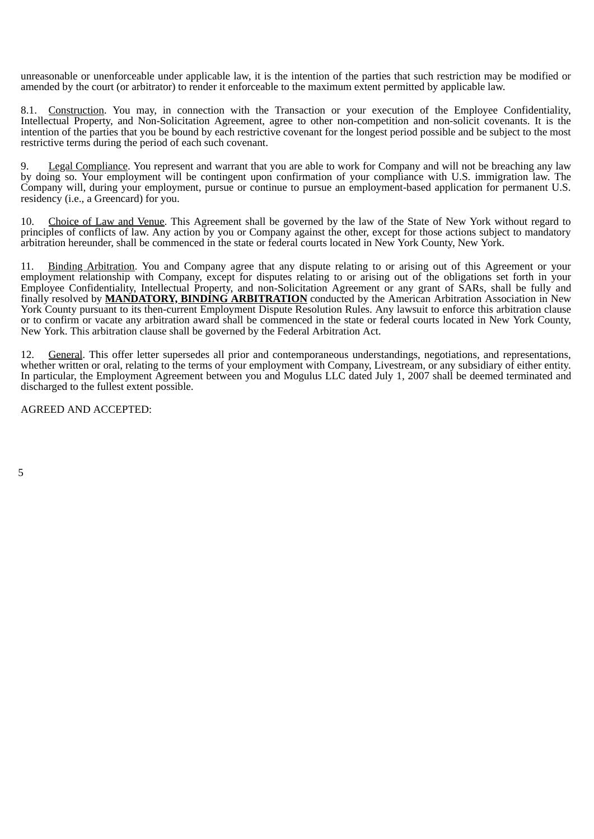unreasonable or unenforceable under applicable law, it is the intention of the parties that such restriction may be modified or amended by the court (or arbitrator) to render it enforceable to the maximum extent permitted by applicable law.

8.1. Construction. You may, in connection with the Transaction or your execution of the Employee Confidentiality, Intellectual Property, and Non-Solicitation Agreement, agree to other non-competition and non-solicit covenants. It is the intention of the parties that you be bound by each restrictive covenant for the longest period possible and be subject to the most restrictive terms during the period of each such covenant.

9. Legal Compliance. You represent and warrant that you are able to work for Company and will not be breaching any law by doing so. Your employment will be contingent upon confirmation of your compliance with U.S. immigration law. The Company will, during your employment, pursue or continue to pursue an employment-based application for permanent U.S. residency (i.e., a Greencard) for you.

10. Choice of Law and Venue. This Agreement shall be governed by the law of the State of New York without regard to principles of conflicts of law. Any action by you or Company against the other, except for those actions subject to mandatory arbitration hereunder, shall be commenced in the state or federal courts located in New York County, New York.

11. Binding Arbitration. You and Company agree that any dispute relating to or arising out of this Agreement or your employment relationship with Company, except for disputes relating to or arising out of the obligations set forth in your Employee Confidentiality, Intellectual Property, and non-Solicitation Agreement or any grant of SARs, shall be fully and finally resolved by **MANDATORY, BINDING ARBITRATION** conducted by the American Arbitration Association in New York County pursuant to its then-current Employment Dispute Resolution Rules. Any lawsuit to enforce this arbitration clause or to confirm or vacate any arbitration award shall be commenced in the state or federal courts located in New York County, New York. This arbitration clause shall be governed by the Federal Arbitration Act.

12. General. This offer letter supersedes all prior and contemporaneous understandings, negotiations, and representations, whether written or oral, relating to the terms of your employment with Company, Livestream, or any subsidiary of either entity. In particular, the Employment Agreement between you and Mogulus LLC dated July 1, 2007 shall be deemed terminated and discharged to the fullest extent possible.

AGREED AND ACCEPTED:

5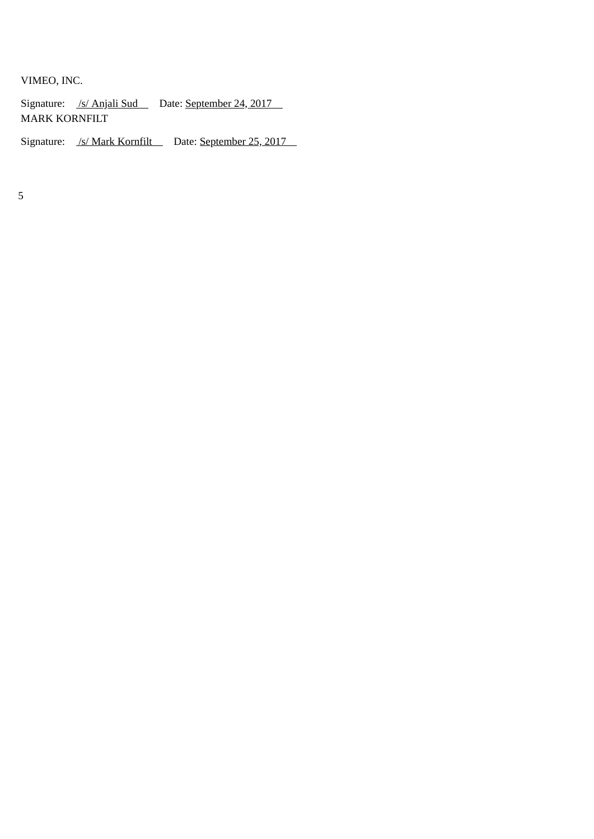VIMEO, INC.

Signature: /s/ Anjali Sud Date: September 24, 2017 MARK KORNFILT

Signature: /s/ Mark Kornfilt Date: September 25, 2017

5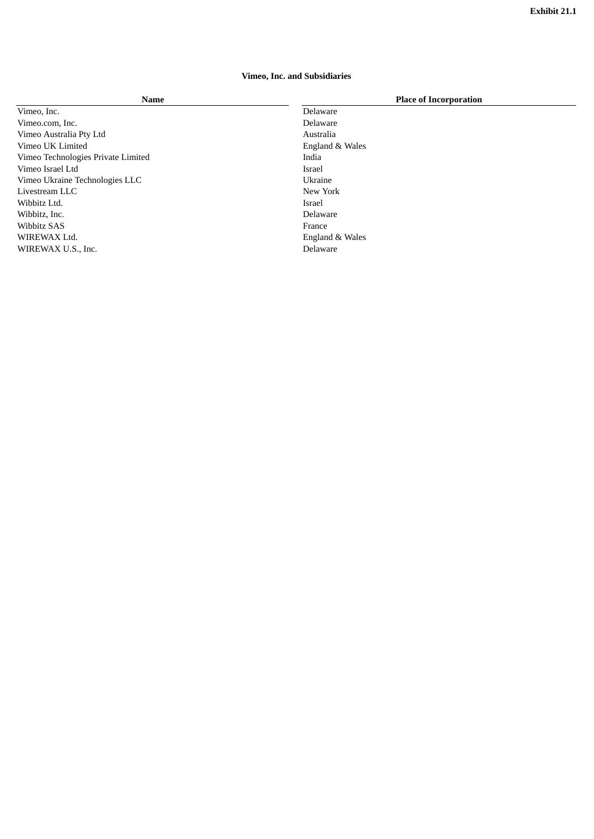# **Vimeo, Inc. and Subsidiaries**

Vimeo, Inc. Delaware Vimeo.com, Inc. Delaware Vimeo Australia Pty Ltd Australia and Australia Vimeo UK Limited England & Wales Vimeo Technologies Private Limited **India**<br>India Vimeo Israel Ltd India Vimeo Israel Ltd<br>
Vimeo Ukraine Technologies LLC<br>
Ukraine Israel Ukraine Israel Vimeo Ukraine Technologies LLC Livestream LLC New York Wibbitz Ltd. Israel Wibbitz, Inc. Wibbitz SAS France WIREWAX Ltd. England & Wales WIREWAX U.S., Inc. Delaware

#### **Name Place of Incorporation**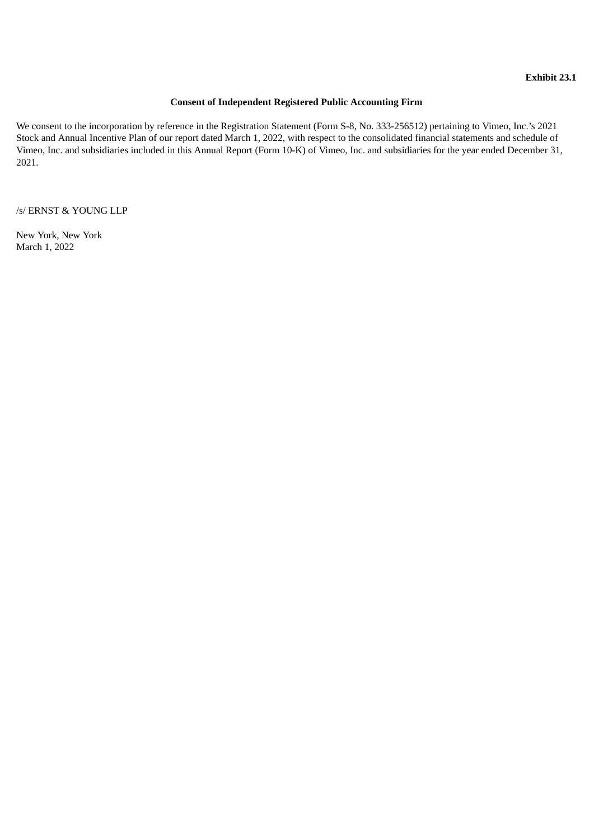# **Consent of Independent Registered Public Accounting Firm**

We consent to the incorporation by reference in the Registration Statement (Form S-8, No. 333-256512) pertaining to Vimeo, Inc.'s 2021 Stock and Annual Incentive Plan of our report dated March 1, 2022, with respect to the consolidated financial statements and schedule of Vimeo, Inc. and subsidiaries included in this Annual Report (Form 10-K) of Vimeo, Inc. and subsidiaries for the year ended December 31, 2021.

/s/ ERNST & YOUNG LLP

New York, New York March 1, 2022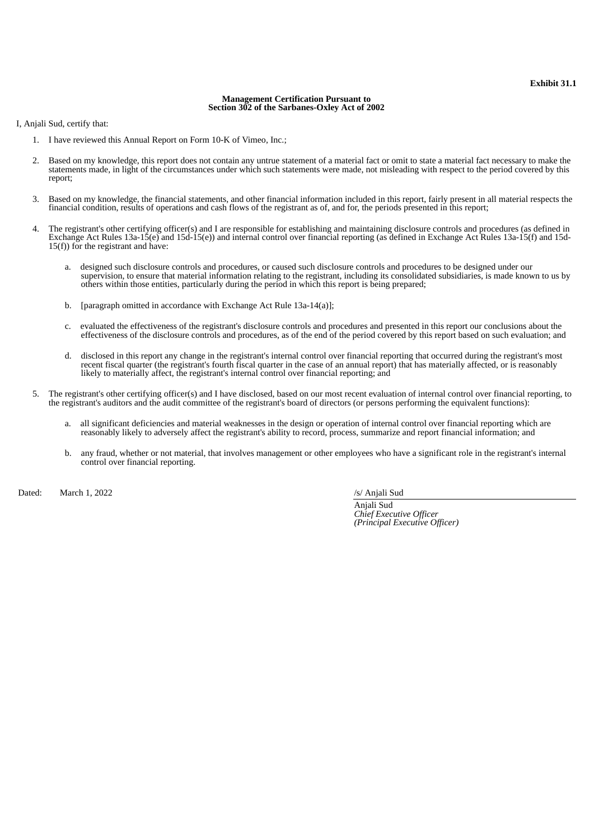#### **Management Certification Pursuant to Section 302 of the Sarbanes-Oxley Act of 2002**

I, Anjali Sud, certify that:

- 1. I have reviewed this Annual Report on Form 10-K of Vimeo, Inc.;
- 2. Based on my knowledge, this report does not contain any untrue statement of a material fact or omit to state a material fact necessary to make the statements made, in light of the circumstances under which such statements were made, not misleading with respect to the period covered by this report;
- 3. Based on my knowledge, the financial statements, and other financial information included in this report, fairly present in all material respects the financial condition, results of operations and cash flows of the registrant as of, and for, the periods presented in this report;
- 4. The registrant's other certifying officer(s) and I are responsible for establishing and maintaining disclosure controls and procedures (as defined in Exchange Act Rules 13a-15(e) and 15d-15(e)) and internal control over financial reporting (as defined in Exchange Act Rules 13a-15(f) and 15d- $15(f)$ ) for the registrant and have:
	- a. designed such disclosure controls and procedures, or caused such disclosure controls and procedures to be designed under our supervision, to ensure that material information relating to the registrant, including its consolidated subsidiaries, is made known to us by others within those entities, particularly during the period in which this report is being prepared;
	- b. [paragraph omitted in accordance with Exchange Act Rule 13a-14(a)];
	- c. evaluated the effectiveness of the registrant's disclosure controls and procedures and presented in this report our conclusions about the effectiveness of the disclosure controls and procedures, as of the end of the period covered by this report based on such evaluation; and
	- d. disclosed in this report any change in the registrant's internal control over financial reporting that occurred during the registrant's most recent fiscal quarter (the registrant's fourth fiscal quarter in the case of an annual report) that has materially affected, or is reasonably likely to materially affect, the registrant's internal control over financial reporting; and
- 5. The registrant's other certifying officer(s) and I have disclosed, based on our most recent evaluation of internal control over financial reporting, to the registrant's auditors and the audit committee of the registrant's board of directors (or persons performing the equivalent functions):
	- a. all significant deficiencies and material weaknesses in the design or operation of internal control over financial reporting which are reasonably likely to adversely affect the registrant's ability to record, process, summarize and report financial information; and
	- b. any fraud, whether or not material, that involves management or other employees who have a significant role in the registrant's internal control over financial reporting.

Dated: March 1, 2022 *Dated:* March 1, 2022

Anjali Sud *Chief Executive Officer (Principal Executive Officer)*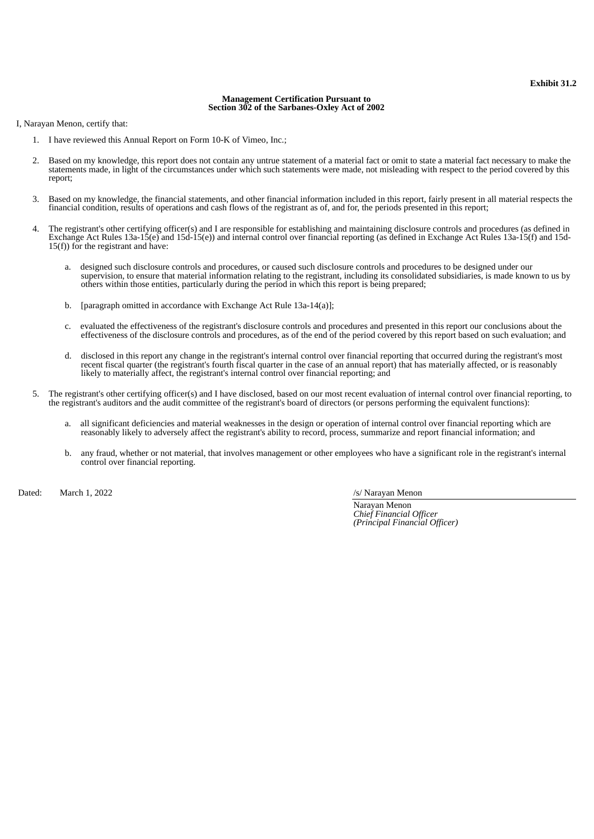#### **Management Certification Pursuant to Section 302 of the Sarbanes-Oxley Act of 2002**

I, Narayan Menon, certify that:

- 1. I have reviewed this Annual Report on Form 10-K of Vimeo, Inc.;
- 2. Based on my knowledge, this report does not contain any untrue statement of a material fact or omit to state a material fact necessary to make the statements made, in light of the circumstances under which such statements were made, not misleading with respect to the period covered by this report;
- 3. Based on my knowledge, the financial statements, and other financial information included in this report, fairly present in all material respects the financial condition, results of operations and cash flows of the registrant as of, and for, the periods presented in this report;
- 4. The registrant's other certifying officer(s) and I are responsible for establishing and maintaining disclosure controls and procedures (as defined in Exchange Act Rules 13a-15(e) and 15d-15(e)) and internal control over financial reporting (as defined in Exchange Act Rules 13a-15(f) and 15d- $15(f)$ ) for the registrant and have:
	- a. designed such disclosure controls and procedures, or caused such disclosure controls and procedures to be designed under our supervision, to ensure that material information relating to the registrant, including its consolidated subsidiaries, is made known to us by others within those entities, particularly during the period in which this report is being prepared;
	- b. [paragraph omitted in accordance with Exchange Act Rule 13a-14(a)];
	- c. evaluated the effectiveness of the registrant's disclosure controls and procedures and presented in this report our conclusions about the effectiveness of the disclosure controls and procedures, as of the end of the period covered by this report based on such evaluation; and
	- d. disclosed in this report any change in the registrant's internal control over financial reporting that occurred during the registrant's most recent fiscal quarter (the registrant's fourth fiscal quarter in the case of an annual report) that has materially affected, or is reasonably recent fiscal quarter (the registrant's fourth fiscal quarter in the case of an likely to materially affect, the registrant's internal control over financial reporting; and
- 5. The registrant's other certifying officer(s) and I have disclosed, based on our most recent evaluation of internal control over financial reporting, to the registrant's auditors and the audit committee of the registrant's board of directors (or persons performing the equivalent functions):
	- a. all significant deficiencies and material weaknesses in the design or operation of internal control over financial reporting which are reasonably likely to adversely affect the registrant's ability to record, process, summarize and report financial information; and
	- b. any fraud, whether or not material, that involves management or other employees who have a significant role in the registrant's internal control over financial reporting.

Dated: March 1, 2022 *Dated:* March 1, 2022 *S/ Narayan Menon* 

Narayan Menon *Chief Financial Officer (Principal Financial Officer)*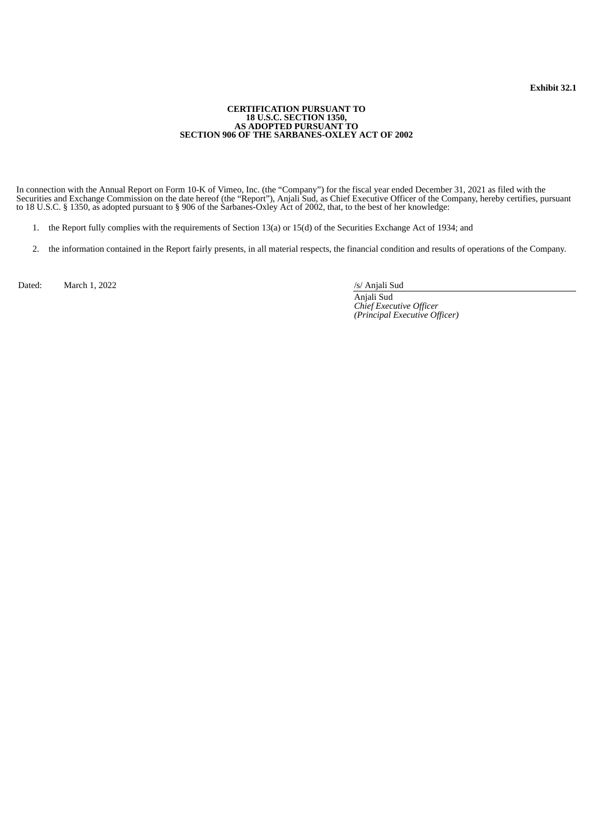#### **CERTIFICATION PURSUANT TO 18 U.S.C. SECTION 1350, AS ADOPTED PURSUANT TO SECTION 906 OF THE SARBANES-OXLEY ACT OF 2002**

In connection with the Annual Report on Form 10-K of Vimeo, Inc. (the "Company") for the fiscal year ended December 31, 2021 as filed with the Securities and Exchange Commission on the date hereof (the "Report"), Anjali Sud, as Chief Executive Officer of the Company, hereby certifies, pursuant to 18 U.S.C. § 1350, as adopted pursuant to § 906 of the Sarbanes-Oxley Act of 2002, that, to the best of her knowledge:

- 1. the Report fully complies with the requirements of Section 13(a) or 15(d) of the Securities Exchange Act of 1934; and
- 2. the information contained in the Report fairly presents, in all material respects, the financial condition and results of operations of the Company.

Dated: March 1, 2022 /s/ Anjali Sud

Anjali Sud *Chief Executive Officer (Principal Executive Officer)*